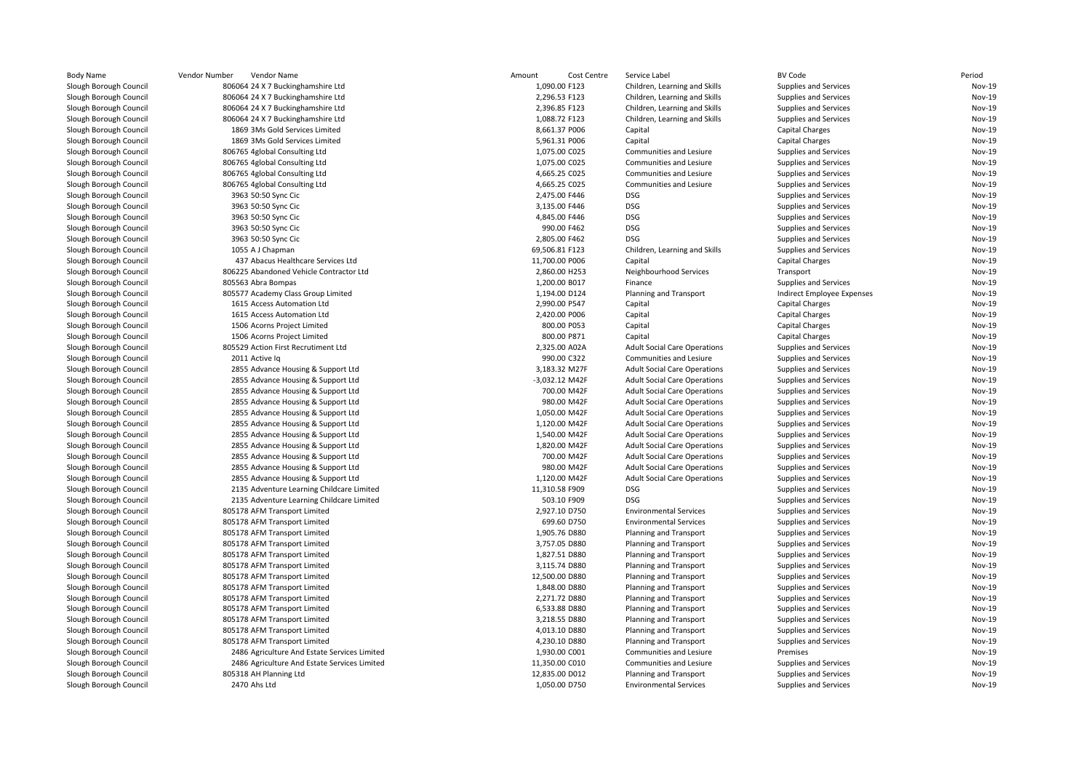| <b>Body Name</b>       | Vendor Number<br>Vendor Name                 | Amount<br>Cost Centre | Service Label                       | <b>BV Code</b>             | Period        |
|------------------------|----------------------------------------------|-----------------------|-------------------------------------|----------------------------|---------------|
| Slough Borough Council | 806064 24 X 7 Buckinghamshire Ltd            | 1,090.00 F123         | Children, Learning and Skills       | Supplies and Services      | Nov-19        |
| Slough Borough Council | 806064 24 X 7 Buckinghamshire Ltd            | 2,296.53 F123         | Children, Learning and Skills       | Supplies and Services      | Nov-19        |
| Slough Borough Council | 806064 24 X 7 Buckinghamshire Ltd            | 2,396.85 F123         | Children, Learning and Skills       | Supplies and Services      | Nov-19        |
| Slough Borough Council | 806064 24 X 7 Buckinghamshire Ltd            | 1,088.72 F123         | Children, Learning and Skills       | Supplies and Services      | Nov-19        |
| Slough Borough Council | 1869 3Ms Gold Services Limited               | 8,661.37 P006         | Capital                             | <b>Capital Charges</b>     | Nov-19        |
| Slough Borough Council | 1869 3Ms Gold Services Limited               | 5,961.31 P006         | Capital                             | <b>Capital Charges</b>     | Nov-19        |
| Slough Borough Council | 806765 4global Consulting Ltd                | 1,075.00 C025         | Communities and Lesiure             | Supplies and Services      | Nov-19        |
| Slough Borough Council | 806765 4global Consulting Ltd                | 1,075.00 C025         | Communities and Lesiure             | Supplies and Services      | Nov-19        |
| Slough Borough Council | 806765 4global Consulting Ltd                | 4,665.25 C025         | Communities and Lesiure             | Supplies and Services      | Nov-19        |
| Slough Borough Council | 806765 4global Consulting Ltd                | 4,665.25 C025         | Communities and Lesiure             | Supplies and Services      | Nov-19        |
| Slough Borough Council | 3963 50:50 Sync Cic                          | 2,475.00 F446         | <b>DSG</b>                          | Supplies and Services      | Nov-19        |
| Slough Borough Council | 3963 50:50 Sync Cic                          | 3,135.00 F446         | <b>DSG</b>                          | Supplies and Services      | Nov-19        |
| Slough Borough Council | 3963 50:50 Sync Cic                          | 4,845.00 F446         | <b>DSG</b>                          | Supplies and Services      | Nov-19        |
| Slough Borough Council | 3963 50:50 Sync Cic                          | 990.00 F462           | <b>DSG</b>                          | Supplies and Services      | Nov-19        |
| Slough Borough Council | 3963 50:50 Sync Cic                          | 2,805.00 F462         | <b>DSG</b>                          | Supplies and Services      | Nov-19        |
| Slough Borough Council | 1055 A J Chapman                             | 69,506.81 F123        | Children, Learning and Skills       | Supplies and Services      | <b>Nov-19</b> |
| Slough Borough Council | 437 Abacus Healthcare Services Ltd           | 11,700.00 P006        | Capital                             | <b>Capital Charges</b>     | Nov-19        |
| Slough Borough Council | 806225 Abandoned Vehicle Contractor Ltd      | 2,860.00 H253         | Neighbourhood Services              | Transport                  | Nov-19        |
| Slough Borough Council | 805563 Abra Bompas                           | 1,200.00 B017         | Finance                             | Supplies and Services      | Nov-19        |
| Slough Borough Council | 805577 Academy Class Group Limited           | 1,194.00 D124         | Planning and Transport              | Indirect Employee Expenses | Nov-19        |
| Slough Borough Council | 1615 Access Automation Ltd                   | 2,990.00 P547         | Capital                             | <b>Capital Charges</b>     | Nov-19        |
| Slough Borough Council | 1615 Access Automation Ltd                   | 2,420.00 P006         | Capital                             | <b>Capital Charges</b>     | Nov-19        |
| Slough Borough Council | 1506 Acorns Project Limited                  | 800.00 P053           | Capital                             | Capital Charges            | Nov-19        |
| Slough Borough Council | 1506 Acorns Project Limited                  | 800.00 P871           | Capital                             | <b>Capital Charges</b>     | Nov-19        |
| Slough Borough Council | 805529 Action First Recrutiment Ltd          | 2,325.00 A02A         | <b>Adult Social Care Operations</b> | Supplies and Services      | Nov-19        |
| Slough Borough Council | 2011 Active Iq                               | 990.00 C322           | Communities and Lesiure             | Supplies and Services      | Nov-19        |
| Slough Borough Council | 2855 Advance Housing & Support Ltd           | 3,183.32 M27F         | <b>Adult Social Care Operations</b> | Supplies and Services      | Nov-19        |
| Slough Borough Council | 2855 Advance Housing & Support Ltd           | -3,032.12 M42F        | <b>Adult Social Care Operations</b> | Supplies and Services      | Nov-19        |
| Slough Borough Council | 2855 Advance Housing & Support Ltd           | 700.00 M42F           | <b>Adult Social Care Operations</b> | Supplies and Services      | Nov-19        |
| Slough Borough Council | 2855 Advance Housing & Support Ltd           | 980.00 M42F           | <b>Adult Social Care Operations</b> | Supplies and Services      | Nov-19        |
| Slough Borough Council | 2855 Advance Housing & Support Ltd           | 1,050.00 M42F         | <b>Adult Social Care Operations</b> | Supplies and Services      | Nov-19        |
| Slough Borough Council | 2855 Advance Housing & Support Ltd           | 1,120.00 M42F         | <b>Adult Social Care Operations</b> | Supplies and Services      | Nov-19        |
| Slough Borough Council | 2855 Advance Housing & Support Ltd           | 1,540.00 M42F         | <b>Adult Social Care Operations</b> | Supplies and Services      | Nov-19        |
| Slough Borough Council | 2855 Advance Housing & Support Ltd           | 1,820.00 M42F         | <b>Adult Social Care Operations</b> | Supplies and Services      | Nov-19        |
| Slough Borough Council | 2855 Advance Housing & Support Ltd           | 700.00 M42F           | <b>Adult Social Care Operations</b> | Supplies and Services      | Nov-19        |
| Slough Borough Council | 2855 Advance Housing & Support Ltd           | 980.00 M42F           | <b>Adult Social Care Operations</b> | Supplies and Services      | Nov-19        |
| Slough Borough Council | 2855 Advance Housing & Support Ltd           | 1,120.00 M42F         | <b>Adult Social Care Operations</b> | Supplies and Services      | Nov-19        |
| Slough Borough Council | 2135 Adventure Learning Childcare Limited    | 11,310.58 F909        | <b>DSG</b>                          | Supplies and Services      | Nov-19        |
| Slough Borough Council | 2135 Adventure Learning Childcare Limited    | 503.10 F909           | <b>DSG</b>                          | Supplies and Services      | Nov-19        |
| Slough Borough Council | 805178 AFM Transport Limited                 | 2,927.10 D750         | <b>Environmental Services</b>       | Supplies and Services      | Nov-19        |
| Slough Borough Council | 805178 AFM Transport Limited                 | 699.60 D750           | <b>Environmental Services</b>       | Supplies and Services      | Nov-19        |
| Slough Borough Council | 805178 AFM Transport Limited                 | 1,905.76 D880         | Planning and Transport              | Supplies and Services      | Nov-19        |
| Slough Borough Council | 805178 AFM Transport Limited                 | 3,757.05 D880         | Planning and Transport              | Supplies and Services      | Nov-19        |
| Slough Borough Council | 805178 AFM Transport Limited                 | 1,827.51 D880         | Planning and Transport              | Supplies and Services      | Nov-19        |
| Slough Borough Council | 805178 AFM Transport Limited                 | 3,115.74 D880         | Planning and Transport              | Supplies and Services      | Nov-19        |
| Slough Borough Council | 805178 AFM Transport Limited                 | 12,500.00 D880        | Planning and Transport              | Supplies and Services      | Nov-19        |
| Slough Borough Council | 805178 AFM Transport Limited                 | 1,848.00 D880         | Planning and Transport              | Supplies and Services      | Nov-19        |
| Slough Borough Council | 805178 AFM Transport Limited                 | 2,271.72 D880         | Planning and Transport              | Supplies and Services      | Nov-19        |
| Slough Borough Council | 805178 AFM Transport Limited                 | 6,533.88 D880         | Planning and Transport              | Supplies and Services      | Nov-19        |
| Slough Borough Council | 805178 AFM Transport Limited                 | 3,218.55 D880         | Planning and Transport              | Supplies and Services      | Nov-19        |
| Slough Borough Council | 805178 AFM Transport Limited                 | 4,013.10 D880         | Planning and Transport              | Supplies and Services      | Nov-19        |
| Slough Borough Council | 805178 AFM Transport Limited                 | 4,230.10 D880         | Planning and Transport              | Supplies and Services      | Nov-19        |
| Slough Borough Council | 2486 Agriculture And Estate Services Limited | 1,930.00 C001         | Communities and Lesiure             | Premises                   | Nov-19        |
| Slough Borough Council | 2486 Agriculture And Estate Services Limited | 11,350.00 C010        | Communities and Lesiure             | Supplies and Services      | Nov-19        |
| Slough Borough Council | 805318 AH Planning Ltd                       | 12,835.00 D012        | Planning and Transport              | Supplies and Services      | Nov-19        |
| Slough Borough Council | 2470 Ahs Ltd                                 | 1,050.00 D750         | <b>Environmental Services</b>       | Supplies and Services      | Nov-19        |
|                        |                                              |                       |                                     |                            |               |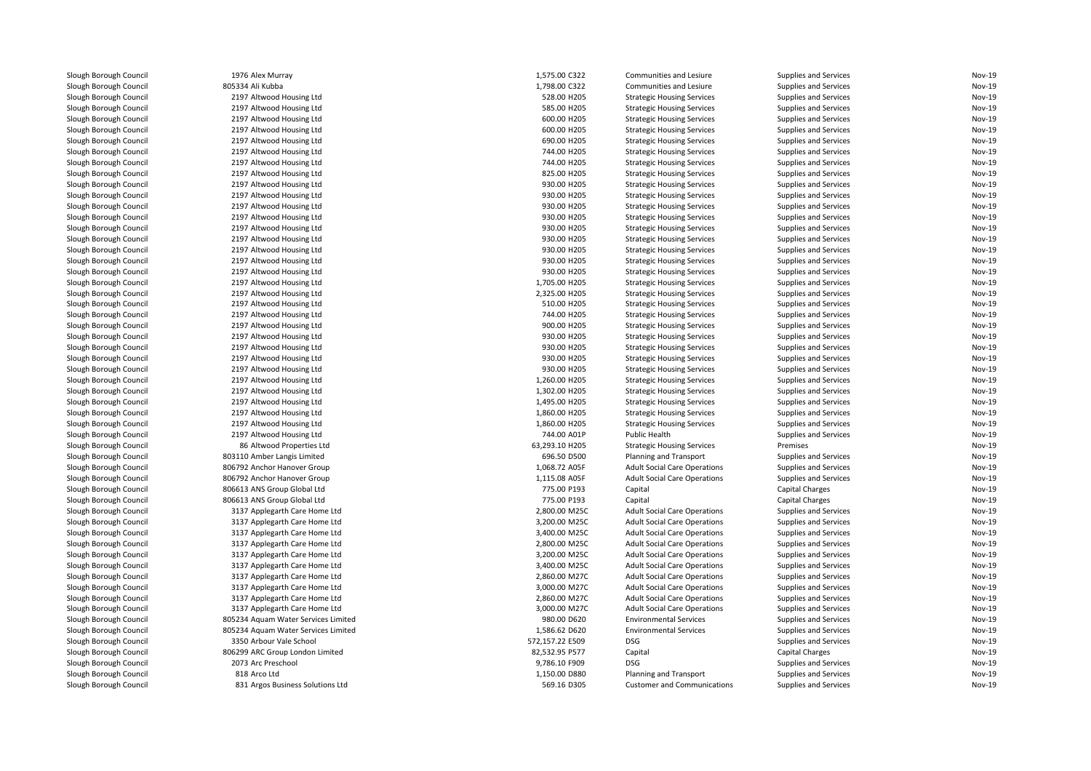| Slough Borough Council | 1976 Alex Murray                                      | 1,575.00 C322                 | Communities and Lesiure             | <b>Supplies and Services</b> | Nov-19                         |
|------------------------|-------------------------------------------------------|-------------------------------|-------------------------------------|------------------------------|--------------------------------|
| Slough Borough Council | 805334 Ali Kubba                                      | 1,798.00 C322                 | Communities and Lesiure             | Supplies and Services        | <b>Nov-19</b>                  |
| Slough Borough Council | 2197 Altwood Housing Ltd                              | 528.00 H205                   | <b>Strategic Housing Services</b>   | Supplies and Services        | <b>Nov-19</b>                  |
| Slough Borough Council | 2197 Altwood Housing Ltd                              | 585.00 H205                   | <b>Strategic Housing Services</b>   | Supplies and Services        | <b>Nov-19</b>                  |
| Slough Borough Council | 2197 Altwood Housing Ltd                              | 600.00 H205                   | <b>Strategic Housing Services</b>   | Supplies and Services        | <b>Nov-19</b>                  |
| Slough Borough Council | 2197 Altwood Housing Ltd                              | 600.00 H205                   | <b>Strategic Housing Services</b>   | Supplies and Services        | <b>Nov-19</b>                  |
| Slough Borough Council | 2197 Altwood Housing Ltd                              | 690.00 H205                   | <b>Strategic Housing Services</b>   | Supplies and Services        | <b>Nov-19</b>                  |
| Slough Borough Council | 2197 Altwood Housing Ltd                              | 744.00 H205                   | <b>Strategic Housing Services</b>   | <b>Supplies and Services</b> | <b>Nov-19</b>                  |
| Slough Borough Council | 2197 Altwood Housing Ltd                              | 744.00 H205                   | <b>Strategic Housing Services</b>   | Supplies and Services        | <b>Nov-19</b>                  |
| Slough Borough Council | 2197 Altwood Housing Ltd                              | 825.00 H205                   | <b>Strategic Housing Services</b>   | Supplies and Services        | <b>Nov-19</b>                  |
| Slough Borough Council | 2197 Altwood Housing Ltd                              | 930.00 H205                   | <b>Strategic Housing Services</b>   | Supplies and Services        | <b>Nov-19</b>                  |
| Slough Borough Council | 2197 Altwood Housing Ltd                              | 930.00 H205                   | <b>Strategic Housing Services</b>   | Supplies and Services        | <b>Nov-19</b>                  |
| Slough Borough Council | 2197 Altwood Housing Ltd                              | 930.00 H205                   | <b>Strategic Housing Services</b>   | Supplies and Services        | <b>Nov-19</b>                  |
| Slough Borough Council | 2197 Altwood Housing Ltd                              | 930.00 H205                   | <b>Strategic Housing Services</b>   | Supplies and Services        | <b>Nov-19</b>                  |
| Slough Borough Council | 2197 Altwood Housing Ltd                              | 930.00 H205                   | <b>Strategic Housing Services</b>   | Supplies and Services        | <b>Nov-19</b>                  |
| Slough Borough Council | 2197 Altwood Housing Ltd                              | 930.00 H205                   | <b>Strategic Housing Services</b>   | Supplies and Services        | <b>Nov-19</b>                  |
| Slough Borough Council | 2197 Altwood Housing Ltd                              | 930.00 H205                   | <b>Strategic Housing Services</b>   | Supplies and Services        | Nov-19                         |
| Slough Borough Council | 2197 Altwood Housing Ltd                              | 930.00 H205                   | <b>Strategic Housing Services</b>   | Supplies and Services        | <b>Nov-19</b>                  |
| Slough Borough Council | 2197 Altwood Housing Ltd                              | 930.00 H205                   | <b>Strategic Housing Services</b>   | Supplies and Services        | Nov-19                         |
| Slough Borough Council | 2197 Altwood Housing Ltd                              | 1,705.00 H205                 | <b>Strategic Housing Services</b>   | Supplies and Services        | <b>Nov-19</b>                  |
| Slough Borough Council | 2197 Altwood Housing Ltd                              | 2,325.00 H205                 | <b>Strategic Housing Services</b>   | Supplies and Services        | <b>Nov-19</b>                  |
| Slough Borough Council | 2197 Altwood Housing Ltd                              | 510.00 H205                   | <b>Strategic Housing Services</b>   | Supplies and Services        | <b>Nov-19</b>                  |
| Slough Borough Council | 2197 Altwood Housing Ltd                              | 744.00 H205                   | <b>Strategic Housing Services</b>   | Supplies and Services        | <b>Nov-19</b>                  |
| Slough Borough Council | 2197 Altwood Housing Ltd                              | 900.00 H205                   | <b>Strategic Housing Services</b>   | Supplies and Services        | <b>Nov-19</b>                  |
| Slough Borough Council | 2197 Altwood Housing Ltd                              | 930.00 H205                   | <b>Strategic Housing Services</b>   | Supplies and Services        | <b>Nov-19</b>                  |
| Slough Borough Council | 2197 Altwood Housing Ltd                              | 930.00 H205                   | <b>Strategic Housing Services</b>   | Supplies and Services        | <b>Nov-19</b>                  |
| Slough Borough Council | 2197 Altwood Housing Ltd                              | 930.00 H205                   | <b>Strategic Housing Services</b>   | Supplies and Services        | Nov-19                         |
| Slough Borough Council | 2197 Altwood Housing Ltd                              | 930.00 H205                   | <b>Strategic Housing Services</b>   | Supplies and Services        | <b>Nov-19</b>                  |
| Slough Borough Council | 2197 Altwood Housing Ltd                              | 1,260.00 H205                 | <b>Strategic Housing Services</b>   | Supplies and Services        | <b>Nov-19</b>                  |
| Slough Borough Council | 2197 Altwood Housing Ltd                              | 1,302.00 H205                 | <b>Strategic Housing Services</b>   | Supplies and Services        | <b>Nov-19</b>                  |
| Slough Borough Council | 2197 Altwood Housing Ltd                              | 1,495.00 H205                 | <b>Strategic Housing Services</b>   | Supplies and Services        | <b>Nov-19</b>                  |
| Slough Borough Council |                                                       |                               |                                     |                              | <b>Nov-19</b>                  |
|                        | 2197 Altwood Housing Ltd                              | 1,860.00 H205                 | <b>Strategic Housing Services</b>   | Supplies and Services        | <b>Nov-19</b>                  |
| Slough Borough Council | 2197 Altwood Housing Ltd                              | 1,860.00 H205                 | <b>Strategic Housing Services</b>   | Supplies and Services        |                                |
| Slough Borough Council | 2197 Altwood Housing Ltd<br>86 Altwood Properties Ltd | 744.00 A01P<br>63,293.10 H205 | Public Health                       | Supplies and Services        | <b>Nov-19</b><br><b>Nov-19</b> |
| Slough Borough Council |                                                       |                               | <b>Strategic Housing Services</b>   | Premises                     |                                |
| Slough Borough Council | 803110 Amber Langis Limited                           | 696.50 D500                   | Planning and Transport              | Supplies and Services        | Nov-19<br><b>Nov-19</b>        |
| Slough Borough Council | 806792 Anchor Hanover Group                           | 1,068.72 A05F                 | <b>Adult Social Care Operations</b> | Supplies and Services        |                                |
| Slough Borough Council | 806792 Anchor Hanover Group                           | 1,115.08 A05F                 | <b>Adult Social Care Operations</b> | Supplies and Services        | <b>Nov-19</b>                  |
| Slough Borough Council | 806613 ANS Group Global Ltd                           | 775.00 P193                   | Capital                             | Capital Charges              | <b>Nov-19</b>                  |
| Slough Borough Council | 806613 ANS Group Global Ltd                           | 775.00 P193                   | Capital                             | <b>Capital Charges</b>       | Nov-19                         |
| Slough Borough Council | 3137 Applegarth Care Home Ltd                         | 2,800.00 M25C                 | <b>Adult Social Care Operations</b> | Supplies and Services        | <b>Nov-19</b>                  |
| Slough Borough Council | 3137 Applegarth Care Home Ltd                         | 3,200.00 M25C                 | <b>Adult Social Care Operations</b> | Supplies and Services        | <b>Nov-19</b>                  |
| Slough Borough Council | 3137 Applegarth Care Home Ltd                         | 3,400.00 M25C                 | <b>Adult Social Care Operations</b> | Supplies and Services        | <b>Nov-19</b>                  |
| Slough Borough Council | 3137 Applegarth Care Home Ltd                         | 2,800.00 M25C                 | <b>Adult Social Care Operations</b> | Supplies and Services        | Nov-19                         |
| Slough Borough Council | 3137 Applegarth Care Home Ltd                         | 3,200.00 M25C                 | <b>Adult Social Care Operations</b> | Supplies and Services        | <b>Nov-19</b>                  |
| Slough Borough Council | 3137 Applegarth Care Home Ltd                         | 3,400.00 M25C                 | <b>Adult Social Care Operations</b> | Supplies and Services        | <b>Nov-19</b>                  |
| Slough Borough Council | 3137 Applegarth Care Home Ltd                         | 2,860.00 M27C                 | <b>Adult Social Care Operations</b> | Supplies and Services        | <b>Nov-19</b>                  |
| Slough Borough Council | 3137 Applegarth Care Home Ltd                         | 3,000.00 M27C                 | <b>Adult Social Care Operations</b> | Supplies and Services        | <b>Nov-19</b>                  |
| Slough Borough Council | 3137 Applegarth Care Home Ltd                         | 2,860.00 M27C                 | <b>Adult Social Care Operations</b> | Supplies and Services        | <b>Nov-19</b>                  |
| Slough Borough Council | 3137 Applegarth Care Home Ltd                         | 3,000.00 M27C                 | <b>Adult Social Care Operations</b> | Supplies and Services        | Nov-19                         |
| Slough Borough Council | 805234 Aquam Water Services Limited                   | 980.00 D620                   | <b>Environmental Services</b>       | Supplies and Services        | <b>Nov-19</b>                  |
| Slough Borough Council | 805234 Aquam Water Services Limited                   | 1,586.62 D620                 | <b>Environmental Services</b>       | Supplies and Services        | <b>Nov-19</b>                  |
| Slough Borough Council | 3350 Arbour Vale School                               | 572,157.22 E509               | DSG                                 | Supplies and Services        | Nov-19                         |
| Slough Borough Council | 806299 ARC Group London Limited                       | 82,532.95 P577                | Capital                             | <b>Capital Charges</b>       | Nov-19                         |
| Slough Borough Council | 2073 Arc Preschool                                    | 9,786.10 F909                 | <b>DSG</b>                          | Supplies and Services        | <b>Nov-19</b>                  |
| Slough Borough Council | 818 Arco Ltd                                          | 1,150.00 D880                 | Planning and Transport              | Supplies and Services        | Nov-19                         |
| Slough Borough Council | 831 Argos Business Solutions Ltd                      | 569.16 D305                   | <b>Customer and Communications</b>  | Supplies and Services        | <b>Nov-19</b>                  |
|                        |                                                       |                               |                                     |                              |                                |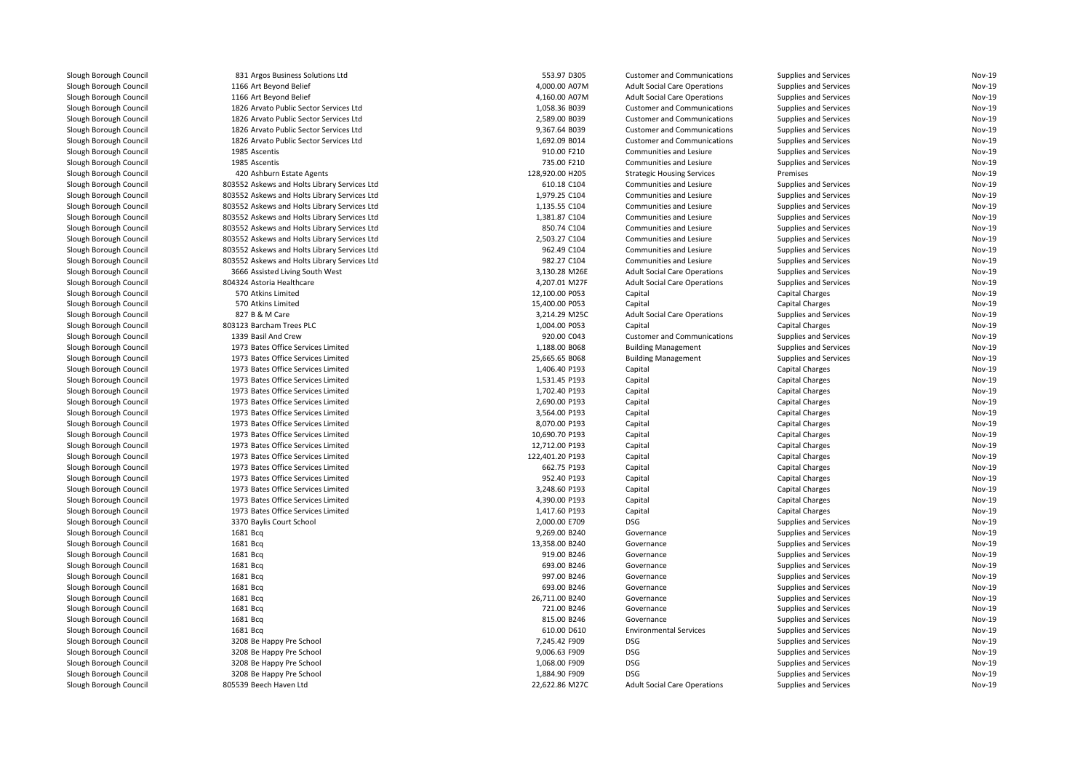| Slough Borough Council | 831 Argos Business Solutions Ltd             | 553.97 D305     | <b>Customer and Communications</b>  | <b>Supplies and Services</b> | Nov-19        |
|------------------------|----------------------------------------------|-----------------|-------------------------------------|------------------------------|---------------|
| Slough Borough Council | 1166 Art Beyond Belief                       | 4,000.00 A07M   | <b>Adult Social Care Operations</b> | Supplies and Services        | Nov-19        |
| Slough Borough Council | 1166 Art Beyond Belief                       | 4,160.00 A07M   | <b>Adult Social Care Operations</b> | Supplies and Services        | Nov-19        |
| Slough Borough Council | 1826 Arvato Public Sector Services Ltd       | 1,058.36 B039   | <b>Customer and Communications</b>  | Supplies and Services        | <b>Nov-19</b> |
| Slough Borough Council | 1826 Arvato Public Sector Services Ltd       | 2,589.00 B039   | <b>Customer and Communications</b>  | Supplies and Services        | Nov-19        |
| Slough Borough Council | 1826 Arvato Public Sector Services Ltd       | 9,367.64 B039   | <b>Customer and Communications</b>  | Supplies and Services        | <b>Nov-19</b> |
| Slough Borough Council | 1826 Arvato Public Sector Services Ltd       | 1,692.09 B014   | <b>Customer and Communications</b>  | Supplies and Services        | Nov-19        |
| Slough Borough Council | 1985 Ascentis                                | 910.00 F210     | Communities and Lesiure             | Supplies and Services        | <b>Nov-19</b> |
| Slough Borough Council | 1985 Ascentis                                | 735.00 F210     | Communities and Lesiure             | Supplies and Services        | Nov-19        |
| Slough Borough Council | 420 Ashburn Estate Agents                    | 128,920.00 H205 | <b>Strategic Housing Services</b>   | Premises                     | Nov-19        |
| Slough Borough Council | 803552 Askews and Holts Library Services Ltd | 610.18 C104     | Communities and Lesiure             | Supplies and Services        | Nov-19        |
| Slough Borough Council | 803552 Askews and Holts Library Services Ltd | 1,979.25 C104   | Communities and Lesiure             | Supplies and Services        | <b>Nov-19</b> |
| Slough Borough Council | 803552 Askews and Holts Library Services Ltd | 1,135.55 C104   | Communities and Lesiure             | Supplies and Services        | Nov-19        |
| Slough Borough Council | 803552 Askews and Holts Library Services Ltd | 1,381.87 C104   | Communities and Lesiure             | Supplies and Services        | <b>Nov-19</b> |
| Slough Borough Council | 803552 Askews and Holts Library Services Ltd | 850.74 C104     | Communities and Lesiure             | Supplies and Services        | Nov-19        |
| Slough Borough Council | 803552 Askews and Holts Library Services Ltd | 2,503.27 C104   | Communities and Lesiure             | Supplies and Services        | Nov-19        |
| Slough Borough Council | 803552 Askews and Holts Library Services Ltd | 962.49 C104     | Communities and Lesiure             |                              | Nov-19        |
|                        |                                              | 982.27 C104     |                                     | Supplies and Services        | <b>Nov-19</b> |
| Slough Borough Council | 803552 Askews and Holts Library Services Ltd |                 | Communities and Lesiure             | Supplies and Services        |               |
| Slough Borough Council | 3666 Assisted Living South West              | 3,130.28 M26E   | <b>Adult Social Care Operations</b> | Supplies and Services        | Nov-19        |
| Slough Borough Council | 804324 Astoria Healthcare                    | 4,207.01 M27F   | <b>Adult Social Care Operations</b> | Supplies and Services        | Nov-19        |
| Slough Borough Council | 570 Atkins Limited                           | 12,100.00 P053  | Capital                             | <b>Capital Charges</b>       | Nov-19        |
| Slough Borough Council | 570 Atkins Limited                           | 15,400.00 P053  | Capital                             | Capital Charges              | <b>Nov-19</b> |
| Slough Borough Council | 827 B & M Care                               | 3,214.29 M25C   | <b>Adult Social Care Operations</b> | Supplies and Services        | Nov-19        |
| Slough Borough Council | 803123 Barcham Trees PLC                     | 1,004.00 P053   | Capital                             | <b>Capital Charges</b>       | Nov-19        |
| Slough Borough Council | 1339 Basil And Crew                          | 920.00 C043     | <b>Customer and Communications</b>  | Supplies and Services        | Nov-19        |
| Slough Borough Council | 1973 Bates Office Services Limited           | 1,188.00 B068   | <b>Building Management</b>          | Supplies and Services        | <b>Nov-19</b> |
| Slough Borough Council | 1973 Bates Office Services Limited           | 25,665.65 B068  | <b>Building Management</b>          | <b>Supplies and Services</b> | Nov-19        |
| Slough Borough Council | 1973 Bates Office Services Limited           | 1,406.40 P193   | Capital                             | <b>Capital Charges</b>       | Nov-19        |
| Slough Borough Council | 1973 Bates Office Services Limited           | 1,531.45 P193   | Capital                             | <b>Capital Charges</b>       | Nov-19        |
| Slough Borough Council | 1973 Bates Office Services Limited           | 1,702.40 P193   | Capital                             | <b>Capital Charges</b>       | <b>Nov-19</b> |
| Slough Borough Council | 1973 Bates Office Services Limited           | 2,690.00 P193   | Capital                             | <b>Capital Charges</b>       | Nov-19        |
| Slough Borough Council | 1973 Bates Office Services Limited           | 3,564.00 P193   | Capital                             | <b>Capital Charges</b>       | <b>Nov-19</b> |
| Slough Borough Council | 1973 Bates Office Services Limited           | 8,070.00 P193   | Capital                             | <b>Capital Charges</b>       | Nov-19        |
| Slough Borough Council | 1973 Bates Office Services Limited           | 10.690.70 P193  | Capital                             | <b>Capital Charges</b>       | <b>Nov-19</b> |
| Slough Borough Council | 1973 Bates Office Services Limited           | 12,712.00 P193  | Capital                             | <b>Capital Charges</b>       | Nov-19        |
| Slough Borough Council | 1973 Bates Office Services Limited           | 122,401.20 P193 | Capital                             | Capital Charges              | <b>Nov-19</b> |
| Slough Borough Council | 1973 Bates Office Services Limited           | 662.75 P193     | Capital                             | <b>Capital Charges</b>       | Nov-19        |
| Slough Borough Council | 1973 Bates Office Services Limited           | 952.40 P193     | Capital                             | <b>Capital Charges</b>       | Nov-19        |
| Slough Borough Council | 1973 Bates Office Services Limited           | 3,248.60 P193   | Capital                             | <b>Capital Charges</b>       | Nov-19        |
| Slough Borough Council | 1973 Bates Office Services Limited           | 4,390.00 P193   | Capital                             | <b>Capital Charges</b>       | <b>Nov-19</b> |
|                        | 1973 Bates Office Services Limited           |                 |                                     |                              | Nov-19        |
| Slough Borough Council |                                              | 1,417.60 P193   | Capital                             | <b>Capital Charges</b>       | Nov-19        |
| Slough Borough Council | 3370 Baylis Court School                     | 2,000.00 E709   | DSG                                 | Supplies and Services        |               |
| Slough Borough Council | 1681 Bcq                                     | 9,269.00 B240   | Governance                          | Supplies and Services        | Nov-19        |
| Slough Borough Council | 1681 Bcq                                     | 13,358.00 B240  | Governance                          | Supplies and Services        | <b>Nov-19</b> |
| Slough Borough Council | 1681 Bcq                                     | 919.00 B246     | Governance                          | Supplies and Services        | Nov-19        |
| Slough Borough Council | 1681 Bcg                                     | 693.00 B246     | Governance                          | Supplies and Services        | Nov-19        |
| Slough Borough Council | 1681 Bcq                                     | 997.00 B246     | Governance                          | Supplies and Services        | Nov-19        |
| Slough Borough Council | 1681 Bcq                                     | 693.00 B246     | Governance                          | Supplies and Services        | <b>Nov-19</b> |
| Slough Borough Council | 1681 Bcq                                     | 26,711.00 B240  | Governance                          | Supplies and Services        | Nov-19        |
| Slough Borough Council | 1681 Bcq                                     | 721.00 B246     | Governance                          | Supplies and Services        | Nov-19        |
| Slough Borough Council | 1681 Bcq                                     | 815.00 B246     | Governance                          | Supplies and Services        | Nov-19        |
| Slough Borough Council | 1681 Bcg                                     | 610.00 D610     | <b>Environmental Services</b>       | <b>Supplies and Services</b> | <b>Nov-19</b> |
| Slough Borough Council | 3208 Be Happy Pre School                     | 7,245.42 F909   | DSG                                 | Supplies and Services        | Nov-19        |
| Slough Borough Council | 3208 Be Happy Pre School                     | 9,006.63 F909   | DSG                                 | <b>Supplies and Services</b> | Nov-19        |
| Slough Borough Council | 3208 Be Happy Pre School                     | 1,068.00 F909   | DSG                                 | Supplies and Services        | Nov-19        |
| Slough Borough Council | 3208 Be Happy Pre School                     | 1.884.90 F909   | <b>DSG</b>                          | <b>Supplies and Services</b> | Nov-19        |
| Slough Borough Council | 805539 Beech Haven Ltd                       | 22,622.86 M27C  | <b>Adult Social Care Operations</b> | Supplies and Services        | Nov-19        |
|                        |                                              |                 |                                     |                              |               |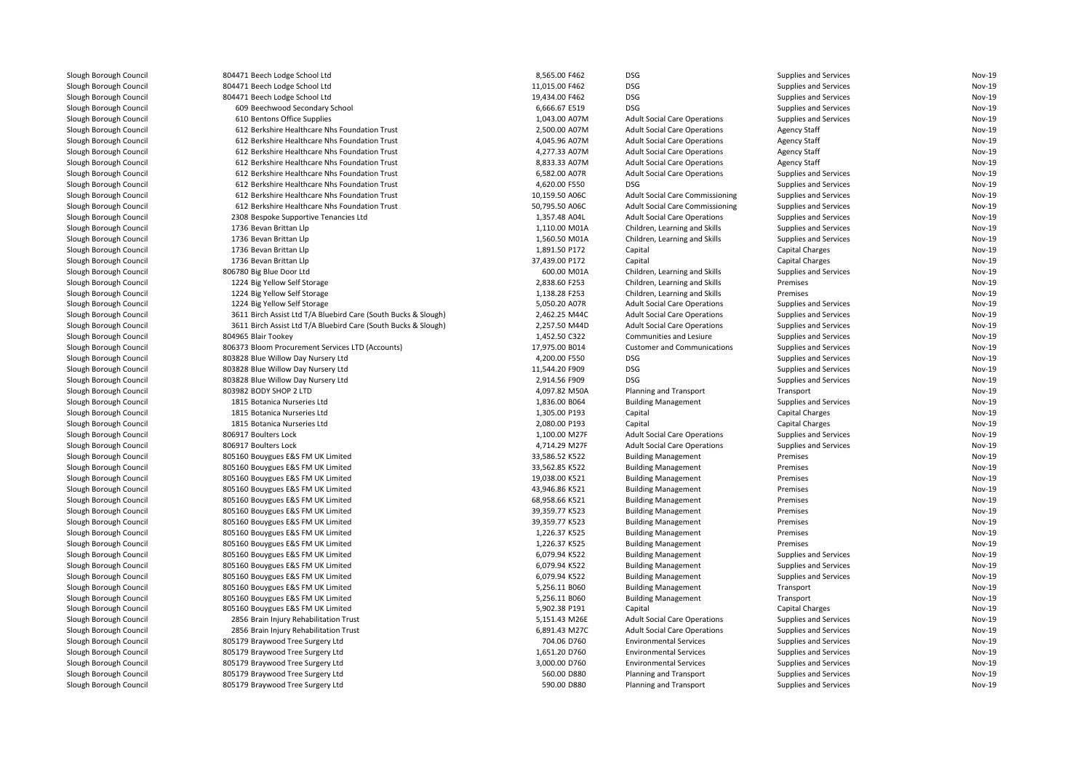| Slough Borough Council | 804471 Beech Lodge School Ltd                                  | 8,565.00 F462  | DSG                                    | Supplies and Services        | Nov-19        |
|------------------------|----------------------------------------------------------------|----------------|----------------------------------------|------------------------------|---------------|
| Slough Borough Council | 804471 Beech Lodge School Ltd                                  | 11,015.00 F462 | <b>DSG</b>                             | Supplies and Services        | Nov-19        |
| Slough Borough Council | 804471 Beech Lodge School Ltd                                  | 19,434.00 F462 | <b>DSG</b>                             | <b>Supplies and Services</b> | Nov-19        |
| Slough Borough Council | 609 Beechwood Secondary School                                 | 6,666.67 E519  | <b>DSG</b>                             | <b>Supplies and Services</b> | <b>Nov-19</b> |
| Slough Borough Council | 610 Bentons Office Supplies                                    | 1,043.00 A07M  | <b>Adult Social Care Operations</b>    | <b>Supplies and Services</b> | <b>Nov-19</b> |
| Slough Borough Council | 612 Berkshire Healthcare Nhs Foundation Trust                  | 2,500.00 A07M  | <b>Adult Social Care Operations</b>    | <b>Agency Staff</b>          | Nov-19        |
| Slough Borough Council | 612 Berkshire Healthcare Nhs Foundation Trust                  | 4,045.96 A07M  | <b>Adult Social Care Operations</b>    | <b>Agency Staff</b>          | <b>Nov-19</b> |
| Slough Borough Council | 612 Berkshire Healthcare Nhs Foundation Trust                  | 4,277.33 A07M  | <b>Adult Social Care Operations</b>    | Agency Staff                 | Nov-19        |
| Slough Borough Council | 612 Berkshire Healthcare Nhs Foundation Trust                  | 8,833.33 A07M  | <b>Adult Social Care Operations</b>    | <b>Agency Staff</b>          | Nov-19        |
| Slough Borough Council | 612 Berkshire Healthcare Nhs Foundation Trust                  | 6,582.00 A07R  | <b>Adult Social Care Operations</b>    | <b>Supplies and Services</b> | <b>Nov-19</b> |
| Slough Borough Council | 612 Berkshire Healthcare Nhs Foundation Trust                  | 4,620.00 F550  | <b>DSG</b>                             | <b>Supplies and Services</b> | <b>Nov-19</b> |
| Slough Borough Council | 612 Berkshire Healthcare Nhs Foundation Trust                  | 10,159.50 A06C | Adult Social Care Commissioning        | Supplies and Services        | Nov-19        |
| Slough Borough Council | 612 Berkshire Healthcare Nhs Foundation Trust                  | 50,795.50 A06C | <b>Adult Social Care Commissioning</b> | <b>Supplies and Services</b> | <b>Nov-19</b> |
| Slough Borough Council | 2308 Bespoke Supportive Tenancies Ltd                          | 1,357.48 A04L  | <b>Adult Social Care Operations</b>    | <b>Supplies and Services</b> | <b>Nov-19</b> |
| Slough Borough Council | 1736 Bevan Brittan Llp                                         | 1,110.00 M01A  | Children, Learning and Skills          | <b>Supplies and Services</b> | Nov-19        |
| Slough Borough Council | 1736 Bevan Brittan Llp                                         | 1,560.50 M01A  | Children, Learning and Skills          | Supplies and Services        | <b>Nov-19</b> |
| Slough Borough Council | 1736 Bevan Brittan Llp                                         | 1,891.50 P172  | Capital                                | Capital Charges              | Nov-19        |
| Slough Borough Council | 1736 Bevan Brittan Llp                                         | 37,439.00 P172 | Capital                                | Capital Charges              | Nov-19        |
| Slough Borough Council | 806780 Big Blue Door Ltd                                       | 600.00 M01A    | Children, Learning and Skills          | <b>Supplies and Services</b> | <b>Nov-19</b> |
| Slough Borough Council | 1224 Big Yellow Self Storage                                   | 2,838.60 F253  | Children, Learning and Skills          | Premises                     | Nov-19        |
| Slough Borough Council | 1224 Big Yellow Self Storage                                   | 1,138.28 F253  | Children, Learning and Skills          | Premises                     | Nov-19        |
|                        |                                                                |                |                                        |                              | <b>Nov-19</b> |
| Slough Borough Council | 1224 Big Yellow Self Storage                                   | 5,050.20 A07R  | <b>Adult Social Care Operations</b>    | <b>Supplies and Services</b> |               |
| Slough Borough Council | 3611 Birch Assist Ltd T/A Bluebird Care (South Bucks & Slough) | 2,462.25 M44C  | <b>Adult Social Care Operations</b>    | Supplies and Services        | Nov-19        |
| Slough Borough Council | 3611 Birch Assist Ltd T/A Bluebird Care (South Bucks & Slough) | 2,257.50 M44D  | <b>Adult Social Care Operations</b>    | <b>Supplies and Services</b> | Nov-19        |
| Slough Borough Council | 804965 Blair Tookey                                            | 1,452.50 C322  | <b>Communities and Lesiure</b>         | <b>Supplies and Services</b> | <b>Nov-19</b> |
| Slough Borough Council | 806373 Bloom Procurement Services LTD (Accounts)               | 17,975.00 B014 | <b>Customer and Communications</b>     | Supplies and Services        | Nov-19        |
| Slough Borough Council | 803828 Blue Willow Day Nursery Ltd                             | 4,200.00 F550  | <b>DSG</b>                             | Supplies and Services        | Nov-19        |
| Slough Borough Council | 803828 Blue Willow Day Nursery Ltd                             | 11,544.20 F909 | <b>DSG</b>                             | <b>Supplies and Services</b> | <b>Nov-19</b> |
| Slough Borough Council | 803828 Blue Willow Day Nursery Ltd                             | 2,914.56 F909  | <b>DSG</b>                             | <b>Supplies and Services</b> | Nov-19        |
| Slough Borough Council | 803982 BODY SHOP 2 LTD                                         | 4,097.82 M50A  | Planning and Transport                 | Transport                    | <b>Nov-19</b> |
| Slough Borough Council | 1815 Botanica Nurseries Ltd                                    | 1,836.00 B064  | <b>Building Management</b>             | Supplies and Services        | Nov-19        |
| Slough Borough Council | 1815 Botanica Nurseries Ltd                                    | 1,305.00 P193  | Capital                                | Capital Charges              | Nov-19        |
| Slough Borough Council | 1815 Botanica Nurseries Ltd                                    | 2,080.00 P193  | Capital                                | Capital Charges              | Nov-19        |
| Slough Borough Council | 806917 Boulters Lock                                           | 1,100.00 M27F  | <b>Adult Social Care Operations</b>    | Supplies and Services        | <b>Nov-19</b> |
| Slough Borough Council | 806917 Boulters Lock                                           | 4,714.29 M27F  | <b>Adult Social Care Operations</b>    | <b>Supplies and Services</b> | Nov-19        |
| Slough Borough Council | 805160 Bouygues E&S FM UK Limited                              | 33,586.52 K522 | <b>Building Management</b>             | Premises                     | Nov-19        |
| Slough Borough Council | 805160 Bouygues E&S FM UK Limited                              | 33,562.85 K522 | <b>Building Management</b>             | Premises                     | <b>Nov-19</b> |
| Slough Borough Council | 805160 Bouygues E&S FM UK Limited                              | 19,038.00 K521 | <b>Building Management</b>             | Premises                     | Nov-19        |
| Slough Borough Council | 805160 Bouygues E&S FM UK Limited                              | 43,946.86 K521 | <b>Building Management</b>             | Premises                     | Nov-19        |
| Slough Borough Council | 805160 Bouygues E&S FM UK Limited                              | 68,958.66 K521 | <b>Building Management</b>             | Premises                     | <b>Nov-19</b> |
| Slough Borough Council | 805160 Bouygues E&S FM UK Limited                              | 39,359.77 K523 | <b>Building Management</b>             | Premises                     | Nov-19        |
| Slough Borough Council | 805160 Bouygues E&S FM UK Limited                              | 39,359.77 K523 | <b>Building Management</b>             | Premises                     | Nov-19        |
| Slough Borough Council | 805160 Bouygues E&S FM UK Limited                              | 1,226.37 K525  | <b>Building Management</b>             | Premises                     | <b>Nov-19</b> |
| Slough Borough Council | 805160 Bouygues E&S FM UK Limited                              | 1,226.37 K525  | <b>Building Management</b>             | Premises                     | <b>Nov-19</b> |
| Slough Borough Council | 805160 Bouygues E&S FM UK Limited                              | 6,079.94 K522  | <b>Building Management</b>             | <b>Supplies and Services</b> | Nov-19        |
| Slough Borough Council | 805160 Bouygues E&S FM UK Limited                              | 6,079.94 K522  | <b>Building Management</b>             | <b>Supplies and Services</b> | <b>Nov-19</b> |
| Slough Borough Council | 805160 Bouygues E&S FM UK Limited                              | 6,079.94 K522  | <b>Building Management</b>             | <b>Supplies and Services</b> | Nov-19        |
| Slough Borough Council | 805160 Bouygues E&S FM UK Limited                              | 5,256.11 B060  | <b>Building Management</b>             | Transport                    | Nov-19        |
| Slough Borough Council | 805160 Bouygues E&S FM UK Limited                              | 5,256.11 B060  | <b>Building Management</b>             | Transport                    | <b>Nov-19</b> |
| Slough Borough Council | 805160 Bouygues E&S FM UK Limited                              | 5,902.38 P191  | Capital                                | Capital Charges              | Nov-19        |
| Slough Borough Council | 2856 Brain Injury Rehabilitation Trust                         | 5,151.43 M26E  | <b>Adult Social Care Operations</b>    | <b>Supplies and Services</b> | <b>Nov-19</b> |
| Slough Borough Council | 2856 Brain Injury Rehabilitation Trust                         | 6,891.43 M27C  | <b>Adult Social Care Operations</b>    | <b>Supplies and Services</b> | Nov-19        |
| Slough Borough Council | 805179 Braywood Tree Surgery Ltd                               | 704.06 D760    | <b>Environmental Services</b>          | <b>Supplies and Services</b> | Nov-19        |
| Slough Borough Council | 805179 Braywood Tree Surgery Ltd                               | 1,651.20 D760  | <b>Environmental Services</b>          | <b>Supplies and Services</b> | Nov-19        |
| Slough Borough Council | 805179 Braywood Tree Surgery Ltd                               | 3,000.00 D760  | <b>Environmental Services</b>          | <b>Supplies and Services</b> | Nov-19        |
| Slough Borough Council | 805179 Braywood Tree Surgery Ltd                               | 560.00 D880    | Planning and Transport                 | Supplies and Services        | Nov-19        |
| Slough Borough Council | 805179 Braywood Tree Surgery Ltd                               | 590.00 D880    | Planning and Transport                 | Supplies and Services        | Nov-19        |
|                        |                                                                |                |                                        |                              |               |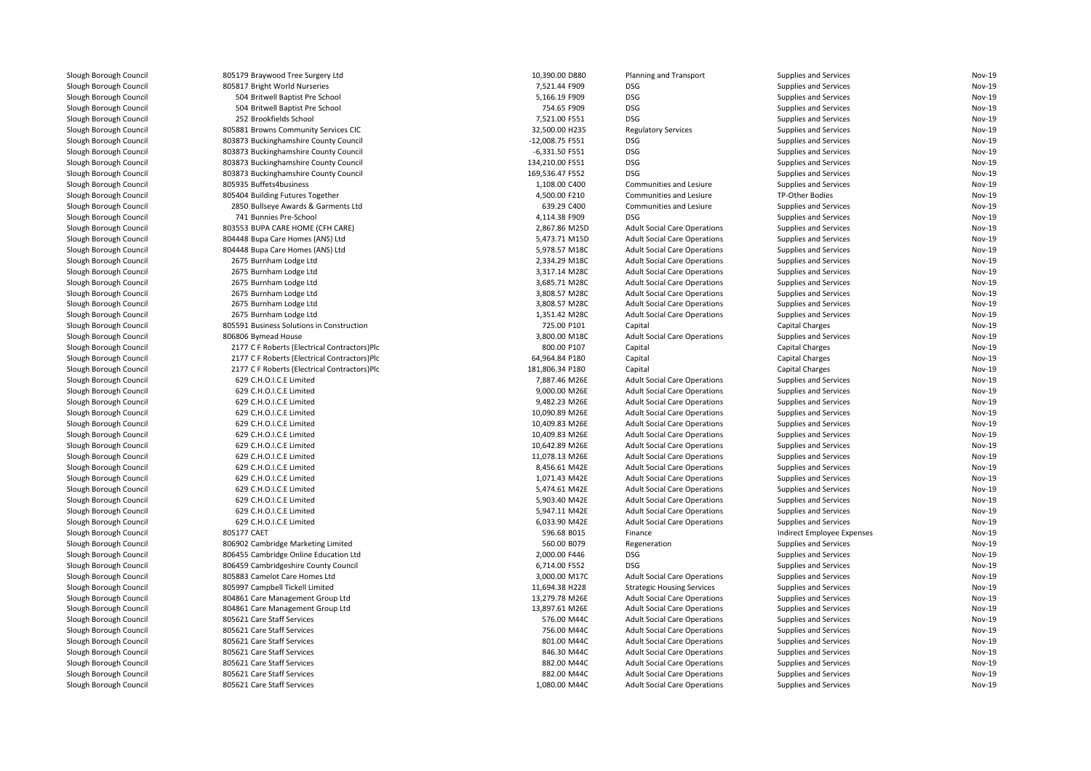| Slough Borough Council | 805179 Braywood Tree Surgery Ltd             | 10,390.00 D880               | Planning and Transport              | Supplies and Services        | Nov-19           |
|------------------------|----------------------------------------------|------------------------------|-------------------------------------|------------------------------|------------------|
| Slough Borough Council | 805817 Bright World Nurseries                | 7,521.44 F909                | <b>DSG</b>                          | Supplies and Services        | Nov-19           |
| Slough Borough Council | 504 Britwell Baptist Pre School              | 5,166.19 F909                | <b>DSG</b>                          | Supplies and Services        | Nov-19           |
| Slough Borough Council | 504 Britwell Baptist Pre School              | 754.65 F909                  | <b>DSG</b>                          | Supplies and Services        | Nov-19           |
| Slough Borough Council | 252 Brookfields School                       | 7,521.00 F551                | <b>DSG</b>                          | Supplies and Services        | Nov-19           |
| Slough Borough Council | 805881 Browns Community Services CIC         | 32,500.00 H235               | <b>Regulatory Services</b>          | Supplies and Services        | Nov-19           |
| Slough Borough Council | 803873 Buckinghamshire County Council        | -12,008.75 F551              | <b>DSG</b>                          | Supplies and Services        | Nov-19           |
| Slough Borough Council | 803873 Buckinghamshire County Council        | -6,331.50 F551               | <b>DSG</b>                          | Supplies and Services        | Nov-19           |
| Slough Borough Council | 803873 Buckinghamshire County Council        | 134,210.00 F551              | <b>DSG</b>                          | Supplies and Services        | Nov-19           |
| Slough Borough Council | 803873 Buckinghamshire County Council        | 169,536.47 F552              | <b>DSG</b>                          | Supplies and Services        | Nov-19           |
| Slough Borough Council | 805935 Buffets4business                      | 1,108.00 C400                | Communities and Lesiure             | Supplies and Services        | Nov-19           |
| Slough Borough Council | 805404 Building Futures Together             | 4,500.00 F210                | Communities and Lesiure             | TP-Other Bodies              | Nov-19           |
| Slough Borough Council | 2850 Bullseye Awards & Garments Ltd          | 639.29 C400                  | Communities and Lesiure             | Supplies and Services        | Nov-19           |
| Slough Borough Council | 741 Bunnies Pre-School                       | 4,114.38 F909                | <b>DSG</b>                          | Supplies and Services        | Nov-19           |
| Slough Borough Council | 803553 BUPA CARE HOME (CFH CARE)             | 2,867.86 M25D                | <b>Adult Social Care Operations</b> | Supplies and Services        | Nov-19           |
| Slough Borough Council | 804448 Bupa Care Homes (ANS) Ltd             | 5,473.71 M15D                | <b>Adult Social Care Operations</b> | Supplies and Services        | Nov-19           |
| Slough Borough Council | 804448 Bupa Care Homes (ANS) Ltd             | 5,978.57 M18C                | <b>Adult Social Care Operations</b> | Supplies and Services        | Nov-19           |
| Slough Borough Council | 2675 Burnham Lodge Ltd                       | 2,334.29 M18C                | <b>Adult Social Care Operations</b> | Supplies and Services        | Nov-19           |
| Slough Borough Council | 2675 Burnham Lodge Ltd                       | 3,317.14 M28C                | <b>Adult Social Care Operations</b> | Supplies and Services        | Nov-19           |
| Slough Borough Council | 2675 Burnham Lodge Ltd                       | 3,685.71 M28C                | <b>Adult Social Care Operations</b> | Supplies and Services        | Nov-19           |
| Slough Borough Council | 2675 Burnham Lodge Ltd                       | 3,808.57 M28C                | <b>Adult Social Care Operations</b> | Supplies and Services        | Nov-19           |
| Slough Borough Council | 2675 Burnham Lodge Ltd                       | 3,808.57 M28C                | <b>Adult Social Care Operations</b> | Supplies and Services        | Nov-19           |
|                        |                                              |                              |                                     |                              | Nov-19           |
| Slough Borough Council | 2675 Burnham Lodge Ltd                       | 1,351.42 M28C                | <b>Adult Social Care Operations</b> | Supplies and Services        | Nov-19           |
| Slough Borough Council | 805591 Business Solutions in Construction    | 725.00 P101                  | Capital                             | <b>Capital Charges</b>       |                  |
| Slough Borough Council | 806806 Bymead House                          | 3,800.00 M18C<br>800.00 P107 | <b>Adult Social Care Operations</b> | Supplies and Services        | Nov-19<br>Nov-19 |
| Slough Borough Council | 2177 C F Roberts (Electrical Contractors)Plc |                              | Capital                             | <b>Capital Charges</b>       |                  |
| Slough Borough Council | 2177 C F Roberts (Electrical Contractors)Plc | 64,964.84 P180               | Capital                             | <b>Capital Charges</b>       | Nov-19           |
| Slough Borough Council | 2177 C F Roberts (Electrical Contractors)Plc | 181,806.34 P180              | Capital                             | <b>Capital Charges</b>       | Nov-19           |
| Slough Borough Council | 629 C.H.O.I.C.E Limited                      | 7,887.46 M26E                | <b>Adult Social Care Operations</b> | Supplies and Services        | Nov-19           |
| Slough Borough Council | 629 C.H.O.I.C.E Limited                      | 9,000.00 M26E                | <b>Adult Social Care Operations</b> | <b>Supplies and Services</b> | Nov-19           |
| Slough Borough Council | 629 C.H.O.I.C.E Limited                      | 9,482.23 M26E                | <b>Adult Social Care Operations</b> | Supplies and Services        | Nov-19           |
| Slough Borough Council | 629 C.H.O.I.C.E Limited                      | 10,090.89 M26E               | <b>Adult Social Care Operations</b> | Supplies and Services        | Nov-19           |
| Slough Borough Council | 629 C.H.O.I.C.E Limited                      | 10,409.83 M26E               | <b>Adult Social Care Operations</b> | Supplies and Services        | Nov-19           |
| Slough Borough Council | 629 C.H.O.I.C.E Limited                      | 10,409.83 M26E               | <b>Adult Social Care Operations</b> | Supplies and Services        | Nov-19           |
| Slough Borough Council | 629 C.H.O.I.C.E Limited                      | 10,642.89 M26E               | <b>Adult Social Care Operations</b> | Supplies and Services        | Nov-19           |
| Slough Borough Council | 629 C.H.O.I.C.E Limited                      | 11,078.13 M26E               | <b>Adult Social Care Operations</b> | Supplies and Services        | Nov-19           |
| Slough Borough Council | 629 C.H.O.I.C.E Limited                      | 8,456.61 M42E                | <b>Adult Social Care Operations</b> | Supplies and Services        | Nov-19           |
| Slough Borough Council | 629 C.H.O.I.C.E Limited                      | 1,071.43 M42E                | <b>Adult Social Care Operations</b> | Supplies and Services        | Nov-19           |
| Slough Borough Council | 629 C.H.O.I.C.E Limited                      | 5,474.61 M42E                | <b>Adult Social Care Operations</b> | Supplies and Services        | Nov-19           |
| Slough Borough Council | 629 C.H.O.I.C.E Limited                      | 5,903.40 M42E                | <b>Adult Social Care Operations</b> | Supplies and Services        | Nov-19           |
| Slough Borough Council | 629 C.H.O.I.C.E Limited                      | 5,947.11 M42E                | <b>Adult Social Care Operations</b> | Supplies and Services        | Nov-19           |
| Slough Borough Council | 629 C.H.O.I.C.E Limited                      | 6,033.90 M42E                | <b>Adult Social Care Operations</b> | <b>Supplies and Services</b> | Nov-19           |
| Slough Borough Council | 805177 CAET                                  | 596.68 B015                  | Finance                             | Indirect Employee Expenses   | Nov-19           |
| Slough Borough Council | 806902 Cambridge Marketing Limited           | 560.00 B079                  | Regeneration                        | Supplies and Services        | Nov-19           |
| Slough Borough Council | 806455 Cambridge Online Education Ltd        | 2,000.00 F446                | <b>DSG</b>                          | Supplies and Services        | Nov-19           |
| Slough Borough Council | 806459 Cambridgeshire County Council         | 6,714.00 F552                | <b>DSG</b>                          | Supplies and Services        | Nov-19           |
| Slough Borough Council | 805883 Camelot Care Homes Ltd                | 3,000.00 M17C                | <b>Adult Social Care Operations</b> | Supplies and Services        | Nov-19           |
| Slough Borough Council | 805997 Campbell Tickell Limited              | 11,694.38 H228               | <b>Strategic Housing Services</b>   | Supplies and Services        | Nov-19           |
| Slough Borough Council | 804861 Care Management Group Ltd             | 13,279.78 M26E               | <b>Adult Social Care Operations</b> | Supplies and Services        | Nov-19           |
| Slough Borough Council | 804861 Care Management Group Ltd             | 13,897.61 M26E               | <b>Adult Social Care Operations</b> | Supplies and Services        | Nov-19           |
| Slough Borough Council | 805621 Care Staff Services                   | 576.00 M44C                  | <b>Adult Social Care Operations</b> | Supplies and Services        | Nov-19           |
| Slough Borough Council | 805621 Care Staff Services                   | 756.00 M44C                  | <b>Adult Social Care Operations</b> | Supplies and Services        | Nov-19           |
| Slough Borough Council | 805621 Care Staff Services                   | 801.00 M44C                  | <b>Adult Social Care Operations</b> | Supplies and Services        | Nov-19           |
| Slough Borough Council | 805621 Care Staff Services                   | 846.30 M44C                  | <b>Adult Social Care Operations</b> | Supplies and Services        | Nov-19           |
| Slough Borough Council | 805621 Care Staff Services                   | 882.00 M44C                  | <b>Adult Social Care Operations</b> | Supplies and Services        | Nov-19           |
| Slough Borough Council | 805621 Care Staff Services                   | 882.00 M44C                  | <b>Adult Social Care Operations</b> | Supplies and Services        | Nov-19           |
| Slough Borough Council | 805621 Care Staff Services                   | 1,080.00 M44C                | <b>Adult Social Care Operations</b> | Supplies and Services        | Nov-19           |
|                        |                                              |                              |                                     |                              |                  |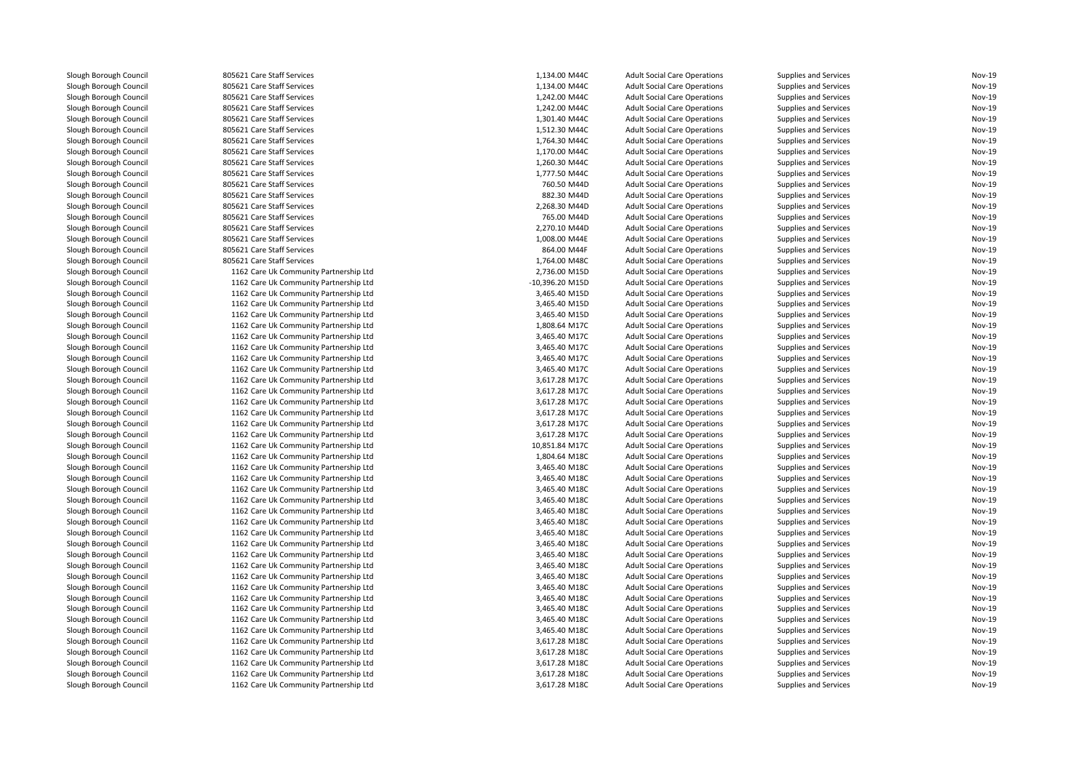| Slough Borough Council | 805621 Care Staff Services             | 1,134.00 M44C   | <b>Adult Social Care Operations</b> | Supplies and Services | Nov-19 |
|------------------------|----------------------------------------|-----------------|-------------------------------------|-----------------------|--------|
| Slough Borough Council | 805621 Care Staff Services             | 1.134.00 M44C   | <b>Adult Social Care Operations</b> | Supplies and Services | Nov-19 |
| Slough Borough Council | 805621 Care Staff Services             | 1,242.00 M44C   | <b>Adult Social Care Operations</b> | Supplies and Services | Nov-19 |
| Slough Borough Council | 805621 Care Staff Services             | 1,242.00 M44C   | <b>Adult Social Care Operations</b> | Supplies and Services | Nov-19 |
| Slough Borough Council | 805621 Care Staff Services             | 1,301.40 M44C   | <b>Adult Social Care Operations</b> | Supplies and Services | Nov-19 |
| Slough Borough Council | 805621 Care Staff Services             | 1,512.30 M44C   | <b>Adult Social Care Operations</b> | Supplies and Services | Nov-19 |
| Slough Borough Council | 805621 Care Staff Services             | 1,764.30 M44C   | <b>Adult Social Care Operations</b> | Supplies and Services | Nov-19 |
| Slough Borough Council | 805621 Care Staff Services             | 1,170.00 M44C   | <b>Adult Social Care Operations</b> | Supplies and Services | Nov-19 |
| Slough Borough Council | 805621 Care Staff Services             | 1,260.30 M44C   | <b>Adult Social Care Operations</b> | Supplies and Services | Nov-19 |
| Slough Borough Council | 805621 Care Staff Services             | 1,777.50 M44C   | <b>Adult Social Care Operations</b> | Supplies and Services | Nov-19 |
| Slough Borough Council | 805621 Care Staff Services             | 760.50 M44D     | <b>Adult Social Care Operations</b> | Supplies and Services | Nov-19 |
| Slough Borough Council | 805621 Care Staff Services             | 882.30 M44D     | <b>Adult Social Care Operations</b> | Supplies and Services | Nov-19 |
| Slough Borough Council | 805621 Care Staff Services             | 2,268.30 M44D   | <b>Adult Social Care Operations</b> | Supplies and Services | Nov-19 |
| Slough Borough Council | 805621 Care Staff Services             | 765.00 M44D     | <b>Adult Social Care Operations</b> | Supplies and Services | Nov-19 |
| Slough Borough Council | 805621 Care Staff Services             | 2,270.10 M44D   | <b>Adult Social Care Operations</b> | Supplies and Services | Nov-19 |
| Slough Borough Council | 805621 Care Staff Services             | 1,008.00 M44E   | <b>Adult Social Care Operations</b> | Supplies and Services | Nov-19 |
| Slough Borough Council | 805621 Care Staff Services             | 864.00 M44F     | <b>Adult Social Care Operations</b> | Supplies and Services | Nov-19 |
| Slough Borough Council | 805621 Care Staff Services             | 1,764.00 M48C   | <b>Adult Social Care Operations</b> | Supplies and Services | Nov-19 |
| Slough Borough Council | 1162 Care Uk Community Partnership Ltd | 2,736.00 M15D   | <b>Adult Social Care Operations</b> | Supplies and Services | Nov-19 |
| Slough Borough Council | 1162 Care Uk Community Partnership Ltd | -10,396.20 M15D | <b>Adult Social Care Operations</b> | Supplies and Services | Nov-19 |
| Slough Borough Council | 1162 Care Uk Community Partnership Ltd | 3,465.40 M15D   | <b>Adult Social Care Operations</b> | Supplies and Services | Nov-19 |
| Slough Borough Council | 1162 Care Uk Community Partnership Ltd | 3,465.40 M15D   | <b>Adult Social Care Operations</b> | Supplies and Services | Nov-19 |
| Slough Borough Council | 1162 Care Uk Community Partnership Ltd | 3,465.40 M15D   | <b>Adult Social Care Operations</b> | Supplies and Services | Nov-19 |
| Slough Borough Council | 1162 Care Uk Community Partnership Ltd | 1,808.64 M17C   | <b>Adult Social Care Operations</b> | Supplies and Services | Nov-19 |
| Slough Borough Council | 1162 Care Uk Community Partnership Ltd | 3,465.40 M17C   | <b>Adult Social Care Operations</b> | Supplies and Services | Nov-19 |
| Slough Borough Council | 1162 Care Uk Community Partnership Ltd | 3,465.40 M17C   | <b>Adult Social Care Operations</b> | Supplies and Services | Nov-19 |
| Slough Borough Council | 1162 Care Uk Community Partnership Ltd | 3,465.40 M17C   | <b>Adult Social Care Operations</b> | Supplies and Services | Nov-19 |
| Slough Borough Council | 1162 Care Uk Community Partnership Ltd | 3,465.40 M17C   | <b>Adult Social Care Operations</b> | Supplies and Services | Nov-19 |
| Slough Borough Council | 1162 Care Uk Community Partnership Ltd | 3,617.28 M17C   | <b>Adult Social Care Operations</b> | Supplies and Services | Nov-19 |
| Slough Borough Council | 1162 Care Uk Community Partnership Ltd | 3,617.28 M17C   | <b>Adult Social Care Operations</b> | Supplies and Services | Nov-19 |
| Slough Borough Council | 1162 Care Uk Community Partnership Ltd | 3,617.28 M17C   | <b>Adult Social Care Operations</b> | Supplies and Services | Nov-19 |
| Slough Borough Council | 1162 Care Uk Community Partnership Ltd | 3,617.28 M17C   | <b>Adult Social Care Operations</b> | Supplies and Services | Nov-19 |
| Slough Borough Council | 1162 Care Uk Community Partnership Ltd | 3,617.28 M17C   | <b>Adult Social Care Operations</b> | Supplies and Services | Nov-19 |
| Slough Borough Council | 1162 Care Uk Community Partnership Ltd | 3,617.28 M17C   | <b>Adult Social Care Operations</b> | Supplies and Services | Nov-19 |
| Slough Borough Council | 1162 Care Uk Community Partnership Ltd | 10,851.84 M17C  | <b>Adult Social Care Operations</b> | Supplies and Services | Nov-19 |
| Slough Borough Council | 1162 Care Uk Community Partnership Ltd | 1,804.64 M18C   | <b>Adult Social Care Operations</b> | Supplies and Services | Nov-19 |
| Slough Borough Council | 1162 Care Uk Community Partnership Ltd | 3,465.40 M18C   | <b>Adult Social Care Operations</b> | Supplies and Services | Nov-19 |
| Slough Borough Council | 1162 Care Uk Community Partnership Ltd | 3,465.40 M18C   | <b>Adult Social Care Operations</b> | Supplies and Services | Nov-19 |
| Slough Borough Council | 1162 Care Uk Community Partnership Ltd | 3,465.40 M18C   | <b>Adult Social Care Operations</b> | Supplies and Services | Nov-19 |
| Slough Borough Council | 1162 Care Uk Community Partnership Ltd | 3,465.40 M18C   | <b>Adult Social Care Operations</b> | Supplies and Services | Nov-19 |
| Slough Borough Council | 1162 Care Uk Community Partnership Ltd | 3.465.40 M18C   | <b>Adult Social Care Operations</b> | Supplies and Services | Nov-19 |
| Slough Borough Council | 1162 Care Uk Community Partnership Ltd | 3,465.40 M18C   | <b>Adult Social Care Operations</b> | Supplies and Services | Nov-19 |
| Slough Borough Council | 1162 Care Uk Community Partnership Ltd | 3,465.40 M18C   | <b>Adult Social Care Operations</b> | Supplies and Services | Nov-19 |
| Slough Borough Council | 1162 Care Uk Community Partnership Ltd | 3,465.40 M18C   | <b>Adult Social Care Operations</b> | Supplies and Services | Nov-19 |
| Slough Borough Council | 1162 Care Uk Community Partnership Ltd | 3,465.40 M18C   | <b>Adult Social Care Operations</b> | Supplies and Services | Nov-19 |
| Slough Borough Council | 1162 Care Uk Community Partnership Ltd | 3,465.40 M18C   | <b>Adult Social Care Operations</b> | Supplies and Services | Nov-19 |
| Slough Borough Council | 1162 Care Uk Community Partnership Ltd | 3,465.40 M18C   | <b>Adult Social Care Operations</b> | Supplies and Services | Nov-19 |
| Slough Borough Council | 1162 Care Uk Community Partnership Ltd | 3,465.40 M18C   | <b>Adult Social Care Operations</b> | Supplies and Services | Nov-19 |
| Slough Borough Council | 1162 Care Uk Community Partnership Ltd | 3,465.40 M18C   | <b>Adult Social Care Operations</b> | Supplies and Services | Nov-19 |
| Slough Borough Council | 1162 Care Uk Community Partnership Ltd | 3,465.40 M18C   | <b>Adult Social Care Operations</b> | Supplies and Services | Nov-19 |
| Slough Borough Council | 1162 Care Uk Community Partnership Ltd | 3,465.40 M18C   | <b>Adult Social Care Operations</b> | Supplies and Services | Nov-19 |
| Slough Borough Council | 1162 Care Uk Community Partnership Ltd | 3,465.40 M18C   | <b>Adult Social Care Operations</b> | Supplies and Services | Nov-19 |
| Slough Borough Council | 1162 Care Uk Community Partnership Ltd | 3,617.28 M18C   | <b>Adult Social Care Operations</b> | Supplies and Services | Nov-19 |
| Slough Borough Council | 1162 Care Uk Community Partnership Ltd | 3,617.28 M18C   | <b>Adult Social Care Operations</b> | Supplies and Services | Nov-19 |
| Slough Borough Council | 1162 Care Uk Community Partnership Ltd | 3,617.28 M18C   | <b>Adult Social Care Operations</b> | Supplies and Services | Nov-19 |
| Slough Borough Council | 1162 Care Uk Community Partnership Ltd | 3,617.28 M18C   | <b>Adult Social Care Operations</b> | Supplies and Services | Nov-19 |
| Slough Borough Council | 1162 Care Uk Community Partnership Ltd | 3,617.28 M18C   | <b>Adult Social Care Operations</b> | Supplies and Services | Nov-19 |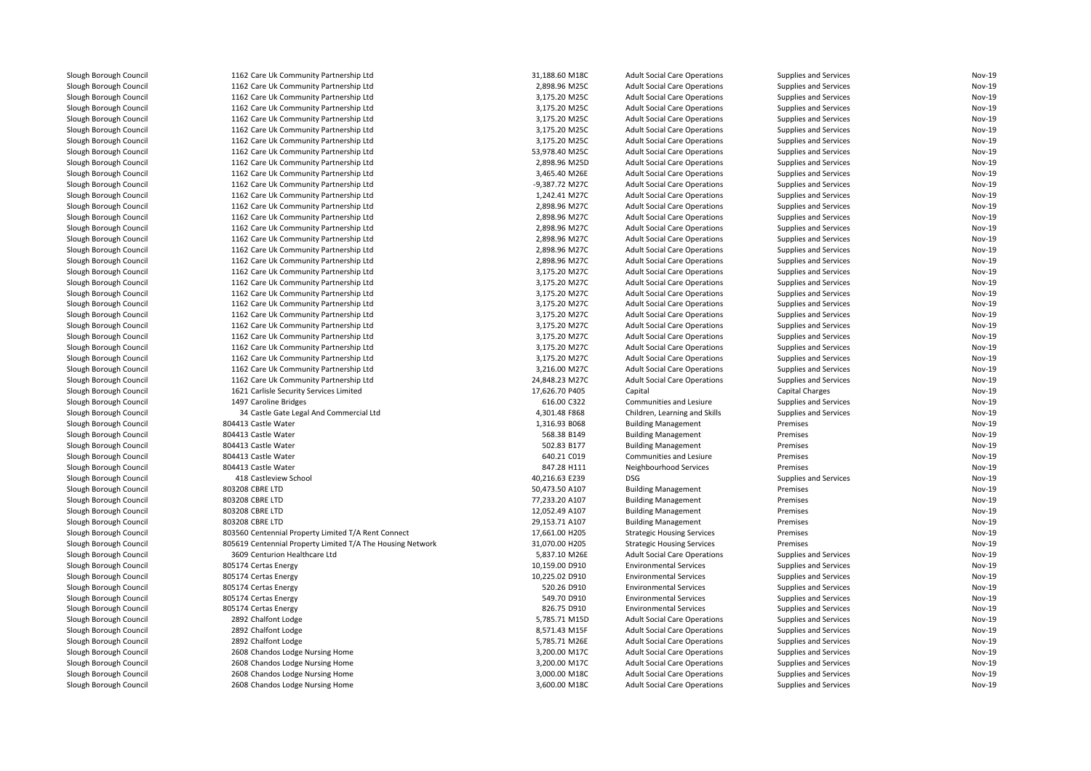| Slough Borough Council | 1162 Care Uk Community Partnership Ltd                     | 31,188.60 M18C | <b>Adult Social Care Operations</b>                      | Supplies and Services  | Nov-19        |
|------------------------|------------------------------------------------------------|----------------|----------------------------------------------------------|------------------------|---------------|
| Slough Borough Council | 1162 Care Uk Community Partnership Ltd                     | 2,898.96 M25C  | <b>Adult Social Care Operations</b>                      | Supplies and Services  | Nov-19        |
| Slough Borough Council | 1162 Care Uk Community Partnership Ltd                     | 3,175.20 M25C  | <b>Adult Social Care Operations</b>                      | Supplies and Services  | Nov-19        |
| Slough Borough Council | 1162 Care Uk Community Partnership Ltd                     | 3,175.20 M25C  | <b>Adult Social Care Operations</b>                      | Supplies and Services  | Nov-19        |
| Slough Borough Council | 1162 Care Uk Community Partnership Ltd                     | 3,175.20 M25C  | <b>Adult Social Care Operations</b>                      | Supplies and Services  | Nov-19        |
| Slough Borough Council | 1162 Care Uk Community Partnership Ltd                     | 3,175.20 M25C  | <b>Adult Social Care Operations</b>                      | Supplies and Services  | <b>Nov-19</b> |
| Slough Borough Council | 1162 Care Uk Community Partnership Ltd                     | 3,175.20 M25C  | <b>Adult Social Care Operations</b>                      | Supplies and Services  | Nov-19        |
| Slough Borough Council | 1162 Care Uk Community Partnership Ltd                     | 53,978.40 M25C | <b>Adult Social Care Operations</b>                      | Supplies and Services  | <b>Nov-19</b> |
| Slough Borough Council | 1162 Care Uk Community Partnership Ltd                     | 2,898.96 M25D  | <b>Adult Social Care Operations</b>                      | Supplies and Services  | <b>Nov-19</b> |
| Slough Borough Council | 1162 Care Uk Community Partnership Ltd                     | 3,465.40 M26E  | <b>Adult Social Care Operations</b>                      | Supplies and Services  | <b>Nov-19</b> |
| Slough Borough Council | 1162 Care Uk Community Partnership Ltd                     | -9,387.72 M27C | <b>Adult Social Care Operations</b>                      | Supplies and Services  | Nov-19        |
| Slough Borough Council | 1162 Care Uk Community Partnership Ltd                     | 1,242.41 M27C  | <b>Adult Social Care Operations</b>                      | Supplies and Services  | Nov-19        |
| Slough Borough Council | 1162 Care Uk Community Partnership Ltd                     | 2,898.96 M27C  | <b>Adult Social Care Operations</b>                      | Supplies and Services  | Nov-19        |
| Slough Borough Council | 1162 Care Uk Community Partnership Ltd                     | 2,898.96 M27C  | <b>Adult Social Care Operations</b>                      | Supplies and Services  | Nov-19        |
| Slough Borough Council | 1162 Care Uk Community Partnership Ltd                     | 2,898.96 M27C  | <b>Adult Social Care Operations</b>                      | Supplies and Services  | Nov-19        |
| Slough Borough Council | 1162 Care Uk Community Partnership Ltd                     | 2,898.96 M27C  | <b>Adult Social Care Operations</b>                      | Supplies and Services  | Nov-19        |
| Slough Borough Council | 1162 Care Uk Community Partnership Ltd                     | 2,898.96 M27C  | <b>Adult Social Care Operations</b>                      | Supplies and Services  | Nov-19        |
| Slough Borough Council | 1162 Care Uk Community Partnership Ltd                     | 2,898.96 M27C  | <b>Adult Social Care Operations</b>                      | Supplies and Services  | Nov-19        |
| Slough Borough Council | 1162 Care Uk Community Partnership Ltd                     | 3,175.20 M27C  | <b>Adult Social Care Operations</b>                      | Supplies and Services  | <b>Nov-19</b> |
| Slough Borough Council | 1162 Care Uk Community Partnership Ltd                     | 3,175.20 M27C  | <b>Adult Social Care Operations</b>                      | Supplies and Services  | Nov-19        |
| Slough Borough Council | 1162 Care Uk Community Partnership Ltd                     | 3,175.20 M27C  | <b>Adult Social Care Operations</b>                      | Supplies and Services  | <b>Nov-19</b> |
| Slough Borough Council | 1162 Care Uk Community Partnership Ltd                     | 3,175.20 M27C  | <b>Adult Social Care Operations</b>                      | Supplies and Services  | Nov-19        |
| Slough Borough Council | 1162 Care Uk Community Partnership Ltd                     | 3,175.20 M27C  | <b>Adult Social Care Operations</b>                      | Supplies and Services  | Nov-19        |
| Slough Borough Council | 1162 Care Uk Community Partnership Ltd                     | 3,175.20 M27C  | <b>Adult Social Care Operations</b>                      | Supplies and Services  | <b>Nov-19</b> |
| Slough Borough Council | 1162 Care Uk Community Partnership Ltd                     | 3,175.20 M27C  | <b>Adult Social Care Operations</b>                      | Supplies and Services  | Nov-19        |
| Slough Borough Council | 1162 Care Uk Community Partnership Ltd                     | 3,175.20 M27C  | <b>Adult Social Care Operations</b>                      | Supplies and Services  | Nov-19        |
| Slough Borough Council | 1162 Care Uk Community Partnership Ltd                     | 3,175.20 M27C  | <b>Adult Social Care Operations</b>                      | Supplies and Services  | Nov-19        |
| Slough Borough Council | 1162 Care Uk Community Partnership Ltd                     | 3,216.00 M27C  | <b>Adult Social Care Operations</b>                      | Supplies and Services  | <b>Nov-19</b> |
| Slough Borough Council | 1162 Care Uk Community Partnership Ltd                     | 24,848.23 M27C | <b>Adult Social Care Operations</b>                      | Supplies and Services  | <b>Nov-19</b> |
| Slough Borough Council | 1621 Carlisle Security Services Limited                    | 17,626.70 P405 | Capital                                                  | <b>Capital Charges</b> | Nov-19        |
| Slough Borough Council | 1497 Caroline Bridges                                      | 616.00 C322    | Communities and Lesiure                                  | Supplies and Services  | Nov-19        |
| Slough Borough Council | 34 Castle Gate Legal And Commercial Ltd                    | 4,301.48 F868  | Children, Learning and Skills                            | Supplies and Services  | Nov-19        |
| Slough Borough Council | 804413 Castle Water                                        | 1,316.93 B068  | <b>Building Management</b>                               | Premises               | Nov-19        |
|                        | 804413 Castle Water                                        | 568.38 B149    |                                                          |                        | Nov-19        |
| Slough Borough Council | 804413 Castle Water                                        | 502.83 B177    | <b>Building Management</b><br><b>Building Management</b> | Premises<br>Premises   | Nov-19        |
| Slough Borough Council | 804413 Castle Water                                        | 640.21 C019    |                                                          |                        | Nov-19        |
| Slough Borough Council | 804413 Castle Water                                        | 847.28 H111    | Communities and Lesiure                                  | Premises               | <b>Nov-19</b> |
| Slough Borough Council |                                                            |                | Neighbourhood Services                                   | Premises               | Nov-19        |
| Slough Borough Council | 418 Castleview School                                      | 40,216.63 E239 | <b>DSG</b>                                               | Supplies and Services  | <b>Nov-19</b> |
| Slough Borough Council | 803208 CBRE LTD                                            | 50,473.50 A107 | <b>Building Management</b>                               | Premises               |               |
| Slough Borough Council | 803208 CBRE LTD                                            | 77,233.20 A107 | <b>Building Management</b>                               | Premises               | Nov-19        |
| Slough Borough Council | 803208 CBRE LTD                                            | 12,052.49 A107 | <b>Building Management</b>                               | Premises               | Nov-19        |
| Slough Borough Council | 803208 CBRE LTD                                            | 29,153.71 A107 | <b>Building Management</b>                               | Premises               | Nov-19        |
| Slough Borough Council | 803560 Centennial Property Limited T/A Rent Connect        | 17,661.00 H205 | <b>Strategic Housing Services</b>                        | Premises               | Nov-19        |
| Slough Borough Council | 805619 Centennial Property Limited T/A The Housing Network | 31,070.00 H205 | <b>Strategic Housing Services</b>                        | Premises               | <b>Nov-19</b> |
| Slough Borough Council | 3609 Centurion Healthcare Ltd                              | 5,837.10 M26E  | <b>Adult Social Care Operations</b>                      | Supplies and Services  | Nov-19        |
| Slough Borough Council | 805174 Certas Energy                                       | 10,159.00 D910 | <b>Environmental Services</b>                            | Supplies and Services  | <b>Nov-19</b> |
| Slough Borough Council | 805174 Certas Energy                                       | 10,225.02 D910 | <b>Environmental Services</b>                            | Supplies and Services  | Nov-19        |
| Slough Borough Council | 805174 Certas Energy                                       | 520.26 D910    | <b>Environmental Services</b>                            | Supplies and Services  | Nov-19        |
| Slough Borough Council | 805174 Certas Energy                                       | 549.70 D910    | <b>Environmental Services</b>                            | Supplies and Services  | Nov-19        |
| Slough Borough Council | 805174 Certas Energy                                       | 826.75 D910    | <b>Environmental Services</b>                            | Supplies and Services  | <b>Nov-19</b> |
| Slough Borough Council | 2892 Chalfont Lodge                                        | 5,785.71 M15D  | <b>Adult Social Care Operations</b>                      | Supplies and Services  | Nov-19        |
| Slough Borough Council | 2892 Chalfont Lodge                                        | 8,571.43 M15F  | <b>Adult Social Care Operations</b>                      | Supplies and Services  | <b>Nov-19</b> |
| Slough Borough Council | 2892 Chalfont Lodge                                        | 5,785.71 M26E  | <b>Adult Social Care Operations</b>                      | Supplies and Services  | Nov-19        |
| Slough Borough Council | 2608 Chandos Lodge Nursing Home                            | 3,200.00 M17C  | <b>Adult Social Care Operations</b>                      | Supplies and Services  | <b>Nov-19</b> |
| Slough Borough Council | 2608 Chandos Lodge Nursing Home                            | 3,200.00 M17C  | <b>Adult Social Care Operations</b>                      | Supplies and Services  | Nov-19        |
| Slough Borough Council | 2608 Chandos Lodge Nursing Home                            | 3,000.00 M18C  | <b>Adult Social Care Operations</b>                      | Supplies and Services  | Nov-19        |
| Slough Borough Council | 2608 Chandos Lodge Nursing Home                            | 3,600.00 M18C  | <b>Adult Social Care Operations</b>                      | Supplies and Services  | <b>Nov-19</b> |
|                        |                                                            |                |                                                          |                        |               |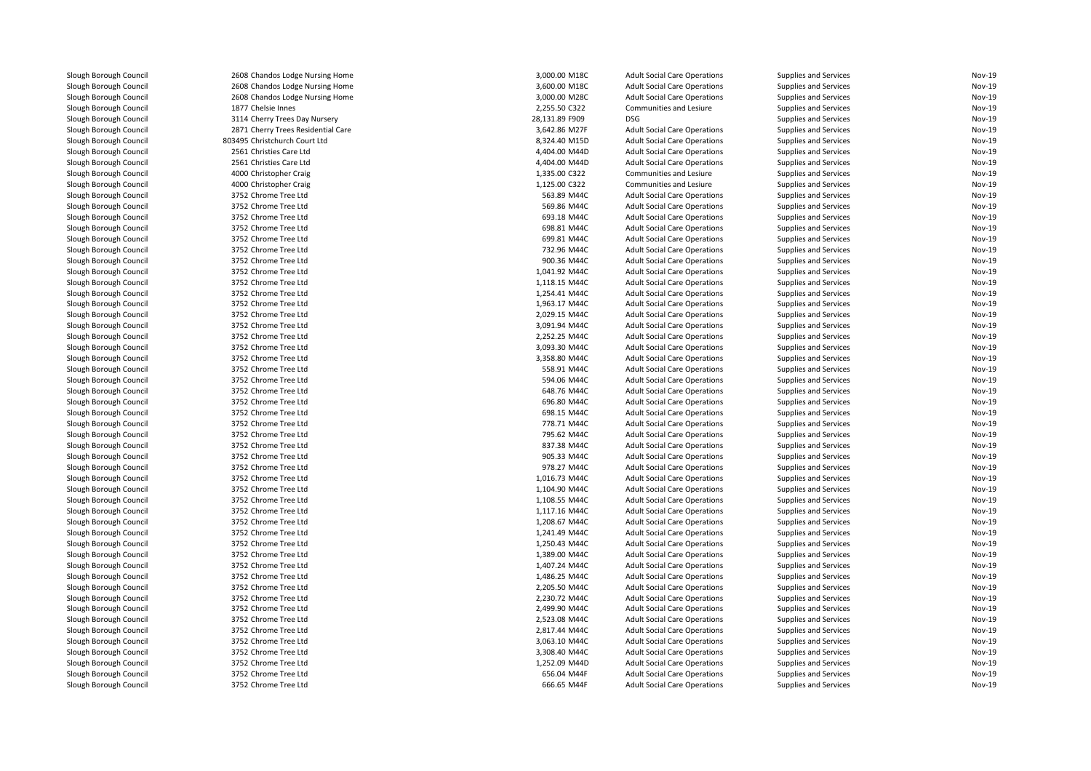| Slough Borough Council                           | 2608 Chandos Lodge Nursing Home    | 3,000.00 M18C  | <b>Adult Social Care Operations</b> | Supplies and Services        | Nov-19 |
|--------------------------------------------------|------------------------------------|----------------|-------------------------------------|------------------------------|--------|
| Slough Borough Council                           | 2608 Chandos Lodge Nursing Home    | 3,600.00 M18C  | <b>Adult Social Care Operations</b> | Supplies and Services        | Nov-19 |
| Slough Borough Council                           | 2608 Chandos Lodge Nursing Home    | 3,000.00 M28C  | <b>Adult Social Care Operations</b> | Supplies and Services        | Nov-19 |
| Slough Borough Council                           | 1877 Chelsie Innes                 | 2,255.50 C322  | Communities and Lesiure             | Supplies and Services        | Nov-19 |
| Slough Borough Council                           | 3114 Cherry Trees Day Nursery      | 28,131.89 F909 | <b>DSG</b>                          | Supplies and Services        | Nov-19 |
| Slough Borough Council                           | 2871 Cherry Trees Residential Care | 3,642.86 M27F  | <b>Adult Social Care Operations</b> | Supplies and Services        | Nov-19 |
| Slough Borough Council                           | 803495 Christchurch Court Ltd      | 8,324.40 M15D  | <b>Adult Social Care Operations</b> | <b>Supplies and Services</b> | Nov-19 |
| Slough Borough Council                           | 2561 Christies Care Ltd            | 4,404.00 M44D  | <b>Adult Social Care Operations</b> | Supplies and Services        | Nov-19 |
| Slough Borough Council                           | 2561 Christies Care Ltd            | 4,404.00 M44D  | <b>Adult Social Care Operations</b> | Supplies and Services        | Nov-19 |
| Slough Borough Council                           | 4000 Christopher Craig             | 1,335.00 C322  | Communities and Lesiure             | Supplies and Services        | Nov-19 |
| Slough Borough Council                           | 4000 Christopher Craig             | 1,125.00 C322  | Communities and Lesiure             | Supplies and Services        | Nov-19 |
| Slough Borough Council                           | 3752 Chrome Tree Ltd               | 563.89 M44C    | <b>Adult Social Care Operations</b> | Supplies and Services        | Nov-19 |
| Slough Borough Council                           | 3752 Chrome Tree Ltd               | 569.86 M44C    | <b>Adult Social Care Operations</b> | Supplies and Services        | Nov-19 |
| Slough Borough Council                           | 3752 Chrome Tree Ltd               | 693.18 M44C    | <b>Adult Social Care Operations</b> | Supplies and Services        | Nov-19 |
| Slough Borough Council                           | 3752 Chrome Tree Ltd               | 698.81 M44C    | <b>Adult Social Care Operations</b> | Supplies and Services        | Nov-19 |
| Slough Borough Council                           | 3752 Chrome Tree Ltd               | 699.81 M44C    | <b>Adult Social Care Operations</b> | Supplies and Services        | Nov-19 |
| Slough Borough Council                           | 3752 Chrome Tree Ltd               | 732.96 M44C    | <b>Adult Social Care Operations</b> | Supplies and Services        | Nov-19 |
| Slough Borough Council                           | 3752 Chrome Tree Ltd               | 900.36 M44C    | <b>Adult Social Care Operations</b> | Supplies and Services        | Nov-19 |
|                                                  |                                    | 1,041.92 M44C  |                                     |                              | Nov-19 |
| Slough Borough Council<br>Slough Borough Council | 3752 Chrome Tree Ltd               |                | <b>Adult Social Care Operations</b> | Supplies and Services        | Nov-19 |
|                                                  | 3752 Chrome Tree Ltd               | 1,118.15 M44C  | <b>Adult Social Care Operations</b> | Supplies and Services        | Nov-19 |
| Slough Borough Council                           | 3752 Chrome Tree Ltd               | 1,254.41 M44C  | <b>Adult Social Care Operations</b> | Supplies and Services        |        |
| Slough Borough Council                           | 3752 Chrome Tree Ltd               | 1,963.17 M44C  | <b>Adult Social Care Operations</b> | Supplies and Services        | Nov-19 |
| Slough Borough Council                           | 3752 Chrome Tree Ltd               | 2,029.15 M44C  | <b>Adult Social Care Operations</b> | Supplies and Services        | Nov-19 |
| Slough Borough Council                           | 3752 Chrome Tree Ltd               | 3,091.94 M44C  | <b>Adult Social Care Operations</b> | Supplies and Services        | Nov-19 |
| Slough Borough Council                           | 3752 Chrome Tree Ltd               | 2,252.25 M44C  | <b>Adult Social Care Operations</b> | Supplies and Services        | Nov-19 |
| Slough Borough Council                           | 3752 Chrome Tree Ltd               | 3,093.30 M44C  | <b>Adult Social Care Operations</b> | Supplies and Services        | Nov-19 |
| Slough Borough Council                           | 3752 Chrome Tree Ltd               | 3,358.80 M44C  | <b>Adult Social Care Operations</b> | Supplies and Services        | Nov-19 |
| Slough Borough Council                           | 3752 Chrome Tree Ltd               | 558.91 M44C    | <b>Adult Social Care Operations</b> | <b>Supplies and Services</b> | Nov-19 |
| Slough Borough Council                           | 3752 Chrome Tree Ltd               | 594.06 M44C    | <b>Adult Social Care Operations</b> | Supplies and Services        | Nov-19 |
| Slough Borough Council                           | 3752 Chrome Tree Ltd               | 648.76 M44C    | <b>Adult Social Care Operations</b> | Supplies and Services        | Nov-19 |
| Slough Borough Council                           | 3752 Chrome Tree Ltd               | 696.80 M44C    | <b>Adult Social Care Operations</b> | Supplies and Services        | Nov-19 |
| Slough Borough Council                           | 3752 Chrome Tree Ltd               | 698.15 M44C    | <b>Adult Social Care Operations</b> | Supplies and Services        | Nov-19 |
| Slough Borough Council                           | 3752 Chrome Tree Ltd               | 778.71 M44C    | <b>Adult Social Care Operations</b> | Supplies and Services        | Nov-19 |
| Slough Borough Council                           | 3752 Chrome Tree Ltd               | 795.62 M44C    | <b>Adult Social Care Operations</b> | Supplies and Services        | Nov-19 |
| Slough Borough Council                           | 3752 Chrome Tree Ltd               | 837.38 M44C    | <b>Adult Social Care Operations</b> | Supplies and Services        | Nov-19 |
| Slough Borough Council                           | 3752 Chrome Tree Ltd               | 905.33 M44C    | <b>Adult Social Care Operations</b> | Supplies and Services        | Nov-19 |
| Slough Borough Council                           | 3752 Chrome Tree Ltd               | 978.27 M44C    | <b>Adult Social Care Operations</b> | Supplies and Services        | Nov-19 |
| Slough Borough Council                           | 3752 Chrome Tree Ltd               | 1,016.73 M44C  | <b>Adult Social Care Operations</b> | Supplies and Services        | Nov-19 |
| Slough Borough Council                           | 3752 Chrome Tree Ltd               | 1,104.90 M44C  | <b>Adult Social Care Operations</b> | Supplies and Services        | Nov-19 |
| Slough Borough Council                           | 3752 Chrome Tree Ltd               | 1,108.55 M44C  | <b>Adult Social Care Operations</b> | Supplies and Services        | Nov-19 |
| Slough Borough Council                           | 3752 Chrome Tree Ltd               | 1,117.16 M44C  | <b>Adult Social Care Operations</b> | Supplies and Services        | Nov-19 |
| Slough Borough Council                           | 3752 Chrome Tree Ltd               | 1,208.67 M44C  | <b>Adult Social Care Operations</b> | Supplies and Services        | Nov-19 |
| Slough Borough Council                           | 3752 Chrome Tree Ltd               | 1,241.49 M44C  | <b>Adult Social Care Operations</b> | Supplies and Services        | Nov-19 |
| Slough Borough Council                           | 3752 Chrome Tree Ltd               | 1,250.43 M44C  | <b>Adult Social Care Operations</b> | Supplies and Services        | Nov-19 |
| Slough Borough Council                           | 3752 Chrome Tree Ltd               | 1,389.00 M44C  | <b>Adult Social Care Operations</b> | Supplies and Services        | Nov-19 |
| Slough Borough Council                           | 3752 Chrome Tree Ltd               | 1,407.24 M44C  | <b>Adult Social Care Operations</b> | Supplies and Services        | Nov-19 |
| Slough Borough Council                           | 3752 Chrome Tree Ltd               | 1,486.25 M44C  | <b>Adult Social Care Operations</b> | Supplies and Services        | Nov-19 |
| Slough Borough Council                           | 3752 Chrome Tree Ltd               | 2,205.50 M44C  | <b>Adult Social Care Operations</b> | Supplies and Services        | Nov-19 |
| Slough Borough Council                           | 3752 Chrome Tree Ltd               | 2,230.72 M44C  | <b>Adult Social Care Operations</b> | Supplies and Services        | Nov-19 |
| Slough Borough Council                           | 3752 Chrome Tree Ltd               | 2,499.90 M44C  | <b>Adult Social Care Operations</b> | Supplies and Services        | Nov-19 |
| Slough Borough Council                           | 3752 Chrome Tree Ltd               | 2,523.08 M44C  | <b>Adult Social Care Operations</b> | Supplies and Services        | Nov-19 |
| Slough Borough Council                           | 3752 Chrome Tree Ltd               | 2,817.44 M44C  | <b>Adult Social Care Operations</b> | Supplies and Services        | Nov-19 |
| Slough Borough Council                           | 3752 Chrome Tree Ltd               | 3,063.10 M44C  | <b>Adult Social Care Operations</b> | Supplies and Services        | Nov-19 |
| Slough Borough Council                           | 3752 Chrome Tree Ltd               | 3,308.40 M44C  | <b>Adult Social Care Operations</b> | Supplies and Services        | Nov-19 |
| Slough Borough Council                           | 3752 Chrome Tree Ltd               | 1,252.09 M44D  | <b>Adult Social Care Operations</b> | Supplies and Services        | Nov-19 |
| Slough Borough Council                           | 3752 Chrome Tree Ltd               | 656.04 M44F    | <b>Adult Social Care Operations</b> | Supplies and Services        | Nov-19 |
| Slough Borough Council                           | 3752 Chrome Tree Ltd               | 666.65 M44F    | <b>Adult Social Care Operations</b> | Supplies and Services        | Nov-19 |
|                                                  |                                    |                |                                     |                              |        |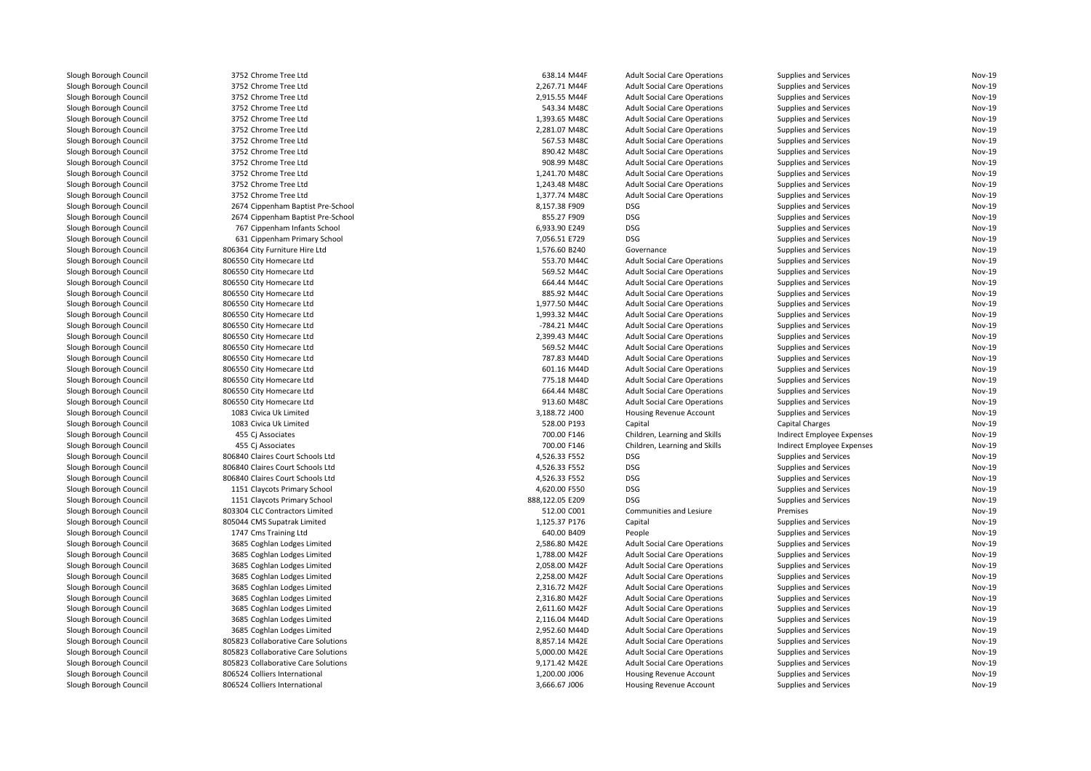| Slough Borough Council                           | 3752 Chrome Tree Ltd                | 638.14 M44F     | <b>Adult Social Care Operations</b> | <b>Supplies and Services</b> | <b>Nov-19</b> |
|--------------------------------------------------|-------------------------------------|-----------------|-------------------------------------|------------------------------|---------------|
| Slough Borough Council                           | 3752 Chrome Tree Ltd                | 2,267.71 M44F   | <b>Adult Social Care Operations</b> | <b>Supplies and Services</b> | Nov-19        |
| Slough Borough Council                           | 3752 Chrome Tree Ltd                | 2,915.55 M44F   | <b>Adult Social Care Operations</b> | Supplies and Services        | <b>Nov-19</b> |
| Slough Borough Council                           | 3752 Chrome Tree Ltd                | 543.34 M48C     | <b>Adult Social Care Operations</b> | Supplies and Services        | Nov-19        |
| Slough Borough Council                           | 3752 Chrome Tree Ltd                | 1,393.65 M48C   | <b>Adult Social Care Operations</b> | Supplies and Services        | <b>Nov-19</b> |
| Slough Borough Council                           | 3752 Chrome Tree Ltd                | 2,281.07 M48C   | <b>Adult Social Care Operations</b> | Supplies and Services        | Nov-19        |
| Slough Borough Council                           | 3752 Chrome Tree Ltd                | 567.53 M48C     | <b>Adult Social Care Operations</b> | <b>Supplies and Services</b> | Nov-19        |
| Slough Borough Council                           | 3752 Chrome Tree Ltd                | 890.42 M48C     | <b>Adult Social Care Operations</b> | Supplies and Services        | Nov-19        |
| Slough Borough Council                           | 3752 Chrome Tree Ltd                | 908.99 M48C     | <b>Adult Social Care Operations</b> | <b>Supplies and Services</b> | Nov-19        |
| Slough Borough Council                           | 3752 Chrome Tree Ltd                | 1,241.70 M48C   | <b>Adult Social Care Operations</b> | Supplies and Services        | <b>Nov-19</b> |
| Slough Borough Council                           | 3752 Chrome Tree Ltd                | 1,243.48 M48C   | <b>Adult Social Care Operations</b> | Supplies and Services        | Nov-19        |
| Slough Borough Council                           | 3752 Chrome Tree Ltd                | 1,377.74 M48C   | <b>Adult Social Care Operations</b> | Supplies and Services        | <b>Nov-19</b> |
| Slough Borough Council                           | 2674 Cippenham Baptist Pre-School   | 8,157.38 F909   | DSG                                 | Supplies and Services        | Nov-19        |
| Slough Borough Council                           | 2674 Cippenham Baptist Pre-School   | 855.27 F909     | DSG                                 | Supplies and Services        | Nov-19        |
|                                                  | 767 Cippenham Infants School        | 6,933.90 E249   | DSG                                 | Supplies and Services        | <b>Nov-19</b> |
| Slough Borough Council<br>Slough Borough Council | 631 Cippenham Primary School        | 7,056.51 E729   | <b>DSG</b>                          | Supplies and Services        | Nov-19        |
|                                                  |                                     |                 |                                     |                              |               |
| Slough Borough Council                           | 806364 City Furniture Hire Ltd      | 1,576.60 B240   | Governance                          | Supplies and Services        | <b>Nov-19</b> |
| Slough Borough Council                           | 806550 City Homecare Ltd            | 553.70 M44C     | <b>Adult Social Care Operations</b> | Supplies and Services        | Nov-19        |
| Slough Borough Council                           | 806550 City Homecare Ltd            | 569.52 M44C     | <b>Adult Social Care Operations</b> | Supplies and Services        | Nov-19        |
| Slough Borough Council                           | 806550 City Homecare Ltd            | 664.44 M44C     | <b>Adult Social Care Operations</b> | Supplies and Services        | Nov-19        |
| Slough Borough Council                           | 806550 City Homecare Ltd            | 885.92 M44C     | <b>Adult Social Care Operations</b> | Supplies and Services        | <b>Nov-19</b> |
| Slough Borough Council                           | 806550 City Homecare Ltd            | 1.977.50 M44C   | <b>Adult Social Care Operations</b> | <b>Supplies and Services</b> | <b>Nov-19</b> |
| Slough Borough Council                           | 806550 City Homecare Ltd            | 1,993.32 M44C   | <b>Adult Social Care Operations</b> | Supplies and Services        | Nov-19        |
| Slough Borough Council                           | 806550 City Homecare Ltd            | -784.21 M44C    | <b>Adult Social Care Operations</b> | <b>Supplies and Services</b> | <b>Nov-19</b> |
| Slough Borough Council                           | 806550 City Homecare Ltd            | 2,399.43 M44C   | <b>Adult Social Care Operations</b> | Supplies and Services        | Nov-19        |
| Slough Borough Council                           | 806550 City Homecare Ltd            | 569.52 M44C     | <b>Adult Social Care Operations</b> | Supplies and Services        | Nov-19        |
| Slough Borough Council                           | 806550 City Homecare Ltd            | 787.83 M44D     | <b>Adult Social Care Operations</b> | Supplies and Services        | Nov-19        |
| Slough Borough Council                           | 806550 City Homecare Ltd            | 601.16 M44D     | <b>Adult Social Care Operations</b> | Supplies and Services        | Nov-19        |
| Slough Borough Council                           | 806550 City Homecare Ltd            | 775.18 M44D     | <b>Adult Social Care Operations</b> | Supplies and Services        | <b>Nov-19</b> |
| Slough Borough Council                           | 806550 City Homecare Ltd            | 664.44 M48C     | <b>Adult Social Care Operations</b> | Supplies and Services        | Nov-19        |
| Slough Borough Council                           | 806550 City Homecare Ltd            | 913.60 M48C     | <b>Adult Social Care Operations</b> | Supplies and Services        | Nov-19        |
| Slough Borough Council                           | 1083 Civica Uk Limited              | 3,188.72 J400   | Housing Revenue Account             | Supplies and Services        | Nov-19        |
| Slough Borough Council                           | 1083 Civica Uk Limited              | 528.00 P193     | Capital                             | <b>Capital Charges</b>       | Nov-19        |
| Slough Borough Council                           | 455 Ci Associates                   | 700.00 F146     | Children, Learning and Skills       | Indirect Employee Expenses   | <b>Nov-19</b> |
| Slough Borough Council                           | 455 Cj Associates                   | 700.00 F146     | Children, Learning and Skills       | Indirect Employee Expenses   | Nov-19        |
| Slough Borough Council                           | 806840 Claires Court Schools Ltd    | 4,526.33 F552   | DSG                                 | Supplies and Services        | Nov-19        |
| Slough Borough Council                           | 806840 Claires Court Schools Ltd    | 4,526.33 F552   | DSG                                 | Supplies and Services        | Nov-19        |
| Slough Borough Council                           | 806840 Claires Court Schools Ltd    | 4,526.33 F552   | DSG                                 | Supplies and Services        | Nov-19        |
| Slough Borough Council                           | 1151 Claycots Primary School        | 4,620.00 F550   | DSG                                 | Supplies and Services        | Nov-19        |
| Slough Borough Council                           | 1151 Claycots Primary School        | 888,122.05 E209 | DSG                                 | Supplies and Services        | Nov-19        |
| Slough Borough Council                           | 803304 CLC Contractors Limited      | 512.00 C001     | Communities and Lesiure             | Premises                     | <b>Nov-19</b> |
| Slough Borough Council                           | 805044 CMS Supatrak Limited         | 1,125.37 P176   | Capital                             | Supplies and Services        | Nov-19        |
| Slough Borough Council                           | 1747 Cms Training Ltd               | 640.00 B409     | People                              | Supplies and Services        | Nov-19        |
| Slough Borough Council                           | 3685 Coghlan Lodges Limited         | 2,586.80 M42E   | <b>Adult Social Care Operations</b> | Supplies and Services        | Nov-19        |
|                                                  |                                     | 1,788.00 M42F   |                                     |                              | Nov-19        |
| Slough Borough Council                           | 3685 Coghlan Lodges Limited         |                 | <b>Adult Social Care Operations</b> | Supplies and Services        | <b>Nov-19</b> |
| Slough Borough Council                           | 3685 Coghlan Lodges Limited         | 2,058.00 M42F   | <b>Adult Social Care Operations</b> | Supplies and Services        |               |
| Slough Borough Council                           | 3685 Coghlan Lodges Limited         | 2,258.00 M42F   | <b>Adult Social Care Operations</b> | Supplies and Services        | Nov-19        |
| Slough Borough Council                           | 3685 Coghlan Lodges Limited         | 2,316.72 M42F   | <b>Adult Social Care Operations</b> | Supplies and Services        | Nov-19        |
| Slough Borough Council                           | 3685 Coghlan Lodges Limited         | 2,316.80 M42F   | <b>Adult Social Care Operations</b> | Supplies and Services        | Nov-19        |
| Slough Borough Council                           | 3685 Coghlan Lodges Limited         | 2,611.60 M42F   | <b>Adult Social Care Operations</b> | Supplies and Services        | <b>Nov-19</b> |
| Slough Borough Council                           | 3685 Coghlan Lodges Limited         | 2,116.04 M44D   | <b>Adult Social Care Operations</b> | Supplies and Services        | Nov-19        |
| Slough Borough Council                           | 3685 Coghlan Lodges Limited         | 2,952.60 M44D   | <b>Adult Social Care Operations</b> | Supplies and Services        | Nov-19        |
| Slough Borough Council                           | 805823 Collaborative Care Solutions | 8,857.14 M42E   | <b>Adult Social Care Operations</b> | Supplies and Services        | <b>Nov-19</b> |
| Slough Borough Council                           | 805823 Collaborative Care Solutions | 5,000.00 M42E   | <b>Adult Social Care Operations</b> | Supplies and Services        | Nov-19        |
| Slough Borough Council                           | 805823 Collaborative Care Solutions | 9,171.42 M42E   | <b>Adult Social Care Operations</b> | <b>Supplies and Services</b> | Nov-19        |
| Slough Borough Council                           | 806524 Colliers International       | 1,200.00 J006   | Housing Revenue Account             | Supplies and Services        | Nov-19        |
| Slough Borough Council                           | 806524 Colliers International       | 3,666.67 J006   | Housing Revenue Account             | Supplies and Services        | Nov-19        |
|                                                  |                                     |                 |                                     |                              |               |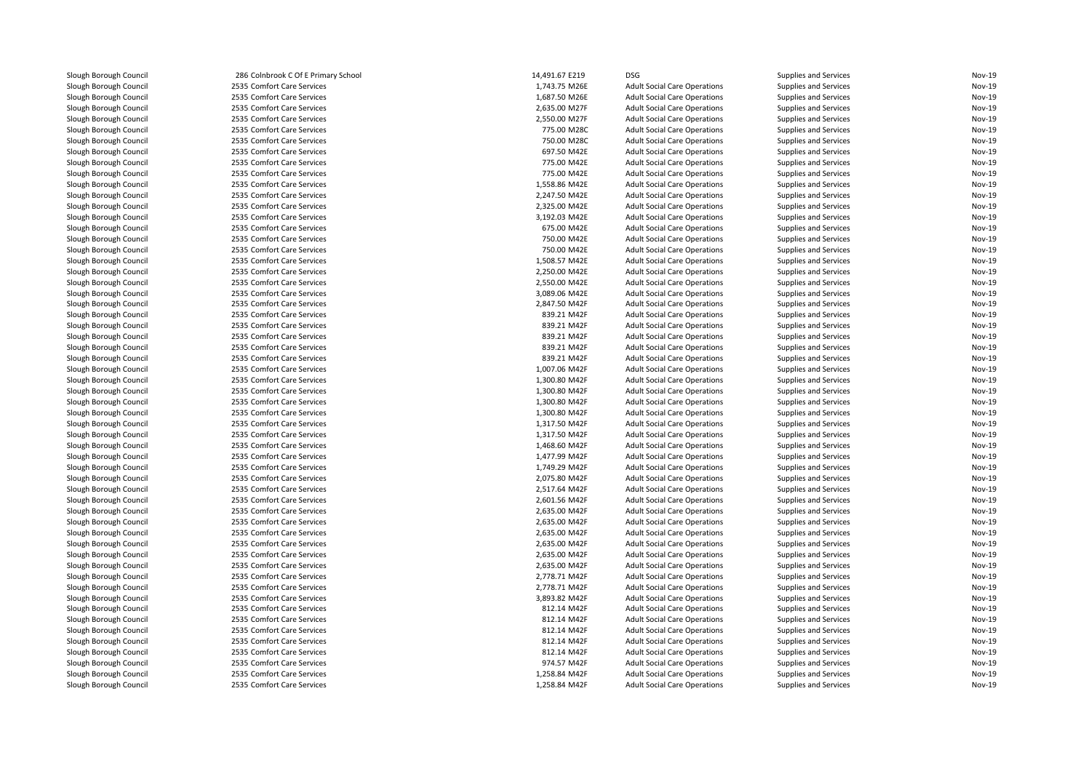| Slough Borough Council | 286 Colnbrook C Of E Primary School | 14,491.67 E219 | <b>DSG</b>                          | Supplies and Services | Nov-19 |
|------------------------|-------------------------------------|----------------|-------------------------------------|-----------------------|--------|
| Slough Borough Council | 2535 Comfort Care Services          | 1,743.75 M26E  | <b>Adult Social Care Operations</b> | Supplies and Services | Nov-19 |
| Slough Borough Council | 2535 Comfort Care Services          | 1,687.50 M26E  | <b>Adult Social Care Operations</b> | Supplies and Services | Nov-19 |
| Slough Borough Council | 2535 Comfort Care Services          | 2,635.00 M27F  | <b>Adult Social Care Operations</b> | Supplies and Services | Nov-19 |
| Slough Borough Council | 2535 Comfort Care Services          | 2,550.00 M27F  | <b>Adult Social Care Operations</b> | Supplies and Services | Nov-19 |
| Slough Borough Council | 2535 Comfort Care Services          | 775.00 M28C    | <b>Adult Social Care Operations</b> | Supplies and Services | Nov-19 |
| Slough Borough Council | 2535 Comfort Care Services          | 750.00 M28C    | <b>Adult Social Care Operations</b> | Supplies and Services | Nov-19 |
| Slough Borough Council | 2535 Comfort Care Services          | 697.50 M42E    | <b>Adult Social Care Operations</b> | Supplies and Services | Nov-19 |
| Slough Borough Council | 2535 Comfort Care Services          | 775.00 M42E    | <b>Adult Social Care Operations</b> | Supplies and Services | Nov-19 |
| Slough Borough Council | 2535 Comfort Care Services          | 775.00 M42E    | <b>Adult Social Care Operations</b> | Supplies and Services | Nov-19 |
| Slough Borough Council | 2535 Comfort Care Services          | 1,558.86 M42E  | <b>Adult Social Care Operations</b> | Supplies and Services | Nov-19 |
| Slough Borough Council | 2535 Comfort Care Services          | 2,247.50 M42E  | <b>Adult Social Care Operations</b> | Supplies and Services | Nov-19 |
| Slough Borough Council | 2535 Comfort Care Services          | 2,325.00 M42E  | <b>Adult Social Care Operations</b> | Supplies and Services | Nov-19 |
| Slough Borough Council | 2535 Comfort Care Services          | 3,192.03 M42E  | <b>Adult Social Care Operations</b> | Supplies and Services | Nov-19 |
| Slough Borough Council | 2535 Comfort Care Services          | 675.00 M42E    | <b>Adult Social Care Operations</b> | Supplies and Services | Nov-19 |
| Slough Borough Council | 2535 Comfort Care Services          | 750.00 M42E    | <b>Adult Social Care Operations</b> | Supplies and Services | Nov-19 |
| Slough Borough Council | 2535 Comfort Care Services          | 750.00 M42E    | <b>Adult Social Care Operations</b> | Supplies and Services | Nov-19 |
| Slough Borough Council | 2535 Comfort Care Services          | 1,508.57 M42E  | <b>Adult Social Care Operations</b> | Supplies and Services | Nov-19 |
| Slough Borough Council | 2535 Comfort Care Services          | 2,250.00 M42E  | <b>Adult Social Care Operations</b> | Supplies and Services | Nov-19 |
| Slough Borough Council | 2535 Comfort Care Services          | 2,550.00 M42E  | <b>Adult Social Care Operations</b> | Supplies and Services | Nov-19 |
| Slough Borough Council | 2535 Comfort Care Services          | 3,089.06 M42E  | <b>Adult Social Care Operations</b> | Supplies and Services | Nov-19 |
| Slough Borough Council | 2535 Comfort Care Services          | 2,847.50 M42F  | <b>Adult Social Care Operations</b> | Supplies and Services | Nov-19 |
| Slough Borough Council | 2535 Comfort Care Services          | 839.21 M42F    | <b>Adult Social Care Operations</b> | Supplies and Services | Nov-19 |
| Slough Borough Council | 2535 Comfort Care Services          | 839.21 M42F    | <b>Adult Social Care Operations</b> | Supplies and Services | Nov-19 |
| Slough Borough Council | 2535 Comfort Care Services          | 839.21 M42F    | <b>Adult Social Care Operations</b> | Supplies and Services | Nov-19 |
| Slough Borough Council | 2535 Comfort Care Services          | 839.21 M42F    | <b>Adult Social Care Operations</b> | Supplies and Services | Nov-19 |
| Slough Borough Council | 2535 Comfort Care Services          | 839.21 M42F    | <b>Adult Social Care Operations</b> | Supplies and Services | Nov-19 |
| Slough Borough Council | 2535 Comfort Care Services          | 1,007.06 M42F  |                                     |                       | Nov-19 |
|                        | 2535 Comfort Care Services          | 1,300.80 M42F  | <b>Adult Social Care Operations</b> | Supplies and Services | Nov-19 |
| Slough Borough Council |                                     |                | <b>Adult Social Care Operations</b> | Supplies and Services | Nov-19 |
| Slough Borough Council | 2535 Comfort Care Services          | 1,300.80 M42F  | <b>Adult Social Care Operations</b> | Supplies and Services | Nov-19 |
| Slough Borough Council | 2535 Comfort Care Services          | 1,300.80 M42F  | <b>Adult Social Care Operations</b> | Supplies and Services |        |
| Slough Borough Council | 2535 Comfort Care Services          | 1,300.80 M42F  | <b>Adult Social Care Operations</b> | Supplies and Services | Nov-19 |
| Slough Borough Council | 2535 Comfort Care Services          | 1,317.50 M42F  | <b>Adult Social Care Operations</b> | Supplies and Services | Nov-19 |
| Slough Borough Council | 2535 Comfort Care Services          | 1,317.50 M42F  | <b>Adult Social Care Operations</b> | Supplies and Services | Nov-19 |
| Slough Borough Council | 2535 Comfort Care Services          | 1,468.60 M42F  | <b>Adult Social Care Operations</b> | Supplies and Services | Nov-19 |
| Slough Borough Council | 2535 Comfort Care Services          | 1,477.99 M42F  | <b>Adult Social Care Operations</b> | Supplies and Services | Nov-19 |
| Slough Borough Council | 2535 Comfort Care Services          | 1,749.29 M42F  | <b>Adult Social Care Operations</b> | Supplies and Services | Nov-19 |
| Slough Borough Council | 2535 Comfort Care Services          | 2,075.80 M42F  | <b>Adult Social Care Operations</b> | Supplies and Services | Nov-19 |
| Slough Borough Council | 2535 Comfort Care Services          | 2,517.64 M42F  | <b>Adult Social Care Operations</b> | Supplies and Services | Nov-19 |
| Slough Borough Council | 2535 Comfort Care Services          | 2,601.56 M42F  | <b>Adult Social Care Operations</b> | Supplies and Services | Nov-19 |
| Slough Borough Council | 2535 Comfort Care Services          | 2,635.00 M42F  | <b>Adult Social Care Operations</b> | Supplies and Services | Nov-19 |
| Slough Borough Council | 2535 Comfort Care Services          | 2,635.00 M42F  | <b>Adult Social Care Operations</b> | Supplies and Services | Nov-19 |
| Slough Borough Council | 2535 Comfort Care Services          | 2,635.00 M42F  | <b>Adult Social Care Operations</b> | Supplies and Services | Nov-19 |
| Slough Borough Council | 2535 Comfort Care Services          | 2,635.00 M42F  | <b>Adult Social Care Operations</b> | Supplies and Services | Nov-19 |
| Slough Borough Council | 2535 Comfort Care Services          | 2,635.00 M42F  | <b>Adult Social Care Operations</b> | Supplies and Services | Nov-19 |
| Slough Borough Council | 2535 Comfort Care Services          | 2,635.00 M42F  | <b>Adult Social Care Operations</b> | Supplies and Services | Nov-19 |
| Slough Borough Council | 2535 Comfort Care Services          | 2,778.71 M42F  | <b>Adult Social Care Operations</b> | Supplies and Services | Nov-19 |
| Slough Borough Council | 2535 Comfort Care Services          | 2,778.71 M42F  | <b>Adult Social Care Operations</b> | Supplies and Services | Nov-19 |
| Slough Borough Council | 2535 Comfort Care Services          | 3,893.82 M42F  | <b>Adult Social Care Operations</b> | Supplies and Services | Nov-19 |
| Slough Borough Council | 2535 Comfort Care Services          | 812.14 M42F    | <b>Adult Social Care Operations</b> | Supplies and Services | Nov-19 |
| Slough Borough Council | 2535 Comfort Care Services          | 812.14 M42F    | <b>Adult Social Care Operations</b> | Supplies and Services | Nov-19 |
| Slough Borough Council | 2535 Comfort Care Services          | 812.14 M42F    | <b>Adult Social Care Operations</b> | Supplies and Services | Nov-19 |
| Slough Borough Council | 2535 Comfort Care Services          | 812.14 M42F    | <b>Adult Social Care Operations</b> | Supplies and Services | Nov-19 |
| Slough Borough Council | 2535 Comfort Care Services          | 812.14 M42F    | <b>Adult Social Care Operations</b> | Supplies and Services | Nov-19 |
| Slough Borough Council | 2535 Comfort Care Services          | 974.57 M42F    | <b>Adult Social Care Operations</b> | Supplies and Services | Nov-19 |
| Slough Borough Council | 2535 Comfort Care Services          | 1,258.84 M42F  | <b>Adult Social Care Operations</b> | Supplies and Services | Nov-19 |
| Slough Borough Council | 2535 Comfort Care Services          | 1,258.84 M42F  | <b>Adult Social Care Operations</b> | Supplies and Services | Nov-19 |
|                        |                                     |                |                                     |                       |        |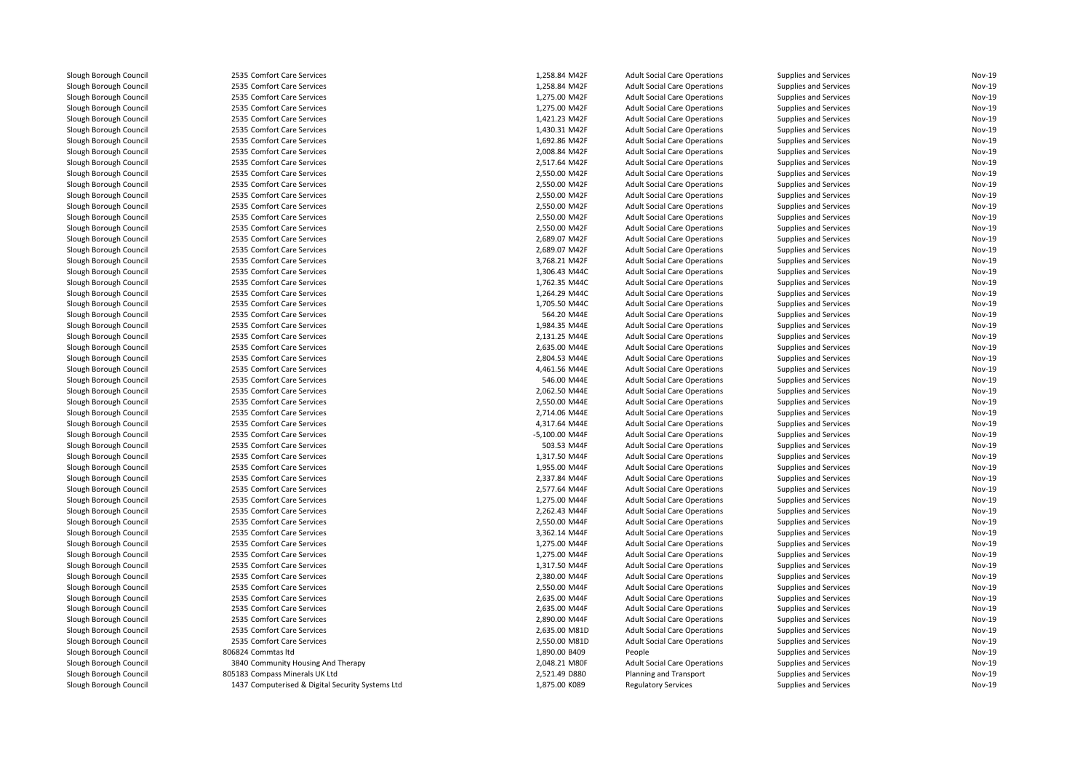| Slough Borough Council                           | 2535 Comfort Care Services                               | 1,258.84 M42F                  | <b>Adult Social Care Operations</b>                                        | <b>Supplies and Services</b>                                 | Nov-19           |
|--------------------------------------------------|----------------------------------------------------------|--------------------------------|----------------------------------------------------------------------------|--------------------------------------------------------------|------------------|
| Slough Borough Council                           | 2535 Comfort Care Services                               | 1,258.84 M42F                  | <b>Adult Social Care Operations</b>                                        | Supplies and Services                                        | Nov-19           |
| Slough Borough Council                           | 2535 Comfort Care Services                               | 1,275.00 M42F                  | <b>Adult Social Care Operations</b>                                        | <b>Supplies and Services</b>                                 | Nov-19           |
| Slough Borough Council                           | 2535 Comfort Care Services                               | 1,275.00 M42F                  | <b>Adult Social Care Operations</b>                                        | Supplies and Services                                        | Nov-19           |
| Slough Borough Council                           | 2535 Comfort Care Services                               | 1,421.23 M42F                  | <b>Adult Social Care Operations</b>                                        | <b>Supplies and Services</b>                                 | Nov-19           |
| Slough Borough Council                           | 2535 Comfort Care Services                               | 1,430.31 M42F                  | <b>Adult Social Care Operations</b>                                        | <b>Supplies and Services</b>                                 | Nov-19           |
| Slough Borough Council                           | 2535 Comfort Care Services                               | 1,692.86 M42F                  | <b>Adult Social Care Operations</b>                                        | Supplies and Services                                        | <b>Nov-19</b>    |
| Slough Borough Council                           | 2535 Comfort Care Services                               | 2,008.84 M42F                  | <b>Adult Social Care Operations</b>                                        | Supplies and Services                                        | Nov-19           |
| Slough Borough Council                           | 2535 Comfort Care Services                               | 2,517.64 M42F                  | <b>Adult Social Care Operations</b>                                        | <b>Supplies and Services</b>                                 | Nov-19           |
| Slough Borough Council                           | 2535 Comfort Care Services                               | 2,550.00 M42F                  | <b>Adult Social Care Operations</b>                                        | <b>Supplies and Services</b>                                 | Nov-19           |
| Slough Borough Council                           | 2535 Comfort Care Services                               | 2,550.00 M42F                  | <b>Adult Social Care Operations</b>                                        | <b>Supplies and Services</b>                                 | Nov-19           |
| Slough Borough Council                           | 2535 Comfort Care Services                               | 2,550.00 M42F                  | <b>Adult Social Care Operations</b>                                        | <b>Supplies and Services</b>                                 | Nov-19           |
| Slough Borough Council                           | 2535 Comfort Care Services                               | 2,550.00 M42F                  | <b>Adult Social Care Operations</b>                                        | Supplies and Services                                        | Nov-19           |
| Slough Borough Council                           | 2535 Comfort Care Services                               | 2,550.00 M42F                  | <b>Adult Social Care Operations</b>                                        | <b>Supplies and Services</b>                                 | Nov-19           |
| Slough Borough Council                           | 2535 Comfort Care Services                               | 2,550.00 M42F                  | <b>Adult Social Care Operations</b>                                        | <b>Supplies and Services</b>                                 | Nov-19           |
| Slough Borough Council                           | 2535 Comfort Care Services                               | 2,689.07 M42F                  | <b>Adult Social Care Operations</b>                                        | <b>Supplies and Services</b>                                 | Nov-19           |
| Slough Borough Council                           | 2535 Comfort Care Services                               | 2,689.07 M42F                  | <b>Adult Social Care Operations</b>                                        | Supplies and Services                                        | Nov-19           |
| Slough Borough Council                           | 2535 Comfort Care Services                               | 3,768.21 M42F                  | <b>Adult Social Care Operations</b>                                        | <b>Supplies and Services</b>                                 | Nov-19           |
| Slough Borough Council                           | 2535 Comfort Care Services                               | 1,306.43 M44C                  | <b>Adult Social Care Operations</b>                                        | <b>Supplies and Services</b>                                 | Nov-19           |
| Slough Borough Council                           | 2535 Comfort Care Services                               | 1,762.35 M44C                  | <b>Adult Social Care Operations</b>                                        | <b>Supplies and Services</b>                                 | Nov-19           |
| Slough Borough Council                           | 2535 Comfort Care Services                               | 1,264.29 M44C                  | <b>Adult Social Care Operations</b>                                        | <b>Supplies and Services</b>                                 | Nov-19           |
|                                                  |                                                          |                                |                                                                            |                                                              | Nov-19           |
| Slough Borough Council<br>Slough Borough Council | 2535 Comfort Care Services<br>2535 Comfort Care Services | 1,705.50 M44C<br>564.20 M44E   | <b>Adult Social Care Operations</b>                                        | Supplies and Services                                        | Nov-19           |
|                                                  |                                                          |                                | <b>Adult Social Care Operations</b>                                        | <b>Supplies and Services</b>                                 |                  |
| Slough Borough Council                           | 2535 Comfort Care Services<br>2535 Comfort Care Services | 1,984.35 M44E<br>2,131.25 M44E | <b>Adult Social Care Operations</b><br><b>Adult Social Care Operations</b> | <b>Supplies and Services</b><br><b>Supplies and Services</b> | Nov-19<br>Nov-19 |
| Slough Borough Council                           |                                                          |                                |                                                                            |                                                              | Nov-19           |
| Slough Borough Council                           | 2535 Comfort Care Services                               | 2,635.00 M44E                  | <b>Adult Social Care Operations</b>                                        | <b>Supplies and Services</b>                                 |                  |
| Slough Borough Council                           | 2535 Comfort Care Services                               | 2,804.53 M44E                  | <b>Adult Social Care Operations</b>                                        | <b>Supplies and Services</b>                                 | Nov-19           |
| Slough Borough Council                           | 2535 Comfort Care Services                               | 4,461.56 M44E                  | <b>Adult Social Care Operations</b>                                        | <b>Supplies and Services</b>                                 | Nov-19           |
| Slough Borough Council                           | 2535 Comfort Care Services                               | 546.00 M44E                    | <b>Adult Social Care Operations</b>                                        | <b>Supplies and Services</b>                                 | <b>Nov-19</b>    |
| Slough Borough Council                           | 2535 Comfort Care Services                               | 2,062.50 M44E                  | <b>Adult Social Care Operations</b>                                        | Supplies and Services                                        | Nov-19           |
| Slough Borough Council                           | 2535 Comfort Care Services                               | 2,550.00 M44E                  | <b>Adult Social Care Operations</b>                                        | Supplies and Services                                        | <b>Nov-19</b>    |
| Slough Borough Council                           | 2535 Comfort Care Services                               | 2,714.06 M44E                  | <b>Adult Social Care Operations</b>                                        | Supplies and Services                                        | Nov-19           |
| Slough Borough Council                           | 2535 Comfort Care Services                               | 4,317.64 M44E                  | <b>Adult Social Care Operations</b>                                        | Supplies and Services                                        | Nov-19           |
| Slough Borough Council                           | 2535 Comfort Care Services                               | -5,100.00 M44F                 | <b>Adult Social Care Operations</b>                                        | <b>Supplies and Services</b>                                 | <b>Nov-19</b>    |
| Slough Borough Council                           | 2535 Comfort Care Services                               | 503.53 M44F                    | <b>Adult Social Care Operations</b>                                        | <b>Supplies and Services</b>                                 | Nov-19           |
| Slough Borough Council                           | 2535 Comfort Care Services                               | 1,317.50 M44F                  | <b>Adult Social Care Operations</b>                                        | Supplies and Services                                        | Nov-19           |
| Slough Borough Council                           | 2535 Comfort Care Services                               | 1,955.00 M44F                  | <b>Adult Social Care Operations</b>                                        | Supplies and Services                                        | Nov-19           |
| Slough Borough Council                           | 2535 Comfort Care Services                               | 2,337.84 M44F                  | <b>Adult Social Care Operations</b>                                        | <b>Supplies and Services</b>                                 | Nov-19           |
| Slough Borough Council                           | 2535 Comfort Care Services                               | 2,577.64 M44F                  | <b>Adult Social Care Operations</b>                                        | <b>Supplies and Services</b>                                 | Nov-19           |
| Slough Borough Council                           | 2535 Comfort Care Services                               | 1,275.00 M44F                  | <b>Adult Social Care Operations</b>                                        | Supplies and Services                                        | <b>Nov-19</b>    |
| Slough Borough Council                           | 2535 Comfort Care Services                               | 2,262.43 M44F                  | <b>Adult Social Care Operations</b>                                        | <b>Supplies and Services</b>                                 | Nov-19           |
| Slough Borough Council                           | 2535 Comfort Care Services                               | 2,550.00 M44F                  | <b>Adult Social Care Operations</b>                                        | <b>Supplies and Services</b>                                 | Nov-19           |
| Slough Borough Council                           | 2535 Comfort Care Services                               | 3,362.14 M44F                  | <b>Adult Social Care Operations</b>                                        | Supplies and Services                                        | Nov-19           |
| Slough Borough Council                           | 2535 Comfort Care Services                               | 1,275.00 M44F                  | <b>Adult Social Care Operations</b>                                        | <b>Supplies and Services</b>                                 | Nov-19           |
| Slough Borough Council                           | 2535 Comfort Care Services                               | 1,275.00 M44F                  | <b>Adult Social Care Operations</b>                                        | <b>Supplies and Services</b>                                 | Nov-19           |
| Slough Borough Council                           | 2535 Comfort Care Services                               | 1,317.50 M44F                  | <b>Adult Social Care Operations</b>                                        | <b>Supplies and Services</b>                                 | Nov-19           |
| Slough Borough Council                           | 2535 Comfort Care Services                               | 2,380.00 M44F                  | <b>Adult Social Care Operations</b>                                        | <b>Supplies and Services</b>                                 | Nov-19           |
| Slough Borough Council                           | 2535 Comfort Care Services                               | 2,550.00 M44F                  | <b>Adult Social Care Operations</b>                                        | <b>Supplies and Services</b>                                 | Nov-19           |
| Slough Borough Council                           | 2535 Comfort Care Services                               | 2,635.00 M44F                  | <b>Adult Social Care Operations</b>                                        | Supplies and Services                                        | <b>Nov-19</b>    |
| Slough Borough Council                           | 2535 Comfort Care Services                               | 2,635.00 M44F                  | <b>Adult Social Care Operations</b>                                        | Supplies and Services                                        | Nov-19           |
| Slough Borough Council                           | 2535 Comfort Care Services                               | 2,890.00 M44F                  | <b>Adult Social Care Operations</b>                                        | <b>Supplies and Services</b>                                 | Nov-19           |
| Slough Borough Council                           | 2535 Comfort Care Services                               | 2,635.00 M81D                  | <b>Adult Social Care Operations</b>                                        | <b>Supplies and Services</b>                                 | Nov-19           |
| Slough Borough Council                           | 2535 Comfort Care Services                               | 2,550.00 M81D                  | <b>Adult Social Care Operations</b>                                        | Supplies and Services                                        | Nov-19           |
| Slough Borough Council                           | 806824 Commtas Itd                                       | 1,890.00 B409                  | People                                                                     | <b>Supplies and Services</b>                                 | Nov-19           |
| Slough Borough Council                           | 3840 Community Housing And Therapy                       | 2,048.21 M80F                  | <b>Adult Social Care Operations</b>                                        | Supplies and Services                                        | Nov-19           |
| Slough Borough Council                           | 805183 Compass Minerals UK Ltd                           | 2,521.49 D880                  | Planning and Transport                                                     | Supplies and Services                                        | Nov-19           |
| Slough Borough Council                           | 1437 Computerised & Digital Security Systems Ltd         | 1,875.00 K089                  | <b>Regulatory Services</b>                                                 | Supplies and Services                                        | Nov-19           |
|                                                  |                                                          |                                |                                                                            |                                                              |                  |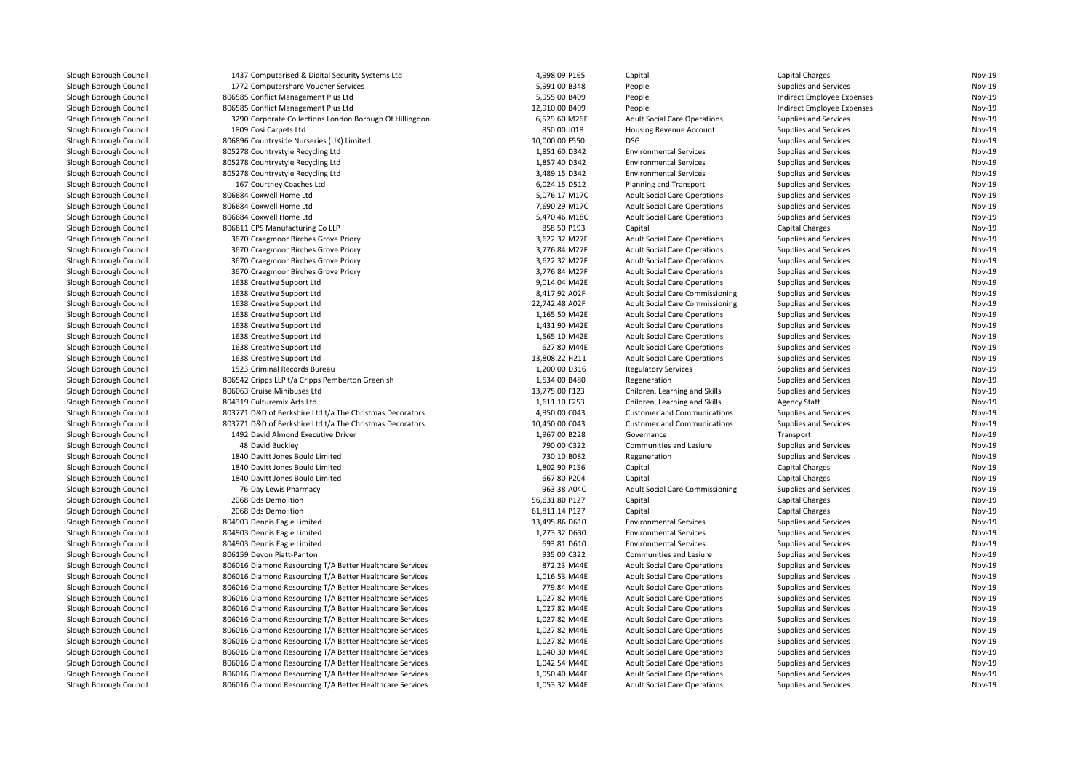| Siougn Borougn Council | 1437 Computerised & Digital Security Systems Ltd         | 4,998.09 P165  | capital                                | Capital Charges            | NOV-15        |
|------------------------|----------------------------------------------------------|----------------|----------------------------------------|----------------------------|---------------|
| Slough Borough Council | 1772 Computershare Voucher Services                      | 5,991.00 B348  | People                                 | Supplies and Services      | Nov-19        |
| Slough Borough Council | 806585 Conflict Management Plus Ltd                      | 5,955.00 B409  | People                                 | Indirect Employee Expenses | Nov-19        |
| Slough Borough Council | 806585 Conflict Management Plus Ltd                      | 12,910.00 B409 | People                                 | Indirect Employee Expenses | Nov-19        |
| Slough Borough Council | 3290 Corporate Collections London Borough Of Hillingdon  | 6,529.60 M26E  | <b>Adult Social Care Operations</b>    | Supplies and Services      | Nov-19        |
| Slough Borough Council | 1809 Cosi Carpets Ltd                                    | 850.00 J018    | <b>Housing Revenue Account</b>         | Supplies and Services      | Nov-19        |
| Slough Borough Council | 806896 Countryside Nurseries (UK) Limited                | 10,000.00 F550 | <b>DSG</b>                             | Supplies and Services      | Nov-19        |
| Slough Borough Council | 805278 Countrystyle Recycling Ltd                        | 1,851.60 D342  | <b>Environmental Services</b>          | Supplies and Services      | Nov-19        |
| Slough Borough Council | 805278 Countrystyle Recycling Ltd                        | 1,857.40 D342  | <b>Environmental Services</b>          | Supplies and Services      | Nov-19        |
| Slough Borough Council | 805278 Countrystyle Recycling Ltd                        | 3,489.15 D342  | <b>Environmental Services</b>          | Supplies and Services      | Nov-19        |
| Slough Borough Council | 167 Courtney Coaches Ltd                                 | 6,024.15 D512  | Planning and Transport                 | Supplies and Services      | Nov-19        |
| Slough Borough Council | 806684 Coxwell Home Ltd                                  | 5,076.17 M17C  | <b>Adult Social Care Operations</b>    | Supplies and Services      | Nov-19        |
| Slough Borough Council | 806684 Coxwell Home Ltd                                  | 7,690.29 M17C  | <b>Adult Social Care Operations</b>    | Supplies and Services      | Nov-19        |
| Slough Borough Council | 806684 Coxwell Home Ltd                                  | 5,470.46 M18C  | <b>Adult Social Care Operations</b>    | Supplies and Services      | Nov-19        |
| Slough Borough Council | 806811 CPS Manufacturing Co LLP                          | 858.50 P193    | Capital                                | <b>Capital Charges</b>     | Nov-19        |
| Slough Borough Council | 3670 Craegmoor Birches Grove Priory                      | 3,622.32 M27F  | <b>Adult Social Care Operations</b>    | Supplies and Services      | Nov-19        |
| Slough Borough Council | 3670 Craegmoor Birches Grove Priory                      | 3.776.84 M27F  | <b>Adult Social Care Operations</b>    | Supplies and Services      | Nov-19        |
| Slough Borough Council | 3670 Craegmoor Birches Grove Priory                      | 3,622.32 M27F  | <b>Adult Social Care Operations</b>    | Supplies and Services      | Nov-19        |
| Slough Borough Council | 3670 Craegmoor Birches Grove Priory                      | 3,776.84 M27F  | <b>Adult Social Care Operations</b>    | Supplies and Services      | Nov-19        |
| Slough Borough Council | 1638 Creative Support Ltd                                | 9,014.04 M42E  | <b>Adult Social Care Operations</b>    | Supplies and Services      | Nov-19        |
| Slough Borough Council | 1638 Creative Support Ltd                                | 8,417.92 A02F  | <b>Adult Social Care Commissioning</b> | Supplies and Services      | Nov-19        |
| Slough Borough Council | 1638 Creative Support Ltd                                | 22,742.48 A02F | <b>Adult Social Care Commissioning</b> | Supplies and Services      | Nov-19        |
| Slough Borough Council | 1638 Creative Support Ltd                                | 1,165.50 M42E  | <b>Adult Social Care Operations</b>    |                            | Nov-19        |
|                        |                                                          |                |                                        | Supplies and Services      |               |
| Slough Borough Council | 1638 Creative Support Ltd                                | 1,431.90 M42E  | <b>Adult Social Care Operations</b>    | Supplies and Services      | Nov-19        |
| Slough Borough Council | 1638 Creative Support Ltd                                | 1,565.10 M42E  | <b>Adult Social Care Operations</b>    | Supplies and Services      | Nov-19        |
| Slough Borough Council | 1638 Creative Support Ltd                                | 627.80 M44E    | <b>Adult Social Care Operations</b>    | Supplies and Services      | Nov-19        |
| Slough Borough Council | 1638 Creative Support Ltd                                | 13,808.22 H211 | <b>Adult Social Care Operations</b>    | Supplies and Services      | Nov-19        |
| Slough Borough Council | 1523 Criminal Records Bureau                             | 1,200.00 D316  | <b>Regulatory Services</b>             | Supplies and Services      | Nov-19        |
| Slough Borough Council | 806542 Cripps LLP t/a Cripps Pemberton Greenish          | 1,534.00 B480  | Regeneration                           | Supplies and Services      | Nov-19        |
| Slough Borough Council | 806063 Cruise Minibuses Ltd                              | 13,775.00 F123 | Children, Learning and Skills          | Supplies and Services      | Nov-19        |
| Slough Borough Council | 804319 Culturemix Arts Ltd                               | 1,611.10 F253  | Children, Learning and Skills          | <b>Agency Staff</b>        | Nov-19        |
| Slough Borough Council | 803771 D&D of Berkshire Ltd t/a The Christmas Decorators | 4,950.00 C043  | <b>Customer and Communications</b>     | Supplies and Services      | <b>Nov-19</b> |
| Slough Borough Council | 803771 D&D of Berkshire Ltd t/a The Christmas Decorators | 10,450.00 C043 | <b>Customer and Communications</b>     | Supplies and Services      | Nov-19        |
| Slough Borough Council | 1492 David Almond Executive Driver                       | 1,967.00 B228  | Governance                             | Transport                  | Nov-19        |
| Slough Borough Council | 48 David Buckley                                         | 790.00 C322    | Communities and Lesiure                | Supplies and Services      | Nov-19        |
| Slough Borough Council | 1840 Davitt Jones Bould Limited                          | 730.10 B082    | Regeneration                           | Supplies and Services      | Nov-19        |
| Slough Borough Council | 1840 Davitt Jones Bould Limited                          | 1,802.90 P156  | Capital                                | Capital Charges            | Nov-19        |
| Slough Borough Council | 1840 Davitt Jones Bould Limited                          | 667.80 P204    | Capital                                | <b>Capital Charges</b>     | Nov-19        |
| Slough Borough Council | 76 Day Lewis Pharmacy                                    | 963.38 A04C    | <b>Adult Social Care Commissioning</b> | Supplies and Services      | Nov-19        |
| Slough Borough Council | 2068 Dds Demolition                                      | 56,631.80 P127 | Capital                                | Capital Charges            | Nov-19        |
| Slough Borough Council | 2068 Dds Demolition                                      | 61,811.14 P127 | Capital                                | <b>Capital Charges</b>     | Nov-19        |
| Slough Borough Council | 804903 Dennis Eagle Limited                              | 13,495.86 D610 | <b>Environmental Services</b>          | Supplies and Services      | Nov-19        |
| Slough Borough Council | 804903 Dennis Eagle Limited                              | 1,273.32 D630  | <b>Environmental Services</b>          | Supplies and Services      | Nov-19        |
| Slough Borough Council | 804903 Dennis Eagle Limited                              | 693.81 D610    | <b>Environmental Services</b>          | Supplies and Services      | Nov-19        |
| Slough Borough Council | 806159 Devon Piatt-Panton                                | 935.00 C322    | Communities and Lesiure                | Supplies and Services      | Nov-19        |
| Slough Borough Council | 806016 Diamond Resourcing T/A Better Healthcare Services | 872.23 M44E    | <b>Adult Social Care Operations</b>    | Supplies and Services      | Nov-19        |
| Slough Borough Council | 806016 Diamond Resourcing T/A Better Healthcare Services | 1.016.53 M44E  | <b>Adult Social Care Operations</b>    | Supplies and Services      | <b>Nov-19</b> |
| Slough Borough Council | 806016 Diamond Resourcing T/A Better Healthcare Services | 779.84 M44E    | <b>Adult Social Care Operations</b>    | Supplies and Services      | Nov-19        |
| Slough Borough Council | 806016 Diamond Resourcing T/A Better Healthcare Services | 1,027.82 M44E  | <b>Adult Social Care Operations</b>    | Supplies and Services      | Nov-19        |
| Slough Borough Council | 806016 Diamond Resourcing T/A Better Healthcare Services | 1,027.82 M44E  | <b>Adult Social Care Operations</b>    | Supplies and Services      | Nov-19        |
| Slough Borough Council | 806016 Diamond Resourcing T/A Better Healthcare Services | 1,027.82 M44E  | <b>Adult Social Care Operations</b>    | Supplies and Services      | Nov-19        |
| Slough Borough Council | 806016 Diamond Resourcing T/A Better Healthcare Services | 1,027.82 M44E  | <b>Adult Social Care Operations</b>    | Supplies and Services      | Nov-19        |
| Slough Borough Council | 806016 Diamond Resourcing T/A Better Healthcare Services | 1,027.82 M44E  | <b>Adult Social Care Operations</b>    | Supplies and Services      | Nov-19        |
| Slough Borough Council | 806016 Diamond Resourcing T/A Better Healthcare Services | 1,040.30 M44E  | <b>Adult Social Care Operations</b>    | Supplies and Services      | Nov-19        |
| Slough Borough Council | 806016 Diamond Resourcing T/A Better Healthcare Services | 1,042.54 M44E  | <b>Adult Social Care Operations</b>    | Supplies and Services      | Nov-19        |
| Slough Borough Council | 806016 Diamond Resourcing T/A Better Healthcare Services | 1,050.40 M44E  | <b>Adult Social Care Operations</b>    | Supplies and Services      | Nov-19        |
| Slough Borough Council | 806016 Diamond Resourcing T/A Better Healthcare Services | 1,053.32 M44E  | <b>Adult Social Care Operations</b>    | Supplies and Services      | Nov-19        |
|                        |                                                          |                |                                        |                            |               |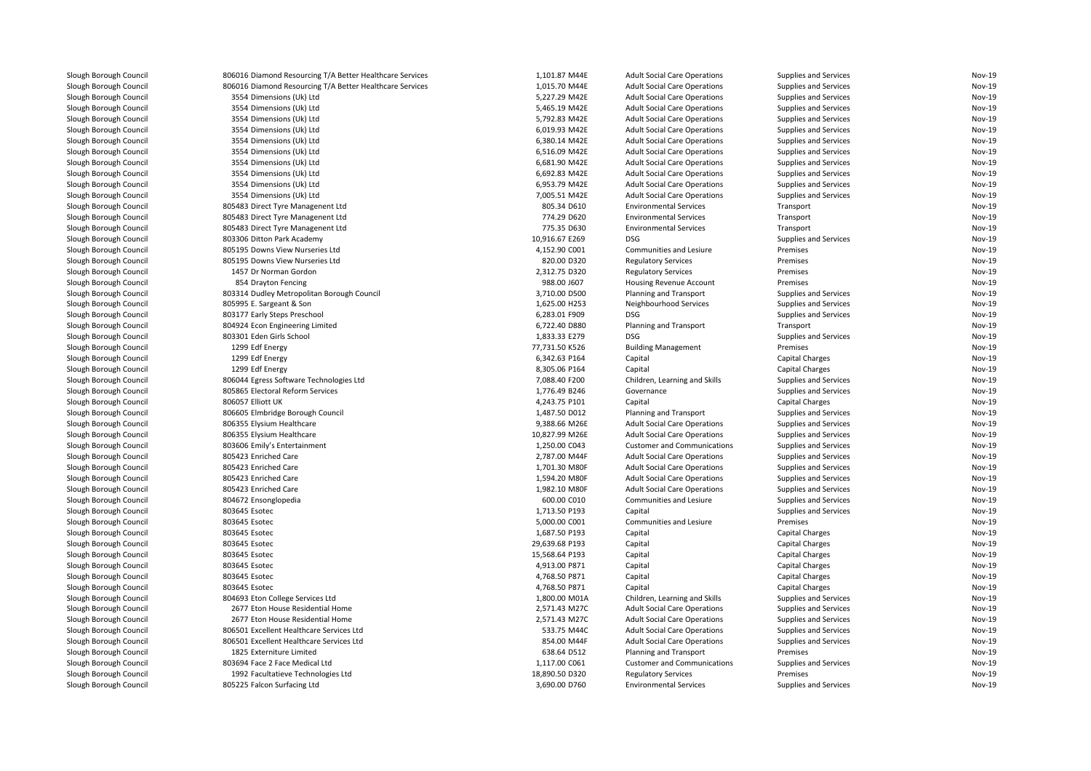| Slough Borough Council | 806016 Diamond Resourcing T/A Better Healthcare Services | 1,101.87 M44E  | <b>Adult Social Care Operations</b> | Supplies and Services  | Nov-19 |
|------------------------|----------------------------------------------------------|----------------|-------------------------------------|------------------------|--------|
| Slough Borough Council | 806016 Diamond Resourcing T/A Better Healthcare Services | 1,015.70 M44E  | <b>Adult Social Care Operations</b> | Supplies and Services  | Nov-19 |
| Slough Borough Council | 3554 Dimensions (Uk) Ltd                                 | 5,227.29 M42E  | <b>Adult Social Care Operations</b> | Supplies and Services  | Nov-19 |
| Slough Borough Council | 3554 Dimensions (Uk) Ltd                                 | 5,465.19 M42E  | <b>Adult Social Care Operations</b> | Supplies and Services  | Nov-19 |
| Slough Borough Council | 3554 Dimensions (Uk) Ltd                                 | 5,792.83 M42E  | <b>Adult Social Care Operations</b> | Supplies and Services  | Nov-19 |
| Slough Borough Council | 3554 Dimensions (Uk) Ltd                                 | 6,019.93 M42E  | <b>Adult Social Care Operations</b> | Supplies and Services  | Nov-19 |
| Slough Borough Council | 3554 Dimensions (Uk) Ltd                                 | 6,380.14 M42E  | <b>Adult Social Care Operations</b> | Supplies and Services  | Nov-19 |
| Slough Borough Council | 3554 Dimensions (Uk) Ltd                                 | 6,516.09 M42E  | <b>Adult Social Care Operations</b> | Supplies and Services  | Nov-19 |
| Slough Borough Council | 3554 Dimensions (Uk) Ltd                                 | 6,681.90 M42E  | <b>Adult Social Care Operations</b> | Supplies and Services  | Nov-19 |
| Slough Borough Council | 3554 Dimensions (Uk) Ltd                                 | 6,692.83 M42E  | <b>Adult Social Care Operations</b> | Supplies and Services  | Nov-19 |
| Slough Borough Council | 3554 Dimensions (Uk) Ltd                                 | 6,953.79 M42E  | <b>Adult Social Care Operations</b> | Supplies and Services  | Nov-19 |
| Slough Borough Council | 3554 Dimensions (Uk) Ltd                                 | 7,005.51 M42E  | <b>Adult Social Care Operations</b> | Supplies and Services  | Nov-19 |
| Slough Borough Council | 805483 Direct Tyre Managenent Ltd                        | 805.34 D610    | <b>Environmental Services</b>       | Transport              | Nov-19 |
| Slough Borough Council | 805483 Direct Tyre Managenent Ltd                        | 774.29 D620    | <b>Environmental Services</b>       | Transport              | Nov-19 |
| Slough Borough Council | 805483 Direct Tyre Managenent Ltd                        | 775.35 D630    | <b>Environmental Services</b>       | Transport              | Nov-19 |
| Slough Borough Council | 803306 Ditton Park Academy                               | 10,916.67 E269 | <b>DSG</b>                          | Supplies and Services  | Nov-19 |
| Slough Borough Council | 805195 Downs View Nurseries Ltd                          | 4,152.90 C001  | Communities and Lesiure             | Premises               | Nov-19 |
| Slough Borough Council | 805195 Downs View Nurseries Ltd                          | 820.00 D320    | <b>Regulatory Services</b>          | Premises               | Nov-19 |
| Slough Borough Council | 1457 Dr Norman Gordon                                    | 2,312.75 D320  | <b>Regulatory Services</b>          | Premises               | Nov-19 |
| Slough Borough Council | 854 Drayton Fencing                                      | 988.00 J607    | Housing Revenue Account             | Premises               | Nov-19 |
| Slough Borough Council | 803314 Dudley Metropolitan Borough Council               | 3,710.00 D500  | Planning and Transport              | Supplies and Services  | Nov-19 |
| Slough Borough Council | 805995 E. Sargeant & Son                                 | 1,625.00 H253  | Neighbourhood Services              | Supplies and Services  | Nov-19 |
| Slough Borough Council | 803177 Early Steps Preschool                             | 6,283.01 F909  | <b>DSG</b>                          | Supplies and Services  | Nov-19 |
| Slough Borough Council | 804924 Econ Engineering Limited                          | 6,722.40 D880  | Planning and Transport              | Transport              | Nov-19 |
| Slough Borough Council | 803301 Eden Girls School                                 | 1,833.33 E279  | <b>DSG</b>                          | Supplies and Services  | Nov-19 |
| Slough Borough Council | 1299 Edf Energy                                          | 77,731.50 K526 | <b>Building Management</b>          | Premises               | Nov-19 |
| Slough Borough Council | 1299 Edf Energy                                          | 6,342.63 P164  | Capital                             | <b>Capital Charges</b> | Nov-19 |
| Slough Borough Council | 1299 Edf Energy                                          | 8,305.06 P164  | Capital                             | <b>Capital Charges</b> | Nov-19 |
| Slough Borough Council | 806044 Egress Software Technologies Ltd                  | 7,088.40 F200  | Children, Learning and Skills       | Supplies and Services  | Nov-19 |
| Slough Borough Council | 805865 Electoral Reform Services                         | 1,776.49 B246  | Governance                          | Supplies and Services  | Nov-19 |
| Slough Borough Council | 806057 Elliott UK                                        | 4,243.75 P101  | Capital                             | <b>Capital Charges</b> | Nov-19 |
| Slough Borough Council | 806605 Elmbridge Borough Council                         | 1,487.50 D012  | Planning and Transport              | Supplies and Services  | Nov-19 |
| Slough Borough Council | 806355 Elysium Healthcare                                | 9,388.66 M26E  | <b>Adult Social Care Operations</b> | Supplies and Services  | Nov-19 |
| Slough Borough Council | 806355 Elysium Healthcare                                | 10,827.99 M26E | <b>Adult Social Care Operations</b> | Supplies and Services  | Nov-19 |
| Slough Borough Council | 803606 Emily's Entertainment                             | 1,250.00 C043  | <b>Customer and Communications</b>  | Supplies and Services  | Nov-19 |
| Slough Borough Council | 805423 Enriched Care                                     | 2,787.00 M44F  | <b>Adult Social Care Operations</b> | Supplies and Services  | Nov-19 |
| Slough Borough Council | 805423 Enriched Care                                     | 1,701.30 M80F  | <b>Adult Social Care Operations</b> | Supplies and Services  | Nov-19 |
| Slough Borough Council | 805423 Enriched Care                                     | 1,594.20 M80F  | <b>Adult Social Care Operations</b> | Supplies and Services  | Nov-19 |
| Slough Borough Council | 805423 Enriched Care                                     | 1,982.10 M80F  | <b>Adult Social Care Operations</b> | Supplies and Services  | Nov-19 |
| Slough Borough Council | 804672 Ensonglopedia                                     | 600.00 C010    | Communities and Lesiure             | Supplies and Services  | Nov-19 |
| Slough Borough Council | 803645 Esotec                                            | 1,713.50 P193  | Capital                             | Supplies and Services  | Nov-19 |
| Slough Borough Council | 803645 Esotec                                            | 5,000.00 C001  | Communities and Lesiure             | Premises               | Nov-19 |
| Slough Borough Council | 803645 Esotec                                            | 1,687.50 P193  | Capital                             | <b>Capital Charges</b> | Nov-19 |
| Slough Borough Council | 803645 Esotec                                            | 29,639.68 P193 | Capital                             | <b>Capital Charges</b> | Nov-19 |
| Slough Borough Council | 803645 Esotec                                            | 15,568.64 P193 | Capital                             | <b>Capital Charges</b> | Nov-19 |
| Slough Borough Council | 803645 Esotec                                            | 4,913.00 P871  | Capital                             | <b>Capital Charges</b> | Nov-19 |
| Slough Borough Council | 803645 Esotec                                            | 4,768.50 P871  | Capital                             | Capital Charges        | Nov-19 |
| Slough Borough Council | 803645 Esotec                                            | 4,768.50 P871  | Capital                             | <b>Capital Charges</b> | Nov-19 |
| Slough Borough Council | 804693 Eton College Services Ltd                         | 1,800.00 M01A  | Children, Learning and Skills       | Supplies and Services  | Nov-19 |
| Slough Borough Council | 2677 Eton House Residential Home                         | 2,571.43 M27C  | <b>Adult Social Care Operations</b> | Supplies and Services  | Nov-19 |
| Slough Borough Council | 2677 Eton House Residential Home                         | 2,571.43 M27C  | <b>Adult Social Care Operations</b> | Supplies and Services  | Nov-19 |
| Slough Borough Council | 806501 Excellent Healthcare Services Ltd                 | 533.75 M44C    | <b>Adult Social Care Operations</b> | Supplies and Services  | Nov-19 |
| Slough Borough Council | 806501 Excellent Healthcare Services Ltd                 | 854.00 M44F    | <b>Adult Social Care Operations</b> | Supplies and Services  | Nov-19 |
| Slough Borough Council | 1825 Externiture Limited                                 | 638.64 D512    | Planning and Transport              | Premises               | Nov-19 |
| Slough Borough Council | 803694 Face 2 Face Medical Ltd                           | 1,117.00 C061  | <b>Customer and Communications</b>  | Supplies and Services  | Nov-19 |
| Slough Borough Council | 1992 Facultatieve Technologies Ltd                       | 18,890.50 D320 | <b>Regulatory Services</b>          | Premises               | Nov-19 |
| Slough Borough Council | 805225 Falcon Surfacing Ltd                              | 3,690.00 D760  | <b>Environmental Services</b>       | Supplies and Services  | Nov-19 |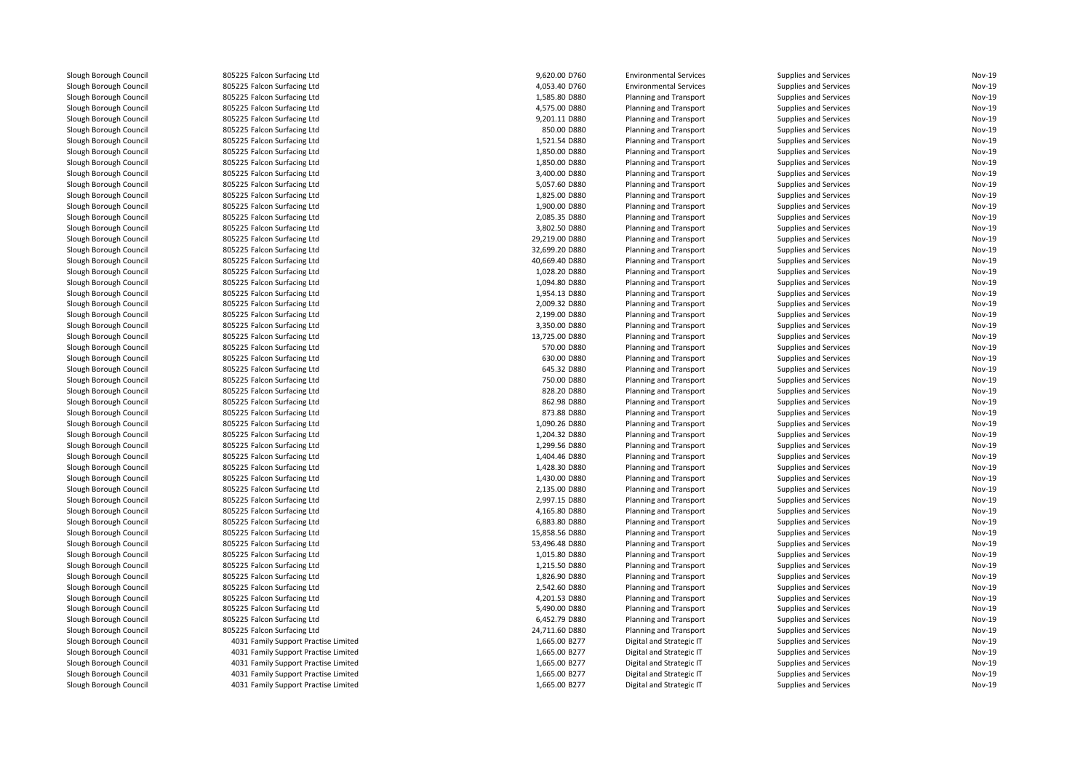Slough Borough Council and the Subsetted Borough Slough Borough Council and Subsetted Borough Council and Subsetted Borough Subsetted Borough Council and Subsetted Borough Subsetted Borough Subsetted Borough Subsetted Boro Slough Borough Council and the Subsetted Borough Slough Borough Council and Subsetted Borough Council and Subsetted Borough Subsetted Borough Council and Subsetted Borough Subsetted Borough Subsetted Borough Subsetted Boro Slough Borough Council and the Subset of Borough Council and the Subset of Borough Council and Subset of Borough Subset of Borough Subset of Borough Subset of Borough Subset of Borough Subset of Borough Subset of Borough S Slough Borough Council and the Subset of Borough Slough Borough Council and Subset Council 805225 Falcon Surfacing Ltd Slough Borough Council and the Subset of Borough Slough Borough Council and Subset Council 805225 Falcon Surfacing Ltd Slough Borough Council and the Subsetted Borough Slough Borough Council and Subsetted Borough Council and Subsetted Borough Subsetted Borough Council and Subsetted Borough Subsetted Borough Subsetted Borough Subsetted Boro Slough Borough Council and the Subsetted Borough Slough Borough Council and Subsetted Borough Council and Subsetted Borough Subsetted Borough Council and Subsetted Borough Subsetted Borough Subsetted Borough Subsetted Boro Slough Borough Council <sup>805225</sup> Falcon Surfacing LtdSlough Borough Council **805225 Falcon Surfacing Ltd**<br>805225 Falcon Surfacing Ltd Slough Borough Council and the Subset of Borough Slough Borough Council and Subset Council 805225 Falcon Surfacing Ltd Slough Borough Council and the Subsetted Borough Slough Borough Council and Subsetted Borough Council and Subsetted Borough Subsetted Borough Council and Subsetted Borough Subsetted Borough Subsetted Borough Subsetted Boro Slough Borough Council and the Subsetted Borough Slough Borough Council and Subsetted Borough Council and Subsetted Borough Subsetted Borough Council and Subsetted Borough Subsetted Borough Subsetted Borough Subsetted Boro Slough Borough Council and the Subset of Borough Council and the Subset of Anti-<br>Slough Borough Council and Subset Research Surfacing Ltd Slough Borough Council **805225 Falcon Surfacing Ltd**<br>805225 Falcon Surfacing Ltd Slough Borough Council and the Subset of Borough Slough Borough Council and Subset Council 805225 Falcon Surfacing Ltd Slough Borough Council and the Subset of Borough Slough Borough Council and the Subset of Borough Surfacing Ltd<br>805225 Falcon Surfacing Ltd Slough Borough Council <sup>805225</sup> Falcon Surfacing LtdSlough Borough Council and the Subset of Borough Council and the Subset of Borough Council and Subset of Borough Subset of Borough Subset of Borough Subset of Borough Subset of Borough Subset of Borough Subset of Borough S Slough Borough Council **805225 Falcon Surfacing Ltd**<br>805225 Falcon Surfacing Ltd Slough Borough Council <sup>805225</sup> Falcon Surfacing LtdSlough Borough Council and the Subset of Borough Slough Borough Council and the Subset of Borough Surfacing Ltd<br>805225 Falcon Surfacing Ltd Slough Borough Council **805225 Falcon Surfacing Ltd**<br>1905 - Slough Borough Council **805225** Falcon Surfacing Ltd Slough Borough Council 805225 Falcon Surfacing Ltd<br>805225 Falcon Surfacing Ltd<br>805225 Falcon Surfacing Ltd Slough Borough Council <sup>805225</sup> Falcon Surfacing LtdSlough Borough Council <sup>805225</sup> Falcon Surfacing LtdSlough Borough Council and the Subsetted Borough Slough Borough Council and Subsetted Borough Council and Subsetted Borough Subsetted Borough Council and Subsetted Borough Subsetted Borough Subsetted Borough Subsetted Boro Slough Borough Council and the Subsetted Borough Slough Borough Council and Subsetted Borough Council and Subsetted Borough Subsetted Borough Council and Subsetted Borough Subsetted Borough Subsetted Borough Subsetted Boro Slough Borough Council and the Subset of Borough Council and the Subset of Borough Council and Subset of Borough Subset of Borough Subset of Borough Subset of Borough Subset of Borough Subset of Borough Subset of Borough S Slough Borough Council <sup>805225</sup> Falcon Surfacing LtdSlough Borough Council and the Subset of Borough Slough Borough Council and Subset Council 805225 Falcon Surfacing Ltd Slough Borough Council and the Subsetted Borough Slough Borough Council and Subsetted Borough Council and Subsetted Borough Subsetted Borough Council and Subsetted Borough Subsetted Borough Subsetted Borough Subsetted Boro Slough Borough Council <sup>805225</sup> Falcon Surfacing LtdSlough Borough Council and the Subset of Borough Council and the Subset of Borough Council and Subset of Borough Subset of Borough Subset of Borough Subset of Borough Subset of Borough Subset of Borough Subset of Borough S Slough Borough Council and the Subset of Borough Slough Borough Council and Subset Council 805225 Falcon Surfacing Ltd Slough Borough Council and the Subset of Borough Slough Borough Council and Subset Council 805225 Falcon Surfacing Ltd Slough Borough Council and the Subsetted Borough Slough Borough Council and Subsetted Borough Council and Subsetted Borough Subsetted Borough Council and Subsetted Borough Subsetted Borough Subsetted Borough Subsetted Boro Slough Borough Council <sup>805225</sup> Falcon Surfacing LtdSlough Borough Council 805225 Falcon Surfacing Ltd<br>805225 Falcon Surfacing Ltd<br>805225 Falcon Surfacing Ltd Slough Borough Council and the Subset of Borough Slough Borough Council and Subset Council 805225 Falcon Surfacing Ltd Slough Borough Council and the Subsetted Borough Slough Borough Council and Subsetted Borough Council and Subsetted Borough Subsetted Borough Council and Subsetted Borough Subsetted Borough Subsetted Borough Subsetted Boro Slough Borough Council <sup>805225</sup> Falcon Surfacing LtdSlough Borough Council and Subsetst Borough Council and Subsetsion Surfacing Ltd<br>805225 Falcon Surfacing Ltd Slough Borough Council 805225 Falcon Surfacing Ltd<br>805225 Falcon Surfacing Ltd<br>805225 Falcon Surfacing Ltd Slough Borough Council and the Subset of Borough Slough Borough Council and Subset Council 805225 Falcon Surfacing Ltd Slough Borough Council and the Subsetted Borough Slough Borough Council and Subsetted Borough Council and Subsetted Borough Subsetted Borough Council and Subsetted Borough Subsetted Borough Subsetted Borough Subsetted Boro Slough Borough Council and the Subsetted Borough Slough Borough Council and Subsetted Borough Council and Subsetted Borough Subsetted Borough Council and Subsetted Borough Subsetted Borough Subsetted Borough Subsetted Boro Slough Borough Council 805225 Falcon Surfacing Ltd<br>805225 Falcon Surfacing Ltd<br>805225 Falcon Surfacing Ltd Slough Borough Council and Supering Council and Supering Council and Supering Council and Supering Council and Supering Council and Supering Council and Supering Council and Supering Council and Supering Council and Superi Slough Borough Council and the Subset of Borough Slough Borough Council and Subset Council 805225 Falcon Surfacing Ltd Slough Borough Council and the Subset of Borough Slough Borough Council and the Subset of Borough Surfacing Ltd<br>805225 Falcon Surfacing Ltd Slough Borough Council and the Subsetted Borough Slough Borough Council and Subsetted Borough Council and Subsetted Borough Subsetted Borough Council and Subsetted Borough Subsetted Borough Subsetted Borough Subsetted Boro Slough Borough Council 805225 Falcon Surfacing Ltd<br>Slough Borough Council 805 600 1000 4031 Family Support Pract Slough Borough Council **1000 Family Support Practise Limited**<br>4031 Family Support Practise Limited Slough Borough Council **1988** and 4031 Family Support Practise Limited<br>4031 Family Support Practise Limited Slough Borough Council **1000 Family Support Practise Limited**<br>4031 Family Support Practise Limited Slough Borough Council **1000 Family Support Practise Limited**<br>4031 Family Support Practise Limited 4031 Family Support Practise Limited

|               | 9,620.00 D760  | <b>Environmental Services</b> | Supplies and Services        | Nov-19        |
|---------------|----------------|-------------------------------|------------------------------|---------------|
| d             | 4,053.40 D760  | <b>Environmental Services</b> | <b>Supplies and Services</b> | Nov-19        |
| d             |                |                               |                              |               |
|               | 1,585.80 D880  | Planning and Transport        | Supplies and Services        | Nov-19        |
| d             | 4,575.00 D880  | Planning and Transport        | <b>Supplies and Services</b> | <b>Nov-19</b> |
| d             | 9,201.11 D880  | Planning and Transport        | Supplies and Services        | <b>Nov-19</b> |
| d             | 850.00 D880    | Planning and Transport        | Supplies and Services        | Nov-19        |
| d             | 1,521.54 D880  | Planning and Transport        | Supplies and Services        | <b>Nov-19</b> |
|               | 1,850.00 D880  | Planning and Transport        | Supplies and Services        | Nov-19        |
| d             | 1,850.00 D880  | Planning and Transport        | <b>Supplies and Services</b> | Nov-19        |
| d             | 3,400.00 D880  | Planning and Transport        | Supplies and Services        | <b>Nov-19</b> |
| d             | 5,057.60 D880  | Planning and Transport        | Supplies and Services        | Nov-19        |
|               | 1,825.00 D880  | Planning and Transport        | Supplies and Services        | Nov-19        |
|               | 1,900.00 D880  | Planning and Transport        | Supplies and Services        | Nov-19        |
|               | 2,085.35 D880  | Planning and Transport        | <b>Supplies and Services</b> | <b>Nov-19</b> |
| d             | 3,802.50 D880  | Planning and Transport        | Supplies and Services        | <b>Nov-19</b> |
|               | 29,219.00 D880 | Planning and Transport        | <b>Supplies and Services</b> | Nov-19        |
|               | 32,699.20 D880 | Planning and Transport        | Supplies and Services        | <b>Nov-19</b> |
| d             | 40,669.40 D880 | Planning and Transport        | Supplies and Services        | <b>Nov-19</b> |
|               |                |                               |                              | Nov-19        |
|               | 1,028.20 D880  | Planning and Transport        | Supplies and Services        | <b>Nov-19</b> |
|               | 1,094.80 D880  | Planning and Transport        | Supplies and Services        |               |
|               | 1,954.13 D880  | Planning and Transport        | Supplies and Services        | Nov-19        |
| d             | 2,009.32 D880  | Planning and Transport        | Supplies and Services        | Nov-19        |
| d             | 2,199.00 D880  | Planning and Transport        | <b>Supplies and Services</b> | <b>Nov-19</b> |
|               | 3,350.00 D880  | Planning and Transport        | Supplies and Services        | Nov-19        |
|               | 13,725.00 D880 | Planning and Transport        | Supplies and Services        | Nov-19        |
|               | 570.00 D880    | Planning and Transport        | Supplies and Services        | Nov-19        |
| d             | 630.00 D880    | Planning and Transport        | <b>Supplies and Services</b> | Nov-19        |
| d             | 645.32 D880    | Planning and Transport        | Supplies and Services        | <b>Nov-19</b> |
|               | 750.00 D880    | Planning and Transport        | Supplies and Services        | <b>Nov-19</b> |
|               | 828.20 D880    | Planning and Transport        | <b>Supplies and Services</b> | <b>Nov-19</b> |
| d             | 862.98 D880    | Planning and Transport        | Supplies and Services        | Nov-19        |
|               | 873.88 D880    | Planning and Transport        | <b>Supplies and Services</b> | Nov-19        |
|               | 1,090.26 D880  | Planning and Transport        | Supplies and Services        | <b>Nov-19</b> |
| d             | 1,204.32 D880  | Planning and Transport        | <b>Supplies and Services</b> | <b>Nov-19</b> |
| d             | 1,299.56 D880  | Planning and Transport        | Supplies and Services        | Nov-19        |
| d             | 1,404.46 D880  | Planning and Transport        | Supplies and Services        | <b>Nov-19</b> |
|               | 1,428.30 D880  | Planning and Transport        | Supplies and Services        | Nov-19        |
| d             | 1,430.00 D880  | Planning and Transport        | Supplies and Services        | Nov-19        |
| d             | 2,135.00 D880  | Planning and Transport        | <b>Supplies and Services</b> | <b>Nov-19</b> |
| d             | 2,997.15 D880  | Planning and Transport        | Supplies and Services        | Nov-19        |
| d             | 4,165.80 D880  | Planning and Transport        | Supplies and Services        | Nov-19        |
| d             | 6,883.80 D880  | Planning and Transport        | Supplies and Services        | <b>Nov-19</b> |
| d             | 15,858.56 D880 | Planning and Transport        | Supplies and Services        | Nov-19        |
| d             | 53,496.48 D880 | Planning and Transport        | Supplies and Services        | <b>Nov-19</b> |
|               | 1,015.80 D880  | Planning and Transport        | Supplies and Services        | Nov-19        |
|               | 1,215.50 D880  | Planning and Transport        | <b>Supplies and Services</b> | <b>Nov-19</b> |
| d             | 1,826.90 D880  | Planning and Transport        | Supplies and Services        | <b>Nov-19</b> |
| d             | 2,542.60 D880  | Planning and Transport        | Supplies and Services        | Nov-19        |
|               | 4,201.53 D880  | Planning and Transport        | Supplies and Services        | <b>Nov-19</b> |
|               | 5,490.00 D880  | Planning and Transport        | Supplies and Services        | Nov-19        |
|               |                |                               |                              | Nov-19        |
| d             | 6,452.79 D880  | Planning and Transport        | <b>Supplies and Services</b> | <b>Nov-19</b> |
|               | 24,711.60 D880 | Planning and Transport        | Supplies and Services        | Nov-19        |
| ctise Limited | 1,665.00 B277  | Digital and Strategic IT      | Supplies and Services        |               |
| ctise Limited | 1,665.00 B277  | Digital and Strategic IT      | Supplies and Services        | Nov-19        |
| ctise Limited | 1,665.00 B277  | Digital and Strategic IT      | <b>Supplies and Services</b> | <b>Nov-19</b> |
| ctise Limited | 1,665.00 B277  | Digital and Strategic IT      | Supplies and Services        | <b>Nov-19</b> |
| ctise Limited | 1,665.00 B277  | Digital and Strategic IT      | <b>Supplies and Services</b> | Nov-19        |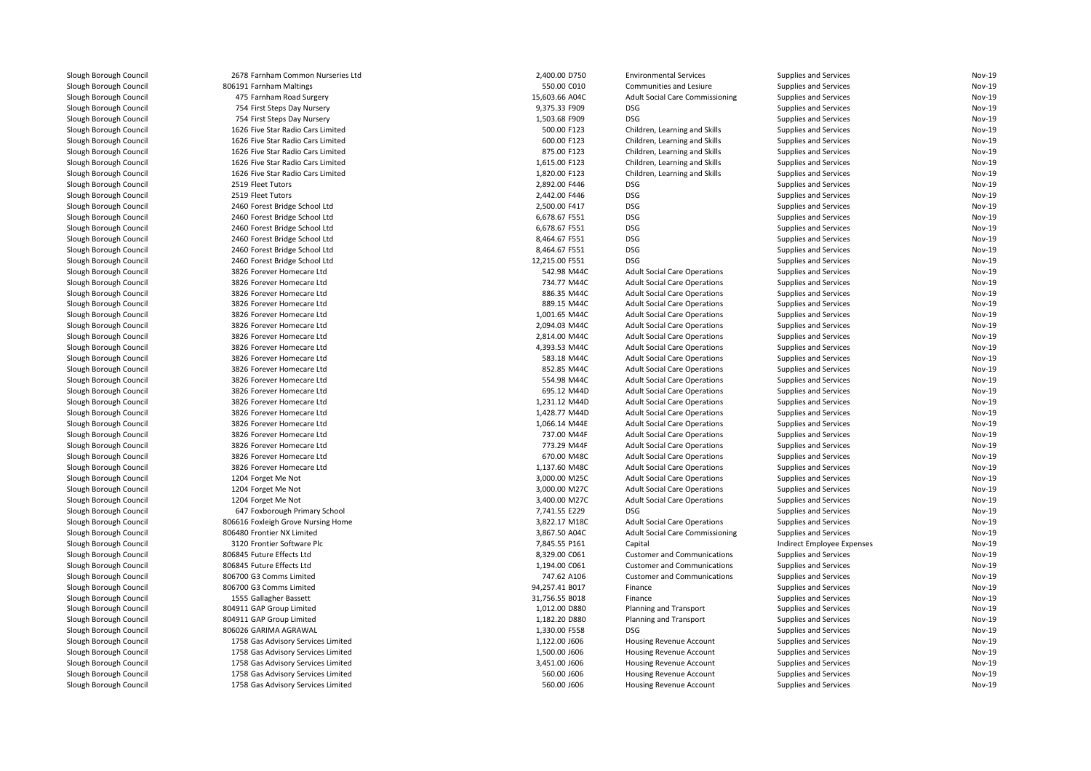| Slough Borough Council | 2678 Farnham Common Nurseries Ltd  | 2,400.00 D750  | <b>Environmental Services</b>          | Supplies and Services      | Nov-19        |
|------------------------|------------------------------------|----------------|----------------------------------------|----------------------------|---------------|
| Slough Borough Council | 806191 Farnham Maltings            | 550.00 C010    | Communities and Lesiure                | Supplies and Services      | Nov-19        |
| Slough Borough Council | 475 Farnham Road Surgery           | 15,603.66 A04C | <b>Adult Social Care Commissioning</b> | Supplies and Services      | Nov-19        |
| Slough Borough Council | 754 First Steps Day Nursery        | 9,375.33 F909  | <b>DSG</b>                             | Supplies and Services      | Nov-19        |
| Slough Borough Council | 754 First Steps Day Nursery        | 1,503.68 F909  | <b>DSG</b>                             | Supplies and Services      | Nov-19        |
| Slough Borough Council | 1626 Five Star Radio Cars Limited  | 500.00 F123    | Children, Learning and Skills          | Supplies and Services      | Nov-19        |
| Slough Borough Council | 1626 Five Star Radio Cars Limited  | 600.00 F123    | Children, Learning and Skills          | Supplies and Services      | Nov-19        |
| Slough Borough Council | 1626 Five Star Radio Cars Limited  | 875.00 F123    | Children, Learning and Skills          | Supplies and Services      | Nov-19        |
| Slough Borough Council | 1626 Five Star Radio Cars Limited  | 1,615.00 F123  | Children, Learning and Skills          | Supplies and Services      | Nov-19        |
| Slough Borough Council | 1626 Five Star Radio Cars Limited  | 1,820.00 F123  | Children, Learning and Skills          | Supplies and Services      | Nov-19        |
| Slough Borough Council | 2519 Fleet Tutors                  | 2,892.00 F446  | <b>DSG</b>                             | Supplies and Services      | Nov-19        |
| Slough Borough Council | 2519 Fleet Tutors                  | 2,442.00 F446  | <b>DSG</b>                             | Supplies and Services      | Nov-19        |
| Slough Borough Council | 2460 Forest Bridge School Ltd      | 2,500.00 F417  | <b>DSG</b>                             | Supplies and Services      | Nov-19        |
| Slough Borough Council | 2460 Forest Bridge School Ltd      | 6,678.67 F551  | <b>DSG</b>                             | Supplies and Services      | Nov-19        |
| Slough Borough Council | 2460 Forest Bridge School Ltd      | 6,678.67 F551  | <b>DSG</b>                             | Supplies and Services      | Nov-19        |
| Slough Borough Council | 2460 Forest Bridge School Ltd      | 8,464.67 F551  | <b>DSG</b>                             | Supplies and Services      | Nov-19        |
| Slough Borough Council | 2460 Forest Bridge School Ltd      | 8,464.67 F551  | <b>DSG</b>                             | Supplies and Services      | Nov-19        |
| Slough Borough Council | 2460 Forest Bridge School Ltd      | 12,215.00 F551 | <b>DSG</b>                             | Supplies and Services      | Nov-19        |
| Slough Borough Council | 3826 Forever Homecare Ltd          | 542.98 M44C    | <b>Adult Social Care Operations</b>    | Supplies and Services      | Nov-19        |
| Slough Borough Council | 3826 Forever Homecare Ltd          | 734.77 M44C    | <b>Adult Social Care Operations</b>    | Supplies and Services      | Nov-19        |
| Slough Borough Council | 3826 Forever Homecare Ltd          | 886.35 M44C    | <b>Adult Social Care Operations</b>    | Supplies and Services      | Nov-19        |
|                        |                                    | 889.15 M44C    |                                        |                            | Nov-19        |
| Slough Borough Council | 3826 Forever Homecare Ltd          |                | <b>Adult Social Care Operations</b>    | Supplies and Services      |               |
| Slough Borough Council | 3826 Forever Homecare Ltd          | 1,001.65 M44C  | <b>Adult Social Care Operations</b>    | Supplies and Services      | Nov-19        |
| Slough Borough Council | 3826 Forever Homecare Ltd          | 2,094.03 M44C  | <b>Adult Social Care Operations</b>    | Supplies and Services      | Nov-19        |
| Slough Borough Council | 3826 Forever Homecare Ltd          | 2,814.00 M44C  | <b>Adult Social Care Operations</b>    | Supplies and Services      | Nov-19        |
| Slough Borough Council | 3826 Forever Homecare Ltd          | 4,393.53 M44C  | <b>Adult Social Care Operations</b>    | Supplies and Services      | Nov-19        |
| Slough Borough Council | 3826 Forever Homecare Ltd          | 583.18 M44C    | <b>Adult Social Care Operations</b>    | Supplies and Services      | Nov-19        |
| Slough Borough Council | 3826 Forever Homecare Ltd          | 852.85 M44C    | <b>Adult Social Care Operations</b>    | Supplies and Services      | Nov-19        |
| Slough Borough Council | 3826 Forever Homecare Ltd          | 554.98 M44C    | <b>Adult Social Care Operations</b>    | Supplies and Services      | Nov-19        |
| Slough Borough Council | 3826 Forever Homecare Ltd          | 695.12 M44D    | <b>Adult Social Care Operations</b>    | Supplies and Services      | Nov-19        |
| Slough Borough Council | 3826 Forever Homecare Ltd          | 1,231.12 M44D  | <b>Adult Social Care Operations</b>    | Supplies and Services      | Nov-19        |
| Slough Borough Council | 3826 Forever Homecare Ltd          | 1,428.77 M44D  | <b>Adult Social Care Operations</b>    | Supplies and Services      | Nov-19        |
| Slough Borough Council | 3826 Forever Homecare Ltd          | 1,066.14 M44E  | <b>Adult Social Care Operations</b>    | Supplies and Services      | Nov-19        |
| Slough Borough Council | 3826 Forever Homecare Ltd          | 737.00 M44F    | <b>Adult Social Care Operations</b>    | Supplies and Services      | Nov-19        |
| Slough Borough Council | 3826 Forever Homecare Ltd          | 773.29 M44F    | <b>Adult Social Care Operations</b>    | Supplies and Services      | Nov-19        |
| Slough Borough Council | 3826 Forever Homecare Ltd          | 670.00 M48C    | <b>Adult Social Care Operations</b>    | Supplies and Services      | Nov-19        |
| Slough Borough Council | 3826 Forever Homecare Ltd          | 1,137.60 M48C  | <b>Adult Social Care Operations</b>    | Supplies and Services      | Nov-19        |
| Slough Borough Council | 1204 Forget Me Not                 | 3,000.00 M25C  | <b>Adult Social Care Operations</b>    | Supplies and Services      | <b>Nov-19</b> |
| Slough Borough Council | 1204 Forget Me Not                 | 3,000.00 M27C  | <b>Adult Social Care Operations</b>    | Supplies and Services      | Nov-19        |
| Slough Borough Council | 1204 Forget Me Not                 | 3,400.00 M27C  | <b>Adult Social Care Operations</b>    | Supplies and Services      | Nov-19        |
| Slough Borough Council | 647 Foxborough Primary School      | 7,741.55 E229  | <b>DSG</b>                             | Supplies and Services      | Nov-19        |
| Slough Borough Council | 806616 Foxleigh Grove Nursing Home | 3,822.17 M18C  | <b>Adult Social Care Operations</b>    | Supplies and Services      | Nov-19        |
| Slough Borough Council | 806480 Frontier NX Limited         | 3,867.50 A04C  | <b>Adult Social Care Commissioning</b> | Supplies and Services      | Nov-19        |
| Slough Borough Council | 3120 Frontier Software Plc         | 7,845.55 P161  | Capital                                | Indirect Employee Expenses | Nov-19        |
| Slough Borough Council | 806845 Future Effects Ltd          | 8,329.00 C061  | <b>Customer and Communications</b>     | Supplies and Services      | Nov-19        |
| Slough Borough Council | 806845 Future Effects Ltd          | 1,194.00 C061  | <b>Customer and Communications</b>     | Supplies and Services      | Nov-19        |
| Slough Borough Council | 806700 G3 Comms Limited            | 747.62 A106    | <b>Customer and Communications</b>     | Supplies and Services      | Nov-19        |
| Slough Borough Council | 806700 G3 Comms Limited            | 94,257.41 B017 | Finance                                | Supplies and Services      | Nov-19        |
| Slough Borough Council | 1555 Gallagher Bassett             | 31,756.55 B018 | Finance                                | Supplies and Services      | Nov-19        |
| Slough Borough Council | 804911 GAP Group Limited           | 1,012.00 D880  | Planning and Transport                 | Supplies and Services      | Nov-19        |
| Slough Borough Council | 804911 GAP Group Limited           | 1,182.20 D880  | Planning and Transport                 | Supplies and Services      | Nov-19        |
| Slough Borough Council | 806026 GARIMA AGRAWAL              | 1,330.00 F558  | <b>DSG</b>                             | Supplies and Services      | Nov-19        |
| Slough Borough Council | 1758 Gas Advisory Services Limited | 1,122.00 J606  | Housing Revenue Account                | Supplies and Services      | Nov-19        |
| Slough Borough Council | 1758 Gas Advisory Services Limited | 1,500.00 J606  | Housing Revenue Account                | Supplies and Services      | Nov-19        |
| Slough Borough Council | 1758 Gas Advisory Services Limited | 3,451.00 J606  | Housing Revenue Account                | Supplies and Services      | Nov-19        |
| Slough Borough Council | 1758 Gas Advisory Services Limited | 560.00 J606    | <b>Housing Revenue Account</b>         | Supplies and Services      | Nov-19        |
| Slough Borough Council | 1758 Gas Advisory Services Limited | 560.00 J606    | Housing Revenue Account                | Supplies and Services      | Nov-19        |
|                        |                                    |                |                                        |                            |               |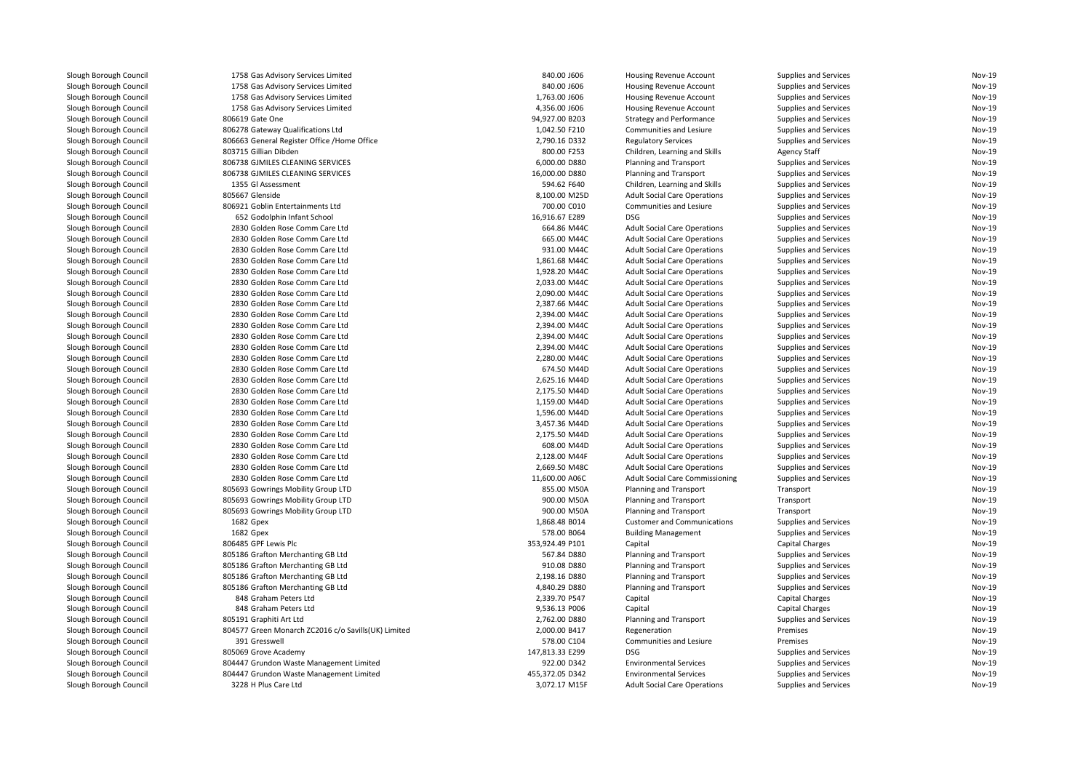| Slough Borough Council | 1758 Gas Advisory Services Limited                  | 840.00 J606     | Housing Revenue Account                | Supplies and Services        | Nov-19 |
|------------------------|-----------------------------------------------------|-----------------|----------------------------------------|------------------------------|--------|
| Slough Borough Council | 1758 Gas Advisory Services Limited                  | 840.00 J606     | Housing Revenue Account                | Supplies and Services        | Nov-19 |
| Slough Borough Council | 1758 Gas Advisory Services Limited                  | 1,763.00 J606   | <b>Housing Revenue Account</b>         | Supplies and Services        | Nov-19 |
| Slough Borough Council | 1758 Gas Advisory Services Limited                  | 4,356.00 J606   | <b>Housing Revenue Account</b>         | Supplies and Services        | Nov-19 |
| Slough Borough Council | 806619 Gate One                                     | 94,927.00 B203  | <b>Strategy and Performance</b>        | Supplies and Services        | Nov-19 |
| Slough Borough Council | 806278 Gateway Qualifications Ltd                   | 1,042.50 F210   | Communities and Lesiure                | Supplies and Services        | Nov-19 |
| Slough Borough Council | 806663 General Register Office /Home Office         | 2,790.16 D332   | <b>Regulatory Services</b>             | Supplies and Services        | Nov-19 |
| Slough Borough Council | 803715 Gillian Dibden                               | 800.00 F253     | Children, Learning and Skills          | <b>Agency Staff</b>          | Nov-19 |
| Slough Borough Council | 806738 GJMILES CLEANING SERVICES                    | 6,000.00 D880   | Planning and Transport                 | Supplies and Services        | Nov-19 |
| Slough Borough Council | 806738 GJMILES CLEANING SERVICES                    | 16,000.00 D880  | Planning and Transport                 | Supplies and Services        | Nov-19 |
| Slough Borough Council | 1355 Gl Assessment                                  | 594.62 F640     | Children, Learning and Skills          | Supplies and Services        | Nov-19 |
| Slough Borough Council | 805667 Glenside                                     | 8,100.00 M25D   | <b>Adult Social Care Operations</b>    | Supplies and Services        | Nov-19 |
| Slough Borough Council | 806921 Goblin Entertainments Ltd                    | 700.00 C010     | Communities and Lesiure                | Supplies and Services        | Nov-19 |
| Slough Borough Council | 652 Godolphin Infant School                         | 16,916.67 E289  | <b>DSG</b>                             | Supplies and Services        | Nov-19 |
| Slough Borough Council | 2830 Golden Rose Comm Care Ltd                      | 664.86 M44C     | <b>Adult Social Care Operations</b>    | Supplies and Services        | Nov-19 |
| Slough Borough Council | 2830 Golden Rose Comm Care Ltd                      | 665.00 M44C     | <b>Adult Social Care Operations</b>    | Supplies and Services        | Nov-19 |
| Slough Borough Council | 2830 Golden Rose Comm Care Ltd                      | 931.00 M44C     | <b>Adult Social Care Operations</b>    | Supplies and Services        | Nov-19 |
| Slough Borough Council | 2830 Golden Rose Comm Care Ltd                      | 1,861.68 M44C   | <b>Adult Social Care Operations</b>    | Supplies and Services        | Nov-19 |
| Slough Borough Council | 2830 Golden Rose Comm Care Ltd                      | 1,928.20 M44C   | <b>Adult Social Care Operations</b>    | Supplies and Services        | Nov-19 |
| Slough Borough Council | 2830 Golden Rose Comm Care Ltd                      | 2,033.00 M44C   | <b>Adult Social Care Operations</b>    | Supplies and Services        | Nov-19 |
|                        | 2830 Golden Rose Comm Care Ltd                      | 2,090.00 M44C   | <b>Adult Social Care Operations</b>    | Supplies and Services        | Nov-19 |
| Slough Borough Council | 2830 Golden Rose Comm Care Ltd                      | 2,387.66 M44C   |                                        |                              | Nov-19 |
| Slough Borough Council |                                                     |                 | <b>Adult Social Care Operations</b>    | Supplies and Services        |        |
| Slough Borough Council | 2830 Golden Rose Comm Care Ltd                      | 2,394.00 M44C   | <b>Adult Social Care Operations</b>    | Supplies and Services        | Nov-19 |
| Slough Borough Council | 2830 Golden Rose Comm Care Ltd                      | 2,394.00 M44C   | <b>Adult Social Care Operations</b>    | Supplies and Services        | Nov-19 |
| Slough Borough Council | 2830 Golden Rose Comm Care Ltd                      | 2,394.00 M44C   | <b>Adult Social Care Operations</b>    | Supplies and Services        | Nov-19 |
| Slough Borough Council | 2830 Golden Rose Comm Care Ltd                      | 2,394.00 M44C   | <b>Adult Social Care Operations</b>    | Supplies and Services        | Nov-19 |
| Slough Borough Council | 2830 Golden Rose Comm Care Ltd                      | 2,280.00 M44C   | <b>Adult Social Care Operations</b>    | Supplies and Services        | Nov-19 |
| Slough Borough Council | 2830 Golden Rose Comm Care Ltd                      | 674.50 M44D     | <b>Adult Social Care Operations</b>    | Supplies and Services        | Nov-19 |
| Slough Borough Council | 2830 Golden Rose Comm Care Ltd                      | 2,625.16 M44D   | <b>Adult Social Care Operations</b>    | Supplies and Services        | Nov-19 |
| Slough Borough Council | 2830 Golden Rose Comm Care Ltd                      | 2,175.50 M44D   | <b>Adult Social Care Operations</b>    | Supplies and Services        | Nov-19 |
| Slough Borough Council | 2830 Golden Rose Comm Care Ltd                      | 1,159.00 M44D   | <b>Adult Social Care Operations</b>    | Supplies and Services        | Nov-19 |
| Slough Borough Council | 2830 Golden Rose Comm Care Ltd                      | 1.596.00 M44D   | <b>Adult Social Care Operations</b>    | Supplies and Services        | Nov-19 |
| Slough Borough Council | 2830 Golden Rose Comm Care Ltd                      | 3,457.36 M44D   | <b>Adult Social Care Operations</b>    | Supplies and Services        | Nov-19 |
| Slough Borough Council | 2830 Golden Rose Comm Care Ltd                      | 2,175.50 M44D   | <b>Adult Social Care Operations</b>    | Supplies and Services        | Nov-19 |
| Slough Borough Council | 2830 Golden Rose Comm Care Ltd                      | 608.00 M44D     | <b>Adult Social Care Operations</b>    | Supplies and Services        | Nov-19 |
| Slough Borough Council | 2830 Golden Rose Comm Care Ltd                      | 2,128.00 M44F   | <b>Adult Social Care Operations</b>    | Supplies and Services        | Nov-19 |
| Slough Borough Council | 2830 Golden Rose Comm Care Ltd                      | 2,669.50 M48C   | <b>Adult Social Care Operations</b>    | Supplies and Services        | Nov-19 |
| Slough Borough Council | 2830 Golden Rose Comm Care Ltd                      | 11,600.00 A06C  | <b>Adult Social Care Commissioning</b> | Supplies and Services        | Nov-19 |
| Slough Borough Council | 805693 Gowrings Mobility Group LTD                  | 855.00 M50A     | Planning and Transport                 | Transport                    | Nov-19 |
| Slough Borough Council | 805693 Gowrings Mobility Group LTD                  | 900.00 M50A     | Planning and Transport                 | Transport                    | Nov-19 |
| Slough Borough Council | 805693 Gowrings Mobility Group LTD                  | 900.00 M50A     | Planning and Transport                 | Transport                    | Nov-19 |
| Slough Borough Council | 1682 Gpex                                           | 1,868.48 B014   | <b>Customer and Communications</b>     | Supplies and Services        | Nov-19 |
| Slough Borough Council | 1682 Gpex                                           | 578.00 B064     | <b>Building Management</b>             | Supplies and Services        | Nov-19 |
| Slough Borough Council | 806485 GPF Lewis Plc                                | 353.924.49 P101 | Capital                                | Capital Charges              | Nov-19 |
| Slough Borough Council | 805186 Grafton Merchanting GB Ltd                   | 567.84 D880     | Planning and Transport                 | Supplies and Services        | Nov-19 |
| Slough Borough Council | 805186 Grafton Merchanting GB Ltd                   | 910.08 D880     | Planning and Transport                 | <b>Supplies and Services</b> | Nov-19 |
| Slough Borough Council | 805186 Grafton Merchanting GB Ltd                   | 2,198.16 D880   | Planning and Transport                 | Supplies and Services        | Nov-19 |
| Slough Borough Council | 805186 Grafton Merchanting GB Ltd                   | 4,840.29 D880   | Planning and Transport                 | Supplies and Services        | Nov-19 |
| Slough Borough Council | 848 Graham Peters Ltd                               | 2,339.70 P547   | Capital                                | <b>Capital Charges</b>       | Nov-19 |
| Slough Borough Council | 848 Graham Peters Ltd                               | 9,536.13 P006   | Capital                                | <b>Capital Charges</b>       | Nov-19 |
| Slough Borough Council | 805191 Graphiti Art Ltd                             | 2,762.00 D880   | Planning and Transport                 | Supplies and Services        | Nov-19 |
| Slough Borough Council | 804577 Green Monarch ZC2016 c/o Savills(UK) Limited | 2,000.00 B417   | Regeneration                           | Premises                     | Nov-19 |
| Slough Borough Council | 391 Gresswell                                       | 578.00 C104     | Communities and Lesiure                | Premises                     | Nov-19 |
| Slough Borough Council | 805069 Grove Academy                                | 147,813.33 E299 | <b>DSG</b>                             | Supplies and Services        | Nov-19 |
| Slough Borough Council | 804447 Grundon Waste Management Limited             | 922.00 D342     | <b>Environmental Services</b>          | Supplies and Services        | Nov-19 |
| Slough Borough Council | 804447 Grundon Waste Management Limited             | 455.372.05 D342 | <b>Environmental Services</b>          | Supplies and Services        | Nov-19 |
| Slough Borough Council | 3228 H Plus Care Ltd                                | 3,072.17 M15F   | <b>Adult Social Care Operations</b>    | Supplies and Services        | Nov-19 |
|                        |                                                     |                 |                                        |                              |        |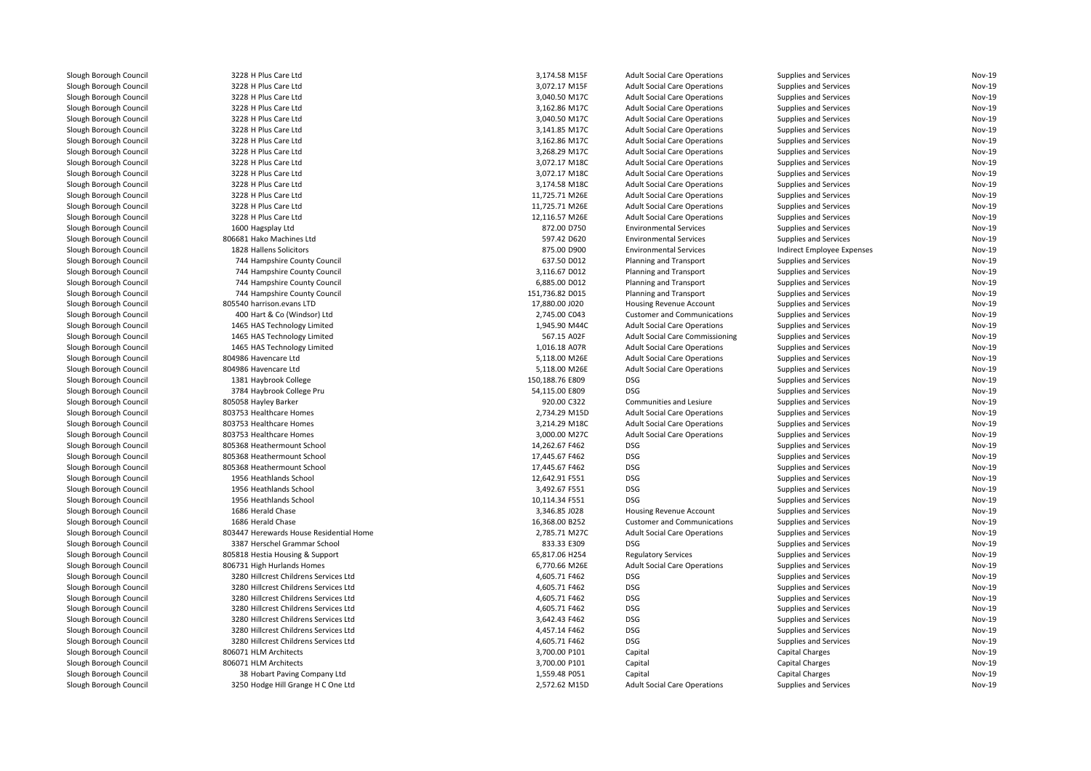| Slough Borough Council                           | 3228 H Plus Care Ltd                    | 3,174.58 M15F   | <b>Adult Social Care Operations</b>    | <b>Supplies and Services</b> | <b>Nov-19</b> |
|--------------------------------------------------|-----------------------------------------|-----------------|----------------------------------------|------------------------------|---------------|
| Slough Borough Council                           | 3228 H Plus Care Ltd                    | 3,072.17 M15F   | <b>Adult Social Care Operations</b>    | Supplies and Services        | <b>Nov-19</b> |
| Slough Borough Council                           | 3228 H Plus Care Ltd                    | 3,040.50 M17C   | <b>Adult Social Care Operations</b>    | Supplies and Services        | <b>Nov-19</b> |
| Slough Borough Council                           | 3228 H Plus Care Ltd                    | 3,162.86 M17C   | <b>Adult Social Care Operations</b>    | Supplies and Services        | Nov-19        |
| Slough Borough Council                           | 3228 H Plus Care Ltd                    | 3,040.50 M17C   | <b>Adult Social Care Operations</b>    | Supplies and Services        | <b>Nov-19</b> |
| Slough Borough Council                           | 3228 H Plus Care Ltd                    | 3,141.85 M17C   | <b>Adult Social Care Operations</b>    | Supplies and Services        | <b>Nov-19</b> |
| Slough Borough Council                           | 3228 H Plus Care Ltd                    | 3,162.86 M17C   | <b>Adult Social Care Operations</b>    | <b>Supplies and Services</b> | <b>Nov-19</b> |
| Slough Borough Council                           | 3228 H Plus Care Ltd                    | 3,268.29 M17C   | <b>Adult Social Care Operations</b>    | Supplies and Services        | <b>Nov-19</b> |
| Slough Borough Council                           | 3228 H Plus Care Ltd                    | 3,072.17 M18C   | <b>Adult Social Care Operations</b>    | Supplies and Services        | <b>Nov-19</b> |
| Slough Borough Council                           | 3228 H Plus Care Ltd                    | 3,072.17 M18C   | <b>Adult Social Care Operations</b>    | Supplies and Services        | <b>Nov-19</b> |
| Slough Borough Council                           | 3228 H Plus Care Ltd                    | 3,174.58 M18C   | <b>Adult Social Care Operations</b>    | Supplies and Services        | <b>Nov-19</b> |
| Slough Borough Council                           | 3228 H Plus Care Ltd                    | 11,725.71 M26E  | <b>Adult Social Care Operations</b>    | Supplies and Services        | <b>Nov-19</b> |
| Slough Borough Council                           | 3228 H Plus Care Ltd                    | 11,725.71 M26E  | <b>Adult Social Care Operations</b>    | Supplies and Services        | <b>Nov-19</b> |
| Slough Borough Council                           | 3228 H Plus Care Ltd                    | 12,116.57 M26E  | <b>Adult Social Care Operations</b>    | Supplies and Services        | <b>Nov-19</b> |
| Slough Borough Council                           | 1600 Hagsplay Ltd                       | 872.00 D750     | <b>Environmental Services</b>          | Supplies and Services        | <b>Nov-19</b> |
| Slough Borough Council                           | 806681 Hako Machines Ltd                | 597.42 D620     | <b>Environmental Services</b>          | <b>Supplies and Services</b> | <b>Nov-19</b> |
| Slough Borough Council                           | 1828 Hallens Solicitors                 | 875.00 D900     | <b>Environmental Services</b>          | Indirect Employee Expenses   | <b>Nov-19</b> |
| Slough Borough Council                           | 744 Hampshire County Council            | 637.50 D012     | Planning and Transport                 | Supplies and Services        | <b>Nov-19</b> |
| Slough Borough Council                           | 744 Hampshire County Council            | 3,116.67 D012   | Planning and Transport                 | Supplies and Services        | <b>Nov-19</b> |
| Slough Borough Council                           | 744 Hampshire County Council            | 6.885.00 D012   | Planning and Transport                 | Supplies and Services        | <b>Nov-19</b> |
| Slough Borough Council                           | 744 Hampshire County Council            | 151,736.82 D015 | Planning and Transport                 | Supplies and Services        | <b>Nov-19</b> |
|                                                  |                                         |                 |                                        |                              | Nov-19        |
| Slough Borough Council<br>Slough Borough Council | 805540 harrison.evans LTD               | 17,880.00 J020  | <b>Housing Revenue Account</b>         | Supplies and Services        | <b>Nov-19</b> |
|                                                  | 400 Hart & Co (Windsor) Ltd             | 2,745.00 C043   | <b>Customer and Communications</b>     | Supplies and Services        |               |
| Slough Borough Council                           | 1465 HAS Technology Limited             | 1.945.90 M44C   | <b>Adult Social Care Operations</b>    | Supplies and Services        | <b>Nov-19</b> |
| Slough Borough Council                           | 1465 HAS Technology Limited             | 567.15 A02F     | <b>Adult Social Care Commissioning</b> | Supplies and Services        | <b>Nov-19</b> |
| Slough Borough Council                           | 1465 HAS Technology Limited             | 1,016.18 A07R   | <b>Adult Social Care Operations</b>    | Supplies and Services        | <b>Nov-19</b> |
| Slough Borough Council                           | 804986 Havencare Ltd                    | 5,118.00 M26E   | <b>Adult Social Care Operations</b>    | Supplies and Services        | <b>Nov-19</b> |
| Slough Borough Council                           | 804986 Havencare Ltd                    | 5,118.00 M26E   | <b>Adult Social Care Operations</b>    | Supplies and Services        | <b>Nov-19</b> |
| Slough Borough Council                           | 1381 Haybrook College                   | 150,188.76 E809 | <b>DSG</b>                             | Supplies and Services        | <b>Nov-19</b> |
| Slough Borough Council                           | 3784 Haybrook College Pru               | 54,115.00 E809  | <b>DSG</b>                             | Supplies and Services        | Nov-19        |
| Slough Borough Council                           | 805058 Hayley Barker                    | 920.00 C322     | Communities and Lesiure                | Supplies and Services        | <b>Nov-19</b> |
| Slough Borough Council                           | 803753 Healthcare Homes                 | 2,734.29 M15D   | <b>Adult Social Care Operations</b>    | Supplies and Services        | <b>Nov-19</b> |
| Slough Borough Council                           | 803753 Healthcare Homes                 | 3,214.29 M18C   | <b>Adult Social Care Operations</b>    | Supplies and Services        | <b>Nov-19</b> |
| Slough Borough Council                           | 803753 Healthcare Homes                 | 3,000.00 M27C   | <b>Adult Social Care Operations</b>    | Supplies and Services        | <b>Nov-19</b> |
| Slough Borough Council                           | 805368 Heathermount School              | 14,262.67 F462  | DSG                                    | Supplies and Services        | <b>Nov-19</b> |
| Slough Borough Council                           | 805368 Heathermount School              | 17,445.67 F462  | <b>DSG</b>                             | Supplies and Services        | <b>Nov-19</b> |
| Slough Borough Council                           | 805368 Heathermount School              | 17,445.67 F462  | <b>DSG</b>                             | Supplies and Services        | <b>Nov-19</b> |
| Slough Borough Council                           | 1956 Heathlands School                  | 12,642.91 F551  | <b>DSG</b>                             | Supplies and Services        | <b>Nov-19</b> |
| Slough Borough Council                           | 1956 Heathlands School                  | 3,492.67 F551   | <b>DSG</b>                             | <b>Supplies and Services</b> | <b>Nov-19</b> |
| Slough Borough Council                           | 1956 Heathlands School                  | 10,114.34 F551  | <b>DSG</b>                             | Supplies and Services        | <b>Nov-19</b> |
| Slough Borough Council                           | 1686 Herald Chase                       | 3,346.85 J028   | <b>Housing Revenue Account</b>         | Supplies and Services        | <b>Nov-19</b> |
| Slough Borough Council                           | 1686 Herald Chase                       | 16,368.00 B252  | <b>Customer and Communications</b>     | <b>Supplies and Services</b> | <b>Nov-19</b> |
| Slough Borough Council                           | 803447 Herewards House Residential Home | 2,785.71 M27C   | <b>Adult Social Care Operations</b>    | Supplies and Services        | <b>Nov-19</b> |
| Slough Borough Council                           | 3387 Herschel Grammar School            | 833.33 E309     | DSG                                    | Supplies and Services        | <b>Nov-19</b> |
| Slough Borough Council                           | 805818 Hestia Housing & Support         | 65,817.06 H254  | <b>Regulatory Services</b>             | Supplies and Services        | <b>Nov-19</b> |
| Slough Borough Council                           | 806731 High Hurlands Homes              | 6,770.66 M26E   | <b>Adult Social Care Operations</b>    | Supplies and Services        | <b>Nov-19</b> |
| Slough Borough Council                           | 3280 Hillcrest Childrens Services Ltd   | 4,605.71 F462   | <b>DSG</b>                             | Supplies and Services        | <b>Nov-19</b> |
| Slough Borough Council                           | 3280 Hillcrest Childrens Services Ltd   | 4,605.71 F462   | <b>DSG</b>                             | Supplies and Services        | <b>Nov-19</b> |
| Slough Borough Council                           | 3280 Hillcrest Childrens Services Ltd   | 4,605.71 F462   | <b>DSG</b>                             | Supplies and Services        | <b>Nov-19</b> |
| Slough Borough Council                           | 3280 Hillcrest Childrens Services Ltd   | 4,605.71 F462   | <b>DSG</b>                             | Supplies and Services        | <b>Nov-19</b> |
| Slough Borough Council                           | 3280 Hillcrest Childrens Services Ltd   | 3,642.43 F462   | <b>DSG</b>                             | Supplies and Services        | <b>Nov-19</b> |
| Slough Borough Council                           | 3280 Hillcrest Childrens Services Ltd   | 4,457.14 F462   | <b>DSG</b>                             | Supplies and Services        | <b>Nov-19</b> |
| Slough Borough Council                           | 3280 Hillcrest Childrens Services Ltd   | 4,605.71 F462   | DSG                                    | Supplies and Services        | <b>Nov-19</b> |
| Slough Borough Council                           | 806071 HLM Architects                   | 3,700.00 P101   | Capital                                | <b>Capital Charges</b>       | <b>Nov-19</b> |
| Slough Borough Council                           | 806071 HLM Architects                   | 3,700.00 P101   | Capital                                | <b>Capital Charges</b>       | <b>Nov-19</b> |
| Slough Borough Council                           | 38 Hobart Paving Company Ltd            | 1,559.48 P051   | Capital                                | <b>Capital Charges</b>       | <b>Nov-19</b> |
| Slough Borough Council                           | 3250 Hodge Hill Grange H C One Ltd      | 2,572.62 M15D   | <b>Adult Social Care Operations</b>    | Supplies and Services        | <b>Nov-19</b> |
|                                                  |                                         |                 |                                        |                              |               |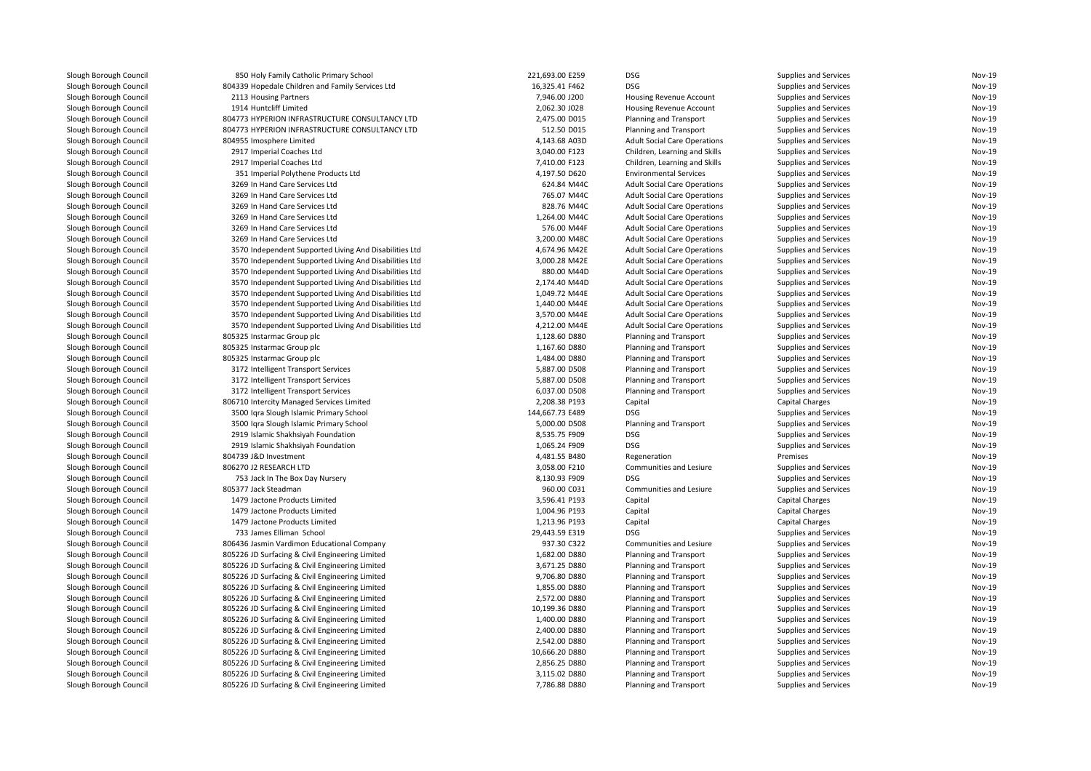| Slough Borough Council | 850 Holy Family Catholic Primary School                | 221,693.00 E259 | <b>DSG</b>                          | Supplies and Services        | Nov-19        |
|------------------------|--------------------------------------------------------|-----------------|-------------------------------------|------------------------------|---------------|
| Slough Borough Council | 804339 Hopedale Children and Family Services Ltd       | 16,325.41 F462  | <b>DSG</b>                          | Supplies and Services        | Nov-19        |
| Slough Borough Council | 2113 Housing Partners                                  | 7,946.00 J200   | Housing Revenue Account             | Supplies and Services        | Nov-19        |
| Slough Borough Council | 1914 Huntcliff Limited                                 | 2,062.30 J028   | Housing Revenue Account             | Supplies and Services        | Nov-19        |
| Slough Borough Council | 804773 HYPERION INFRASTRUCTURE CONSULTANCY LTD         | 2,475.00 D015   | Planning and Transport              | Supplies and Services        | <b>Nov-19</b> |
| Slough Borough Council | 804773 HYPERION INFRASTRUCTURE CONSULTANCY LTD         | 512.50 D015     | Planning and Transport              | Supplies and Services        | <b>Nov-19</b> |
| Slough Borough Council | 804955 Imosphere Limited                               | 4,143.68 A03D   | <b>Adult Social Care Operations</b> | Supplies and Services        | <b>Nov-19</b> |
| Slough Borough Council | 2917 Imperial Coaches Ltd                              | 3,040.00 F123   | Children, Learning and Skills       | Supplies and Services        | <b>Nov-19</b> |
| Slough Borough Council | 2917 Imperial Coaches Ltd                              | 7,410.00 F123   | Children, Learning and Skills       | Supplies and Services        | <b>Nov-19</b> |
| Slough Borough Council | 351 Imperial Polythene Products Ltd                    | 4,197.50 D620   | <b>Environmental Services</b>       | Supplies and Services        | Nov-19        |
| Slough Borough Council | 3269 In Hand Care Services Ltd                         | 624.84 M44C     | <b>Adult Social Care Operations</b> | Supplies and Services        | <b>Nov-19</b> |
| Slough Borough Council | 3269 In Hand Care Services Ltd                         | 765.07 M44C     | <b>Adult Social Care Operations</b> | Supplies and Services        | <b>Nov-19</b> |
| Slough Borough Council | 3269 In Hand Care Services Ltd                         | 828.76 M44C     | <b>Adult Social Care Operations</b> | Supplies and Services        | <b>Nov-19</b> |
| Slough Borough Council | 3269 In Hand Care Services Ltd                         | 1,264.00 M44C   | <b>Adult Social Care Operations</b> | Supplies and Services        | <b>Nov-19</b> |
| Slough Borough Council | 3269 In Hand Care Services Ltd                         | 576.00 M44F     | <b>Adult Social Care Operations</b> | Supplies and Services        | <b>Nov-19</b> |
| Slough Borough Council | 3269 In Hand Care Services Ltd                         | 3,200.00 M48C   | <b>Adult Social Care Operations</b> | Supplies and Services        | <b>Nov-19</b> |
| Slough Borough Council | 3570 Independent Supported Living And Disabilities Ltd | 4,674.96 M42E   | <b>Adult Social Care Operations</b> | Supplies and Services        | <b>Nov-19</b> |
| Slough Borough Council | 3570 Independent Supported Living And Disabilities Ltd | 3,000.28 M42E   | <b>Adult Social Care Operations</b> | Supplies and Services        | <b>Nov-19</b> |
| Slough Borough Council | 3570 Independent Supported Living And Disabilities Ltd | 880.00 M44D     | <b>Adult Social Care Operations</b> | Supplies and Services        | <b>Nov-19</b> |
| Slough Borough Council | 3570 Independent Supported Living And Disabilities Ltd | 2,174.40 M44D   | <b>Adult Social Care Operations</b> | Supplies and Services        | Nov-19        |
| Slough Borough Council | 3570 Independent Supported Living And Disabilities Ltd | 1,049.72 M44E   | <b>Adult Social Care Operations</b> | Supplies and Services        | <b>Nov-19</b> |
| Slough Borough Council | 3570 Independent Supported Living And Disabilities Ltd | 1,440.00 M44E   | <b>Adult Social Care Operations</b> | Supplies and Services        | <b>Nov-19</b> |
| Slough Borough Council | 3570 Independent Supported Living And Disabilities Ltd | 3,570.00 M44E   | <b>Adult Social Care Operations</b> | Supplies and Services        | Nov-19        |
| Slough Borough Council | 3570 Independent Supported Living And Disabilities Ltd | 4,212.00 M44E   |                                     | Supplies and Services        | <b>Nov-19</b> |
|                        |                                                        | 1,128.60 D880   | <b>Adult Social Care Operations</b> |                              | <b>Nov-19</b> |
| Slough Borough Council | 805325 Instarmac Group plc                             |                 | Planning and Transport              | Supplies and Services        | Nov-19        |
| Slough Borough Council | 805325 Instarmac Group plc                             | 1,167.60 D880   | Planning and Transport              | Supplies and Services        |               |
| Slough Borough Council | 805325 Instarmac Group plc                             | 1,484.00 D880   | Planning and Transport              | Supplies and Services        | <b>Nov-19</b> |
| Slough Borough Council | 3172 Intelligent Transport Services                    | 5,887.00 D508   | Planning and Transport              | Supplies and Services        | <b>Nov-19</b> |
| Slough Borough Council | 3172 Intelligent Transport Services                    | 5,887.00 D508   | Planning and Transport              | Supplies and Services        | Nov-19        |
| Slough Borough Council | 3172 Intelligent Transport Services                    | 6,037.00 D508   | Planning and Transport              | Supplies and Services        | <b>Nov-19</b> |
| Slough Borough Council | 806710 Intercity Managed Services Limited              | 2,208.38 P193   | Capital                             | <b>Capital Charges</b>       | <b>Nov-19</b> |
| Slough Borough Council | 3500 Iqra Slough Islamic Primary School                | 144,667.73 E489 | <b>DSG</b>                          | Supplies and Services        | Nov-19        |
| Slough Borough Council | 3500 Iqra Slough Islamic Primary School                | 5,000.00 D508   | Planning and Transport              | Supplies and Services        | <b>Nov-19</b> |
| Slough Borough Council | 2919 Islamic Shakhsiyah Foundation                     | 8,535.75 F909   | DSG                                 | Supplies and Services        | Nov-19        |
| Slough Borough Council | 2919 Islamic Shakhsiyah Foundation                     | 1,065.24 F909   | <b>DSG</b>                          | Supplies and Services        | <b>Nov-19</b> |
| Slough Borough Council | 804739 J&D Investment                                  | 4,481.55 B480   | Regeneration                        | Premises                     | <b>Nov-19</b> |
| Slough Borough Council | 806270 J2 RESEARCH LTD                                 | 3,058.00 F210   | Communities and Lesiure             | Supplies and Services        | Nov-19        |
| Slough Borough Council | 753 Jack In The Box Day Nursery                        | 8,130.93 F909   | <b>DSG</b>                          | Supplies and Services        | Nov-19        |
| Slough Borough Council | 805377 Jack Steadman                                   | 960.00 C031     | Communities and Lesiure             | Supplies and Services        | <b>Nov-19</b> |
| Slough Borough Council | 1479 Jactone Products Limited                          | 3,596.41 P193   | Capital                             | <b>Capital Charges</b>       | <b>Nov-19</b> |
| Slough Borough Council | 1479 Jactone Products Limited                          | 1,004.96 P193   | Capital                             | Capital Charges              | <b>Nov-19</b> |
| Slough Borough Council | 1479 Jactone Products Limited                          | 1,213.96 P193   | Capital                             | <b>Capital Charges</b>       | Nov-19        |
| Slough Borough Council | 733 James Elliman School                               | 29,443.59 E319  | <b>DSG</b>                          | Supplies and Services        | <b>Nov-19</b> |
| Slough Borough Council | 806436 Jasmin Vardimon Educational Company             | 937.30 C322     | Communities and Lesiure             | Supplies and Services        | <b>Nov-19</b> |
| Slough Borough Council | 805226 JD Surfacing & Civil Engineering Limited        | 1,682.00 D880   | Planning and Transport              | Supplies and Services        | Nov-19        |
| Slough Borough Council | 805226 JD Surfacing & Civil Engineering Limited        | 3,671.25 D880   | Planning and Transport              | Supplies and Services        | <b>Nov-19</b> |
| Slough Borough Council | 805226 JD Surfacing & Civil Engineering Limited        | 9,706.80 D880   | Planning and Transport              | Supplies and Services        | <b>Nov-19</b> |
| Slough Borough Council | 805226 JD Surfacing & Civil Engineering Limited        | 1,855.00 D880   | Planning and Transport              | Supplies and Services        | <b>Nov-19</b> |
| Slough Borough Council | 805226 JD Surfacing & Civil Engineering Limited        | 2,572.00 D880   | Planning and Transport              | Supplies and Services        | <b>Nov-19</b> |
| Slough Borough Council | 805226 JD Surfacing & Civil Engineering Limited        | 10,199.36 D880  | Planning and Transport              | Supplies and Services        | <b>Nov-19</b> |
| Slough Borough Council | 805226 JD Surfacing & Civil Engineering Limited        | 1,400.00 D880   | Planning and Transport              | Supplies and Services        | Nov-19        |
| Slough Borough Council | 805226 JD Surfacing & Civil Engineering Limited        | 2,400.00 D880   | Planning and Transport              | Supplies and Services        | <b>Nov-19</b> |
| Slough Borough Council | 805226 JD Surfacing & Civil Engineering Limited        | 2,542.00 D880   | Planning and Transport              | Supplies and Services        | Nov-19        |
| Slough Borough Council | 805226 JD Surfacing & Civil Engineering Limited        | 10,666.20 D880  | Planning and Transport              | Supplies and Services        | <b>Nov-19</b> |
| Slough Borough Council | 805226 JD Surfacing & Civil Engineering Limited        | 2,856.25 D880   | Planning and Transport              | <b>Supplies and Services</b> | <b>Nov-19</b> |
| Slough Borough Council | 805226 JD Surfacing & Civil Engineering Limited        | 3,115.02 D880   | Planning and Transport              | Supplies and Services        | <b>Nov-19</b> |
| Slough Borough Council | 805226 JD Surfacing & Civil Engineering Limited        | 7,786.88 D880   | Planning and Transport              | Supplies and Services        | Nov-19        |
|                        |                                                        |                 |                                     |                              |               |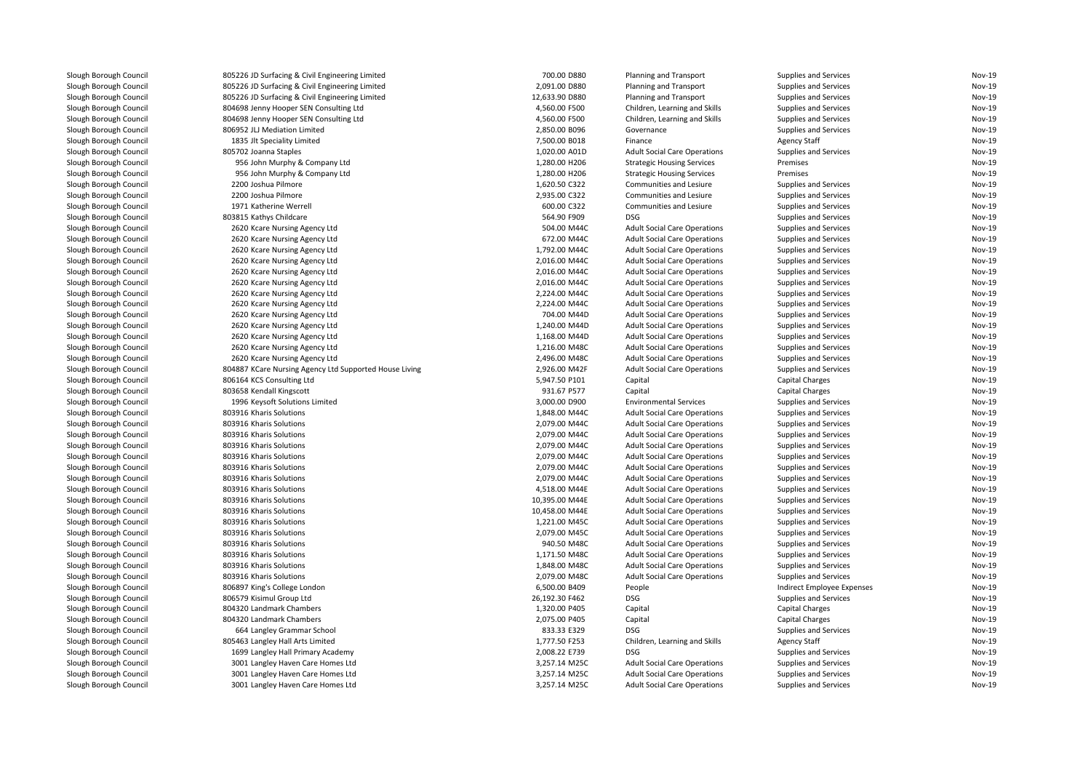| Slough Borough Council | 805226 JD Surfacing & Civil Engineering Limited                | 700.00 D880                    | Planning and Transport                                                     | Supplies and Services        | <b>Nov-19</b> |
|------------------------|----------------------------------------------------------------|--------------------------------|----------------------------------------------------------------------------|------------------------------|---------------|
| Slough Borough Council | 805226 JD Surfacing & Civil Engineering Limited                | 2,091.00 D880                  | Planning and Transport                                                     | <b>Supplies and Services</b> | Nov-19        |
| Slough Borough Council | 805226 JD Surfacing & Civil Engineering Limited                | 12,633.90 D880                 | Planning and Transport                                                     | <b>Supplies and Services</b> | Nov-19        |
| Slough Borough Council | 804698 Jenny Hooper SEN Consulting Ltd                         | 4,560.00 F500                  | Children, Learning and Skills                                              | <b>Supplies and Services</b> | Nov-19        |
| Slough Borough Council | 804698 Jenny Hooper SEN Consulting Ltd                         | 4,560.00 F500                  | Children, Learning and Skills                                              | <b>Supplies and Services</b> | Nov-19        |
| Slough Borough Council | 806952 JLJ Mediation Limited                                   | 2,850.00 B096                  | Governance                                                                 | <b>Supplies and Services</b> | <b>Nov-19</b> |
| Slough Borough Council | 1835 Jlt Speciality Limited                                    | 7,500.00 B018                  | Finance                                                                    | <b>Agency Staff</b>          | Nov-19        |
| Slough Borough Council | 805702 Joanna Staples                                          | 1,020.00 A01D                  | <b>Adult Social Care Operations</b>                                        | <b>Supplies and Services</b> | <b>Nov-19</b> |
| Slough Borough Council | 956 John Murphy & Company Ltd                                  | 1,280.00 H206                  | <b>Strategic Housing Services</b>                                          | Premises                     | Nov-19        |
| Slough Borough Council | 956 John Murphy & Company Ltd                                  | 1,280.00 H206                  | <b>Strategic Housing Services</b>                                          | Premises                     | Nov-19        |
| Slough Borough Council | 2200 Joshua Pilmore                                            | 1,620.50 C322                  | Communities and Lesiure                                                    | Supplies and Services        | Nov-19        |
| Slough Borough Council | 2200 Joshua Pilmore                                            | 2,935.00 C322                  | Communities and Lesiure                                                    | <b>Supplies and Services</b> | Nov-19        |
| Slough Borough Council | 1971 Katherine Werrell                                         | 600.00 C322                    | Communities and Lesiure                                                    | <b>Supplies and Services</b> | Nov-19        |
| Slough Borough Council | 803815 Kathys Childcare                                        | 564.90 F909                    | <b>DSG</b>                                                                 | <b>Supplies and Services</b> | <b>Nov-19</b> |
| Slough Borough Council | 2620 Kcare Nursing Agency Ltd                                  | 504.00 M44C                    | <b>Adult Social Care Operations</b>                                        | Supplies and Services        | Nov-19        |
| Slough Borough Council | 2620 Kcare Nursing Agency Ltd                                  | 672.00 M44C                    | <b>Adult Social Care Operations</b>                                        | Supplies and Services        | Nov-19        |
| Slough Borough Council | 2620 Kcare Nursing Agency Ltd                                  | 1,792.00 M44C                  | <b>Adult Social Care Operations</b>                                        | <b>Supplies and Services</b> | Nov-19        |
| Slough Borough Council | 2620 Kcare Nursing Agency Ltd                                  | 2,016.00 M44C                  | <b>Adult Social Care Operations</b>                                        | <b>Supplies and Services</b> | <b>Nov-19</b> |
| Slough Borough Council | 2620 Kcare Nursing Agency Ltd                                  | 2,016.00 M44C                  | <b>Adult Social Care Operations</b>                                        | <b>Supplies and Services</b> | Nov-19        |
| Slough Borough Council | 2620 Kcare Nursing Agency Ltd                                  | 2,016.00 M44C                  | <b>Adult Social Care Operations</b>                                        | <b>Supplies and Services</b> | Nov-19        |
| Slough Borough Council | 2620 Kcare Nursing Agency Ltd                                  | 2,224.00 M44C                  | <b>Adult Social Care Operations</b>                                        | <b>Supplies and Services</b> | <b>Nov-19</b> |
| Slough Borough Council | 2620 Kcare Nursing Agency Ltd                                  | 2,224.00 M44C                  | <b>Adult Social Care Operations</b>                                        | <b>Supplies and Services</b> | <b>Nov-19</b> |
| Slough Borough Council | 2620 Kcare Nursing Agency Ltd                                  | 704.00 M44D                    | <b>Adult Social Care Operations</b>                                        | <b>Supplies and Services</b> | Nov-19        |
|                        |                                                                |                                |                                                                            |                              | Nov-19        |
| Slough Borough Council | 2620 Kcare Nursing Agency Ltd                                  | 1,240.00 M44D<br>1,168.00 M44D | <b>Adult Social Care Operations</b>                                        | <b>Supplies and Services</b> | Nov-19        |
| Slough Borough Council | 2620 Kcare Nursing Agency Ltd<br>2620 Kcare Nursing Agency Ltd | 1,216.00 M48C                  | <b>Adult Social Care Operations</b><br><b>Adult Social Care Operations</b> | <b>Supplies and Services</b> | <b>Nov-19</b> |
| Slough Borough Council |                                                                |                                |                                                                            | Supplies and Services        |               |
| Slough Borough Council | 2620 Kcare Nursing Agency Ltd                                  | 2,496.00 M48C                  | <b>Adult Social Care Operations</b>                                        | <b>Supplies and Services</b> | Nov-19        |
| Slough Borough Council | 804887 KCare Nursing Agency Ltd Supported House Living         | 2,926.00 M42F                  | <b>Adult Social Care Operations</b>                                        | <b>Supplies and Services</b> | Nov-19        |
| Slough Borough Council | 806164 KCS Consulting Ltd                                      | 5,947.50 P101                  | Capital                                                                    | Capital Charges              | Nov-19        |
| Slough Borough Council | 803658 Kendall Kingscott                                       | 931.67 P577                    | Capital                                                                    | Capital Charges              | Nov-19        |
| Slough Borough Council | 1996 Keysoft Solutions Limited                                 | 3,000.00 D900                  | <b>Environmental Services</b>                                              | <b>Supplies and Services</b> | <b>Nov-19</b> |
| Slough Borough Council | 803916 Kharis Solutions                                        | 1,848.00 M44C                  | <b>Adult Social Care Operations</b>                                        | <b>Supplies and Services</b> | Nov-19        |
| Slough Borough Council | 803916 Kharis Solutions                                        | 2,079.00 M44C                  | <b>Adult Social Care Operations</b>                                        | <b>Supplies and Services</b> | Nov-19        |
| Slough Borough Council | 803916 Kharis Solutions                                        | 2,079.00 M44C                  | <b>Adult Social Care Operations</b>                                        | <b>Supplies and Services</b> | Nov-19        |
| Slough Borough Council | 803916 Kharis Solutions                                        | 2,079.00 M44C                  | <b>Adult Social Care Operations</b>                                        | <b>Supplies and Services</b> | <b>Nov-19</b> |
| Slough Borough Council | 803916 Kharis Solutions                                        | 2,079.00 M44C                  | <b>Adult Social Care Operations</b>                                        | Supplies and Services        | Nov-19        |
| Slough Borough Council | 803916 Kharis Solutions                                        | 2,079.00 M44C                  | <b>Adult Social Care Operations</b>                                        | <b>Supplies and Services</b> | Nov-19        |
| Slough Borough Council | 803916 Kharis Solutions                                        | 2,079.00 M44C                  | <b>Adult Social Care Operations</b>                                        | <b>Supplies and Services</b> | <b>Nov-19</b> |
| Slough Borough Council | 803916 Kharis Solutions                                        | 4,518.00 M44E                  | <b>Adult Social Care Operations</b>                                        | <b>Supplies and Services</b> | Nov-19        |
| Slough Borough Council | 803916 Kharis Solutions                                        | 10,395.00 M44E                 | <b>Adult Social Care Operations</b>                                        | <b>Supplies and Services</b> | Nov-19        |
| Slough Borough Council | 803916 Kharis Solutions                                        | 10,458.00 M44E                 | <b>Adult Social Care Operations</b>                                        | <b>Supplies and Services</b> | <b>Nov-19</b> |
| Slough Borough Council | 803916 Kharis Solutions                                        | 1,221.00 M45C                  | <b>Adult Social Care Operations</b>                                        | <b>Supplies and Services</b> | Nov-19        |
| Slough Borough Council | 803916 Kharis Solutions                                        | 2,079.00 M45C                  | <b>Adult Social Care Operations</b>                                        | <b>Supplies and Services</b> | Nov-19        |
| Slough Borough Council | 803916 Kharis Solutions                                        | 940.50 M48C                    | <b>Adult Social Care Operations</b>                                        | <b>Supplies and Services</b> | Nov-19        |
| Slough Borough Council | 803916 Kharis Solutions                                        | 1,171.50 M48C                  | <b>Adult Social Care Operations</b>                                        | <b>Supplies and Services</b> | Nov-19        |
| Slough Borough Council | 803916 Kharis Solutions                                        | 1,848.00 M48C                  | <b>Adult Social Care Operations</b>                                        | Supplies and Services        | <b>Nov-19</b> |
| Slough Borough Council | 803916 Kharis Solutions                                        | 2,079.00 M48C                  | <b>Adult Social Care Operations</b>                                        | <b>Supplies and Services</b> | Nov-19        |
| Slough Borough Council | 806897 King's College London                                   | 6,500.00 B409                  | People                                                                     | Indirect Employee Expenses   | Nov-19        |
| Slough Borough Council | 806579 Kisimul Group Ltd                                       | 26,192.30 F462                 | <b>DSG</b>                                                                 | <b>Supplies and Services</b> | Nov-19        |
| Slough Borough Council | 804320 Landmark Chambers                                       | 1,320.00 P405                  | Capital                                                                    | Capital Charges              | Nov-19        |
| Slough Borough Council | 804320 Landmark Chambers                                       | 2,075.00 P405                  | Capital                                                                    | Capital Charges              | Nov-19        |
| Slough Borough Council | 664 Langley Grammar School                                     | 833.33 E329                    | <b>DSG</b>                                                                 | <b>Supplies and Services</b> | Nov-19        |
| Slough Borough Council | 805463 Langley Hall Arts Limited                               | 1,777.50 F253                  | Children, Learning and Skills                                              | Agency Staff                 | Nov-19        |
| Slough Borough Council | 1699 Langley Hall Primary Academy                              | 2,008.22 E739                  | <b>DSG</b>                                                                 | <b>Supplies and Services</b> | <b>Nov-19</b> |
| Slough Borough Council | 3001 Langley Haven Care Homes Ltd                              | 3,257.14 M25C                  | <b>Adult Social Care Operations</b>                                        | <b>Supplies and Services</b> | Nov-19        |
| Slough Borough Council | 3001 Langley Haven Care Homes Ltd                              | 3,257.14 M25C                  | <b>Adult Social Care Operations</b>                                        | Supplies and Services        | Nov-19        |
| Slough Borough Council | 3001 Langley Haven Care Homes Ltd                              | 3,257.14 M25C                  | <b>Adult Social Care Operations</b>                                        | <b>Supplies and Services</b> | Nov-19        |
|                        |                                                                |                                |                                                                            |                              |               |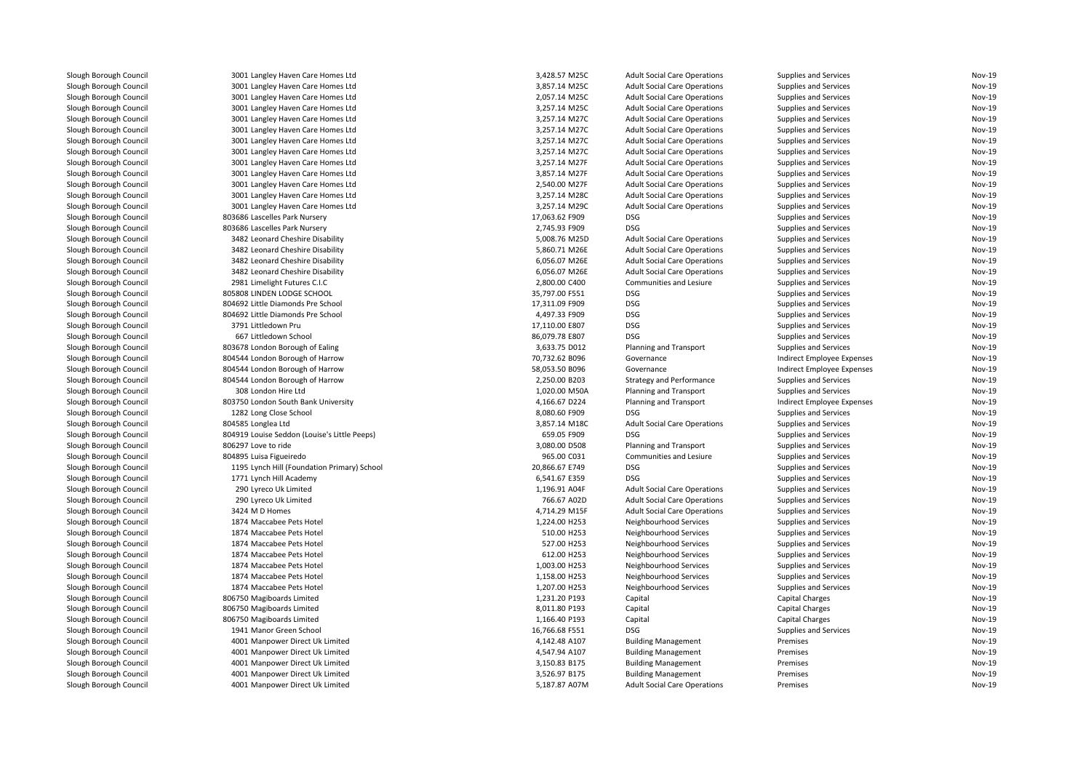| Slough Borough Council | 3001 Langley Haven Care Homes Ltd            | 3,428.57 M25C  | <b>Adult Social Care Operations</b>   | Supplies and Services        | <b>Nov-19</b>                  |
|------------------------|----------------------------------------------|----------------|---------------------------------------|------------------------------|--------------------------------|
| Slough Borough Council | 3001 Langley Haven Care Homes Ltd            | 3,857.14 M25C  | <b>Adult Social Care Operations</b>   | Supplies and Services        | <b>Nov-19</b>                  |
| Slough Borough Council | 3001 Langley Haven Care Homes Ltd            | 2,057.14 M25C  | <b>Adult Social Care Operations</b>   | Supplies and Services        | <b>Nov-19</b>                  |
| Slough Borough Council | 3001 Langley Haven Care Homes Ltd            | 3,257.14 M25C  | <b>Adult Social Care Operations</b>   | Supplies and Services        | <b>Nov-19</b>                  |
| Slough Borough Council | 3001 Langley Haven Care Homes Ltd            | 3,257.14 M27C  | <b>Adult Social Care Operations</b>   | Supplies and Services        | <b>Nov-19</b>                  |
| Slough Borough Council | 3001 Langley Haven Care Homes Ltd            | 3,257.14 M27C  | <b>Adult Social Care Operations</b>   | Supplies and Services        | <b>Nov-19</b>                  |
| Slough Borough Council | 3001 Langley Haven Care Homes Ltd            | 3,257.14 M27C  | <b>Adult Social Care Operations</b>   | Supplies and Services        | <b>Nov-19</b>                  |
| Slough Borough Council | 3001 Langley Haven Care Homes Ltd            | 3,257.14 M27C  | <b>Adult Social Care Operations</b>   | Supplies and Services        | <b>Nov-19</b>                  |
| Slough Borough Council | 3001 Langley Haven Care Homes Ltd            | 3,257.14 M27F  | <b>Adult Social Care Operations</b>   | Supplies and Services        | <b>Nov-19</b>                  |
| Slough Borough Council | 3001 Langley Haven Care Homes Ltd            | 3,857.14 M27F  | <b>Adult Social Care Operations</b>   | Supplies and Services        | <b>Nov-19</b>                  |
| Slough Borough Council | 3001 Langley Haven Care Homes Ltd            | 2,540.00 M27F  | <b>Adult Social Care Operations</b>   | Supplies and Services        | <b>Nov-19</b>                  |
| Slough Borough Council | 3001 Langley Haven Care Homes Ltd            | 3,257.14 M28C  | <b>Adult Social Care Operations</b>   | Supplies and Services        | <b>Nov-19</b>                  |
| Slough Borough Council | 3001 Langley Haven Care Homes Ltd            | 3,257.14 M29C  | <b>Adult Social Care Operations</b>   | Supplies and Services        | <b>Nov-19</b>                  |
| Slough Borough Council | 803686 Lascelles Park Nursery                | 17,063.62 F909 | <b>DSG</b>                            | Supplies and Services        | <b>Nov-19</b>                  |
| Slough Borough Council | 803686 Lascelles Park Nursery                | 2,745.93 F909  | <b>DSG</b>                            | Supplies and Services        | <b>Nov-19</b>                  |
| Slough Borough Council | 3482 Leonard Cheshire Disability             | 5,008.76 M25D  | <b>Adult Social Care Operations</b>   | Supplies and Services        | <b>Nov-19</b>                  |
| Slough Borough Council | 3482 Leonard Cheshire Disability             | 5,860.71 M26E  | <b>Adult Social Care Operations</b>   | Supplies and Services        | <b>Nov-19</b>                  |
| Slough Borough Council | 3482 Leonard Cheshire Disability             | 6,056.07 M26E  | <b>Adult Social Care Operations</b>   | Supplies and Services        | <b>Nov-19</b>                  |
|                        |                                              |                |                                       |                              | <b>Nov-19</b>                  |
| Slough Borough Council | 3482 Leonard Cheshire Disability             | 6,056.07 M26E  | <b>Adult Social Care Operations</b>   | Supplies and Services        |                                |
| Slough Borough Council | 2981 Limelight Futures C.I.C                 | 2,800.00 C400  | Communities and Lesiure<br><b>DSG</b> | Supplies and Services        | <b>Nov-19</b><br><b>Nov-19</b> |
| Slough Borough Council | 805808 LINDEN LODGE SCHOOL                   | 35,797.00 F551 |                                       | Supplies and Services        |                                |
| Slough Borough Council | 804692 Little Diamonds Pre School            | 17,311.09 F909 | <b>DSG</b>                            | Supplies and Services        | <b>Nov-19</b>                  |
| Slough Borough Council | 804692 Little Diamonds Pre School            | 4,497.33 F909  | <b>DSG</b>                            | Supplies and Services        | <b>Nov-19</b>                  |
| Slough Borough Council | 3791 Littledown Pru                          | 17,110.00 E807 | <b>DSG</b>                            | Supplies and Services        | <b>Nov-19</b>                  |
| Slough Borough Council | 667 Littledown School                        | 86,079.78 E807 | <b>DSG</b>                            | Supplies and Services        | <b>Nov-19</b>                  |
| Slough Borough Council | 803678 London Borough of Ealing              | 3,633.75 D012  | Planning and Transport                | Supplies and Services        | <b>Nov-19</b>                  |
| Slough Borough Council | 804544 London Borough of Harrow              | 70,732.62 B096 | Governance                            | Indirect Employee Expenses   | <b>Nov-19</b>                  |
| Slough Borough Council | 804544 London Borough of Harrow              | 58,053.50 B096 | Governance                            | Indirect Employee Expenses   | Nov-19                         |
| Slough Borough Council | 804544 London Borough of Harrow              | 2,250.00 B203  | <b>Strategy and Performance</b>       | Supplies and Services        | <b>Nov-19</b>                  |
| Slough Borough Council | 308 London Hire Ltd                          | 1,020.00 M50A  | Planning and Transport                | Supplies and Services        | <b>Nov-19</b>                  |
| Slough Borough Council | 803750 London South Bank University          | 4,166.67 D224  | Planning and Transport                | Indirect Employee Expenses   | <b>Nov-19</b>                  |
| Slough Borough Council | 1282 Long Close School                       | 8,080.60 F909  | <b>DSG</b>                            | Supplies and Services        | <b>Nov-19</b>                  |
| Slough Borough Council | 804585 Longlea Ltd                           | 3,857.14 M18C  | <b>Adult Social Care Operations</b>   | Supplies and Services        | <b>Nov-19</b>                  |
| Slough Borough Council | 804919 Louise Seddon (Louise's Little Peeps) | 659.05 F909    | <b>DSG</b>                            | Supplies and Services        | <b>Nov-19</b>                  |
| Slough Borough Council | 806297 Love to ride                          | 3.080.00 D508  | Planning and Transport                | Supplies and Services        | Nov-19                         |
| Slough Borough Council | 804895 Luisa Figueiredo                      | 965.00 C031    | Communities and Lesiure               | Supplies and Services        | <b>Nov-19</b>                  |
| Slough Borough Council | 1195 Lynch Hill (Foundation Primary) School  | 20,866.67 E749 | <b>DSG</b>                            | Supplies and Services        | <b>Nov-19</b>                  |
| Slough Borough Council | 1771 Lynch Hill Academy                      | 6,541.67 E359  | <b>DSG</b>                            | Supplies and Services        | <b>Nov-19</b>                  |
| Slough Borough Council | 290 Lyreco Uk Limited                        | 1,196.91 A04F  | <b>Adult Social Care Operations</b>   | Supplies and Services        | <b>Nov-19</b>                  |
| Slough Borough Council | 290 Lyreco Uk Limited                        | 766.67 A02D    | <b>Adult Social Care Operations</b>   | Supplies and Services        | <b>Nov-19</b>                  |
| Slough Borough Council | 3424 M D Homes                               | 4,714.29 M15F  | <b>Adult Social Care Operations</b>   | Supplies and Services        | <b>Nov-19</b>                  |
| Slough Borough Council | 1874 Maccabee Pets Hotel                     | 1,224.00 H253  | Neighbourhood Services                | Supplies and Services        | <b>Nov-19</b>                  |
| Slough Borough Council | 1874 Maccabee Pets Hotel                     | 510.00 H253    | Neighbourhood Services                | Supplies and Services        | <b>Nov-19</b>                  |
| Slough Borough Council | 1874 Maccabee Pets Hotel                     | 527.00 H253    | Neighbourhood Services                | <b>Supplies and Services</b> | <b>Nov-19</b>                  |
| Slough Borough Council | 1874 Maccabee Pets Hotel                     | 612.00 H253    | Neighbourhood Services                | Supplies and Services        | <b>Nov-19</b>                  |
| Slough Borough Council | 1874 Maccabee Pets Hotel                     | 1,003.00 H253  | Neighbourhood Services                | Supplies and Services        | <b>Nov-19</b>                  |
| Slough Borough Council | 1874 Maccabee Pets Hotel                     | 1,158.00 H253  | Neighbourhood Services                | Supplies and Services        | <b>Nov-19</b>                  |
| Slough Borough Council | 1874 Maccabee Pets Hotel                     | 1,207.00 H253  | Neighbourhood Services                | Supplies and Services        | <b>Nov-19</b>                  |
| Slough Borough Council | 806750 Magiboards Limited                    | 1,231.20 P193  | Capital                               | <b>Capital Charges</b>       | <b>Nov-19</b>                  |
| Slough Borough Council | 806750 Magiboards Limited                    | 8,011.80 P193  | Capital                               | <b>Capital Charges</b>       | <b>Nov-19</b>                  |
| Slough Borough Council | 806750 Magiboards Limited                    | 1,166.40 P193  | Capital                               | <b>Capital Charges</b>       | Nov-19                         |
| Slough Borough Council | 1941 Manor Green School                      | 16,766.68 F551 | <b>DSG</b>                            | Supplies and Services        | <b>Nov-19</b>                  |
| Slough Borough Council | 4001 Manpower Direct Uk Limited              | 4,142.48 A107  | <b>Building Management</b>            | Premises                     | <b>Nov-19</b>                  |
| Slough Borough Council | 4001 Manpower Direct Uk Limited              | 4,547.94 A107  | <b>Building Management</b>            | Premises                     | Nov-19                         |
| Slough Borough Council | 4001 Manpower Direct Uk Limited              | 3,150.83 B175  | <b>Building Management</b>            | Premises                     | <b>Nov-19</b>                  |
| Slough Borough Council | 4001 Manpower Direct Uk Limited              | 3,526.97 B175  | <b>Building Management</b>            | Premises                     | <b>Nov-19</b>                  |
| Slough Borough Council | 4001 Manpower Direct Uk Limited              | 5,187.87 A07M  | <b>Adult Social Care Operations</b>   | Premises                     | Nov-19                         |
|                        |                                              |                |                                       |                              |                                |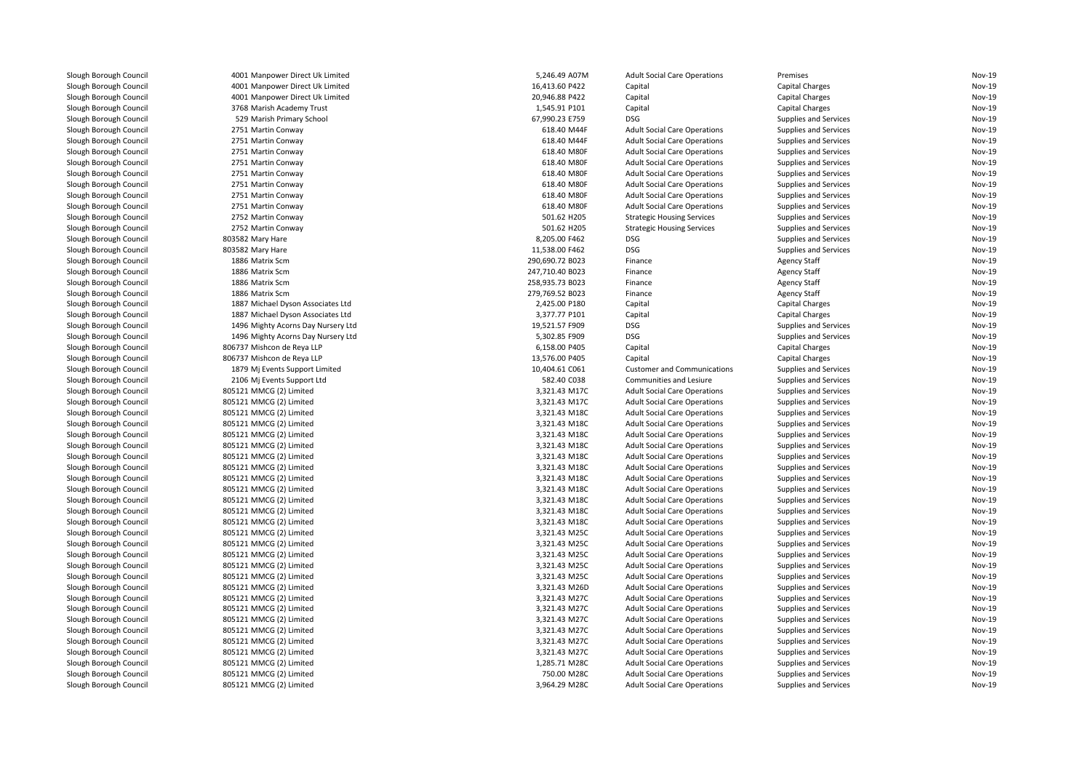| Slough Borough Council | 4001 Manpower Direct Uk Limited    | 5,246.49 A07M   | <b>Adult Social Care Operations</b> | Premises                     | Nov-19        |
|------------------------|------------------------------------|-----------------|-------------------------------------|------------------------------|---------------|
| Slough Borough Council | 4001 Manpower Direct Uk Limited    | 16,413.60 P422  | Capital                             | Capital Charges              | Nov-19        |
| Slough Borough Council | 4001 Manpower Direct Uk Limited    | 20,946.88 P422  | Capital                             | <b>Capital Charges</b>       | <b>Nov-19</b> |
| Slough Borough Council | 3768 Marish Academy Trust          | 1,545.91 P101   | Capital                             | Capital Charges              | Nov-19        |
| Slough Borough Council | 529 Marish Primary School          | 67,990.23 E759  | DSG                                 | <b>Supplies and Services</b> | Nov-19        |
| Slough Borough Council | 2751 Martin Conway                 | 618.40 M44F     | <b>Adult Social Care Operations</b> | Supplies and Services        | Nov-19        |
| Slough Borough Council | 2751 Martin Conway                 | 618.40 M44F     | <b>Adult Social Care Operations</b> | <b>Supplies and Services</b> | Nov-19        |
| Slough Borough Council | 2751 Martin Conway                 | 618.40 M80F     | <b>Adult Social Care Operations</b> | Supplies and Services        | <b>Nov-19</b> |
| Slough Borough Council | 2751 Martin Conway                 | 618.40 M80F     | <b>Adult Social Care Operations</b> | Supplies and Services        | Nov-19        |
| Slough Borough Council | 2751 Martin Conway                 | 618.40 M80F     | <b>Adult Social Care Operations</b> | Supplies and Services        | Nov-19        |
| Slough Borough Council | 2751 Martin Conway                 | 618.40 M80F     | <b>Adult Social Care Operations</b> | Supplies and Services        | Nov-19        |
| Slough Borough Council | 2751 Martin Conway                 | 618.40 M80F     | <b>Adult Social Care Operations</b> | <b>Supplies and Services</b> | Nov-19        |
| Slough Borough Council | 2751 Martin Conway                 | 618.40 M80F     | <b>Adult Social Care Operations</b> | Supplies and Services        | Nov-19        |
| Slough Borough Council | 2752 Martin Conway                 | 501.62 H205     | <b>Strategic Housing Services</b>   | Supplies and Services        | Nov-19        |
| Slough Borough Council | 2752 Martin Conway                 | 501.62 H205     | <b>Strategic Housing Services</b>   | <b>Supplies and Services</b> | <b>Nov-19</b> |
| Slough Borough Council | 803582 Mary Hare                   | 8,205.00 F462   | <b>DSG</b>                          | Supplies and Services        | Nov-19        |
| Slough Borough Council | 803582 Mary Hare                   | 11,538.00 F462  | <b>DSG</b>                          | Supplies and Services        | <b>Nov-19</b> |
| Slough Borough Council | 1886 Matrix Scm                    | 290,690.72 B023 | Finance                             | <b>Agency Staff</b>          | Nov-19        |
| Slough Borough Council | 1886 Matrix Scm                    | 247,710.40 B023 | Finance                             | <b>Agency Staff</b>          | Nov-19        |
| Slough Borough Council | 1886 Matrix Scm                    | 258,935.73 B023 | Finance                             | <b>Agency Staff</b>          | Nov-19        |
| Slough Borough Council | 1886 Matrix Scm                    | 279,769.52 B023 | Finance                             | <b>Agency Staff</b>          | Nov-19        |
| Slough Borough Council | 1887 Michael Dyson Associates Ltd  | 2,425.00 P180   | Capital                             | <b>Capital Charges</b>       | Nov-19        |
| Slough Borough Council | 1887 Michael Dyson Associates Ltd  | 3,377.77 P101   | Capital                             | <b>Capital Charges</b>       | <b>Nov-19</b> |
| Slough Borough Council | 1496 Mighty Acorns Day Nursery Ltd | 19,521.57 F909  | <b>DSG</b>                          | Supplies and Services        | Nov-19        |
| Slough Borough Council | 1496 Mighty Acorns Day Nursery Ltd | 5,302.85 F909   | DSG                                 | Supplies and Services        | Nov-19        |
| Slough Borough Council | 806737 Mishcon de Reya LLP         | 6,158.00 P405   | Capital                             | Capital Charges              | Nov-19        |
| Slough Borough Council | 806737 Mishcon de Reya LLP         | 13,576.00 P405  | Capital                             | Capital Charges              | <b>Nov-19</b> |
| Slough Borough Council | 1879 Mj Events Support Limited     | 10,404.61 C061  | <b>Customer and Communications</b>  | Supplies and Services        | Nov-19        |
| Slough Borough Council | 2106 Mj Events Support Ltd         | 582.40 C038     | Communities and Lesiure             | Supplies and Services        | Nov-19        |
| Slough Borough Council | 805121 MMCG (2) Limited            | 3,321.43 M17C   | <b>Adult Social Care Operations</b> | Supplies and Services        | Nov-19        |
| Slough Borough Council | 805121 MMCG (2) Limited            | 3,321.43 M17C   | <b>Adult Social Care Operations</b> | Supplies and Services        | Nov-19        |
| Slough Borough Council | 805121 MMCG (2) Limited            | 3,321.43 M18C   | <b>Adult Social Care Operations</b> | Supplies and Services        | Nov-19        |
| Slough Borough Council | 805121 MMCG (2) Limited            | 3,321.43 M18C   | <b>Adult Social Care Operations</b> | Supplies and Services        | Nov-19        |
| Slough Borough Council | 805121 MMCG (2) Limited            | 3,321.43 M18C   | <b>Adult Social Care Operations</b> | Supplies and Services        | Nov-19        |
| Slough Borough Council | 805121 MMCG (2) Limited            | 3,321.43 M18C   | <b>Adult Social Care Operations</b> | <b>Supplies and Services</b> | <b>Nov-19</b> |
| Slough Borough Council | 805121 MMCG (2) Limited            | 3,321.43 M18C   | <b>Adult Social Care Operations</b> | Supplies and Services        | Nov-19        |
| Slough Borough Council | 805121 MMCG (2) Limited            | 3,321.43 M18C   | <b>Adult Social Care Operations</b> | Supplies and Services        | Nov-19        |
| Slough Borough Council | 805121 MMCG (2) Limited            | 3,321.43 M18C   | <b>Adult Social Care Operations</b> | Supplies and Services        | Nov-19        |
| Slough Borough Council | 805121 MMCG (2) Limited            | 3,321.43 M18C   | <b>Adult Social Care Operations</b> | Supplies and Services        | <b>Nov-19</b> |
| Slough Borough Council | 805121 MMCG (2) Limited            | 3,321.43 M18C   | <b>Adult Social Care Operations</b> | Supplies and Services        | Nov-19        |
| Slough Borough Council | 805121 MMCG (2) Limited            | 3,321.43 M18C   | <b>Adult Social Care Operations</b> | Supplies and Services        | Nov-19        |
| Slough Borough Council | 805121 MMCG (2) Limited            | 3,321.43 M18C   | <b>Adult Social Care Operations</b> | Supplies and Services        | Nov-19        |
| Slough Borough Council | 805121 MMCG (2) Limited            | 3,321.43 M25C   | <b>Adult Social Care Operations</b> | Supplies and Services        | <b>Nov-19</b> |
| Slough Borough Council | 805121 MMCG (2) Limited            | 3,321.43 M25C   | <b>Adult Social Care Operations</b> | Supplies and Services        | Nov-19        |
| Slough Borough Council | 805121 MMCG (2) Limited            | 3,321.43 M25C   | <b>Adult Social Care Operations</b> | Supplies and Services        | Nov-19        |
| Slough Borough Council | 805121 MMCG (2) Limited            | 3,321.43 M25C   | <b>Adult Social Care Operations</b> | Supplies and Services        | Nov-19        |
| Slough Borough Council | 805121 MMCG (2) Limited            | 3,321.43 M25C   | <b>Adult Social Care Operations</b> | Supplies and Services        | <b>Nov-19</b> |
| Slough Borough Council | 805121 MMCG (2) Limited            | 3,321.43 M26D   | <b>Adult Social Care Operations</b> | Supplies and Services        | <b>Nov-19</b> |
| Slough Borough Council | 805121 MMCG (2) Limited            | 3,321.43 M27C   | <b>Adult Social Care Operations</b> | Supplies and Services        | Nov-19        |
| Slough Borough Council | 805121 MMCG (2) Limited            | 3,321.43 M27C   | <b>Adult Social Care Operations</b> | Supplies and Services        | Nov-19        |
| Slough Borough Council | 805121 MMCG (2) Limited            | 3,321.43 M27C   | <b>Adult Social Care Operations</b> | Supplies and Services        | Nov-19        |
| Slough Borough Council | 805121 MMCG (2) Limited            | 3,321.43 M27C   | <b>Adult Social Care Operations</b> | Supplies and Services        | Nov-19        |
| Slough Borough Council | 805121 MMCG (2) Limited            | 3,321.43 M27C   | <b>Adult Social Care Operations</b> | Supplies and Services        | Nov-19        |
| Slough Borough Council | 805121 MMCG (2) Limited            | 3,321.43 M27C   | <b>Adult Social Care Operations</b> | Supplies and Services        | Nov-19        |
| Slough Borough Council | 805121 MMCG (2) Limited            | 1,285.71 M28C   | <b>Adult Social Care Operations</b> | <b>Supplies and Services</b> | Nov-19        |
| Slough Borough Council | 805121 MMCG (2) Limited            | 750.00 M28C     | <b>Adult Social Care Operations</b> | Supplies and Services        | Nov-19        |
| Slough Borough Council | 805121 MMCG (2) Limited            | 3,964.29 M28C   | <b>Adult Social Care Operations</b> | Supplies and Services        | Nov-19        |
|                        |                                    |                 |                                     |                              |               |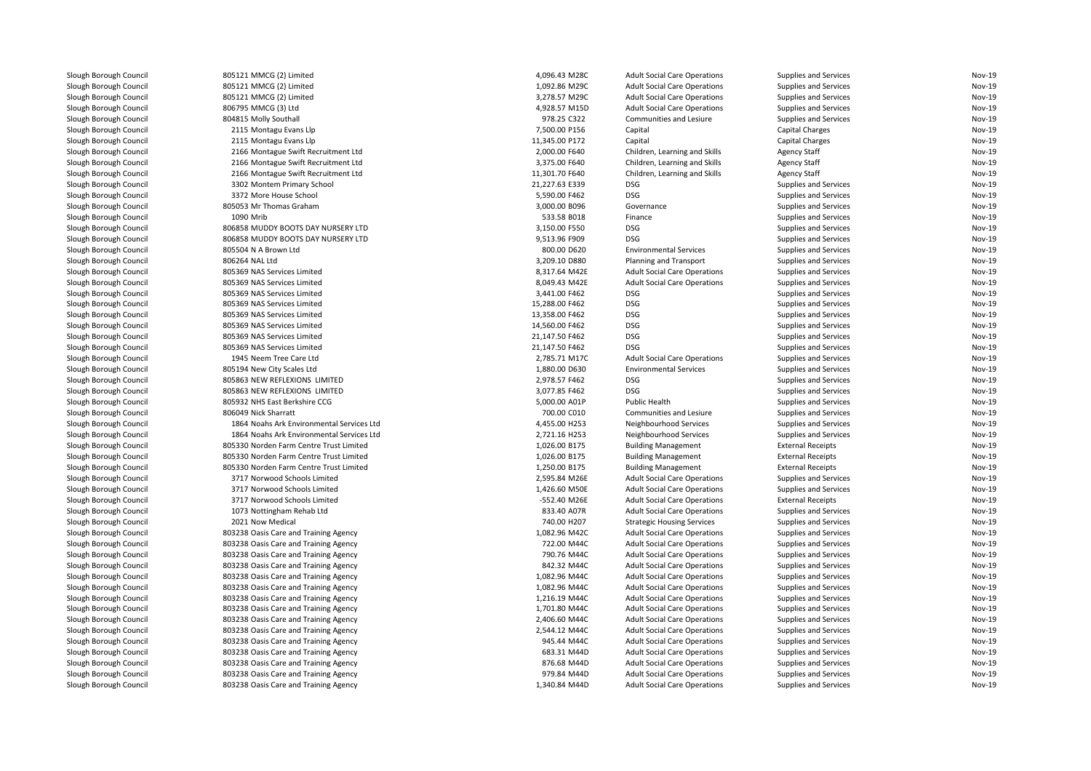| Slough Borough Council | 805121 MMCG (2) Limited                                     | 4,096.43 M28C                  | <b>Adult Social Care Operations</b> | Supplies and Services    | Nov-19           |
|------------------------|-------------------------------------------------------------|--------------------------------|-------------------------------------|--------------------------|------------------|
| Slough Borough Council | 805121 MMCG (2) Limited                                     | 1,092.86 M29C                  | <b>Adult Social Care Operations</b> | Supplies and Services    | Nov-19           |
| Slough Borough Council | 805121 MMCG (2) Limited                                     | 3,278.57 M29C                  | <b>Adult Social Care Operations</b> | Supplies and Services    | Nov-19           |
| Slough Borough Council | 806795 MMCG (3) Ltd                                         | 4,928.57 M15D                  | <b>Adult Social Care Operations</b> | Supplies and Services    | Nov-19           |
| Slough Borough Council | 804815 Molly Southal                                        | 978.25 C322                    | Communities and Lesiure             | Supplies and Services    | Nov-19           |
| Slough Borough Council | 2115 Montagu Evans Llp                                      | 7,500.00 P156                  | Capital                             | <b>Capital Charges</b>   | Nov-19           |
| Slough Borough Council | 2115 Montagu Evans Llp                                      | 11,345.00 P172                 | Capital                             | <b>Capital Charges</b>   | Nov-19           |
| Slough Borough Council | 2166 Montague Swift Recruitment Ltd                         | 2,000.00 F640                  | Children, Learning and Skills       | <b>Agency Staff</b>      | Nov-19           |
| Slough Borough Council | 2166 Montague Swift Recruitment Ltd                         | 3,375.00 F640                  | Children, Learning and Skills       | <b>Agency Staff</b>      | Nov-19           |
| Slough Borough Council | 2166 Montague Swift Recruitment Ltd                         | 11,301.70 F640                 | Children, Learning and Skills       | <b>Agency Staff</b>      | Nov-19           |
| Slough Borough Council | 3302 Montem Primary School                                  | 21,227.63 E339                 | <b>DSG</b>                          | Supplies and Services    | Nov-19           |
| Slough Borough Council | 3372 More House School                                      | 5,590.00 F462                  | <b>DSG</b>                          | Supplies and Services    | Nov-19           |
| Slough Borough Council | 805053 Mr Thomas Graham                                     | 3,000.00 B096                  | Governance                          | Supplies and Services    | Nov-19           |
| Slough Borough Council | 1090 Mrib                                                   | 533.58 B018                    | Finance                             | Supplies and Services    | Nov-19           |
| Slough Borough Council | 806858 MUDDY BOOTS DAY NURSERY LTD                          | 3,150.00 F550                  | <b>DSG</b>                          | Supplies and Services    | Nov-19           |
| Slough Borough Council | 806858 MUDDY BOOTS DAY NURSERY LTD                          | 9,513.96 F909                  | <b>DSG</b>                          | Supplies and Services    | Nov-19           |
| Slough Borough Council | 805504 N A Brown Ltd                                        | 800.00 D620                    | <b>Environmental Services</b>       | Supplies and Services    | Nov-19           |
| Slough Borough Council | 806264 NAL Ltd                                              | 3,209.10 D880                  | Planning and Transport              | Supplies and Services    | Nov-19           |
| Slough Borough Council | 805369 NAS Services Limited                                 | 8,317.64 M42E                  | <b>Adult Social Care Operations</b> | Supplies and Services    | Nov-19           |
| Slough Borough Council | 805369 NAS Services Limited                                 | 8,049.43 M42E                  | <b>Adult Social Care Operations</b> | Supplies and Services    | Nov-19           |
| Slough Borough Council | 805369 NAS Services Limited                                 | 3,441.00 F462                  | <b>DSG</b>                          | Supplies and Services    | Nov-19           |
| Slough Borough Council | 805369 NAS Services Limited                                 | 15,288.00 F462                 | <b>DSG</b>                          | Supplies and Services    | Nov-19           |
| Slough Borough Council | 805369 NAS Services Limited                                 | 13,358.00 F462                 | <b>DSG</b>                          | Supplies and Services    | Nov-19           |
| Slough Borough Council | 805369 NAS Services Limited                                 | 14,560.00 F462                 | <b>DSG</b>                          | Supplies and Services    | Nov-19           |
| Slough Borough Council | 805369 NAS Services Limited                                 | 21,147.50 F462                 | <b>DSG</b>                          | Supplies and Services    | Nov-19           |
| Slough Borough Council | 805369 NAS Services Limited                                 | 21,147.50 F462                 | <b>DSG</b>                          | Supplies and Services    | Nov-19           |
| Slough Borough Council | 1945 Neem Tree Care Ltd                                     | 2,785.71 M17C                  | <b>Adult Social Care Operations</b> |                          | Nov-19           |
|                        |                                                             |                                | <b>Environmental Services</b>       | Supplies and Services    |                  |
| Slough Borough Council | 805194 New City Scales Ltd<br>805863 NEW REFLEXIONS LIMITED | 1,880.00 D630                  | <b>DSG</b>                          | Supplies and Services    | Nov-19<br>Nov-19 |
| Slough Borough Council | 805863 NEW REFLEXIONS LIMITED                               | 2,978.57 F462                  | <b>DSG</b>                          | Supplies and Services    | Nov-19           |
| Slough Borough Council |                                                             | 3,077.85 F462<br>5,000.00 A01P | Public Health                       | Supplies and Services    | Nov-19           |
| Slough Borough Council | 805932 NHS East Berkshire CCG                               |                                |                                     | Supplies and Services    |                  |
| Slough Borough Council | 806049 Nick Sharratt                                        | 700.00 C010                    | Communities and Lesiure             | Supplies and Services    | Nov-19           |
| Slough Borough Council | 1864 Noahs Ark Environmental Services Ltd                   | 4,455.00 H253                  | Neighbourhood Services              | Supplies and Services    | Nov-19           |
| Slough Borough Council | 1864 Noahs Ark Environmental Services Ltd                   | 2,721.16 H253                  | Neighbourhood Services              | Supplies and Services    | Nov-19           |
| Slough Borough Council | 805330 Norden Farm Centre Trust Limited                     | 1,026.00 B175                  | <b>Building Management</b>          | <b>External Receipts</b> | Nov-19           |
| Slough Borough Council | 805330 Norden Farm Centre Trust Limited                     | 1,026.00 B175                  | <b>Building Management</b>          | <b>External Receipts</b> | Nov-19           |
| Slough Borough Council | 805330 Norden Farm Centre Trust Limited                     | 1,250.00 B175                  | <b>Building Management</b>          | <b>External Receipts</b> | Nov-19           |
| Slough Borough Council | 3717 Norwood Schools Limited                                | 2,595.84 M26E                  | <b>Adult Social Care Operations</b> | Supplies and Services    | Nov-19           |
| Slough Borough Council | 3717 Norwood Schools Limited                                | 1,426.60 M50E                  | <b>Adult Social Care Operations</b> | Supplies and Services    | Nov-19           |
| Slough Borough Council | 3717 Norwood Schools Limited                                | -552.40 M26E                   | <b>Adult Social Care Operations</b> | <b>External Receipts</b> | Nov-19           |
| Slough Borough Council | 1073 Nottingham Rehab Ltd                                   | 833.40 A07R                    | <b>Adult Social Care Operations</b> | Supplies and Services    | Nov-19           |
| Slough Borough Council | 2021 Now Medical                                            | 740.00 H207                    | <b>Strategic Housing Services</b>   | Supplies and Services    | Nov-19           |
| Slough Borough Council | 803238 Oasis Care and Training Agency                       | 1,082.96 M42C                  | <b>Adult Social Care Operations</b> | Supplies and Services    | Nov-19           |
| Slough Borough Council | 803238 Oasis Care and Training Agency                       | 722.00 M44C                    | <b>Adult Social Care Operations</b> | Supplies and Services    | Nov-19           |
| Slough Borough Council | 803238 Oasis Care and Training Agency                       | 790.76 M44C                    | <b>Adult Social Care Operations</b> | Supplies and Services    | Nov-19           |
| Slough Borough Council | 803238 Oasis Care and Training Agency                       | 842.32 M44C                    | <b>Adult Social Care Operations</b> | Supplies and Services    | Nov-19           |
| Slough Borough Council | 803238 Oasis Care and Training Agency                       | 1,082.96 M44C                  | <b>Adult Social Care Operations</b> | Supplies and Services    | Nov-19           |
| Slough Borough Council | 803238 Oasis Care and Training Agency                       | 1,082.96 M44C                  | <b>Adult Social Care Operations</b> | Supplies and Services    | Nov-19           |
| Slough Borough Council | 803238 Oasis Care and Training Agency                       | 1,216.19 M44C                  | <b>Adult Social Care Operations</b> | Supplies and Services    | Nov-19           |
| Slough Borough Council | 803238 Oasis Care and Training Agency                       | 1,701.80 M44C                  | <b>Adult Social Care Operations</b> | Supplies and Services    | Nov-19           |
| Slough Borough Council | 803238 Oasis Care and Training Agency                       | 2,406.60 M44C                  | <b>Adult Social Care Operations</b> | Supplies and Services    | Nov-19           |
| Slough Borough Council | 803238 Oasis Care and Training Agency                       | 2,544.12 M44C                  | <b>Adult Social Care Operations</b> | Supplies and Services    | Nov-19           |
| Slough Borough Council | 803238 Oasis Care and Training Agency                       | 945.44 M44C                    | <b>Adult Social Care Operations</b> | Supplies and Services    | Nov-19           |
| Slough Borough Council | 803238 Oasis Care and Training Agency                       | 683.31 M44D                    | <b>Adult Social Care Operations</b> | Supplies and Services    | Nov-19           |
| Slough Borough Council | 803238 Oasis Care and Training Agency                       | 876.68 M44D                    | <b>Adult Social Care Operations</b> | Supplies and Services    | Nov-19           |
| Slough Borough Council | 803238 Oasis Care and Training Agency                       | 979.84 M44D                    | <b>Adult Social Care Operations</b> | Supplies and Services    | Nov-19           |
| Slough Borough Council | 803238 Oasis Care and Training Agency                       | 1,340.84 M44D                  | <b>Adult Social Care Operations</b> | Supplies and Services    | Nov-19           |
|                        |                                                             |                                |                                     |                          |                  |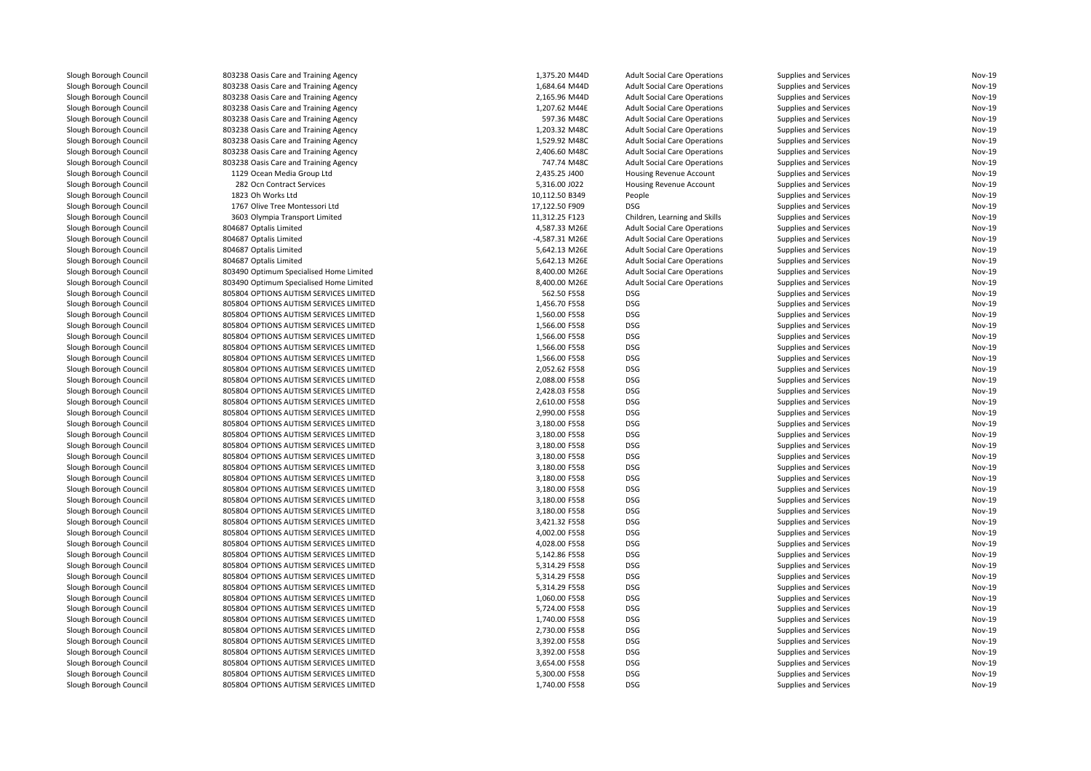| Slough Borough Council | 803238 Oasis Care and Training Agency                               | 1,375.20 M44D  | <b>Adult Social Care Operations</b> | Supplies and Services | <b>Nov-19</b>                  |
|------------------------|---------------------------------------------------------------------|----------------|-------------------------------------|-----------------------|--------------------------------|
| Slough Borough Council | 803238 Oasis Care and Training Agency                               | 1,684.64 M44D  | <b>Adult Social Care Operations</b> | Supplies and Services | <b>Nov-19</b>                  |
| Slough Borough Council | 803238 Oasis Care and Training Agency                               | 2,165.96 M44D  | <b>Adult Social Care Operations</b> | Supplies and Services | <b>Nov-19</b>                  |
| Slough Borough Council | 803238 Oasis Care and Training Agency                               | 1,207.62 M44E  | <b>Adult Social Care Operations</b> | Supplies and Services | <b>Nov-19</b>                  |
| Slough Borough Council | 803238 Oasis Care and Training Agency                               | 597.36 M48C    | <b>Adult Social Care Operations</b> | Supplies and Services | <b>Nov-19</b>                  |
| Slough Borough Council | 803238 Oasis Care and Training Agency                               | 1,203.32 M48C  | <b>Adult Social Care Operations</b> | Supplies and Services | <b>Nov-19</b>                  |
| Slough Borough Council | 803238 Oasis Care and Training Agency                               | 1,529.92 M48C  | <b>Adult Social Care Operations</b> | Supplies and Services | <b>Nov-19</b>                  |
| Slough Borough Council | 803238 Oasis Care and Training Agency                               | 2,406.60 M48C  | <b>Adult Social Care Operations</b> | Supplies and Services | <b>Nov-19</b>                  |
|                        |                                                                     | 747.74 M48C    |                                     |                       | <b>Nov-19</b>                  |
| Slough Borough Council | 803238 Oasis Care and Training Agency<br>1129 Ocean Media Group Ltd | 2,435.25 J400  | <b>Adult Social Care Operations</b> | Supplies and Services | <b>Nov-19</b>                  |
| Slough Borough Council |                                                                     |                | Housing Revenue Account             | Supplies and Services |                                |
| Slough Borough Council | 282 Ocn Contract Services                                           | 5,316.00 J022  | Housing Revenue Account             | Supplies and Services | Nov-19                         |
| Slough Borough Council | 1823 Oh Works Ltd                                                   | 10,112.50 B349 | People                              | Supplies and Services | <b>Nov-19</b>                  |
| Slough Borough Council | 1767 Olive Tree Montessori Ltd                                      | 17,122.50 F909 | <b>DSG</b>                          | Supplies and Services | <b>Nov-19</b>                  |
| Slough Borough Council | 3603 Olympia Transport Limited                                      | 11,312.25 F123 | Children, Learning and Skills       | Supplies and Services | <b>Nov-19</b>                  |
| Slough Borough Council | 804687 Optalis Limited                                              | 4,587.33 M26E  | <b>Adult Social Care Operations</b> | Supplies and Services | <b>Nov-19</b>                  |
| Slough Borough Council | 804687 Optalis Limited                                              | -4,587.31 M26E | <b>Adult Social Care Operations</b> | Supplies and Services | <b>Nov-19</b>                  |
| Slough Borough Council | 804687 Optalis Limited                                              | 5,642.13 M26E  | <b>Adult Social Care Operations</b> | Supplies and Services | <b>Nov-19</b>                  |
| Slough Borough Council | 804687 Optalis Limited                                              | 5,642.13 M26E  | <b>Adult Social Care Operations</b> | Supplies and Services | <b>Nov-19</b>                  |
| Slough Borough Council | 803490 Optimum Specialised Home Limited                             | 8,400.00 M26E  | <b>Adult Social Care Operations</b> | Supplies and Services | <b>Nov-19</b>                  |
| Slough Borough Council | 803490 Optimum Specialised Home Limited                             | 8,400.00 M26E  | <b>Adult Social Care Operations</b> | Supplies and Services | <b>Nov-19</b>                  |
| Slough Borough Council | 805804 OPTIONS AUTISM SERVICES LIMITED                              | 562.50 F558    | <b>DSG</b>                          | Supplies and Services | Nov-19                         |
| Slough Borough Council | 805804 OPTIONS AUTISM SERVICES LIMITED                              | 1,456.70 F558  | <b>DSG</b>                          | Supplies and Services | <b>Nov-19</b>                  |
| Slough Borough Council | 805804 OPTIONS AUTISM SERVICES LIMITED                              | 1,560.00 F558  | <b>DSG</b>                          | Supplies and Services | <b>Nov-19</b>                  |
| Slough Borough Council | 805804 OPTIONS AUTISM SERVICES LIMITED                              | 1,566.00 F558  | <b>DSG</b>                          | Supplies and Services | <b>Nov-19</b>                  |
| Slough Borough Council | 805804 OPTIONS AUTISM SERVICES LIMITED                              | 1,566.00 F558  | <b>DSG</b>                          | Supplies and Services | Nov-19                         |
| Slough Borough Council | 805804 OPTIONS AUTISM SERVICES LIMITED                              | 1,566.00 F558  | <b>DSG</b>                          | Supplies and Services | <b>Nov-19</b>                  |
| Slough Borough Council | 805804 OPTIONS AUTISM SERVICES LIMITED                              | 1,566.00 F558  | <b>DSG</b>                          | Supplies and Services | <b>Nov-19</b>                  |
| Slough Borough Council | 805804 OPTIONS AUTISM SERVICES LIMITED                              | 2,052.62 F558  | <b>DSG</b>                          | Supplies and Services | <b>Nov-19</b>                  |
| Slough Borough Council | 805804 OPTIONS AUTISM SERVICES LIMITED                              | 2,088.00 F558  | <b>DSG</b>                          | Supplies and Services | <b>Nov-19</b>                  |
| Slough Borough Council | 805804 OPTIONS AUTISM SERVICES LIMITED                              | 2,428.03 F558  | <b>DSG</b>                          | Supplies and Services | <b>Nov-19</b>                  |
| Slough Borough Council | 805804 OPTIONS AUTISM SERVICES LIMITED                              | 2,610.00 F558  | <b>DSG</b>                          | Supplies and Services | <b>Nov-19</b>                  |
|                        |                                                                     |                |                                     |                       |                                |
| Slough Borough Council | 805804 OPTIONS AUTISM SERVICES LIMITED                              | 2,990.00 F558  | <b>DSG</b><br><b>DSG</b>            | Supplies and Services | <b>Nov-19</b><br><b>Nov-19</b> |
| Slough Borough Council | 805804 OPTIONS AUTISM SERVICES LIMITED                              | 3,180.00 F558  |                                     | Supplies and Services |                                |
| Slough Borough Council | 805804 OPTIONS AUTISM SERVICES LIMITED                              | 3,180.00 F558  | <b>DSG</b>                          | Supplies and Services | <b>Nov-19</b>                  |
| Slough Borough Council | 805804 OPTIONS AUTISM SERVICES LIMITED                              | 3,180.00 F558  | <b>DSG</b>                          | Supplies and Services | <b>Nov-19</b>                  |
| Slough Borough Council | 805804 OPTIONS AUTISM SERVICES LIMITED                              | 3,180.00 F558  | <b>DSG</b>                          | Supplies and Services | <b>Nov-19</b>                  |
| Slough Borough Council | 805804 OPTIONS AUTISM SERVICES LIMITED                              | 3,180.00 F558  | <b>DSG</b>                          | Supplies and Services | <b>Nov-19</b>                  |
| Slough Borough Council | 805804 OPTIONS AUTISM SERVICES LIMITED                              | 3,180.00 F558  | <b>DSG</b>                          | Supplies and Services | <b>Nov-19</b>                  |
| Slough Borough Council | 805804 OPTIONS AUTISM SERVICES LIMITED                              | 3,180.00 F558  | <b>DSG</b>                          | Supplies and Services | <b>Nov-19</b>                  |
| Slough Borough Council | 805804 OPTIONS AUTISM SERVICES LIMITED                              | 3,180.00 F558  | <b>DSG</b>                          | Supplies and Services | <b>Nov-19</b>                  |
| Slough Borough Council | 805804 OPTIONS AUTISM SERVICES LIMITED                              | 3,180.00 F558  | <b>DSG</b>                          | Supplies and Services | <b>Nov-19</b>                  |
| Slough Borough Council | 805804 OPTIONS AUTISM SERVICES LIMITED                              | 3,421.32 F558  | <b>DSG</b>                          | Supplies and Services | <b>Nov-19</b>                  |
| Slough Borough Council | 805804 OPTIONS AUTISM SERVICES LIMITED                              | 4,002.00 F558  | <b>DSG</b>                          | Supplies and Services | <b>Nov-19</b>                  |
| Slough Borough Council | 805804 OPTIONS AUTISM SERVICES LIMITED                              | 4,028.00 F558  | <b>DSG</b>                          | Supplies and Services | <b>Nov-19</b>                  |
| Slough Borough Council | 805804 OPTIONS AUTISM SERVICES LIMITED                              | 5,142.86 F558  | <b>DSG</b>                          | Supplies and Services | <b>Nov-19</b>                  |
| Slough Borough Council | 805804 OPTIONS AUTISM SERVICES LIMITED                              | 5,314.29 F558  | DSG                                 | Supplies and Services | <b>Nov-19</b>                  |
| Slough Borough Council | 805804 OPTIONS AUTISM SERVICES LIMITED                              | 5,314.29 F558  | <b>DSG</b>                          | Supplies and Services | <b>Nov-19</b>                  |
| Slough Borough Council | 805804 OPTIONS AUTISM SERVICES LIMITED                              | 5,314.29 F558  | <b>DSG</b>                          | Supplies and Services | <b>Nov-19</b>                  |
| Slough Borough Council | 805804 OPTIONS AUTISM SERVICES LIMITED                              | 1,060.00 F558  | <b>DSG</b>                          | Supplies and Services | <b>Nov-19</b>                  |
| Slough Borough Council | 805804 OPTIONS AUTISM SERVICES LIMITED                              | 5,724.00 F558  | <b>DSG</b>                          | Supplies and Services | <b>Nov-19</b>                  |
| Slough Borough Council | 805804 OPTIONS AUTISM SERVICES LIMITED                              | 1,740.00 F558  | <b>DSG</b>                          | Supplies and Services | <b>Nov-19</b>                  |
|                        | 805804 OPTIONS AUTISM SERVICES LIMITED                              | 2,730.00 F558  | <b>DSG</b>                          |                       | <b>Nov-19</b>                  |
| Slough Borough Council |                                                                     |                | <b>DSG</b>                          | Supplies and Services | <b>Nov-19</b>                  |
| Slough Borough Council | 805804 OPTIONS AUTISM SERVICES LIMITED                              | 3,392.00 F558  |                                     | Supplies and Services |                                |
| Slough Borough Council | 805804 OPTIONS AUTISM SERVICES LIMITED                              | 3,392.00 F558  | <b>DSG</b>                          | Supplies and Services | <b>Nov-19</b>                  |
| Slough Borough Council | 805804 OPTIONS AUTISM SERVICES LIMITED                              | 3,654.00 F558  | <b>DSG</b>                          | Supplies and Services | <b>Nov-19</b>                  |
| Slough Borough Council | 805804 OPTIONS AUTISM SERVICES LIMITED                              | 5,300.00 F558  | <b>DSG</b>                          | Supplies and Services | <b>Nov-19</b>                  |
| Slough Borough Council | 805804 OPTIONS AUTISM SERVICES LIMITED                              | 1,740.00 F558  | <b>DSG</b>                          | Supplies and Services | Nov-19                         |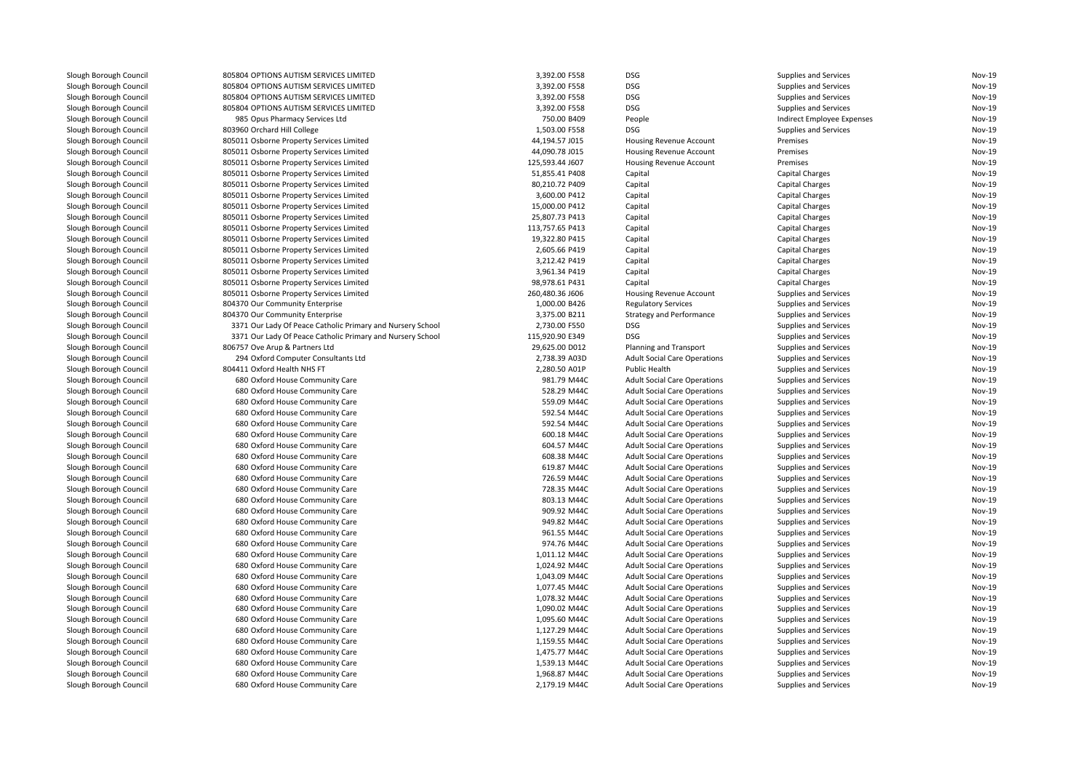| Slough Borough Council | 805804 OPTIONS AUTISM SERVICES LIMITED                     | 3,392.00 F558   | <b>DSG</b>                          | Supplies and Services        | Nov-19 |
|------------------------|------------------------------------------------------------|-----------------|-------------------------------------|------------------------------|--------|
| Slough Borough Council | 805804 OPTIONS AUTISM SERVICES LIMITED                     | 3,392.00 F558   | <b>DSG</b>                          | Supplies and Services        | Nov-19 |
| Slough Borough Council | 805804 OPTIONS AUTISM SERVICES LIMITED                     | 3,392.00 F558   | <b>DSG</b>                          | Supplies and Services        | Nov-19 |
| Slough Borough Council | 805804 OPTIONS AUTISM SERVICES LIMITED                     | 3,392.00 F558   | <b>DSG</b>                          | Supplies and Services        | Nov-19 |
| Slough Borough Council | 985 Opus Pharmacy Services Ltd                             | 750.00 B409     | People                              | Indirect Employee Expenses   | Nov-19 |
| Slough Borough Council | 803960 Orchard Hill College                                | 1,503.00 F558   | <b>DSG</b>                          | Supplies and Services        | Nov-19 |
| Slough Borough Council | 805011 Osborne Property Services Limited                   | 44,194.57 J015  | Housing Revenue Account             | Premises                     | Nov-19 |
| Slough Borough Council | 805011 Osborne Property Services Limited                   | 44,090.78 J015  | <b>Housing Revenue Account</b>      | Premises                     | Nov-19 |
| Slough Borough Council | 805011 Osborne Property Services Limited                   | 125,593.44 J607 | Housing Revenue Account             | Premises                     | Nov-19 |
| Slough Borough Council | 805011 Osborne Property Services Limited                   | 51,855.41 P408  | Capital                             | <b>Capital Charges</b>       | Nov-19 |
| Slough Borough Council | 805011 Osborne Property Services Limited                   | 80,210.72 P409  | Capital                             | Capital Charges              | Nov-19 |
| Slough Borough Council | 805011 Osborne Property Services Limited                   | 3,600.00 P412   | Capital                             | <b>Capital Charges</b>       | Nov-19 |
| Slough Borough Council | 805011 Osborne Property Services Limited                   | 15,000.00 P412  | Capital                             | Capital Charges              | Nov-19 |
| Slough Borough Council | 805011 Osborne Property Services Limited                   | 25,807.73 P413  | Capital                             | <b>Capital Charges</b>       | Nov-19 |
| Slough Borough Council | 805011 Osborne Property Services Limited                   | 113,757.65 P413 | Capital                             | <b>Capital Charges</b>       | Nov-19 |
| Slough Borough Council | 805011 Osborne Property Services Limited                   | 19,322.80 P415  | Capital                             | Capital Charges              | Nov-19 |
| Slough Borough Council | 805011 Osborne Property Services Limited                   | 2,605.66 P419   | Capital                             | <b>Capital Charges</b>       | Nov-19 |
| Slough Borough Council | 805011 Osborne Property Services Limited                   | 3,212.42 P419   | Capital                             | <b>Capital Charges</b>       | Nov-19 |
| Slough Borough Council | 805011 Osborne Property Services Limited                   | 3.961.34 P419   | Capital                             | <b>Capital Charges</b>       | Nov-19 |
| Slough Borough Council | 805011 Osborne Property Services Limited                   | 98,978.61 P431  | Capital                             | <b>Capital Charges</b>       | Nov-19 |
| Slough Borough Council | 805011 Osborne Property Services Limited                   | 260,480.36 J606 | <b>Housing Revenue Account</b>      | Supplies and Services        | Nov-19 |
| Slough Borough Council | 804370 Our Community Enterprise                            | 1,000.00 B426   | <b>Regulatory Services</b>          | Supplies and Services        | Nov-19 |
| Slough Borough Council | 804370 Our Community Enterprise                            | 3,375.00 B211   | <b>Strategy and Performance</b>     | Supplies and Services        | Nov-19 |
| Slough Borough Council | 3371 Our Lady Of Peace Catholic Primary and Nursery School | 2,730.00 F550   | <b>DSG</b>                          | Supplies and Services        | Nov-19 |
| Slough Borough Council | 3371 Our Lady Of Peace Catholic Primary and Nursery School | 115,920.90 E349 | <b>DSG</b>                          | Supplies and Services        | Nov-19 |
| Slough Borough Council | 806757 Ove Arup & Partners Ltd                             | 29,625.00 D012  | Planning and Transport              | Supplies and Services        | Nov-19 |
| Slough Borough Council | 294 Oxford Computer Consultants Ltd                        | 2,738.39 A03D   | <b>Adult Social Care Operations</b> | Supplies and Services        | Nov-19 |
| Slough Borough Council | 804411 Oxford Health NHS FT                                | 2,280.50 A01P   | Public Health                       | Supplies and Services        | Nov-19 |
| Slough Borough Council | 680 Oxford House Community Care                            | 981.79 M44C     | <b>Adult Social Care Operations</b> | Supplies and Services        | Nov-19 |
| Slough Borough Council | 680 Oxford House Community Care                            | 528.29 M44C     | <b>Adult Social Care Operations</b> | Supplies and Services        | Nov-19 |
| Slough Borough Council | 680 Oxford House Community Care                            | 559.09 M44C     | <b>Adult Social Care Operations</b> | Supplies and Services        | Nov-19 |
| Slough Borough Council | 680 Oxford House Community Care                            | 592.54 M44C     | <b>Adult Social Care Operations</b> | Supplies and Services        | Nov-19 |
| Slough Borough Council | 680 Oxford House Community Care                            | 592.54 M44C     | <b>Adult Social Care Operations</b> | Supplies and Services        | Nov-19 |
| Slough Borough Council | 680 Oxford House Community Care                            | 600.18 M44C     | <b>Adult Social Care Operations</b> | Supplies and Services        | Nov-19 |
| Slough Borough Council | 680 Oxford House Community Care                            | 604.57 M44C     | <b>Adult Social Care Operations</b> | Supplies and Services        | Nov-19 |
| Slough Borough Council | 680 Oxford House Community Care                            | 608.38 M44C     | <b>Adult Social Care Operations</b> | Supplies and Services        | Nov-19 |
| Slough Borough Council | 680 Oxford House Community Care                            | 619.87 M44C     | <b>Adult Social Care Operations</b> | Supplies and Services        | Nov-19 |
| Slough Borough Council | 680 Oxford House Community Care                            | 726.59 M44C     | <b>Adult Social Care Operations</b> | Supplies and Services        | Nov-19 |
| Slough Borough Council | 680 Oxford House Community Care                            | 728.35 M44C     | <b>Adult Social Care Operations</b> | Supplies and Services        | Nov-19 |
| Slough Borough Council | 680 Oxford House Community Care                            | 803.13 M44C     | <b>Adult Social Care Operations</b> | Supplies and Services        | Nov-19 |
| Slough Borough Council | 680 Oxford House Community Care                            | 909.92 M44C     | <b>Adult Social Care Operations</b> | Supplies and Services        | Nov-19 |
| Slough Borough Council | 680 Oxford House Community Care                            | 949.82 M44C     | <b>Adult Social Care Operations</b> | Supplies and Services        | Nov-19 |
| Slough Borough Council | 680 Oxford House Community Care                            | 961.55 M44C     | <b>Adult Social Care Operations</b> | Supplies and Services        | Nov-19 |
| Slough Borough Council | 680 Oxford House Community Care                            | 974.76 M44C     | <b>Adult Social Care Operations</b> | Supplies and Services        | Nov-19 |
| Slough Borough Council | 680 Oxford House Community Care                            | 1,011.12 M44C   | <b>Adult Social Care Operations</b> | <b>Supplies and Services</b> | Nov-19 |
| Slough Borough Council | 680 Oxford House Community Care                            | 1,024.92 M44C   | <b>Adult Social Care Operations</b> | Supplies and Services        | Nov-19 |
| Slough Borough Council | 680 Oxford House Community Care                            | 1,043.09 M44C   | <b>Adult Social Care Operations</b> | Supplies and Services        | Nov-19 |
| Slough Borough Council | 680 Oxford House Community Care                            | 1,077.45 M44C   | <b>Adult Social Care Operations</b> | Supplies and Services        | Nov-19 |
| Slough Borough Council | 680 Oxford House Community Care                            | 1,078.32 M44C   | <b>Adult Social Care Operations</b> | Supplies and Services        | Nov-19 |
| Slough Borough Council | 680 Oxford House Community Care                            | 1,090.02 M44C   | <b>Adult Social Care Operations</b> | Supplies and Services        | Nov-19 |
| Slough Borough Council | 680 Oxford House Community Care                            | 1,095.60 M44C   | <b>Adult Social Care Operations</b> | Supplies and Services        | Nov-19 |
| Slough Borough Council | 680 Oxford House Community Care                            | 1,127.29 M44C   | <b>Adult Social Care Operations</b> | Supplies and Services        | Nov-19 |
| Slough Borough Council | 680 Oxford House Community Care                            | 1,159.55 M44C   | <b>Adult Social Care Operations</b> | Supplies and Services        | Nov-19 |
| Slough Borough Council | 680 Oxford House Community Care                            | 1,475.77 M44C   | <b>Adult Social Care Operations</b> | Supplies and Services        | Nov-19 |
| Slough Borough Council | 680 Oxford House Community Care                            | 1,539.13 M44C   | <b>Adult Social Care Operations</b> | Supplies and Services        | Nov-19 |
| Slough Borough Council | 680 Oxford House Community Care                            | 1,968.87 M44C   | <b>Adult Social Care Operations</b> | Supplies and Services        | Nov-19 |
| Slough Borough Council | 680 Oxford House Community Care                            | 2,179.19 M44C   | <b>Adult Social Care Operations</b> | Supplies and Services        | Nov-19 |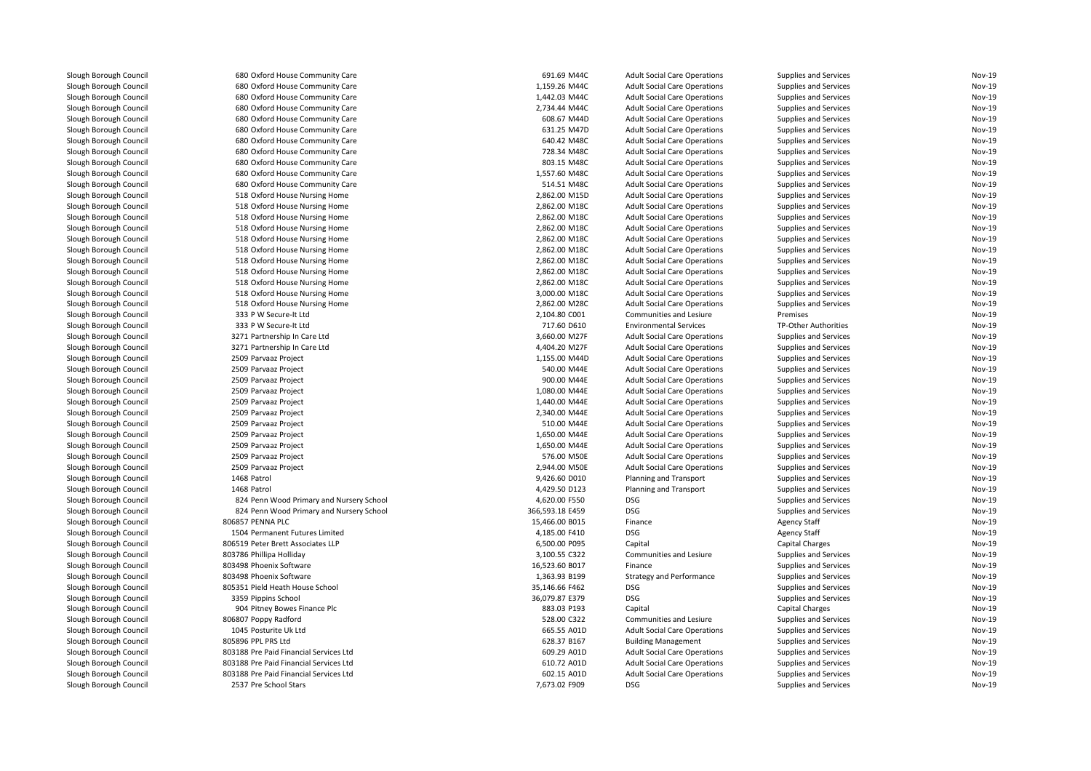| Slough Borough Council | 680 Oxford House Community Care          | 691.69 M44C     | <b>Adult Social Care Operations</b> | Supplies and Services        | Nov-19        |
|------------------------|------------------------------------------|-----------------|-------------------------------------|------------------------------|---------------|
| Slough Borough Council | 680 Oxford House Community Care          | 1,159.26 M44C   | <b>Adult Social Care Operations</b> | <b>Supplies and Services</b> | <b>Nov-19</b> |
| Slough Borough Council | 680 Oxford House Community Care          | 1,442.03 M44C   | <b>Adult Social Care Operations</b> | Supplies and Services        | Nov-19        |
| Slough Borough Council | 680 Oxford House Community Care          | 2,734.44 M44C   | <b>Adult Social Care Operations</b> | <b>Supplies and Services</b> | <b>Nov-19</b> |
| Slough Borough Council | 680 Oxford House Community Care          | 608.67 M44D     | <b>Adult Social Care Operations</b> | <b>Supplies and Services</b> | Nov-19        |
| Slough Borough Council | 680 Oxford House Community Care          | 631.25 M47D     | <b>Adult Social Care Operations</b> | <b>Supplies and Services</b> | <b>Nov-19</b> |
| Slough Borough Council | 680 Oxford House Community Care          | 640.42 M48C     | <b>Adult Social Care Operations</b> | <b>Supplies and Services</b> | Nov-19        |
| Slough Borough Council | 680 Oxford House Community Care          | 728.34 M48C     | <b>Adult Social Care Operations</b> | <b>Supplies and Services</b> | <b>Nov-19</b> |
| Slough Borough Council | 680 Oxford House Community Care          | 803.15 M48C     | <b>Adult Social Care Operations</b> | <b>Supplies and Services</b> | Nov-19        |
| Slough Borough Council | 680 Oxford House Community Care          | 1,557.60 M48C   | <b>Adult Social Care Operations</b> | Supplies and Services        | Nov-19        |
| Slough Borough Council | 680 Oxford House Community Care          | 514.51 M48C     | <b>Adult Social Care Operations</b> | <b>Supplies and Services</b> | Nov-19        |
| Slough Borough Council | 518 Oxford House Nursing Home            | 2,862.00 M15D   | <b>Adult Social Care Operations</b> | Supplies and Services        | Nov-19        |
| Slough Borough Council | 518 Oxford House Nursing Home            | 2,862.00 M18C   | <b>Adult Social Care Operations</b> | Supplies and Services        | Nov-19        |
| Slough Borough Council | 518 Oxford House Nursing Home            | 2,862.00 M18C   | <b>Adult Social Care Operations</b> | Supplies and Services        | Nov-19        |
| Slough Borough Council | 518 Oxford House Nursing Home            | 2,862.00 M18C   | <b>Adult Social Care Operations</b> | Supplies and Services        | Nov-19        |
| Slough Borough Council | 518 Oxford House Nursing Home            | 2,862.00 M18C   | <b>Adult Social Care Operations</b> | Supplies and Services        | Nov-19        |
| Slough Borough Council | 518 Oxford House Nursing Home            | 2,862.00 M18C   | <b>Adult Social Care Operations</b> | Supplies and Services        | Nov-19        |
| Slough Borough Council |                                          | 2,862.00 M18C   |                                     |                              | Nov-19        |
|                        | 518 Oxford House Nursing Home            |                 | <b>Adult Social Care Operations</b> | Supplies and Services        |               |
| Slough Borough Council | 518 Oxford House Nursing Home            | 2,862.00 M18C   | <b>Adult Social Care Operations</b> | Supplies and Services        | Nov-19        |
| Slough Borough Council | 518 Oxford House Nursing Home            | 2,862.00 M18C   | <b>Adult Social Care Operations</b> | Supplies and Services        | Nov-19        |
| Slough Borough Council | 518 Oxford House Nursing Home            | 3,000.00 M18C   | <b>Adult Social Care Operations</b> | Supplies and Services        | <b>Nov-19</b> |
| Slough Borough Council | 518 Oxford House Nursing Home            | 2,862.00 M28C   | <b>Adult Social Care Operations</b> | Supplies and Services        | Nov-19        |
| Slough Borough Council | 333 P W Secure-It Ltd                    | 2,104.80 C001   | Communities and Lesiure             | Premises                     | <b>Nov-19</b> |
| Slough Borough Council | 333 P W Secure-It Ltd                    | 717.60 D610     | <b>Environmental Services</b>       | TP-Other Authorities         | Nov-19        |
| Slough Borough Council | 3271 Partnership In Care Ltd             | 3,660.00 M27F   | <b>Adult Social Care Operations</b> | Supplies and Services        | <b>Nov-19</b> |
| Slough Borough Council | 3271 Partnership In Care Ltd             | 4,404.20 M27F   | <b>Adult Social Care Operations</b> | Supplies and Services        | Nov-19        |
| Slough Borough Council | 2509 Parvaaz Project                     | 1,155.00 M44D   | <b>Adult Social Care Operations</b> | Supplies and Services        | <b>Nov-19</b> |
| Slough Borough Council | 2509 Parvaaz Project                     | 540.00 M44E     | <b>Adult Social Care Operations</b> | Supplies and Services        | Nov-19        |
| Slough Borough Council | 2509 Parvaaz Project                     | 900.00 M44E     | <b>Adult Social Care Operations</b> | Supplies and Services        | <b>Nov-19</b> |
| Slough Borough Council | 2509 Parvaaz Project                     | 1,080.00 M44E   | <b>Adult Social Care Operations</b> | Supplies and Services        | Nov-19        |
| Slough Borough Council | 2509 Parvaaz Project                     | 1,440.00 M44E   | <b>Adult Social Care Operations</b> | Supplies and Services        | <b>Nov-19</b> |
| Slough Borough Council | 2509 Parvaaz Project                     | 2,340.00 M44E   | <b>Adult Social Care Operations</b> | Supplies and Services        | Nov-19        |
| Slough Borough Council | 2509 Parvaaz Project                     | 510.00 M44E     | <b>Adult Social Care Operations</b> | <b>Supplies and Services</b> | Nov-19        |
| Slough Borough Council | 2509 Parvaaz Project                     | 1,650.00 M44E   | <b>Adult Social Care Operations</b> | Supplies and Services        | Nov-19        |
| Slough Borough Council | 2509 Parvaaz Project                     | 1,650.00 M44E   | <b>Adult Social Care Operations</b> | Supplies and Services        | <b>Nov-19</b> |
| Slough Borough Council | 2509 Parvaaz Project                     | 576.00 M50E     | <b>Adult Social Care Operations</b> | <b>Supplies and Services</b> | Nov-19        |
| Slough Borough Council | 2509 Parvaaz Project                     | 2,944.00 M50E   | <b>Adult Social Care Operations</b> | Supplies and Services        | <b>Nov-19</b> |
| Slough Borough Council | 1468 Patrol                              | 9,426.60 D010   | Planning and Transport              | Supplies and Services        | Nov-19        |
| Slough Borough Council | 1468 Patrol                              | 4,429.50 D123   | Planning and Transport              | Supplies and Services        | <b>Nov-19</b> |
|                        |                                          |                 | DSG                                 |                              | Nov-19        |
| Slough Borough Council | 824 Penn Wood Primary and Nursery School | 4,620.00 F550   |                                     | Supplies and Services        |               |
| Slough Borough Council | 824 Penn Wood Primary and Nursery School | 366,593.18 E459 | DSG                                 | <b>Supplies and Services</b> | Nov-19        |
| Slough Borough Council | 806857 PENNA PLC                         | 15,466.00 B015  | Finance                             | <b>Agency Staff</b>          | Nov-19        |
| Slough Borough Council | 1504 Permanent Futures Limited           | 4,185.00 F410   | DSG                                 | <b>Agency Staff</b>          | Nov-19        |
| Slough Borough Council | 806519 Peter Brett Associates LLP        | 6,500.00 P095   | Capital                             | <b>Capital Charges</b>       | Nov-19        |
| Slough Borough Council | 803786 Phillipa Holliday                 | 3,100.55 C322   | Communities and Lesiure             | Supplies and Services        | Nov-19        |
| Slough Borough Council | 803498 Phoenix Software                  | 16,523.60 B017  | Finance                             | Supplies and Services        | Nov-19        |
| Slough Borough Council | 803498 Phoenix Software                  | 1,363.93 B199   | <b>Strategy and Performance</b>     | Supplies and Services        | Nov-19        |
| Slough Borough Council | 805351 Pield Heath House School          | 35,146.66 F462  | <b>DSG</b>                          | Supplies and Services        | <b>Nov-19</b> |
| Slough Borough Council | 3359 Pippins School                      | 36,079.87 E379  | DSG                                 | <b>Supplies and Services</b> | Nov-19        |
| Slough Borough Council | 904 Pitney Bowes Finance Plc             | 883.03 P193     | Capital                             | <b>Capital Charges</b>       | Nov-19        |
| Slough Borough Council | 806807 Poppy Radford                     | 528.00 C322     | Communities and Lesiure             | Supplies and Services        | Nov-19        |
| Slough Borough Council | 1045 Posturite Uk Ltd                    | 665.55 A01D     | <b>Adult Social Care Operations</b> | <b>Supplies and Services</b> | <b>Nov-19</b> |
| Slough Borough Council | 805896 PPL PRS Ltd                       | 628.37 B167     | <b>Building Management</b>          | Supplies and Services        | Nov-19        |
| Slough Borough Council | 803188 Pre Paid Financial Services Ltd   | 609.29 A01D     | <b>Adult Social Care Operations</b> | <b>Supplies and Services</b> | <b>Nov-19</b> |
| Slough Borough Council | 803188 Pre Paid Financial Services Ltd   | 610.72 A01D     | <b>Adult Social Care Operations</b> | <b>Supplies and Services</b> | Nov-19        |
| Slough Borough Council | 803188 Pre Paid Financial Services Ltd   | 602.15 A01D     | <b>Adult Social Care Operations</b> | <b>Supplies and Services</b> | Nov-19        |
| Slough Borough Council | 2537 Pre School Stars                    | 7,673.02 F909   | <b>DSG</b>                          | Supplies and Services        | Nov-19        |
|                        |                                          |                 |                                     |                              |               |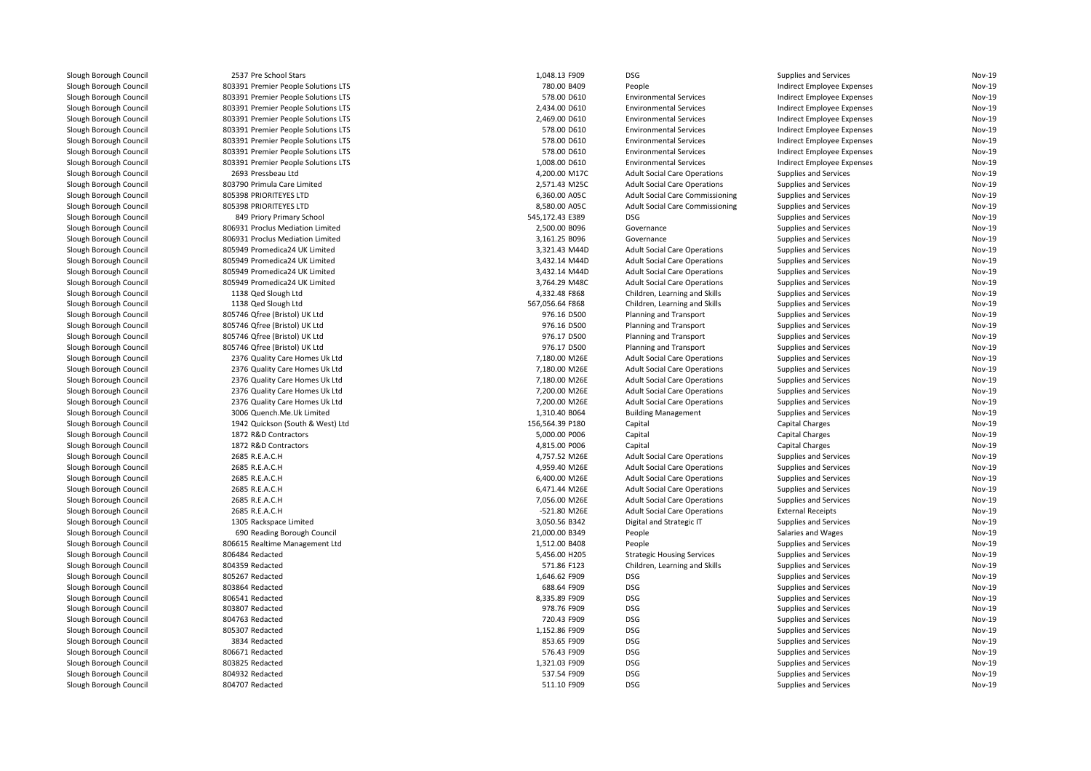| Slough Borough Council | 2537 Pre School Stars               | 1,048.13 F909              | <b>DSG</b>                             | Supplies and Services        | Nov-19                  |
|------------------------|-------------------------------------|----------------------------|----------------------------------------|------------------------------|-------------------------|
| Slough Borough Council | 803391 Premier People Solutions LTS | 780.00 B409                | People                                 | Indirect Employee Expenses   | Nov-19                  |
| Slough Borough Council | 803391 Premier People Solutions LTS | 578.00 D610                | <b>Environmental Services</b>          | Indirect Employee Expenses   | <b>Nov-19</b>           |
| Slough Borough Council | 803391 Premier People Solutions LTS | 2,434.00 D610              | <b>Environmental Services</b>          | Indirect Employee Expenses   | <b>Nov-19</b>           |
| Slough Borough Council | 803391 Premier People Solutions LTS | 2,469.00 D610              | <b>Environmental Services</b>          | Indirect Employee Expenses   | Nov-19                  |
| Slough Borough Council | 803391 Premier People Solutions LTS | 578.00 D610                | <b>Environmental Services</b>          | Indirect Employee Expenses   | <b>Nov-19</b>           |
| Slough Borough Council | 803391 Premier People Solutions LTS | 578.00 D610                | <b>Environmental Services</b>          | Indirect Employee Expenses   | <b>Nov-19</b>           |
| Slough Borough Council | 803391 Premier People Solutions LTS | 578.00 D610                | <b>Environmental Services</b>          | Indirect Employee Expenses   | Nov-19                  |
| Slough Borough Council | 803391 Premier People Solutions LTS | 1,008.00 D610              | <b>Environmental Services</b>          | Indirect Employee Expenses   | Nov-19                  |
| Slough Borough Council | 2693 Pressbeau Ltd                  | 4,200.00 M17C              | <b>Adult Social Care Operations</b>    | Supplies and Services        | Nov-19                  |
| Slough Borough Council | 803790 Primula Care Limited         | 2,571.43 M25C              | <b>Adult Social Care Operations</b>    | Supplies and Services        | Nov-19                  |
| Slough Borough Council | 805398 PRIORITEYES LTD              | 6,360.00 A05C              | <b>Adult Social Care Commissioning</b> | Supplies and Services        | <b>Nov-19</b>           |
| Slough Borough Council | 805398 PRIORITEYES LTD              | 8,580.00 A05C              | <b>Adult Social Care Commissioning</b> | Supplies and Services        | Nov-19                  |
| Slough Borough Council | 849 Priory Primary School           | 545,172.43 E389            | <b>DSG</b>                             | Supplies and Services        | Nov-19                  |
| Slough Borough Council | 806931 Proclus Mediation Limited    | 2,500.00 B096              | Governance                             | Supplies and Services        | Nov-19                  |
| Slough Borough Council | 806931 Proclus Mediation Limited    | 3,161.25 B096              | Governance                             | Supplies and Services        | <b>Nov-19</b>           |
| Slough Borough Council | 805949 Promedica24 UK Limited       | 3,321.43 M44D              | <b>Adult Social Care Operations</b>    | Supplies and Services        | <b>Nov-19</b>           |
| Slough Borough Council | 805949 Promedica24 UK Limited       | 3,432.14 M44D              | <b>Adult Social Care Operations</b>    | Supplies and Services        | Nov-19                  |
| Slough Borough Council | 805949 Promedica24 UK Limited       | 3,432.14 M44D              | <b>Adult Social Care Operations</b>    | Supplies and Services        | <b>Nov-19</b>           |
| Slough Borough Council | 805949 Promedica24 UK Limited       | 3,764.29 M48C              | <b>Adult Social Care Operations</b>    | Supplies and Services        | <b>Nov-19</b>           |
| Slough Borough Council | 1138 Qed Slough Ltd                 | 4,332.48 F868              | Children, Learning and Skills          | Supplies and Services        | Nov-19                  |
| Slough Borough Council | 1138 Qed Slough Ltd                 | 567,056.64 F868            | Children, Learning and Skills          | Supplies and Services        | <b>Nov-19</b>           |
| Slough Borough Council | 805746 Qfree (Bristol) UK Ltd       | 976.16 D500                | Planning and Transport                 | Supplies and Services        | Nov-19                  |
|                        | 805746 Qfree (Bristol) UK Ltd       |                            |                                        |                              |                         |
| Slough Borough Council |                                     | 976.16 D500<br>976.17 D500 | Planning and Transport                 | Supplies and Services        | Nov-19<br><b>Nov-19</b> |
| Slough Borough Council | 805746 Qfree (Bristol) UK Ltd       |                            | Planning and Transport                 | Supplies and Services        |                         |
| Slough Borough Council | 805746 Qfree (Bristol) UK Ltd       | 976.17 D500                | <b>Planning and Transport</b>          | Supplies and Services        | Nov-19                  |
| Slough Borough Council | 2376 Quality Care Homes Uk Ltd      | 7,180.00 M26E              | <b>Adult Social Care Operations</b>    | Supplies and Services        | Nov-19                  |
| Slough Borough Council | 2376 Quality Care Homes Uk Ltd      | 7,180.00 M26E              | <b>Adult Social Care Operations</b>    | <b>Supplies and Services</b> | <b>Nov-19</b>           |
| Slough Borough Council | 2376 Quality Care Homes Uk Ltd      | 7,180.00 M26E              | <b>Adult Social Care Operations</b>    | Supplies and Services        | Nov-19                  |
| Slough Borough Council | 2376 Quality Care Homes Uk Ltd      | 7,200.00 M26E              | <b>Adult Social Care Operations</b>    | Supplies and Services        | <b>Nov-19</b>           |
| Slough Borough Council | 2376 Quality Care Homes Uk Ltd      | 7,200.00 M26E              | <b>Adult Social Care Operations</b>    | Supplies and Services        | Nov-19                  |
| Slough Borough Council | 3006 Quench.Me.Uk Limited           | 1,310.40 B064              | <b>Building Management</b>             | Supplies and Services        | <b>Nov-19</b>           |
| Slough Borough Council | 1942 Quickson (South & West) Ltd    | 156,564.39 P180            | Capital                                | <b>Capital Charges</b>       | <b>Nov-19</b>           |
| Slough Borough Council | 1872 R&D Contractors                | 5,000.00 P006              | Capital                                | Capital Charges              | Nov-19                  |
| Slough Borough Council | 1872 R&D Contractors                | 4,815.00 P006              | Capital                                | Capital Charges              | Nov-19                  |
| Slough Borough Council | 2685 R.E.A.C.H                      | 4,757.52 M26E              | <b>Adult Social Care Operations</b>    | Supplies and Services        | Nov-19                  |
| Slough Borough Council | 2685 R.E.A.C.H                      | 4,959.40 M26E              | <b>Adult Social Care Operations</b>    | Supplies and Services        | <b>Nov-19</b>           |
| Slough Borough Council | 2685 R.E.A.C.H                      | 6,400.00 M26E              | <b>Adult Social Care Operations</b>    | Supplies and Services        | Nov-19                  |
| Slough Borough Council | 2685 R.E.A.C.H                      | 6,471.44 M26E              | <b>Adult Social Care Operations</b>    | Supplies and Services        | Nov-19                  |
| Slough Borough Council | 2685 R.E.A.C.H                      | 7,056.00 M26E              | <b>Adult Social Care Operations</b>    | Supplies and Services        | <b>Nov-19</b>           |
| Slough Borough Council | 2685 R.E.A.C.H                      | -521.80 M26E               | <b>Adult Social Care Operations</b>    | <b>External Receipts</b>     | <b>Nov-19</b>           |
| Slough Borough Council | 1305 Rackspace Limited              | 3,050.56 B342              | Digital and Strategic IT               | Supplies and Services        | <b>Nov-19</b>           |
| Slough Borough Council | 690 Reading Borough Council         | 21,000.00 B349             | People                                 | Salaries and Wages           | <b>Nov-19</b>           |
| Slough Borough Council | 806615 Realtime Management Ltd      | 1,512.00 B408              | People                                 | <b>Supplies and Services</b> | <b>Nov-19</b>           |
| Slough Borough Council | 806484 Redacted                     | 5,456.00 H205              | <b>Strategic Housing Services</b>      | Supplies and Services        | Nov-19                  |
| Slough Borough Council | 804359 Redacted                     | 571.86 F123                | Children, Learning and Skills          | Supplies and Services        | <b>Nov-19</b>           |
| Slough Borough Council | 805267 Redacted                     | 1,646.62 F909              | <b>DSG</b>                             | Supplies and Services        | Nov-19                  |
| Slough Borough Council | 803864 Redacted                     | 688.64 F909                | <b>DSG</b>                             | Supplies and Services        | <b>Nov-19</b>           |
| Slough Borough Council | 806541 Redacted                     | 8,335.89 F909              | <b>DSG</b>                             | Supplies and Services        | <b>Nov-19</b>           |
| Slough Borough Council | 803807 Redacted                     | 978.76 F909                | <b>DSG</b>                             | Supplies and Services        | Nov-19                  |
| Slough Borough Council | 804763 Redacted                     | 720.43 F909                | <b>DSG</b>                             | <b>Supplies and Services</b> | Nov-19                  |
| Slough Borough Council | 805307 Redacted                     | 1,152.86 F909              | <b>DSG</b>                             | Supplies and Services        | Nov-19                  |
| Slough Borough Council | 3834 Redacted                       | 853.65 F909                | <b>DSG</b>                             | Supplies and Services        | <b>Nov-19</b>           |
| Slough Borough Council | 806671 Redacted                     | 576.43 F909                | DSG                                    | Supplies and Services        | Nov-19                  |
| Slough Borough Council | 803825 Redacted                     | 1,321.03 F909              | <b>DSG</b>                             | Supplies and Services        | Nov-19                  |
| Slough Borough Council | 804932 Redacted                     | 537.54 F909                | <b>DSG</b>                             | Supplies and Services        | <b>Nov-19</b>           |
| Slough Borough Council | 804707 Redacted                     | 511.10 F909                | <b>DSG</b>                             | Supplies and Services        | Nov-19                  |
|                        |                                     |                            |                                        |                              |                         |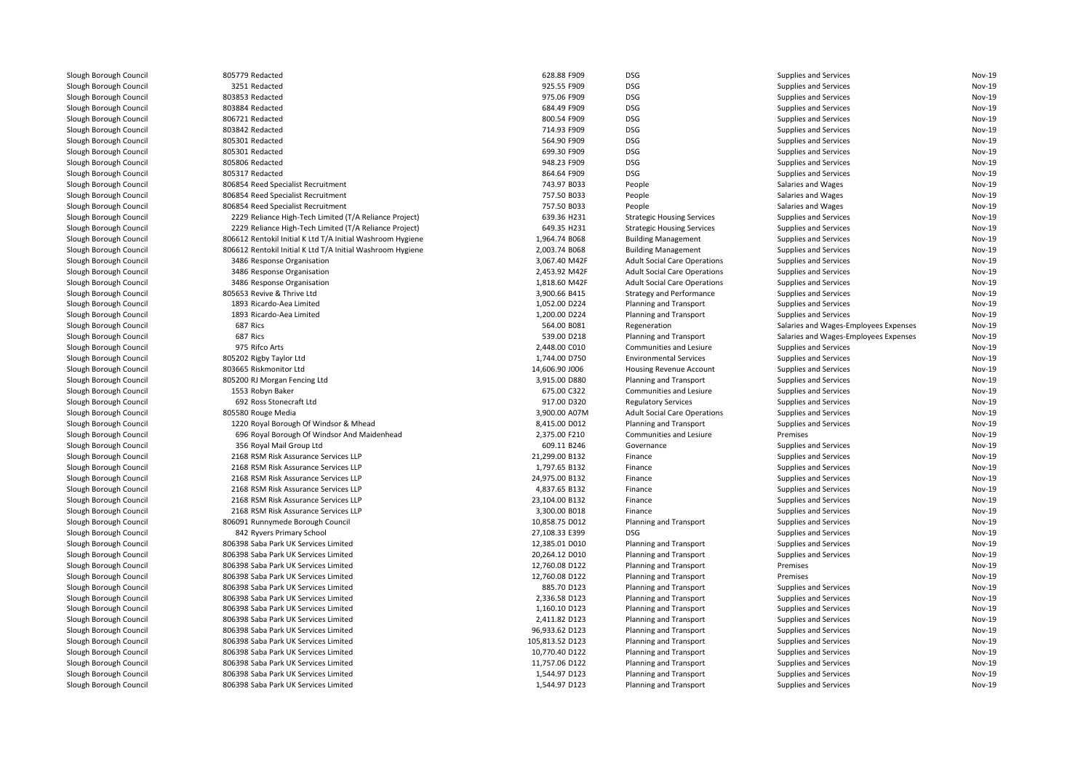| Slough Borough Council                           | 805779 Redacted                                                              | 628.88 F909                     | DSG          |
|--------------------------------------------------|------------------------------------------------------------------------------|---------------------------------|--------------|
| Slough Borough Council                           | 3251 Redacted                                                                | 925.55 F909                     | DSG          |
| Slough Borough Council                           | 803853 Redacted                                                              | 975.06 F909                     | DSG          |
| Slough Borough Council                           | 803884 Redacted                                                              | 684.49 F909                     | DSG          |
| Slough Borough Council                           | 806721 Redacted                                                              | 800.54 F909                     | DSG          |
| Slough Borough Council                           | 803842 Redacted                                                              | 714.93 F909                     | DSG          |
| Slough Borough Council                           | 805301 Redacted                                                              | 564.90 F909                     | DSG          |
| Slough Borough Council                           | 805301 Redacted                                                              | 699.30 F909                     | DSG          |
| Slough Borough Council                           | 805806 Redacted                                                              | 948.23 F909                     | DSG          |
| Slough Borough Council                           | 805317 Redacted                                                              | 864.64 F909                     | DSG          |
| Slough Borough Council                           | 806854 Reed Specialist Recruitment                                           | 743.97 B033                     | Peo          |
| Slough Borough Council                           | 806854 Reed Specialist Recruitment                                           | 757.50 B033                     | Peo          |
| Slough Borough Council                           | 806854 Reed Specialist Recruitment                                           | 757.50 B033                     | Peo          |
| Slough Borough Council                           | 2229 Reliance High-Tech Limited (T/A Reliance Project)                       | 639.36 H231                     | Stra         |
| Slough Borough Council                           | 2229 Reliance High-Tech Limited (T/A Reliance Project)                       | 649.35 H231                     | Stra         |
| Slough Borough Council                           | 806612 Rentokil Initial K Ltd T/A Initial Washroom Hygiene                   | 1,964.74 B068                   | Buil         |
| Slough Borough Council                           | 806612 Rentokil Initial K Ltd T/A Initial Washroom Hygiene                   | 2,003.74 B068                   | Buil         |
| Slough Borough Council                           | 3486 Response Organisation                                                   | 3,067.40 M42F                   | Adu          |
| Slough Borough Council                           | 3486 Response Organisation                                                   | 2,453.92 M42F                   | Adu          |
| Slough Borough Council                           | 3486 Response Organisation                                                   | 1,818.60 M42F                   | Adu          |
| Slough Borough Council                           | 805653 Revive & Thrive Ltd                                                   | 3,900.66 B415                   | Stra         |
| Slough Borough Council                           | 1893 Ricardo-Aea Limited                                                     | 1,052.00 D224                   | Plar         |
| Slough Borough Council                           | 1893 Ricardo-Aea Limited                                                     | 1,200.00 D224                   | Plar         |
|                                                  | 687 Rics                                                                     |                                 |              |
| Slough Borough Council                           | 687 Rics                                                                     | 564.00 B081<br>539.00 D218      | Reg<br>Plar  |
| Slough Borough Council                           | 975 Rifco Arts                                                               | 2,448.00 C010                   | Con          |
| Slough Borough Council                           |                                                                              |                                 |              |
| Slough Borough Council                           | 805202 Rigby Taylor Ltd                                                      | 1,744.00 D750                   | Envi         |
| Slough Borough Council                           | 803665 Riskmonitor Ltd                                                       | 14,606.90 J006                  | Hou          |
| Slough Borough Council                           | 805200 RJ Morgan Fencing Ltd                                                 | 3,915.00 D880                   | Plar         |
| Slough Borough Council                           | 1553 Robyn Baker                                                             | 675.00 C322                     | Con          |
| Slough Borough Council                           | 692 Ross Stonecraft Ltd                                                      | 917.00 D320                     | Reg          |
| Slough Borough Council                           | 805580 Rouge Media                                                           | 3,900.00 A07M                   | Adu          |
| Slough Borough Council                           | 1220 Royal Borough Of Windsor & Mhead                                        | 8,415.00 D012                   | Plar         |
| Slough Borough Council                           | 696 Royal Borough Of Windsor And Maidenhead                                  | 2,375.00 F210                   | Con          |
| Slough Borough Council                           | 356 Royal Mail Group Ltd                                                     | 609.11 B246                     | Gov          |
| Slough Borough Council                           | 2168 RSM Risk Assurance Services LLP                                         | 21,299.00 B132                  | Fina         |
| Slough Borough Council                           | 2168 RSM Risk Assurance Services LLP                                         | 1.797.65 B132                   | Fina         |
| Slough Borough Council                           | 2168 RSM Risk Assurance Services LLP                                         | 24,975.00 B132                  | Fina         |
| Slough Borough Council                           | 2168 RSM Risk Assurance Services LLP                                         | 4,837.65 B132                   | Fina         |
| Slough Borough Council                           | 2168 RSM Risk Assurance Services LLP                                         | 23,104.00 B132                  | Fina         |
| Slough Borough Council                           | 2168 RSM Risk Assurance Services LLP                                         | 3,300.00 B018                   | Fina         |
| Slough Borough Council                           | 806091 Runnymede Borough Council                                             | 10,858.75 D012                  | Plar         |
| Slough Borough Council                           | 842 Ryvers Primary School                                                    | 27,108.33 E399                  | DSG          |
| Slough Borough Council                           | 806398 Saba Park UK Services Limited                                         | 12,385.01 D010                  | Plar         |
| Slough Borough Council                           | 806398 Saba Park UK Services Limited                                         | 20,264.12 D010                  | Plar         |
| Slough Borough Council                           | 806398 Saba Park UK Services Limited                                         | 12,760.08 D122                  | Plar         |
| Slough Borough Council                           | 806398 Saba Park UK Services Limited                                         | 12,760.08 D122                  | Plar         |
| Slough Borough Council                           | 806398 Saba Park UK Services Limited                                         | 885.70 D123                     | Plar         |
| Slough Borough Council                           | 806398 Saba Park UK Services Limited                                         | 2,336.58 D123                   | Plar         |
| Slough Borough Council                           | 806398 Saba Park UK Services Limited                                         | 1,160.10 D123                   | Plar         |
| Slough Borough Council                           | 806398 Saba Park UK Services Limited                                         | 2,411.82 D123                   | Plar         |
|                                                  | 806398 Saba Park UK Services Limited                                         | 96,933.62 D123                  | Plar         |
| Slough Borough Council                           |                                                                              |                                 | Plar         |
|                                                  | 806398 Saba Park UK Services Limited                                         |                                 |              |
| Slough Borough Council                           |                                                                              | 105,813.52 D123                 |              |
| Slough Borough Council                           | 806398 Saba Park UK Services Limited                                         | 10,770.40 D122                  | Plar         |
| Slough Borough Council<br>Slough Borough Council | 806398 Saba Park UK Services Limited<br>806398 Saba Park UK Services Limited | 11,757.06 D122<br>1,544.97 D123 | Plar<br>Plar |

| Slough Borough Council | 805779 Redacted                                            | 628.88 F909                    | <b>DSG</b>                                       | Supplies and Services                          | Nov-19 |
|------------------------|------------------------------------------------------------|--------------------------------|--------------------------------------------------|------------------------------------------------|--------|
| Slough Borough Council | 3251 Redacted                                              | 925.55 F909                    | <b>DSG</b>                                       | Supplies and Services                          | Nov-19 |
| Slough Borough Council | 803853 Redacted                                            | 975.06 F909                    | <b>DSG</b>                                       | Supplies and Services                          | Nov-19 |
| Slough Borough Council | 803884 Redacted                                            | 684.49 F909                    | <b>DSG</b>                                       | Supplies and Services                          | Nov-19 |
| Slough Borough Council | 806721 Redacted                                            | 800.54 F909                    | <b>DSG</b>                                       | Supplies and Services                          | Nov-19 |
| Slough Borough Council | 803842 Redacted                                            | 714.93 F909                    | <b>DSG</b>                                       | Supplies and Services                          | Nov-19 |
| Slough Borough Council | 805301 Redacted                                            | 564.90 F909                    | <b>DSG</b>                                       | Supplies and Services                          | Nov-19 |
| Slough Borough Council | 805301 Redacted                                            | 699.30 F909                    | <b>DSG</b>                                       | Supplies and Services                          | Nov-19 |
| Slough Borough Council | 805806 Redacted                                            | 948.23 F909                    | <b>DSG</b>                                       | Supplies and Services                          | Nov-19 |
| Slough Borough Council | 805317 Redacted                                            | 864.64 F909                    | <b>DSG</b>                                       | Supplies and Services                          | Nov-19 |
| Slough Borough Council | 806854 Reed Specialist Recruitment                         | 743.97 B033                    | People                                           | Salaries and Wages                             | Nov-19 |
| Slough Borough Council | 806854 Reed Specialist Recruitment                         | 757.50 B033                    | People                                           | Salaries and Wages                             | Nov-19 |
| Slough Borough Council | 806854 Reed Specialist Recruitment                         | 757.50 B033                    | People                                           | Salaries and Wages                             | Nov-19 |
| Slough Borough Council | 2229 Reliance High-Tech Limited (T/A Reliance Project)     | 639.36 H231                    | <b>Strategic Housing Services</b>                | Supplies and Services                          | Nov-19 |
| Slough Borough Council | 2229 Reliance High-Tech Limited (T/A Reliance Project)     | 649.35 H231                    | <b>Strategic Housing Services</b>                | Supplies and Services                          | Nov-19 |
| Slough Borough Council | 806612 Rentokil Initial K Ltd T/A Initial Washroom Hygiene | 1,964.74 B068                  | <b>Building Management</b>                       | Supplies and Services                          | Nov-19 |
| Slough Borough Council | 806612 Rentokil Initial K Ltd T/A Initial Washroom Hygiene | 2,003.74 B068                  | <b>Building Management</b>                       | Supplies and Services                          | Nov-19 |
| Slough Borough Council | 3486 Response Organisation                                 | 3,067.40 M42F                  | <b>Adult Social Care Operations</b>              | Supplies and Services                          | Nov-19 |
| Slough Borough Council | 3486 Response Organisation                                 | 2,453.92 M42F                  | <b>Adult Social Care Operations</b>              | <b>Supplies and Services</b>                   | Nov-19 |
| Slough Borough Council | 3486 Response Organisation                                 | 1,818.60 M42F                  | <b>Adult Social Care Operations</b>              | Supplies and Services                          | Nov-19 |
| Slough Borough Council | 805653 Revive & Thrive Ltd                                 | 3,900.66 B415                  | <b>Strategy and Performance</b>                  | Supplies and Services                          | Nov-19 |
| Slough Borough Council | 1893 Ricardo-Aea Limited                                   |                                |                                                  |                                                | Nov-19 |
|                        | 1893 Ricardo-Aea Limited                                   | 1,052.00 D224<br>1,200.00 D224 | Planning and Transport<br>Planning and Transport | Supplies and Services<br>Supplies and Services | Nov-19 |
| Slough Borough Council |                                                            |                                |                                                  |                                                |        |
| Slough Borough Council | 687 Rics                                                   | 564.00 B081                    | Regeneration                                     | Salaries and Wages-Employees Expenses          | Nov-19 |
| Slough Borough Council | 687 Rics                                                   | 539.00 D218                    | Planning and Transport                           | Salaries and Wages-Employees Expenses          | Nov-19 |
| Slough Borough Council | 975 Rifco Arts                                             | 2,448.00 C010                  | Communities and Lesiure                          | Supplies and Services                          | Nov-19 |
| Slough Borough Council | 805202 Rigby Taylor Ltd                                    | 1,744.00 D750                  | <b>Environmental Services</b>                    | Supplies and Services                          | Nov-19 |
| Slough Borough Council | 803665 Riskmonitor Ltd                                     | 14,606.90 J006                 | Housing Revenue Account                          | Supplies and Services                          | Nov-19 |
| Slough Borough Council | 805200 RJ Morgan Fencing Ltd                               | 3,915.00 D880                  | Planning and Transport                           | Supplies and Services                          | Nov-19 |
| Slough Borough Council | 1553 Robyn Baker                                           | 675.00 C322                    | Communities and Lesiure                          | Supplies and Services                          | Nov-19 |
| Slough Borough Council | 692 Ross Stonecraft Ltd                                    | 917.00 D320                    | <b>Regulatory Services</b>                       | Supplies and Services                          | Nov-19 |
| Slough Borough Council | 805580 Rouge Media                                         | 3,900.00 A07M                  | <b>Adult Social Care Operations</b>              | Supplies and Services                          | Nov-19 |
| Slough Borough Council | 1220 Royal Borough Of Windsor & Mhead                      | 8,415.00 D012                  | Planning and Transport                           | Supplies and Services                          | Nov-19 |
| Slough Borough Council | 696 Royal Borough Of Windsor And Maidenhead                | 2,375.00 F210                  | Communities and Lesiure                          | Premises                                       | Nov-19 |
| Slough Borough Council | 356 Royal Mail Group Ltd                                   | 609.11 B246                    | Governance                                       | Supplies and Services                          | Nov-19 |
| Slough Borough Council | 2168 RSM Risk Assurance Services LLP                       | 21,299.00 B132                 | Finance                                          | Supplies and Services                          | Nov-19 |
| Slough Borough Council | 2168 RSM Risk Assurance Services LLP                       | 1,797.65 B132                  | Finance                                          | Supplies and Services                          | Nov-19 |
| Slough Borough Council | 2168 RSM Risk Assurance Services LLP                       | 24,975.00 B132                 | Finance                                          | Supplies and Services                          | Nov-19 |
| Slough Borough Council | 2168 RSM Risk Assurance Services LLP                       | 4,837.65 B132                  | Finance                                          | Supplies and Services                          | Nov-19 |
| Slough Borough Council | 2168 RSM Risk Assurance Services LLP                       | 23,104.00 B132                 | Finance                                          | Supplies and Services                          | Nov-19 |
| Slough Borough Council | 2168 RSM Risk Assurance Services LLP                       | 3,300.00 B018                  | Finance                                          | Supplies and Services                          | Nov-19 |
| Slough Borough Council | 806091 Runnymede Borough Council                           | 10,858.75 D012                 | Planning and Transport                           | Supplies and Services                          | Nov-19 |
| Slough Borough Council | 842 Ryvers Primary School                                  | 27,108.33 E399                 | <b>DSG</b>                                       | Supplies and Services                          | Nov-19 |
| Slough Borough Council | 806398 Saba Park UK Services Limited                       | 12,385.01 D010                 | <b>Planning and Transport</b>                    | Supplies and Services                          | Nov-19 |
| Slough Borough Council | 806398 Saba Park UK Services Limited                       | 20,264.12 D010                 | Planning and Transport                           | Supplies and Services                          | Nov-19 |
| Slough Borough Council | 806398 Saba Park UK Services Limited                       | 12,760.08 D122                 | Planning and Transport                           | Premises                                       | Nov-19 |
| Slough Borough Council | 806398 Saba Park UK Services Limited                       | 12,760.08 D122                 | Planning and Transport                           | Premises                                       | Nov-19 |
| Slough Borough Council | 806398 Saba Park UK Services Limited                       | 885.70 D123                    | Planning and Transport                           | Supplies and Services                          | Nov-19 |
| Slough Borough Council | 806398 Saba Park UK Services Limited                       | 2,336.58 D123                  | Planning and Transport                           | Supplies and Services                          | Nov-19 |
| Slough Borough Council | 806398 Saba Park UK Services Limited                       | 1,160.10 D123                  | Planning and Transport                           | Supplies and Services                          | Nov-19 |
| Slough Borough Council | 806398 Saba Park UK Services Limited                       | 2,411.82 D123                  | Planning and Transport                           | Supplies and Services                          | Nov-19 |
| Slough Borough Council | 806398 Saba Park UK Services Limited                       | 96,933.62 D123                 | <b>Planning and Transport</b>                    | Supplies and Services                          | Nov-19 |
| Slough Borough Council | 806398 Saba Park UK Services Limited                       | 105,813.52 D123                | Planning and Transport                           | Supplies and Services                          | Nov-19 |
| Slough Borough Council | 806398 Saba Park UK Services Limited                       | 10.770.40 D122                 | Planning and Transport                           | Supplies and Services                          | Nov-19 |
| Slough Borough Council | 806398 Saba Park UK Services Limited                       | 11,757.06 D122                 | Planning and Transport                           | Supplies and Services                          | Nov-19 |
| Slough Borough Council | 806398 Saba Park UK Services Limited                       | 1,544.97 D123                  | Planning and Transport                           | Supplies and Services                          | Nov-19 |
| Slough Borough Council | 806398 Saba Park UK Services Limited                       | 1,544.97 D123                  | Planning and Transport                           | Supplies and Services                          | Nov-19 |
|                        |                                                            |                                |                                                  |                                                |        |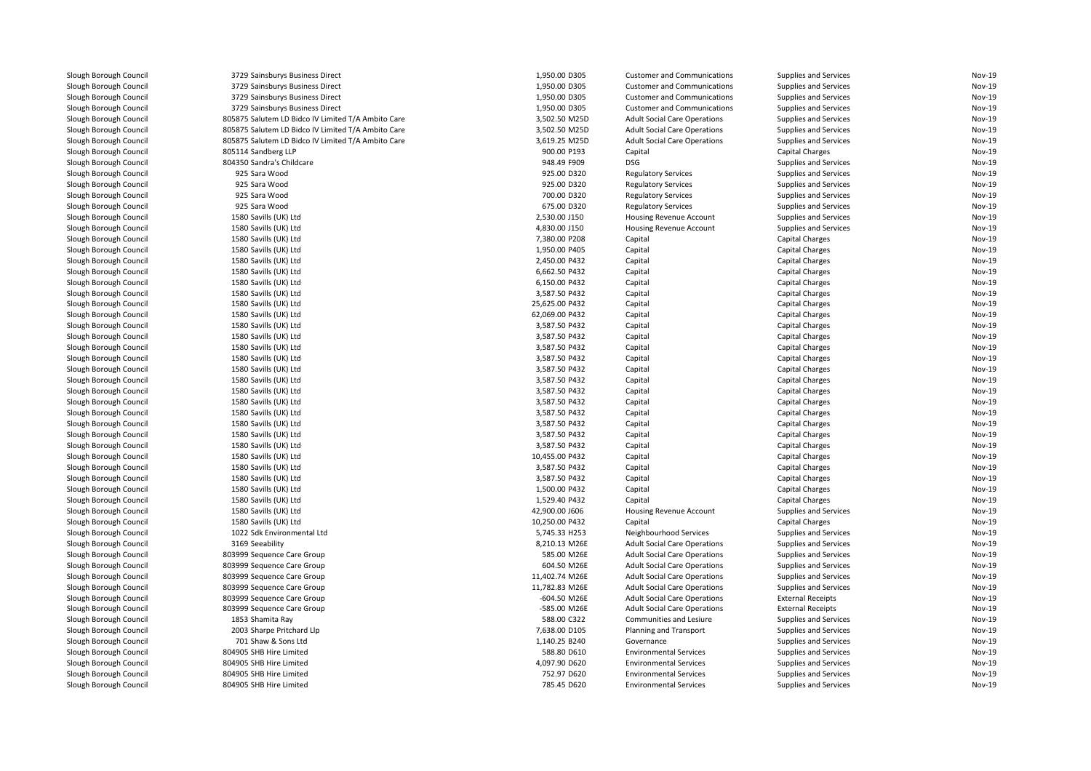| Slough Borough Council | 3729 Sainsburys Business Direct                    | 1,950.00 D305  | <b>Customer and Communications</b>  | Supplies and Services        | Nov-19        |
|------------------------|----------------------------------------------------|----------------|-------------------------------------|------------------------------|---------------|
| Slough Borough Council | 3729 Sainsburys Business Direct                    | 1,950.00 D305  | <b>Customer and Communications</b>  | <b>Supplies and Services</b> | Nov-19        |
| Slough Borough Council | 3729 Sainsburys Business Direct                    | 1,950.00 D305  | <b>Customer and Communications</b>  | <b>Supplies and Services</b> | Nov-19        |
| Slough Borough Council | 3729 Sainsburys Business Direct                    | 1,950.00 D305  | <b>Customer and Communications</b>  | <b>Supplies and Services</b> | Nov-19        |
| Slough Borough Council | 805875 Salutem LD Bidco IV Limited T/A Ambito Care | 3,502.50 M25D  | <b>Adult Social Care Operations</b> | <b>Supplies and Services</b> | Nov-19        |
| Slough Borough Council | 805875 Salutem LD Bidco IV Limited T/A Ambito Care | 3,502.50 M25D  | <b>Adult Social Care Operations</b> | <b>Supplies and Services</b> | Nov-19        |
| Slough Borough Council | 805875 Salutem LD Bidco IV Limited T/A Ambito Care | 3,619.25 M25D  | <b>Adult Social Care Operations</b> | <b>Supplies and Services</b> | Nov-19        |
| Slough Borough Council | 805114 Sandberg LLP                                | 900.00 P193    | Capital                             | Capital Charges              | Nov-19        |
| Slough Borough Council | 804350 Sandra's Childcare                          | 948.49 F909    | <b>DSG</b>                          | Supplies and Services        | Nov-19        |
| Slough Borough Council | 925 Sara Wood                                      | 925.00 D320    | <b>Regulatory Services</b>          | Supplies and Services        | Nov-19        |
| Slough Borough Council | 925 Sara Wood                                      | 925.00 D320    | <b>Regulatory Services</b>          | Supplies and Services        | Nov-19        |
| Slough Borough Council | 925 Sara Wood                                      | 700.00 D320    | <b>Regulatory Services</b>          | <b>Supplies and Services</b> | Nov-19        |
| Slough Borough Council | 925 Sara Wood                                      | 675.00 D320    | <b>Regulatory Services</b>          | Supplies and Services        | Nov-19        |
| Slough Borough Council | 1580 Savills (UK) Ltd                              | 2,530.00 J150  | <b>Housing Revenue Account</b>      | Supplies and Services        | Nov-19        |
| Slough Borough Council | 1580 Savills (UK) Ltd                              | 4,830.00 J150  | <b>Housing Revenue Account</b>      | <b>Supplies and Services</b> | Nov-19        |
| Slough Borough Council | 1580 Savills (UK) Ltd                              | 7,380.00 P208  | Capital                             | <b>Capital Charges</b>       | Nov-19        |
| Slough Borough Council | 1580 Savills (UK) Ltd                              | 1,950.00 P405  | Capital                             | <b>Capital Charges</b>       | Nov-19        |
| Slough Borough Council | 1580 Savills (UK) Ltd                              | 2,450.00 P432  | Capital                             | Capital Charges              | Nov-19        |
|                        |                                                    |                |                                     |                              | Nov-19        |
| Slough Borough Council | 1580 Savills (UK) Ltd                              | 6,662.50 P432  | Capital                             | <b>Capital Charges</b>       |               |
| Slough Borough Council | 1580 Savills (UK) Ltd                              | 6,150.00 P432  | Capital                             | <b>Capital Charges</b>       | Nov-19        |
| Slough Borough Council | 1580 Savills (UK) Ltd                              | 3,587.50 P432  | Capital                             | Capital Charges              | Nov-19        |
| Slough Borough Council | 1580 Savills (UK) Ltd                              | 25,625.00 P432 | Capital                             | <b>Capital Charges</b>       | Nov-19        |
| Slough Borough Council | 1580 Savills (UK) Ltd                              | 62,069.00 P432 | Capital                             | Capital Charges              | <b>Nov-19</b> |
| Slough Borough Council | 1580 Savills (UK) Ltd                              | 3,587.50 P432  | Capital                             | <b>Capital Charges</b>       | Nov-19        |
| Slough Borough Council | 1580 Savills (UK) Ltd                              | 3,587.50 P432  | Capital                             | <b>Capital Charges</b>       | Nov-19        |
| Slough Borough Council | 1580 Savills (UK) Ltd                              | 3,587.50 P432  | Capital                             | Capital Charges              | Nov-19        |
| Slough Borough Council | 1580 Savills (UK) Ltd                              | 3,587.50 P432  | Capital                             | <b>Capital Charges</b>       | Nov-19        |
| Slough Borough Council | 1580 Savills (UK) Ltd                              | 3,587.50 P432  | Capital                             | Capital Charges              | Nov-19        |
| Slough Borough Council | 1580 Savills (UK) Ltd                              | 3,587.50 P432  | Capital                             | <b>Capital Charges</b>       | Nov-19        |
| Slough Borough Council | 1580 Savills (UK) Ltd                              | 3,587.50 P432  | Capital                             | Capital Charges              | Nov-19        |
| Slough Borough Council | 1580 Savills (UK) Ltd                              | 3,587.50 P432  | Capital                             | Capital Charges              | Nov-19        |
| Slough Borough Council | 1580 Savills (UK) Ltd                              | 3,587.50 P432  | Capital                             | <b>Capital Charges</b>       | Nov-19        |
| Slough Borough Council | 1580 Savills (UK) Ltd                              | 3,587.50 P432  | Capital                             | Capital Charges              | Nov-19        |
| Slough Borough Council | 1580 Savills (UK) Ltd                              | 3,587.50 P432  | Capital                             | <b>Capital Charges</b>       | Nov-19        |
| Slough Borough Council | 1580 Savills (UK) Ltd                              | 3,587.50 P432  | Capital                             | <b>Capital Charges</b>       | Nov-19        |
| Slough Borough Council | 1580 Savills (UK) Ltd                              | 10,455.00 P432 | Capital                             | Capital Charges              | Nov-19        |
| Slough Borough Council | 1580 Savills (UK) Ltd                              | 3,587.50 P432  | Capital                             | <b>Capital Charges</b>       | Nov-19        |
| Slough Borough Council | 1580 Savills (UK) Ltd                              | 3,587.50 P432  | Capital                             | <b>Capital Charges</b>       | Nov-19        |
| Slough Borough Council | 1580 Savills (UK) Ltd                              | 1,500.00 P432  | Capital                             | <b>Capital Charges</b>       | Nov-19        |
| Slough Borough Council | 1580 Savills (UK) Ltd                              | 1,529.40 P432  | Capital                             | <b>Capital Charges</b>       | Nov-19        |
| Slough Borough Council | 1580 Savills (UK) Ltd                              | 42,900.00 J606 | <b>Housing Revenue Account</b>      | Supplies and Services        | Nov-19        |
| Slough Borough Council | 1580 Savills (UK) Ltd                              | 10,250.00 P432 | Capital                             | <b>Capital Charges</b>       | Nov-19        |
| Slough Borough Council | 1022 Sdk Environmental Ltd                         | 5,745.33 H253  | Neighbourhood Services              | Supplies and Services        | Nov-19        |
| Slough Borough Council | 3169 Seeability                                    | 8,210.13 M26E  | <b>Adult Social Care Operations</b> | Supplies and Services        | Nov-19        |
| Slough Borough Council | 803999 Sequence Care Group                         | 585.00 M26E    | <b>Adult Social Care Operations</b> | <b>Supplies and Services</b> | Nov-19        |
| Slough Borough Council | 803999 Sequence Care Group                         | 604.50 M26E    | <b>Adult Social Care Operations</b> | <b>Supplies and Services</b> | Nov-19        |
| Slough Borough Council | 803999 Sequence Care Group                         | 11,402.74 M26E | <b>Adult Social Care Operations</b> | Supplies and Services        | Nov-19        |
| Slough Borough Council | 803999 Sequence Care Group                         | 11,782.83 M26E | <b>Adult Social Care Operations</b> | Supplies and Services        | Nov-19        |
| Slough Borough Council | 803999 Sequence Care Group                         | -604.50 M26E   | <b>Adult Social Care Operations</b> | <b>External Receipts</b>     | Nov-19        |
| Slough Borough Council | 803999 Sequence Care Group                         | -585.00 M26E   | <b>Adult Social Care Operations</b> | <b>External Receipts</b>     | Nov-19        |
| Slough Borough Council | 1853 Shamita Ray                                   | 588.00 C322    | Communities and Lesiure             | Supplies and Services        | Nov-19        |
| Slough Borough Council | 2003 Sharpe Pritchard Llp                          | 7,638.00 D105  | Planning and Transport              | Supplies and Services        | Nov-19        |
|                        | 701 Shaw & Sons Ltd                                | 1,140.25 B240  | Governance                          |                              | Nov-19        |
| Slough Borough Council |                                                    |                |                                     | Supplies and Services        |               |
| Slough Borough Council | 804905 SHB Hire Limited                            | 588.80 D610    | <b>Environmental Services</b>       | Supplies and Services        | Nov-19        |
| Slough Borough Council | 804905 SHB Hire Limited                            | 4,097.90 D620  | <b>Environmental Services</b>       | <b>Supplies and Services</b> | Nov-19        |
| Slough Borough Council | 804905 SHB Hire Limited                            | 752.97 D620    | <b>Environmental Services</b>       | Supplies and Services        | Nov-19        |
| Slough Borough Council | 804905 SHB Hire Limited                            | 785.45 D620    | <b>Environmental Services</b>       | Supplies and Services        | Nov-19        |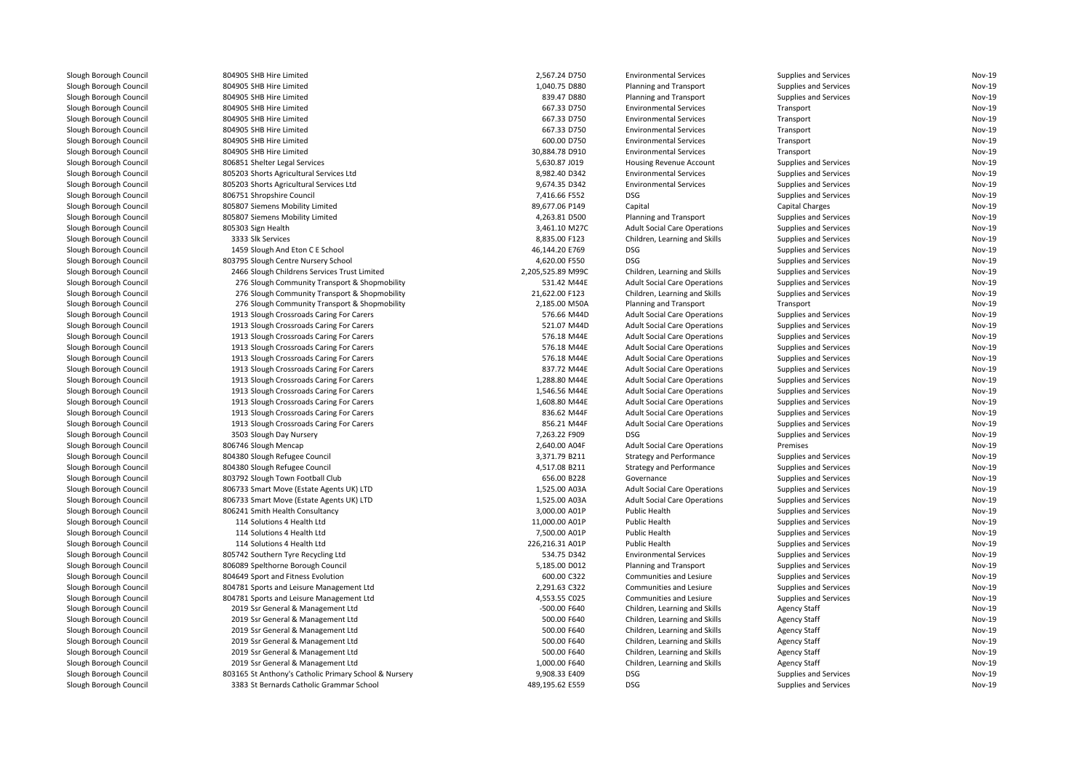| Slough Borough Council | 804905 SHB Hire Limited                                                                           | 2,567.24 D750                    | <b>Environmental Services</b>       | Supplies and Services        | Nov-19        |
|------------------------|---------------------------------------------------------------------------------------------------|----------------------------------|-------------------------------------|------------------------------|---------------|
| Slough Borough Council | 804905 SHB Hire Limited                                                                           | 1,040.75 D880                    | Planning and Transport              | <b>Supplies and Services</b> | <b>Nov-19</b> |
| Slough Borough Council | 804905 SHB Hire Limited                                                                           | 839.47 D880                      | Planning and Transport              | <b>Supplies and Services</b> | <b>Nov-19</b> |
| Slough Borough Council | 804905 SHB Hire Limited                                                                           | 667.33 D750                      | <b>Environmental Services</b>       | Transport                    | <b>Nov-19</b> |
| Slough Borough Council | 804905 SHB Hire Limited                                                                           | 667.33 D750                      | <b>Environmental Services</b>       | Transport                    | Nov-19        |
| Slough Borough Council | 804905 SHB Hire Limited                                                                           | 667.33 D750                      | <b>Environmental Services</b>       | Transport                    | Nov-19        |
| Slough Borough Council | 804905 SHB Hire Limited                                                                           | 600.00 D750                      | <b>Environmental Services</b>       | Transport                    | <b>Nov-19</b> |
| Slough Borough Council | 804905 SHB Hire Limited                                                                           | 30,884.78 D910                   | <b>Environmental Services</b>       | Transport                    | Nov-19        |
| Slough Borough Council | 806851 Shelter Legal Services                                                                     | 5,630.87 J019                    | Housing Revenue Account             | Supplies and Services        | Nov-19        |
| Slough Borough Council | 805203 Shorts Agricultural Services Ltd                                                           | 8,982.40 D342                    | <b>Environmental Services</b>       | <b>Supplies and Services</b> | Nov-19        |
| Slough Borough Council | 805203 Shorts Agricultural Services Ltd                                                           | 9,674.35 D342                    | <b>Environmental Services</b>       | <b>Supplies and Services</b> | Nov-19        |
| Slough Borough Council | 806751 Shropshire Council                                                                         | 7,416.66 F552                    | <b>DSG</b>                          | <b>Supplies and Services</b> | <b>Nov-19</b> |
| Slough Borough Council | 805807 Siemens Mobility Limited                                                                   | 89,677.06 P149                   | Capital                             | Capital Charges              | Nov-19        |
| Slough Borough Council | 805807 Siemens Mobility Limited                                                                   | 4,263.81 D500                    | Planning and Transport              | <b>Supplies and Services</b> | Nov-19        |
| Slough Borough Council | 805303 Sign Health                                                                                | 3,461.10 M27C                    | <b>Adult Social Care Operations</b> | <b>Supplies and Services</b> | Nov-19        |
| Slough Borough Council | 3333 Slk Services                                                                                 | 8,835.00 F123                    | Children, Learning and Skills       | <b>Supplies and Services</b> | <b>Nov-19</b> |
| Slough Borough Council | 1459 Slough And Eton C E School                                                                   | 46,144.20 E769                   | <b>DSG</b>                          | Supplies and Services        | Nov-19        |
| Slough Borough Council | 803795 Slough Centre Nursery School                                                               | 4,620.00 F550                    | <b>DSG</b>                          | Supplies and Services        | Nov-19        |
|                        |                                                                                                   |                                  |                                     |                              | <b>Nov-19</b> |
| Slough Borough Council | 2466 Slough Childrens Services Trust Limited                                                      | 2,205,525.89 M99C<br>531.42 M44E | Children, Learning and Skills       | <b>Supplies and Services</b> | Nov-19        |
| Slough Borough Council | 276 Slough Community Transport & Shopmobility                                                     |                                  | <b>Adult Social Care Operations</b> | Supplies and Services        |               |
| Slough Borough Council | 276 Slough Community Transport & Shopmobility                                                     | 21,622.00 F123                   | Children, Learning and Skills       | Supplies and Services        | Nov-19        |
| Slough Borough Council | 276 Slough Community Transport & Shopmobility                                                     | 2,185.00 M50A                    | Planning and Transport              | Transport                    | Nov-19        |
| Slough Borough Council | 1913 Slough Crossroads Caring For Carers                                                          | 576.66 M44D                      | <b>Adult Social Care Operations</b> | <b>Supplies and Services</b> | Nov-19        |
| Slough Borough Council | 1913 Slough Crossroads Caring For Carers                                                          | 521.07 M44D                      | <b>Adult Social Care Operations</b> | Supplies and Services        | Nov-19        |
| Slough Borough Council | 1913 Slough Crossroads Caring For Carers                                                          | 576.18 M44E                      | <b>Adult Social Care Operations</b> | <b>Supplies and Services</b> | <b>Nov-19</b> |
| Slough Borough Council | 1913 Slough Crossroads Caring For Carers                                                          | 576.18 M44E                      | <b>Adult Social Care Operations</b> | <b>Supplies and Services</b> | Nov-19        |
| Slough Borough Council | 1913 Slough Crossroads Caring For Carers                                                          | 576.18 M44E                      | <b>Adult Social Care Operations</b> | <b>Supplies and Services</b> | Nov-19        |
| Slough Borough Council | 1913 Slough Crossroads Caring For Carers                                                          | 837.72 M44E                      | <b>Adult Social Care Operations</b> | <b>Supplies and Services</b> | <b>Nov-19</b> |
| Slough Borough Council | 1913 Slough Crossroads Caring For Carers                                                          | 1,288.80 M44E                    | <b>Adult Social Care Operations</b> | <b>Supplies and Services</b> | Nov-19        |
| Slough Borough Council | 1913 Slough Crossroads Caring For Carers                                                          | 1,546.56 M44E                    | <b>Adult Social Care Operations</b> | Supplies and Services        | Nov-19        |
| Slough Borough Council | 1913 Slough Crossroads Caring For Carers                                                          | 1,608.80 M44E                    | <b>Adult Social Care Operations</b> | <b>Supplies and Services</b> | Nov-19        |
| Slough Borough Council | 1913 Slough Crossroads Caring For Carers                                                          | 836.62 M44F                      | <b>Adult Social Care Operations</b> | Supplies and Services        | Nov-19        |
| Slough Borough Council | 1913 Slough Crossroads Caring For Carers                                                          | 856.21 M44F                      | <b>Adult Social Care Operations</b> | <b>Supplies and Services</b> | Nov-19        |
| Slough Borough Council | 3503 Slough Day Nursery                                                                           | 7,263.22 F909                    | <b>DSG</b>                          | Supplies and Services        | Nov-19        |
| Slough Borough Council | 806746 Slough Mencap                                                                              | 2,640.00 A04F                    | <b>Adult Social Care Operations</b> | Premises                     | Nov-19        |
| Slough Borough Council | 804380 Slough Refugee Council                                                                     | 3,371.79 B211                    | <b>Strategy and Performance</b>     | <b>Supplies and Services</b> | Nov-19        |
| Slough Borough Council | 804380 Slough Refugee Council                                                                     | 4,517.08 B211                    | <b>Strategy and Performance</b>     | Supplies and Services        | Nov-19        |
| Slough Borough Council | 803792 Slough Town Football Club                                                                  | 656.00 B228                      | Governance                          | <b>Supplies and Services</b> | Nov-19        |
| Slough Borough Council | 806733 Smart Move (Estate Agents UK) LTD                                                          | 1,525.00 A03A                    | <b>Adult Social Care Operations</b> | <b>Supplies and Services</b> | Nov-19        |
| Slough Borough Council | 806733 Smart Move (Estate Agents UK) LTD                                                          | 1,525.00 A03A                    | <b>Adult Social Care Operations</b> | <b>Supplies and Services</b> | <b>Nov-19</b> |
| Slough Borough Council | 806241 Smith Health Consultancy                                                                   | 3,000.00 A01P                    | Public Health                       | <b>Supplies and Services</b> | <b>Nov-19</b> |
| Slough Borough Council | 114 Solutions 4 Health Ltd                                                                        | 11,000.00 A01P                   | Public Health                       | <b>Supplies and Services</b> | Nov-19        |
| Slough Borough Council | 114 Solutions 4 Health Ltd                                                                        | 7,500.00 A01P                    | Public Health                       | <b>Supplies and Services</b> | Nov-19        |
| Slough Borough Council | 114 Solutions 4 Health Ltd                                                                        | 226,216.31 A01P                  | <b>Public Health</b>                | <b>Supplies and Services</b> | <b>Nov-19</b> |
| Slough Borough Council | 805742 Southern Tyre Recycling Ltd                                                                | 534.75 D342                      | <b>Environmental Services</b>       | <b>Supplies and Services</b> | Nov-19        |
| Slough Borough Council | 806089 Spelthorne Borough Council                                                                 | 5,185.00 D012                    | Planning and Transport              | Supplies and Services        | Nov-19        |
| Slough Borough Council | 804649 Sport and Fitness Evolution                                                                | 600.00 C322                      | Communities and Lesiure             | <b>Supplies and Services</b> | Nov-19        |
| Slough Borough Council | 804781 Sports and Leisure Management Ltd                                                          | 2,291.63 C322                    | Communities and Lesiure             | <b>Supplies and Services</b> | Nov-19        |
| Slough Borough Council | 804781 Sports and Leisure Management Ltd                                                          | 4,553.55 C025                    | Communities and Lesiure             | <b>Supplies and Services</b> | <b>Nov-19</b> |
| Slough Borough Council | 2019 Ssr General & Management Ltd                                                                 | -500.00 F640                     | Children, Learning and Skills       | <b>Agency Staff</b>          | Nov-19        |
| Slough Borough Council | 2019 Ssr General & Management Ltd                                                                 | 500.00 F640                      | Children, Learning and Skills       | <b>Agency Staff</b>          | Nov-19        |
| Slough Borough Council | 2019 Ssr General & Management Ltd                                                                 | 500.00 F640                      | Children, Learning and Skills       | <b>Agency Staff</b>          | Nov-19        |
| Slough Borough Council | 2019 Ssr General & Management Ltd                                                                 | 500.00 F640                      | Children, Learning and Skills       | <b>Agency Staff</b>          | Nov-19        |
| Slough Borough Council | 2019 Ssr General & Management Ltd                                                                 | 500.00 F640                      | Children, Learning and Skills       | <b>Agency Staff</b>          | Nov-19        |
| Slough Borough Council | 2019 Ssr General & Management Ltd                                                                 | 1,000.00 F640                    | Children, Learning and Skills       | <b>Agency Staff</b>          | Nov-19        |
|                        |                                                                                                   | 9.908.33 E409                    | <b>DSG</b>                          |                              | <b>Nov-19</b> |
| Slough Borough Council | 803165 St Anthony's Catholic Primary School & Nursery<br>3383 St Bernards Catholic Grammar School | 489,195.62 E559                  | <b>DSG</b>                          | <b>Supplies and Services</b> | Nov-19        |
| Slough Borough Council |                                                                                                   |                                  |                                     | Supplies and Services        |               |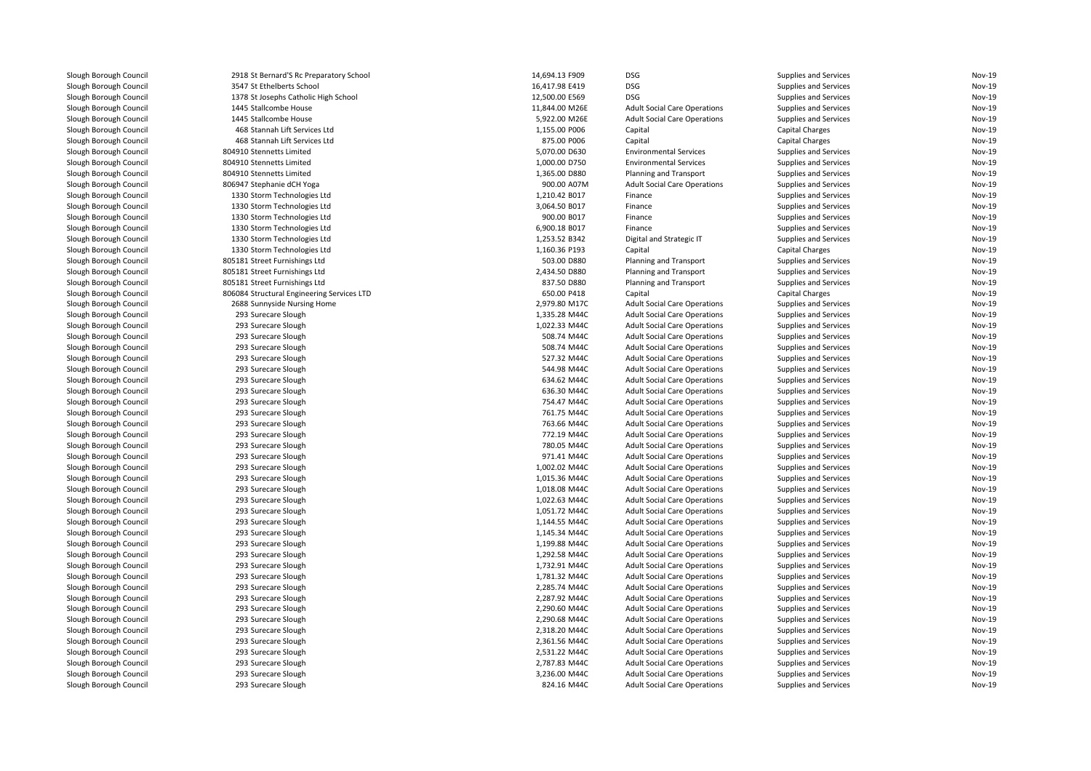| Slough Borough Council                           | 2918 St Bernard'S Rc Preparatory School    | 14,694.13 F909 | <b>DSG</b>                          | Supplies and Services                           | Nov-19        |
|--------------------------------------------------|--------------------------------------------|----------------|-------------------------------------|-------------------------------------------------|---------------|
| Slough Borough Council                           | 3547 St Ethelberts School                  | 16,417.98 E419 | <b>DSG</b>                          | Supplies and Services                           | <b>Nov-19</b> |
| Slough Borough Council                           | 1378 St Josephs Catholic High School       | 12,500.00 E569 | <b>DSG</b>                          | Supplies and Services                           | <b>Nov-19</b> |
| Slough Borough Council                           | 1445 Stallcombe House                      | 11,844.00 M26E | <b>Adult Social Care Operations</b> | Supplies and Services                           | <b>Nov-19</b> |
| Slough Borough Council                           | 1445 Stallcombe House                      | 5,922.00 M26E  | <b>Adult Social Care Operations</b> | Supplies and Services                           | <b>Nov-19</b> |
| Slough Borough Council                           | 468 Stannah Lift Services Ltd              | 1,155.00 P006  | Capital                             | <b>Capital Charges</b>                          | <b>Nov-19</b> |
| Slough Borough Council                           | 468 Stannah Lift Services Ltd              | 875.00 P006    | Capital                             | <b>Capital Charges</b>                          | <b>Nov-19</b> |
| Slough Borough Council                           | 804910 Stennetts Limited                   | 5,070.00 D630  | <b>Environmental Services</b>       | Supplies and Services                           | Nov-19        |
| Slough Borough Council                           | 804910 Stennetts Limited                   | 1,000.00 D750  | <b>Environmental Services</b>       | Supplies and Services                           | <b>Nov-19</b> |
| Slough Borough Council                           | 804910 Stennetts Limited                   | 1,365.00 D880  | Planning and Transport              | Supplies and Services                           | <b>Nov-19</b> |
| Slough Borough Council                           | 806947 Stephanie dCH Yoga                  | 900.00 A07M    | <b>Adult Social Care Operations</b> | Supplies and Services                           | <b>Nov-19</b> |
| Slough Borough Council                           | 1330 Storm Technologies Ltd                | 1,210.42 B017  | Finance                             | Supplies and Services                           | <b>Nov-19</b> |
| Slough Borough Council                           | 1330 Storm Technologies Ltd                | 3,064.50 B017  | Finance                             | Supplies and Services                           | Nov-19        |
| Slough Borough Council                           | 1330 Storm Technologies Ltd                | 900.00 B017    | Finance                             | Supplies and Services                           | <b>Nov-19</b> |
| Slough Borough Council                           | 1330 Storm Technologies Ltd                | 6,900.18 B017  | Finance                             | Supplies and Services                           | <b>Nov-19</b> |
| Slough Borough Council                           | 1330 Storm Technologies Ltd                | 1,253.52 B342  | Digital and Strategic IT            | Supplies and Services                           | <b>Nov-19</b> |
| Slough Borough Council                           | 1330 Storm Technologies Ltd                | 1,160.36 P193  | Capital                             | <b>Capital Charges</b>                          | Nov-19        |
| Slough Borough Council                           | 805181 Street Furnishings Ltd              | 503.00 D880    | Planning and Transport              | Supplies and Services                           | <b>Nov-19</b> |
| Slough Borough Council                           | 805181 Street Furnishings Ltd              | 2,434.50 D880  | Planning and Transport              | <b>Supplies and Services</b>                    | <b>Nov-19</b> |
|                                                  | 805181 Street Furnishings Ltd              | 837.50 D880    | Planning and Transport              |                                                 | <b>Nov-19</b> |
| Slough Borough Council<br>Slough Borough Council | 806084 Structural Engineering Services LTD | 650.00 P418    | Capital                             | Supplies and Services<br><b>Capital Charges</b> | <b>Nov-19</b> |
|                                                  |                                            | 2.979.80 M17C  |                                     |                                                 | <b>Nov-19</b> |
| Slough Borough Council                           | 2688 Sunnyside Nursing Home                |                | <b>Adult Social Care Operations</b> | Supplies and Services                           | <b>Nov-19</b> |
| Slough Borough Council                           | 293 Surecare Slough                        | 1,335.28 M44C  | <b>Adult Social Care Operations</b> | Supplies and Services                           |               |
| Slough Borough Council                           | 293 Surecare Slough                        | 1,022.33 M44C  | <b>Adult Social Care Operations</b> | Supplies and Services                           | <b>Nov-19</b> |
| Slough Borough Council                           | 293 Surecare Slough                        | 508.74 M44C    | <b>Adult Social Care Operations</b> | Supplies and Services                           | <b>Nov-19</b> |
| Slough Borough Council                           | 293 Surecare Slough                        | 508.74 M44C    | <b>Adult Social Care Operations</b> | Supplies and Services                           | <b>Nov-19</b> |
| Slough Borough Council                           | 293 Surecare Slough                        | 527.32 M44C    | <b>Adult Social Care Operations</b> | Supplies and Services                           | <b>Nov-19</b> |
| Slough Borough Council                           | 293 Surecare Slough                        | 544.98 M44C    | <b>Adult Social Care Operations</b> | Supplies and Services                           | <b>Nov-19</b> |
| Slough Borough Council                           | 293 Surecare Slough                        | 634.62 M44C    | <b>Adult Social Care Operations</b> | Supplies and Services                           | <b>Nov-19</b> |
| Slough Borough Council                           | 293 Surecare Slough                        | 636.30 M44C    | <b>Adult Social Care Operations</b> | Supplies and Services                           | <b>Nov-19</b> |
| Slough Borough Council                           | 293 Surecare Slough                        | 754.47 M44C    | <b>Adult Social Care Operations</b> | Supplies and Services                           | <b>Nov-19</b> |
| Slough Borough Council                           | 293 Surecare Slough                        | 761.75 M44C    | <b>Adult Social Care Operations</b> | Supplies and Services                           | <b>Nov-19</b> |
| Slough Borough Council                           | 293 Surecare Slough                        | 763.66 M44C    | <b>Adult Social Care Operations</b> | Supplies and Services                           | <b>Nov-19</b> |
| Slough Borough Council                           | 293 Surecare Slough                        | 772.19 M44C    | <b>Adult Social Care Operations</b> | Supplies and Services                           | <b>Nov-19</b> |
| Slough Borough Council                           | 293 Surecare Slough                        | 780.05 M44C    | <b>Adult Social Care Operations</b> | Supplies and Services                           | <b>Nov-19</b> |
| Slough Borough Council                           | 293 Surecare Slough                        | 971.41 M44C    | <b>Adult Social Care Operations</b> | Supplies and Services                           | <b>Nov-19</b> |
| Slough Borough Council                           | 293 Surecare Slough                        | 1,002.02 M44C  | <b>Adult Social Care Operations</b> | Supplies and Services                           | <b>Nov-19</b> |
| Slough Borough Council                           | 293 Surecare Slough                        | 1,015.36 M44C  | <b>Adult Social Care Operations</b> | Supplies and Services                           | <b>Nov-19</b> |
| Slough Borough Council                           | 293 Surecare Slough                        | 1,018.08 M44C  | <b>Adult Social Care Operations</b> | Supplies and Services                           | <b>Nov-19</b> |
| Slough Borough Council                           | 293 Surecare Slough                        | 1,022.63 M44C  | <b>Adult Social Care Operations</b> | Supplies and Services                           | <b>Nov-19</b> |
| Slough Borough Council                           | 293 Surecare Slough                        | 1,051.72 M44C  | <b>Adult Social Care Operations</b> | Supplies and Services                           | <b>Nov-19</b> |
| Slough Borough Council                           | 293 Surecare Slough                        | 1,144.55 M44C  | <b>Adult Social Care Operations</b> | Supplies and Services                           | <b>Nov-19</b> |
| Slough Borough Council                           | 293 Surecare Slough                        | 1,145.34 M44C  | <b>Adult Social Care Operations</b> | Supplies and Services                           | <b>Nov-19</b> |
| Slough Borough Council                           | 293 Surecare Slough                        | 1,199.88 M44C  | <b>Adult Social Care Operations</b> | Supplies and Services                           | <b>Nov-19</b> |
| Slough Borough Council                           | 293 Surecare Slough                        | 1,292.58 M44C  | <b>Adult Social Care Operations</b> | Supplies and Services                           | <b>Nov-19</b> |
| Slough Borough Council                           | 293 Surecare Slough                        | 1,732.91 M44C  | <b>Adult Social Care Operations</b> | Supplies and Services                           | <b>Nov-19</b> |
| Slough Borough Council                           | 293 Surecare Slough                        | 1,781.32 M44C  | <b>Adult Social Care Operations</b> | Supplies and Services                           | <b>Nov-19</b> |
| Slough Borough Council                           | 293 Surecare Slough                        | 2,285.74 M44C  | <b>Adult Social Care Operations</b> | Supplies and Services                           | <b>Nov-19</b> |
| Slough Borough Council                           | 293 Surecare Slough                        | 2,287.92 M44C  | <b>Adult Social Care Operations</b> | Supplies and Services                           | <b>Nov-19</b> |
| Slough Borough Council                           | 293 Surecare Slough                        | 2,290.60 M44C  | <b>Adult Social Care Operations</b> | Supplies and Services                           | <b>Nov-19</b> |
| Slough Borough Council                           | 293 Surecare Slough                        | 2,290.68 M44C  | <b>Adult Social Care Operations</b> | Supplies and Services                           | <b>Nov-19</b> |
| Slough Borough Council                           | 293 Surecare Slough                        | 2,318.20 M44C  | <b>Adult Social Care Operations</b> | Supplies and Services                           | <b>Nov-19</b> |
| Slough Borough Council                           | 293 Surecare Slough                        | 2,361.56 M44C  | <b>Adult Social Care Operations</b> | Supplies and Services                           | <b>Nov-19</b> |
| Slough Borough Council                           | 293 Surecare Slough                        | 2,531.22 M44C  | <b>Adult Social Care Operations</b> | Supplies and Services                           | <b>Nov-19</b> |
| Slough Borough Council                           | 293 Surecare Slough                        | 2,787.83 M44C  | <b>Adult Social Care Operations</b> | Supplies and Services                           | <b>Nov-19</b> |
| Slough Borough Council                           | 293 Surecare Slough                        | 3,236.00 M44C  | <b>Adult Social Care Operations</b> | Supplies and Services                           | <b>Nov-19</b> |
| Slough Borough Council                           | 293 Surecare Slough                        | 824.16 M44C    | <b>Adult Social Care Operations</b> | Supplies and Services                           | Nov-19        |
|                                                  |                                            |                |                                     |                                                 |               |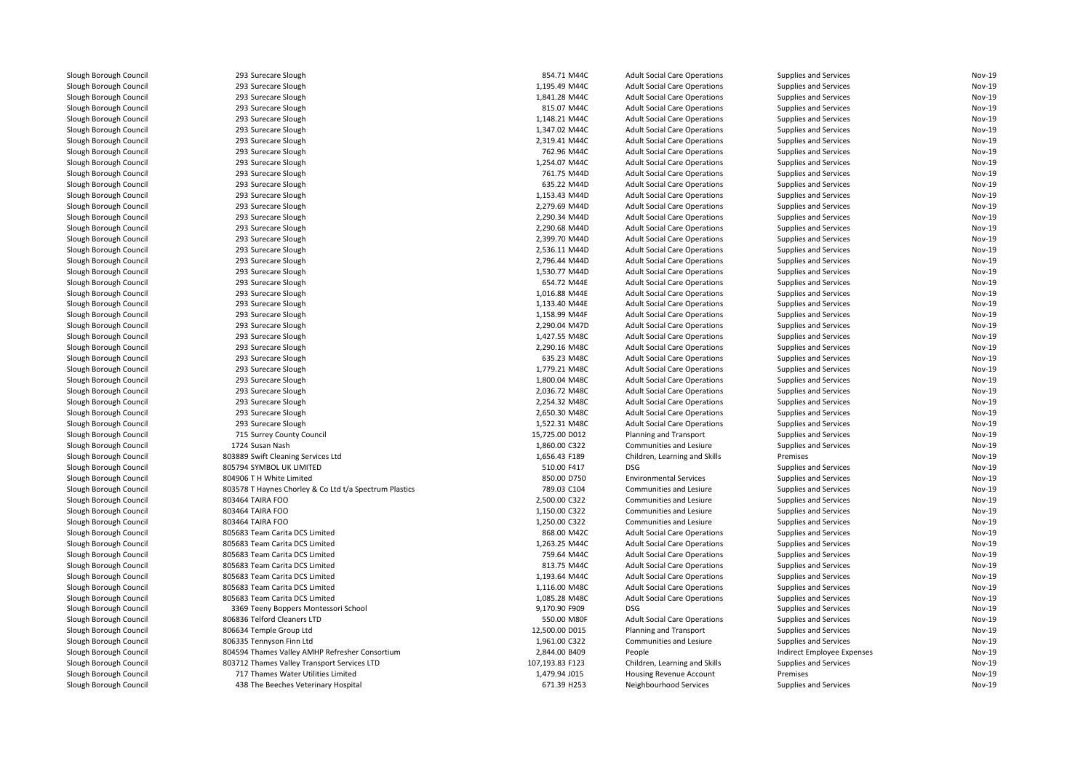| Slough Borough Council                           | 293 Surecare Slough                                    | 854.71 M44C                    | <b>Adult Social Care Operations</b> | Supplies and Services      | Nov-19 |
|--------------------------------------------------|--------------------------------------------------------|--------------------------------|-------------------------------------|----------------------------|--------|
| Slough Borough Council                           | 293 Surecare Slough                                    | 1,195.49 M44C                  | <b>Adult Social Care Operations</b> | Supplies and Services      | Nov-19 |
| Slough Borough Council                           | 293 Surecare Slough                                    | 1,841.28 M44C                  | <b>Adult Social Care Operations</b> | Supplies and Services      | Nov-19 |
| Slough Borough Council                           | 293 Surecare Slough                                    | 815.07 M44C                    | <b>Adult Social Care Operations</b> | Supplies and Services      | Nov-19 |
| Slough Borough Council                           | 293 Surecare Slough                                    | 1,148.21 M44C                  | <b>Adult Social Care Operations</b> | Supplies and Services      | Nov-19 |
| Slough Borough Council                           | 293 Surecare Slough                                    | 1,347.02 M44C                  | <b>Adult Social Care Operations</b> | Supplies and Services      | Nov-19 |
| Slough Borough Council                           | 293 Surecare Slough                                    | 2,319.41 M44C                  | <b>Adult Social Care Operations</b> | Supplies and Services      | Nov-19 |
| Slough Borough Council                           | 293 Surecare Slough                                    | 762.96 M44C                    | <b>Adult Social Care Operations</b> | Supplies and Services      | Nov-19 |
| Slough Borough Council                           | 293 Surecare Slough                                    | 1,254.07 M44C                  | <b>Adult Social Care Operations</b> | Supplies and Services      | Nov-19 |
| Slough Borough Council                           | 293 Surecare Slough                                    | 761.75 M44D                    | <b>Adult Social Care Operations</b> | Supplies and Services      | Nov-19 |
| Slough Borough Council                           | 293 Surecare Slough                                    | 635.22 M44D                    | <b>Adult Social Care Operations</b> | Supplies and Services      | Nov-19 |
| Slough Borough Council                           | 293 Surecare Slough                                    | 1.153.43 M44D                  | <b>Adult Social Care Operations</b> | Supplies and Services      | Nov-19 |
| Slough Borough Council                           | 293 Surecare Slough                                    | 2,279.69 M44D                  | <b>Adult Social Care Operations</b> | Supplies and Services      | Nov-19 |
| Slough Borough Council                           | 293 Surecare Slough                                    | 2,290.34 M44D                  | <b>Adult Social Care Operations</b> | Supplies and Services      | Nov-19 |
| Slough Borough Council                           | 293 Surecare Slough                                    | 2,290.68 M44D                  | <b>Adult Social Care Operations</b> | Supplies and Services      | Nov-19 |
| Slough Borough Council                           | 293 Surecare Slough                                    | 2,399.70 M44D                  | <b>Adult Social Care Operations</b> | Supplies and Services      | Nov-19 |
| Slough Borough Council                           | 293 Surecare Slough                                    | 2,536.11 M44D                  | <b>Adult Social Care Operations</b> | Supplies and Services      | Nov-19 |
| Slough Borough Council                           | 293 Surecare Slough                                    | 2,796.44 M44D                  | <b>Adult Social Care Operations</b> | Supplies and Services      | Nov-19 |
| Slough Borough Council                           | 293 Surecare Slough                                    | 1,530.77 M44D                  | <b>Adult Social Care Operations</b> | Supplies and Services      | Nov-19 |
| Slough Borough Council                           | 293 Surecare Slough                                    | 654.72 M44E                    | <b>Adult Social Care Operations</b> | Supplies and Services      | Nov-19 |
| Slough Borough Council                           | 293 Surecare Slough                                    | 1,016.88 M44E                  | <b>Adult Social Care Operations</b> | Supplies and Services      | Nov-19 |
|                                                  |                                                        |                                |                                     |                            | Nov-19 |
| Slough Borough Council<br>Slough Borough Council | 293 Surecare Slough                                    | 1,133.40 M44E<br>1,158.99 M44F | <b>Adult Social Care Operations</b> | Supplies and Services      | Nov-19 |
|                                                  | 293 Surecare Slough                                    |                                | <b>Adult Social Care Operations</b> | Supplies and Services      | Nov-19 |
| Slough Borough Council                           | 293 Surecare Slough                                    | 2,290.04 M47D                  | <b>Adult Social Care Operations</b> | Supplies and Services      |        |
| Slough Borough Council                           | 293 Surecare Slough                                    | 1,427.55 M48C                  | <b>Adult Social Care Operations</b> | Supplies and Services      | Nov-19 |
| Slough Borough Council                           | 293 Surecare Slough                                    | 2,290.16 M48C                  | <b>Adult Social Care Operations</b> | Supplies and Services      | Nov-19 |
| Slough Borough Council                           | 293 Surecare Slough                                    | 635.23 M48C                    | <b>Adult Social Care Operations</b> | Supplies and Services      | Nov-19 |
| Slough Borough Council                           | 293 Surecare Slough                                    | 1,779.21 M48C                  | <b>Adult Social Care Operations</b> | Supplies and Services      | Nov-19 |
| Slough Borough Council                           | 293 Surecare Slough                                    | 1,800.04 M48C                  | <b>Adult Social Care Operations</b> | Supplies and Services      | Nov-19 |
| Slough Borough Council                           | 293 Surecare Slough                                    | 2,036.72 M48C                  | <b>Adult Social Care Operations</b> | Supplies and Services      | Nov-19 |
| Slough Borough Council                           | 293 Surecare Slough                                    | 2,254.32 M48C                  | <b>Adult Social Care Operations</b> | Supplies and Services      | Nov-19 |
| Slough Borough Council                           | 293 Surecare Slough                                    | 2,650.30 M48C                  | <b>Adult Social Care Operations</b> | Supplies and Services      | Nov-19 |
| Slough Borough Council                           | 293 Surecare Slough                                    | 1,522.31 M48C                  | <b>Adult Social Care Operations</b> | Supplies and Services      | Nov-19 |
| Slough Borough Council                           | 715 Surrey County Council                              | 15,725.00 D012                 | Planning and Transport              | Supplies and Services      | Nov-19 |
| Slough Borough Council                           | 1724 Susan Nash                                        | 1,860.00 C322                  | Communities and Lesiure             | Supplies and Services      | Nov-19 |
| Slough Borough Council                           | 803889 Swift Cleaning Services Ltd                     | 1,656.43 F189                  | Children, Learning and Skills       | Premises                   | Nov-19 |
| Slough Borough Council                           | 805794 SYMBOL UK LIMITED                               | 510.00 F417                    | <b>DSG</b>                          | Supplies and Services      | Nov-19 |
| Slough Borough Council                           | 804906 T H White Limited                               | 850.00 D750                    | <b>Environmental Services</b>       | Supplies and Services      | Nov-19 |
| Slough Borough Council                           | 803578 T Haynes Chorley & Co Ltd t/a Spectrum Plastics | 789.03 C104                    | Communities and Lesiure             | Supplies and Services      | Nov-19 |
| Slough Borough Council                           | 803464 TAIRA FOO                                       | 2,500.00 C322                  | <b>Communities and Lesiure</b>      | Supplies and Services      | Nov-19 |
| Slough Borough Council                           | 803464 TAIRA FOO                                       | 1,150.00 C322                  | Communities and Lesiure             | Supplies and Services      | Nov-19 |
| Slough Borough Council                           | 803464 TAIRA FOO                                       | 1,250.00 C322                  | Communities and Lesiure             | Supplies and Services      | Nov-19 |
| Slough Borough Council                           | 805683 Team Carita DCS Limited                         | 868.00 M42C                    | <b>Adult Social Care Operations</b> | Supplies and Services      | Nov-19 |
| Slough Borough Council                           | 805683 Team Carita DCS Limited                         | 1,263.25 M44C                  | <b>Adult Social Care Operations</b> | Supplies and Services      | Nov-19 |
| Slough Borough Council                           | 805683 Team Carita DCS Limited                         | 759.64 M44C                    | <b>Adult Social Care Operations</b> | Supplies and Services      | Nov-19 |
| Slough Borough Council                           | 805683 Team Carita DCS Limited                         | 813.75 M44C                    | <b>Adult Social Care Operations</b> | Supplies and Services      | Nov-19 |
| Slough Borough Council                           | 805683 Team Carita DCS Limited                         | 1,193.64 M44C                  | <b>Adult Social Care Operations</b> | Supplies and Services      | Nov-19 |
| Slough Borough Council                           | 805683 Team Carita DCS Limited                         | 1,116.00 M48C                  | <b>Adult Social Care Operations</b> | Supplies and Services      | Nov-19 |
| Slough Borough Council                           | 805683 Team Carita DCS Limited                         | 1,085.28 M48C                  | <b>Adult Social Care Operations</b> | Supplies and Services      | Nov-19 |
| Slough Borough Council                           | 3369 Teeny Boppers Montessori School                   | 9,170.90 F909                  | <b>DSG</b>                          | Supplies and Services      | Nov-19 |
| Slough Borough Council                           | 806836 Telford Cleaners LTD                            | 550.00 M80F                    | <b>Adult Social Care Operations</b> | Supplies and Services      | Nov-19 |
| Slough Borough Council                           | 806634 Temple Group Ltd                                | 12,500.00 D015                 | Planning and Transport              | Supplies and Services      | Nov-19 |
| Slough Borough Council                           | 806335 Tennyson Finn Ltd                               | 1,961.00 C322                  | Communities and Lesiure             | Supplies and Services      | Nov-19 |
| Slough Borough Council                           | 804594 Thames Valley AMHP Refresher Consortium         | 2,844.00 B409                  | People                              | Indirect Employee Expenses | Nov-19 |
| Slough Borough Council                           | 803712 Thames Valley Transport Services LTD            | 107,193.83 F123                | Children, Learning and Skills       | Supplies and Services      | Nov-19 |
| Slough Borough Council                           | 717 Thames Water Utilities Limited                     | 1,479.94 J015                  | <b>Housing Revenue Account</b>      | Premises                   | Nov-19 |
| Slough Borough Council                           | 438 The Beeches Veterinary Hospital                    | 671.39 H253                    | Neighbourhood Services              | Supplies and Services      | Nov-19 |
|                                                  |                                                        |                                |                                     |                            |        |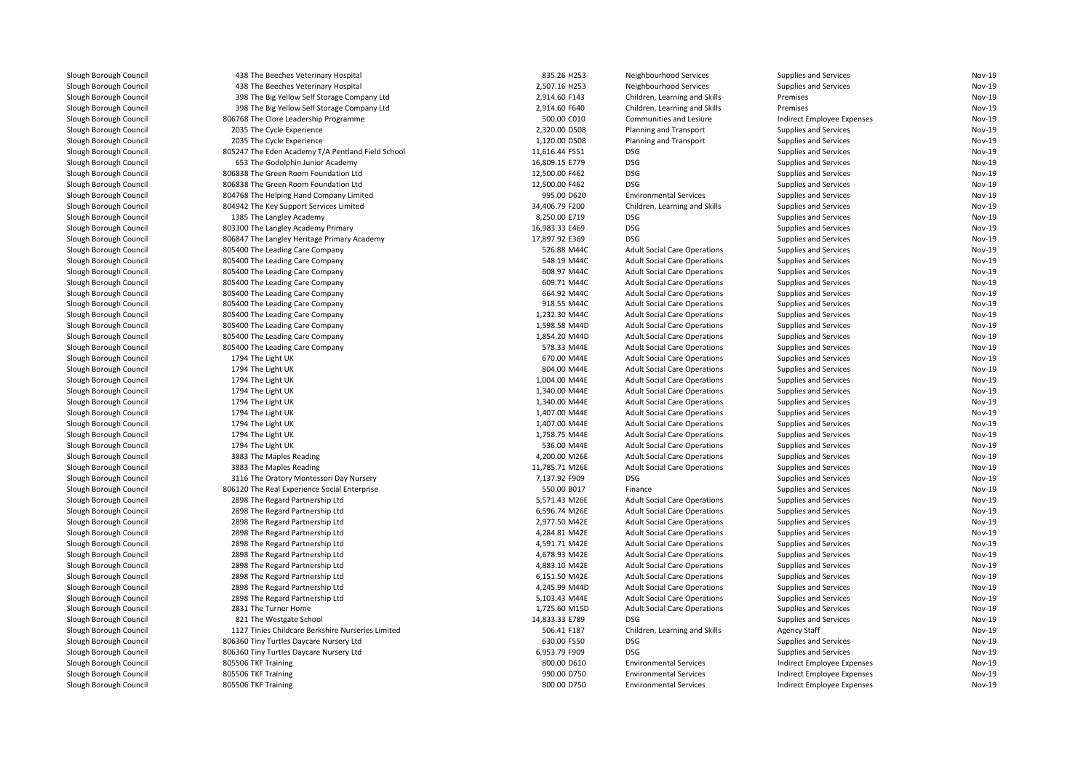| Slough Borough Council | 438 The Beeches Veterinary Hospital               | 835.26 H253    | Neighbourhood Services              | Supplies and Services        | Nov-19        |
|------------------------|---------------------------------------------------|----------------|-------------------------------------|------------------------------|---------------|
| Slough Borough Council | 438 The Beeches Veterinary Hospital               | 2,507.16 H253  | Neighbourhood Services              | Supplies and Services        | Nov-19        |
| Slough Borough Council | 398 The Big Yellow Self Storage Company Ltd       | 2,914.60 F143  | Children, Learning and Skills       | Premises                     | Nov-19        |
| Slough Borough Council | 398 The Big Yellow Self Storage Company Ltd       | 2,914.60 F640  | Children, Learning and Skills       | Premises                     | <b>Nov-19</b> |
| Slough Borough Council | 806768 The Clore Leadership Programme             | 500.00 C010    | Communities and Lesiure             | Indirect Employee Expenses   | Nov-19        |
| Slough Borough Council | 2035 The Cycle Experience                         | 2,320.00 D508  | Planning and Transport              | <b>Supplies and Services</b> | Nov-19        |
| Slough Borough Council | 2035 The Cycle Experience                         | 1,120.00 D508  | Planning and Transport              | Supplies and Services        | Nov-19        |
| Slough Borough Council | 805247 The Eden Academy T/A Pentland Field School | 11,616.44 F551 | DSG.                                | Supplies and Services        | Nov-19        |
| Slough Borough Council | 653 The Godolphin Junior Academy                  | 16,809.15 E779 | <b>DSG</b>                          | <b>Supplies and Services</b> | Nov-19        |
| Slough Borough Council | 806838 The Green Room Foundation Ltd              | 12,500.00 F462 | <b>DSG</b>                          | Supplies and Services        | Nov-19        |
| Slough Borough Council | 806838 The Green Room Foundation Ltd              | 12,500.00 F462 | <b>DSG</b>                          | Supplies and Services        | Nov-19        |
| Slough Borough Council | 804768 The Helping Hand Company Limited           | 995.00 D620    | <b>Environmental Services</b>       | Supplies and Services        | Nov-19        |
| Slough Borough Council | 804942 The Key Support Services Limited           | 34,406.79 F200 | Children, Learning and Skills       | <b>Supplies and Services</b> | Nov-19        |
| Slough Borough Council | 1385 The Langley Academy                          | 8,250.00 E719  | <b>DSG</b>                          | Supplies and Services        | Nov-19        |
| Slough Borough Council | 803300 The Langley Academy Primary                | 16,983.33 E469 | <b>DSG</b>                          | Supplies and Services        | Nov-19        |
| Slough Borough Council | 806847 The Langley Heritage Primary Academy       | 17,897.92 E369 | DSG                                 | Supplies and Services        | Nov-19        |
| Slough Borough Council | 805400 The Leading Care Company                   | 526.88 M44C    | <b>Adult Social Care Operations</b> | <b>Supplies and Services</b> | Nov-19        |
| Slough Borough Council | 805400 The Leading Care Company                   | 548.19 M44C    | <b>Adult Social Care Operations</b> | <b>Supplies and Services</b> | Nov-19        |
| Slough Borough Council | 805400 The Leading Care Company                   | 608.97 M44C    | <b>Adult Social Care Operations</b> | Supplies and Services        | <b>Nov-19</b> |
| Slough Borough Council | 805400 The Leading Care Company                   | 609.71 M44C    | <b>Adult Social Care Operations</b> | Supplies and Services        | Nov-19        |
| Slough Borough Council | 805400 The Leading Care Company                   | 664.92 M44C    | <b>Adult Social Care Operations</b> | <b>Supplies and Services</b> | Nov-19        |
| Slough Borough Council | 805400 The Leading Care Company                   | 918.55 M44C    | <b>Adult Social Care Operations</b> | <b>Supplies and Services</b> | Nov-19        |
| Slough Borough Council | 805400 The Leading Care Company                   | 1,232.30 M44C  | <b>Adult Social Care Operations</b> | Supplies and Services        | <b>Nov-19</b> |
| Slough Borough Council | 805400 The Leading Care Company                   | 1,598.58 M44D  | <b>Adult Social Care Operations</b> | <b>Supplies and Services</b> | Nov-19        |
| Slough Borough Council | 805400 The Leading Care Company                   | 1,854.20 M44D  | <b>Adult Social Care Operations</b> | Supplies and Services        | Nov-19        |
| Slough Borough Council | 805400 The Leading Care Company                   | 578.33 M44E    | <b>Adult Social Care Operations</b> | <b>Supplies and Services</b> | Nov-19        |
| Slough Borough Council | 1794 The Light UK                                 | 670.00 M44E    | <b>Adult Social Care Operations</b> | <b>Supplies and Services</b> | <b>Nov-19</b> |
|                        | 1794 The Light UK                                 | 804.00 M44E    |                                     |                              | Nov-19        |
| Slough Borough Council |                                                   |                | <b>Adult Social Care Operations</b> | <b>Supplies and Services</b> | Nov-19        |
| Slough Borough Council | 1794 The Light UK                                 | 1,004.00 M44E  | <b>Adult Social Care Operations</b> | Supplies and Services        |               |
| Slough Borough Council | 1794 The Light UK                                 | 1,340.00 M44E  | <b>Adult Social Care Operations</b> | Supplies and Services        | Nov-19        |
| Slough Borough Council | 1794 The Light UK                                 | 1,340.00 M44E  | <b>Adult Social Care Operations</b> | Supplies and Services        | Nov-19        |
| Slough Borough Council | 1794 The Light UK                                 | 1,407.00 M44E  | <b>Adult Social Care Operations</b> | <b>Supplies and Services</b> | Nov-19        |
| Slough Borough Council | 1794 The Light UK                                 | 1,407.00 M44E  | <b>Adult Social Care Operations</b> | <b>Supplies and Services</b> | Nov-19        |
| Slough Borough Council | 1794 The Light UK                                 | 1,758.75 M44E  | <b>Adult Social Care Operations</b> | Supplies and Services        | Nov-19        |
| Slough Borough Council | 1794 The Light UK                                 | 536.00 M44E    | <b>Adult Social Care Operations</b> | <b>Supplies and Services</b> | Nov-19        |
| Slough Borough Council | 3883 The Maples Reading                           | 4,200.00 M26E  | <b>Adult Social Care Operations</b> | <b>Supplies and Services</b> | Nov-19        |
| Slough Borough Council | 3883 The Maples Reading                           | 11,785.71 M26E | <b>Adult Social Care Operations</b> | <b>Supplies and Services</b> | Nov-19        |
| Slough Borough Council | 3116 The Oratory Montessori Day Nursery           | 7,137.92 F909  | <b>DSG</b>                          | <b>Supplies and Services</b> | Nov-19        |
| Slough Borough Council | 806120 The Real Experience Social Enterprise      | 550.00 B017    | Finance                             | <b>Supplies and Services</b> | Nov-19        |
| Slough Borough Council | 2898 The Regard Partnership Ltd                   | 5,571.43 M26E  | <b>Adult Social Care Operations</b> | <b>Supplies and Services</b> | Nov-19        |
| Slough Borough Council | 2898 The Regard Partnership Ltd                   | 6,596.74 M26E  | <b>Adult Social Care Operations</b> | Supplies and Services        | Nov-19        |
| Slough Borough Council | 2898 The Regard Partnership Ltd                   | 2,977.50 M42E  | <b>Adult Social Care Operations</b> | <b>Supplies and Services</b> | <b>Nov-19</b> |
| Slough Borough Council | 2898 The Regard Partnership Ltd                   | 4,284.81 M42E  | <b>Adult Social Care Operations</b> | Supplies and Services        | Nov-19        |
| Slough Borough Council | 2898 The Regard Partnership Ltd                   | 4,591.71 M42E  | <b>Adult Social Care Operations</b> | <b>Supplies and Services</b> | Nov-19        |
| Slough Borough Council | 2898 The Regard Partnership Ltd                   | 4,678.93 M42E  | <b>Adult Social Care Operations</b> | <b>Supplies and Services</b> | Nov-19        |
| Slough Borough Council | 2898 The Regard Partnership Ltd                   | 4,883.10 M42E  | <b>Adult Social Care Operations</b> | Supplies and Services        | Nov-19        |
| Slough Borough Council | 2898 The Regard Partnership Ltd                   | 6,151.50 M42E  | <b>Adult Social Care Operations</b> | Supplies and Services        | Nov-19        |
| Slough Borough Council | 2898 The Regard Partnership Ltd                   | 4,245.99 M44D  | <b>Adult Social Care Operations</b> | Supplies and Services        | Nov-19        |
| Slough Borough Council | 2898 The Regard Partnership Ltd                   | 5,103.43 M44E  | <b>Adult Social Care Operations</b> | <b>Supplies and Services</b> | Nov-19        |
| Slough Borough Council | 2831 The Turner Home                              | 1,725.60 M15D  | <b>Adult Social Care Operations</b> | Supplies and Services        | Nov-19        |
| Slough Borough Council | 821 The Westgate School                           | 14,833.33 E789 | <b>DSG</b>                          | <b>Supplies and Services</b> | Nov-19        |
| Slough Borough Council | 1127 Tinies Childcare Berkshire Nurseries Limited | 506.41 F187    | Children, Learning and Skills       | <b>Agency Staff</b>          | Nov-19        |
| Slough Borough Council | 806360 Tiny Turtles Daycare Nursery Ltd           | 630.00 F550    | <b>DSG</b>                          | Supplies and Services        | Nov-19        |
| Slough Borough Council | 806360 Tiny Turtles Daycare Nursery Ltd           | 6,953.79 F909  | <b>DSG</b>                          | Supplies and Services        | Nov-19        |
| Slough Borough Council | 805506 TKF Training                               | 800.00 D610    | <b>Environmental Services</b>       | Indirect Employee Expenses   | Nov-19        |
| Slough Borough Council | 805506 TKF Training                               | 990.00 D750    | <b>Environmental Services</b>       | Indirect Employee Expenses   | Nov-19        |
| Slough Borough Council | 805506 TKF Training                               | 800.00 D750    | <b>Environmental Services</b>       | Indirect Employee Expenses   | Nov-19        |
|                        |                                                   |                |                                     |                              |               |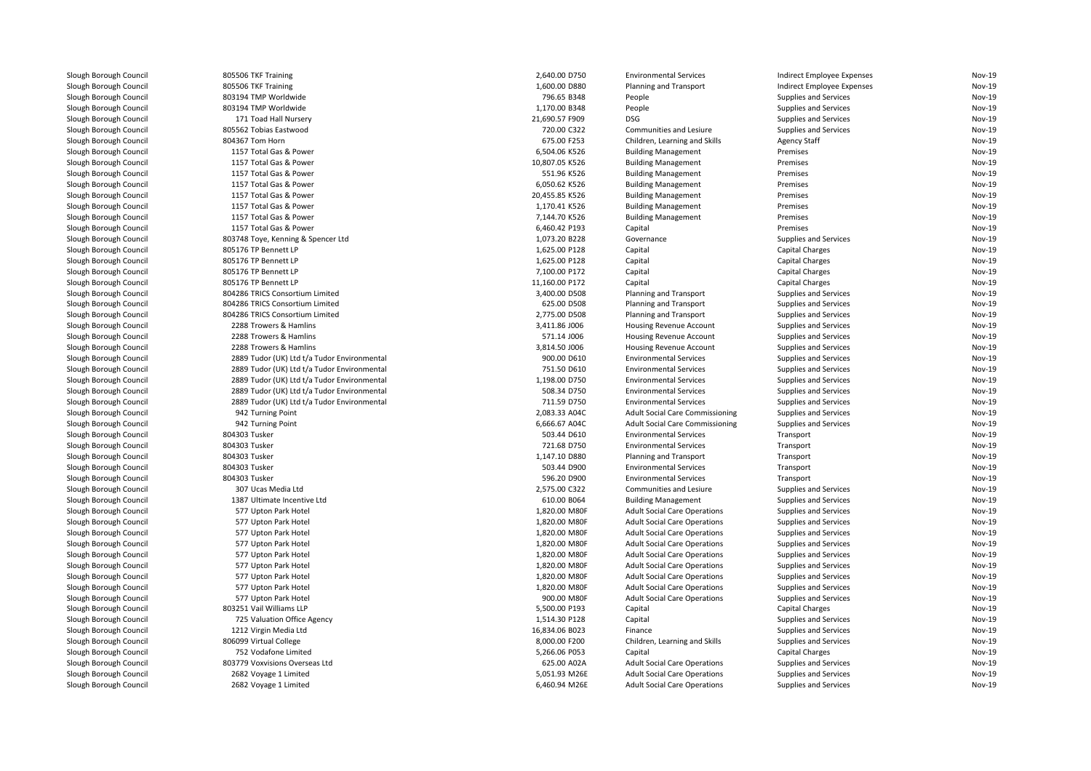| Slough Borough Council | 805506 TKF Training                              | 2,640.00 D750                | <b>Environmental Services</b>          | Indirect Employee Expenses | Nov-19        |
|------------------------|--------------------------------------------------|------------------------------|----------------------------------------|----------------------------|---------------|
| Slough Borough Council | 805506 TKF Training                              | 1,600.00 D880                | Planning and Transport                 | Indirect Employee Expenses | Nov-19        |
| Slough Borough Council | 803194 TMP Worldwide                             | 796.65 B348                  | People                                 | Supplies and Services      | Nov-19        |
| Slough Borough Council | 803194 TMP Worldwide                             | 1,170.00 B348                | People                                 | Supplies and Services      | Nov-19        |
| Slough Borough Council | 171 Toad Hall Nursery                            | 21,690.57 F909               | <b>DSG</b>                             | Supplies and Services      | Nov-19        |
| Slough Borough Council | 805562 Tobias Eastwood                           | 720.00 C322                  | Communities and Lesiure                | Supplies and Services      | Nov-19        |
| Slough Borough Council | 804367 Tom Horn                                  | 675.00 F253                  | Children, Learning and Skills          | <b>Agency Staff</b>        | Nov-19        |
| Slough Borough Council | 1157 Total Gas & Power                           | 6,504.06 K526                | <b>Building Management</b>             | Premises                   | Nov-19        |
| Slough Borough Council | 1157 Total Gas & Power                           | 10,807.05 K526               | <b>Building Management</b>             | Premises                   | Nov-19        |
| Slough Borough Council | 1157 Total Gas & Power                           | 551.96 K526                  | <b>Building Management</b>             | Premises                   | Nov-19        |
| Slough Borough Council | 1157 Total Gas & Power                           | 6,050.62 K526                | <b>Building Management</b>             | Premises                   | Nov-19        |
| Slough Borough Council | 1157 Total Gas & Power                           | 20,455.85 K526               | <b>Building Management</b>             | Premises                   | Nov-19        |
| Slough Borough Council | 1157 Total Gas & Power                           | 1,170.41 K526                | <b>Building Management</b>             | Premises                   | Nov-19        |
| Slough Borough Council | 1157 Total Gas & Power                           | 7,144.70 K526                | <b>Building Management</b>             | Premises                   | Nov-19        |
| Slough Borough Council | 1157 Total Gas & Power                           | 6,460.42 P193                | Capital                                | Premises                   | Nov-19        |
| Slough Borough Council | 803748 Toye, Kenning & Spencer Ltd               | 1,073.20 B228                | Governance                             | Supplies and Services      | Nov-19        |
| Slough Borough Council | 805176 TP Bennett LP                             | 1,625.00 P128                | Capital                                | <b>Capital Charges</b>     | Nov-19        |
| Slough Borough Council | 805176 TP Bennett LP                             | 1,625.00 P128                | Capital                                | <b>Capital Charges</b>     | Nov-19        |
| Slough Borough Council | 805176 TP Bennett LP                             | 7.100.00 P172                | Capital                                | <b>Capital Charges</b>     | Nov-19        |
| Slough Borough Council | 805176 TP Bennett LP                             | 11,160.00 P172               | Capital                                | <b>Capital Charges</b>     | Nov-19        |
| Slough Borough Council | 804286 TRICS Consortium Limited                  | 3,400.00 D508                | Planning and Transport                 | Supplies and Services      | Nov-19        |
| Slough Borough Council | 804286 TRICS Consortium Limited                  | 625.00 D508                  | Planning and Transport                 | Supplies and Services      | Nov-19        |
| Slough Borough Council | 804286 TRICS Consortium Limited                  | 2,775.00 D508                | Planning and Transport                 | Supplies and Services      | Nov-19        |
|                        |                                                  |                              |                                        |                            | Nov-19        |
| Slough Borough Council | 2288 Trowers & Hamlins<br>2288 Trowers & Hamlins | 3,411.86 J006<br>571.14 J006 | Housing Revenue Account                | Supplies and Services      | Nov-19        |
| Slough Borough Council |                                                  |                              | Housing Revenue Account                | Supplies and Services      | Nov-19        |
| Slough Borough Council | 2288 Trowers & Hamlins                           | 3,814.50 J006                | <b>Housing Revenue Account</b>         | Supplies and Services      |               |
| Slough Borough Council | 2889 Tudor (UK) Ltd t/a Tudor Environmental      | 900.00 D610                  | <b>Environmental Services</b>          | Supplies and Services      | Nov-19        |
| Slough Borough Council | 2889 Tudor (UK) Ltd t/a Tudor Environmental      | 751.50 D610                  | <b>Environmental Services</b>          | Supplies and Services      | Nov-19        |
| Slough Borough Council | 2889 Tudor (UK) Ltd t/a Tudor Environmental      | 1,198.00 D750                | <b>Environmental Services</b>          | Supplies and Services      | Nov-19        |
| Slough Borough Council | 2889 Tudor (UK) Ltd t/a Tudor Environmental      | 508.34 D750                  | <b>Environmental Services</b>          | Supplies and Services      | Nov-19        |
| Slough Borough Council | 2889 Tudor (UK) Ltd t/a Tudor Environmental      | 711.59 D750                  | <b>Environmental Services</b>          | Supplies and Services      | Nov-19        |
| Slough Borough Council | 942 Turning Point                                | 2,083.33 A04C                | <b>Adult Social Care Commissioning</b> | Supplies and Services      | Nov-19        |
| Slough Borough Council | 942 Turning Point                                | 6,666.67 A04C                | <b>Adult Social Care Commissioning</b> | Supplies and Services      | <b>Nov-19</b> |
| Slough Borough Council | 804303 Tusker                                    | 503.44 D610                  | <b>Environmental Services</b>          | Transport                  | Nov-19        |
| Slough Borough Council | 804303 Tusker                                    | 721.68 D750                  | <b>Environmental Services</b>          | Transport                  | Nov-19        |
| Slough Borough Council | 804303 Tusker                                    | 1,147.10 D880                | Planning and Transport                 | Transport                  | Nov-19        |
| Slough Borough Council | 804303 Tusker                                    | 503.44 D900                  | <b>Environmental Services</b>          | Transport                  | Nov-19        |
| Slough Borough Council | 804303 Tusker                                    | 596.20 D900                  | <b>Environmental Services</b>          | Transport                  | Nov-19        |
| Slough Borough Council | 307 Ucas Media Ltd                               | 2,575.00 C322                | Communities and Lesiure                | Supplies and Services      | Nov-19        |
| Slough Borough Council | 1387 Ultimate Incentive Ltd                      | 610.00 B064                  | <b>Building Management</b>             | Supplies and Services      | Nov-19        |
| Slough Borough Council | 577 Upton Park Hotel                             | 1,820.00 M80F                | <b>Adult Social Care Operations</b>    | Supplies and Services      | Nov-19        |
| Slough Borough Council | 577 Upton Park Hotel                             | 1,820.00 M80F                | <b>Adult Social Care Operations</b>    | Supplies and Services      | Nov-19        |
| Slough Borough Council | 577 Upton Park Hotel                             | 1,820.00 M80F                | <b>Adult Social Care Operations</b>    | Supplies and Services      | Nov-19        |
| Slough Borough Council | 577 Upton Park Hotel                             | 1,820.00 M80F                | <b>Adult Social Care Operations</b>    | Supplies and Services      | Nov-19        |
| Slough Borough Council | 577 Upton Park Hotel                             | 1,820.00 M80F                | <b>Adult Social Care Operations</b>    | Supplies and Services      | Nov-19        |
| Slough Borough Council | 577 Upton Park Hotel                             | 1,820.00 M80F                | <b>Adult Social Care Operations</b>    | Supplies and Services      | Nov-19        |
| Slough Borough Council | 577 Upton Park Hotel                             | 1,820.00 M80F                | <b>Adult Social Care Operations</b>    | Supplies and Services      | Nov-19        |
| Slough Borough Council | 577 Upton Park Hotel                             | 1,820.00 M80F                | <b>Adult Social Care Operations</b>    | Supplies and Services      | Nov-19        |
| Slough Borough Council | 577 Upton Park Hotel                             | 900.00 M80F                  | <b>Adult Social Care Operations</b>    | Supplies and Services      | Nov-19        |
| Slough Borough Council | 803251 Vail Williams LLP                         | 5,500.00 P193                | Capital                                | <b>Capital Charges</b>     | Nov-19        |
| Slough Borough Council | 725 Valuation Office Agency                      | 1,514.30 P128                | Capital                                | Supplies and Services      | Nov-19        |
| Slough Borough Council | 1212 Virgin Media Ltd                            | 16,834.06 B023               | Finance                                | Supplies and Services      | Nov-19        |
| Slough Borough Council | 806099 Virtual College                           | 8,000.00 F200                | Children, Learning and Skills          | Supplies and Services      | Nov-19        |
| Slough Borough Council | 752 Vodafone Limited                             | 5,266.06 P053                | Capital                                | <b>Capital Charges</b>     | Nov-19        |
| Slough Borough Council | 803779 Voxvisions Overseas Ltd                   | 625.00 A02A                  | <b>Adult Social Care Operations</b>    | Supplies and Services      | Nov-19        |
| Slough Borough Council | 2682 Voyage 1 Limited                            | 5.051.93 M26E                | <b>Adult Social Care Operations</b>    | Supplies and Services      | Nov-19        |
| Slough Borough Council | 2682 Voyage 1 Limited                            | 6,460.94 M26E                | <b>Adult Social Care Operations</b>    | Supplies and Services      | Nov-19        |
|                        |                                                  |                              |                                        |                            |               |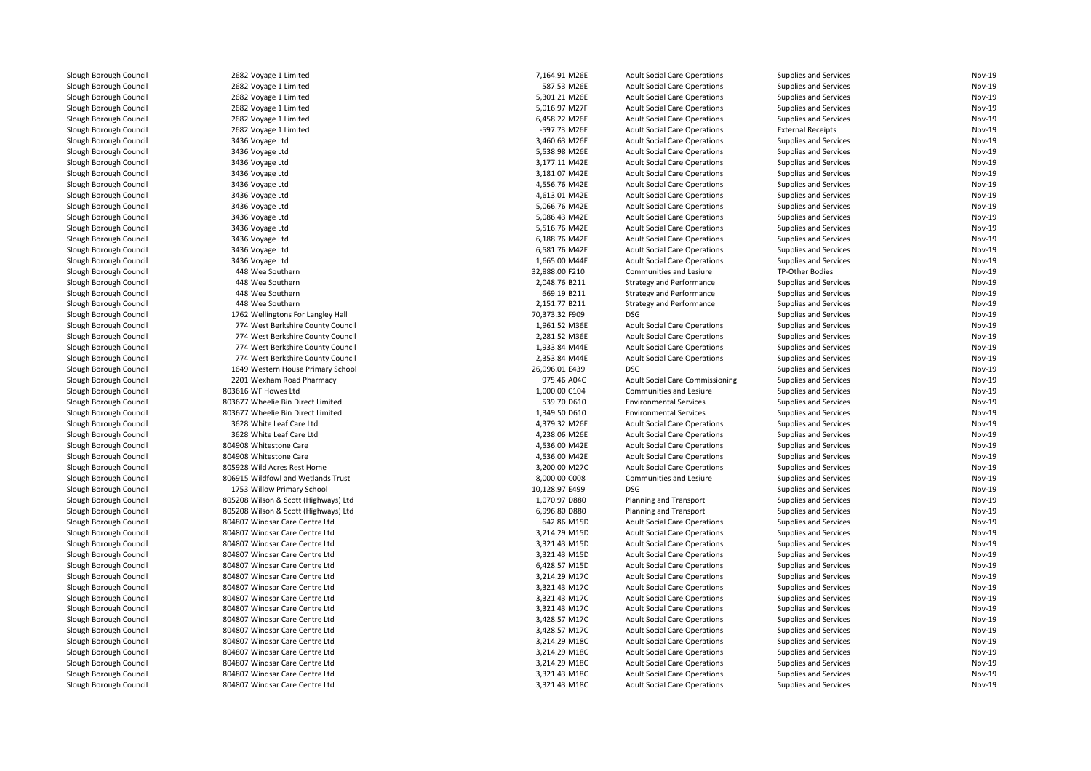| Slough Borough Council | 2682 Voyage 1 Limited                                                  | 7,164.91 M26E                  | <b>Adult Social Care Operations</b>                                        | <b>Supplies and Services</b>                   | <b>Nov-19</b> |
|------------------------|------------------------------------------------------------------------|--------------------------------|----------------------------------------------------------------------------|------------------------------------------------|---------------|
| Slough Borough Council | 2682 Voyage 1 Limited                                                  | 587.53 M26E                    | <b>Adult Social Care Operations</b>                                        | <b>Supplies and Services</b>                   | <b>Nov-19</b> |
| Slough Borough Council | 2682 Voyage 1 Limited                                                  | 5,301.21 M26E                  | <b>Adult Social Care Operations</b>                                        | Supplies and Services                          | Nov-19        |
| Slough Borough Council | 2682 Voyage 1 Limited                                                  | 5,016.97 M27F                  | <b>Adult Social Care Operations</b>                                        | <b>Supplies and Services</b>                   | <b>Nov-19</b> |
| Slough Borough Council | 2682 Voyage 1 Limited                                                  | 6,458.22 M26E                  | <b>Adult Social Care Operations</b>                                        | Supplies and Services                          | Nov-19        |
| Slough Borough Council | 2682 Voyage 1 Limited                                                  | -597.73 M26E                   | <b>Adult Social Care Operations</b>                                        | <b>External Receipts</b>                       | Nov-19        |
| Slough Borough Council | 3436 Voyage Ltd                                                        | 3,460.63 M26E                  | <b>Adult Social Care Operations</b>                                        | Supplies and Services                          | Nov-19        |
| Slough Borough Council | 3436 Voyage Ltd                                                        | 5,538.98 M26E                  | <b>Adult Social Care Operations</b>                                        | Supplies and Services                          | <b>Nov-19</b> |
| Slough Borough Council | 3436 Voyage Ltd                                                        | 3,177.11 M42E                  | <b>Adult Social Care Operations</b>                                        | Supplies and Services                          | Nov-19        |
| Slough Borough Council | 3436 Voyage Ltd                                                        | 3,181.07 M42E                  | <b>Adult Social Care Operations</b>                                        | Supplies and Services                          | Nov-19        |
| Slough Borough Council | 3436 Voyage Ltd                                                        | 4,556.76 M42E                  | <b>Adult Social Care Operations</b>                                        | Supplies and Services                          | <b>Nov-19</b> |
| Slough Borough Council | 3436 Voyage Ltd                                                        | 4,613.01 M42E                  | <b>Adult Social Care Operations</b>                                        | Supplies and Services                          | Nov-19        |
| Slough Borough Council | 3436 Voyage Ltd                                                        | 5,066.76 M42E                  | <b>Adult Social Care Operations</b>                                        | Supplies and Services                          | <b>Nov-19</b> |
| Slough Borough Council | 3436 Voyage Ltd                                                        | 5,086.43 M42E                  | <b>Adult Social Care Operations</b>                                        | Supplies and Services                          | <b>Nov-19</b> |
| Slough Borough Council | 3436 Voyage Ltd                                                        | 5,516.76 M42E                  | <b>Adult Social Care Operations</b>                                        | Supplies and Services                          | <b>Nov-19</b> |
| Slough Borough Council | 3436 Voyage Ltd                                                        | 6,188.76 M42E                  | <b>Adult Social Care Operations</b>                                        | Supplies and Services                          | Nov-19        |
| Slough Borough Council | 3436 Voyage Ltd                                                        | 6,581.76 M42E                  | <b>Adult Social Care Operations</b>                                        | Supplies and Services                          | <b>Nov-19</b> |
| Slough Borough Council | 3436 Voyage Ltd                                                        | 1,665.00 M44E                  | <b>Adult Social Care Operations</b>                                        | Supplies and Services                          | Nov-19        |
| Slough Borough Council | 448 Wea Southern                                                       | 32,888.00 F210                 | Communities and Lesiure                                                    | TP-Other Bodies                                | Nov-19        |
| Slough Borough Council | 448 Wea Southern                                                       | 2,048.76 B211                  | <b>Strategy and Performance</b>                                            | Supplies and Services                          | Nov-19        |
| Slough Borough Council | 448 Wea Southern                                                       | 669.19 B211                    | <b>Strategy and Performance</b>                                            | Supplies and Services                          | <b>Nov-19</b> |
| Slough Borough Council | 448 Wea Southern                                                       | 2,151.77 B211                  | <b>Strategy and Performance</b>                                            | Supplies and Services                          | Nov-19        |
| Slough Borough Council | 1762 Wellingtons For Langley Hall                                      | 70,373.32 F909                 | <b>DSG</b>                                                                 | Supplies and Services                          | Nov-19        |
| Slough Borough Council |                                                                        |                                |                                                                            |                                                | Nov-19        |
| Slough Borough Council | 774 West Berkshire County Council<br>774 West Berkshire County Council | 1,961.52 M36E<br>2,281.52 M36E | <b>Adult Social Care Operations</b><br><b>Adult Social Care Operations</b> | Supplies and Services<br>Supplies and Services | Nov-19        |
|                        |                                                                        |                                |                                                                            |                                                | Nov-19        |
| Slough Borough Council | 774 West Berkshire County Council                                      | 1,933.84 M44E                  | <b>Adult Social Care Operations</b>                                        | Supplies and Services                          | <b>Nov-19</b> |
| Slough Borough Council | 774 West Berkshire County Council                                      | 2,353.84 M44E                  | <b>Adult Social Care Operations</b>                                        | Supplies and Services                          |               |
| Slough Borough Council | 1649 Western House Primary School                                      | 26,096.01 E439                 | <b>DSG</b>                                                                 | Supplies and Services                          | Nov-19        |
| Slough Borough Council | 2201 Wexham Road Pharmacy                                              | 975.46 A04C                    | <b>Adult Social Care Commissioning</b>                                     | Supplies and Services                          | Nov-19        |
| Slough Borough Council | 803616 WF Howes Ltd                                                    | 1,000.00 C104                  | Communities and Lesiure                                                    | Supplies and Services                          | <b>Nov-19</b> |
| Slough Borough Council | 803677 Wheelie Bin Direct Limited                                      | 539.70 D610                    | <b>Environmental Services</b>                                              | Supplies and Services                          | Nov-19        |
| Slough Borough Council | 803677 Wheelie Bin Direct Limited                                      | 1,349.50 D610                  | <b>Environmental Services</b>                                              | Supplies and Services                          | Nov-19        |
| Slough Borough Council | 3628 White Leaf Care Ltd                                               | 4,379.32 M26E                  | <b>Adult Social Care Operations</b>                                        | Supplies and Services                          | Nov-19        |
| Slough Borough Council | 3628 White Leaf Care Ltd                                               | 4,238.06 M26E                  | <b>Adult Social Care Operations</b>                                        | <b>Supplies and Services</b>                   | <b>Nov-19</b> |
| Slough Borough Council | 804908 Whitestone Care                                                 | 4,536.00 M42E                  | <b>Adult Social Care Operations</b>                                        | Supplies and Services                          | Nov-19        |
| Slough Borough Council | 804908 Whitestone Care                                                 | 4,536.00 M42E                  | <b>Adult Social Care Operations</b>                                        | Supplies and Services                          | Nov-19        |
| Slough Borough Council | 805928 Wild Acres Rest Home                                            | 3,200.00 M27C                  | <b>Adult Social Care Operations</b>                                        | Supplies and Services                          | Nov-19        |
| Slough Borough Council | 806915 Wildfowl and Wetlands Trust                                     | 8,000.00 C008                  | Communities and Lesiure                                                    | Supplies and Services                          | Nov-19        |
| Slough Borough Council | 1753 Willow Primary School                                             | 10,128.97 E499                 | DSG                                                                        | Supplies and Services                          | Nov-19        |
| Slough Borough Council | 805208 Wilson & Scott (Highways) Ltd                                   | 1,070.97 D880                  | Planning and Transport                                                     | Supplies and Services                          | <b>Nov-19</b> |
| Slough Borough Council | 805208 Wilson & Scott (Highways) Ltd                                   | 6,996.80 D880                  | Planning and Transport                                                     | Supplies and Services                          | Nov-19        |
| Slough Borough Council | 804807 Windsar Care Centre Ltd                                         | 642.86 M15D                    | <b>Adult Social Care Operations</b>                                        | <b>Supplies and Services</b>                   | Nov-19        |
| Slough Borough Council | 804807 Windsar Care Centre Ltd                                         | 3,214.29 M15D                  | <b>Adult Social Care Operations</b>                                        | Supplies and Services                          | <b>Nov-19</b> |
| Slough Borough Council | 804807 Windsar Care Centre Ltd                                         | 3,321.43 M15D                  | <b>Adult Social Care Operations</b>                                        | Supplies and Services                          | Nov-19        |
| Slough Borough Council | 804807 Windsar Care Centre Ltd                                         | 3,321.43 M15D                  | <b>Adult Social Care Operations</b>                                        | Supplies and Services                          | <b>Nov-19</b> |
| Slough Borough Council | 804807 Windsar Care Centre Ltd                                         | 6,428.57 M15D                  | <b>Adult Social Care Operations</b>                                        | Supplies and Services                          | Nov-19        |
| Slough Borough Council | 804807 Windsar Care Centre Ltd                                         | 3,214.29 M17C                  | <b>Adult Social Care Operations</b>                                        | Supplies and Services                          | <b>Nov-19</b> |
| Slough Borough Council | 804807 Windsar Care Centre Ltd                                         | 3,321.43 M17C                  | <b>Adult Social Care Operations</b>                                        | Supplies and Services                          | Nov-19        |
| Slough Borough Council | 804807 Windsar Care Centre Ltd                                         | 3,321.43 M17C                  | <b>Adult Social Care Operations</b>                                        | Supplies and Services                          | Nov-19        |
| Slough Borough Council | 804807 Windsar Care Centre Ltd                                         | 3,321.43 M17C                  | <b>Adult Social Care Operations</b>                                        | Supplies and Services                          | Nov-19        |
| Slough Borough Council | 804807 Windsar Care Centre Ltd                                         | 3,428.57 M17C                  | <b>Adult Social Care Operations</b>                                        | Supplies and Services                          | Nov-19        |
| Slough Borough Council | 804807 Windsar Care Centre Ltd                                         | 3,428.57 M17C                  | <b>Adult Social Care Operations</b>                                        | Supplies and Services                          | Nov-19        |
| Slough Borough Council | 804807 Windsar Care Centre Ltd                                         | 3,214.29 M18C                  | <b>Adult Social Care Operations</b>                                        | Supplies and Services                          | <b>Nov-19</b> |
| Slough Borough Council | 804807 Windsar Care Centre Ltd                                         | 3,214.29 M18C                  | <b>Adult Social Care Operations</b>                                        | Supplies and Services                          | Nov-19        |
| Slough Borough Council | 804807 Windsar Care Centre Ltd                                         | 3,214.29 M18C                  | <b>Adult Social Care Operations</b>                                        | <b>Supplies and Services</b>                   | Nov-19        |
| Slough Borough Council | 804807 Windsar Care Centre Ltd                                         | 3,321.43 M18C                  | <b>Adult Social Care Operations</b>                                        | Supplies and Services                          | <b>Nov-19</b> |
| Slough Borough Council | 804807 Windsar Care Centre Ltd                                         | 3,321.43 M18C                  | <b>Adult Social Care Operations</b>                                        | Supplies and Services                          | Nov-19        |
|                        |                                                                        |                                |                                                                            |                                                |               |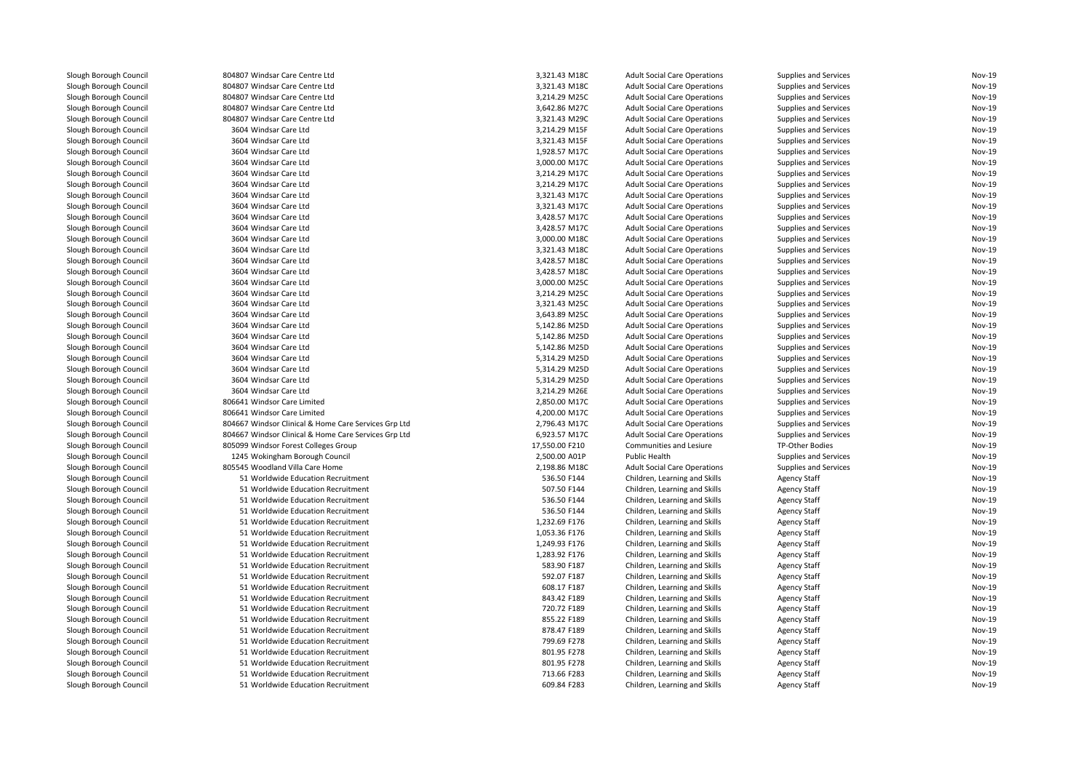| Slough Borough Council                           | 804807 Windsar Care Centre Ltd                       | 3,321.43 M18C  | <b>Adult Social Care Operations</b> | Supplies and Services | Nov-19           |
|--------------------------------------------------|------------------------------------------------------|----------------|-------------------------------------|-----------------------|------------------|
| Slough Borough Council                           | 804807 Windsar Care Centre Ltd                       | 3,321.43 M18C  | <b>Adult Social Care Operations</b> | Supplies and Services | Nov-19           |
| Slough Borough Council                           | 804807 Windsar Care Centre Ltd                       | 3,214.29 M25C  | <b>Adult Social Care Operations</b> | Supplies and Services | Nov-19           |
| Slough Borough Council                           | 804807 Windsar Care Centre Ltd                       | 3,642.86 M27C  | <b>Adult Social Care Operations</b> | Supplies and Services | Nov-19           |
| Slough Borough Council                           | 804807 Windsar Care Centre Ltd                       | 3,321.43 M29C  | <b>Adult Social Care Operations</b> | Supplies and Services | <b>Nov-19</b>    |
| Slough Borough Council                           | 3604 Windsar Care Ltd                                | 3,214.29 M15F  | <b>Adult Social Care Operations</b> | Supplies and Services | Nov-19           |
| Slough Borough Council                           | 3604 Windsar Care Ltd                                | 3,321.43 M15F  | <b>Adult Social Care Operations</b> | Supplies and Services | Nov-19           |
| Slough Borough Council                           | 3604 Windsar Care Ltd                                | 1,928.57 M17C  | <b>Adult Social Care Operations</b> | Supplies and Services | Nov-19           |
| Slough Borough Council                           | 3604 Windsar Care Ltd                                | 3,000.00 M17C  | <b>Adult Social Care Operations</b> | Supplies and Services | Nov-19           |
| Slough Borough Council                           | 3604 Windsar Care Ltd                                | 3,214.29 M17C  | <b>Adult Social Care Operations</b> | Supplies and Services | Nov-19           |
| Slough Borough Council                           | 3604 Windsar Care Ltd                                | 3,214.29 M17C  | <b>Adult Social Care Operations</b> | Supplies and Services | Nov-19           |
| Slough Borough Council                           | 3604 Windsar Care Ltd                                | 3,321.43 M17C  | <b>Adult Social Care Operations</b> | Supplies and Services | <b>Nov-19</b>    |
| Slough Borough Council                           | 3604 Windsar Care Ltd                                | 3,321.43 M17C  | <b>Adult Social Care Operations</b> | Supplies and Services | Nov-19           |
| Slough Borough Council                           | 3604 Windsar Care Ltd                                | 3,428.57 M17C  | <b>Adult Social Care Operations</b> | Supplies and Services | Nov-19           |
| Slough Borough Council                           | 3604 Windsar Care Ltd                                | 3,428.57 M17C  | <b>Adult Social Care Operations</b> | Supplies and Services | Nov-19           |
| Slough Borough Council                           | 3604 Windsar Care Ltd                                | 3,000.00 M18C  | <b>Adult Social Care Operations</b> | Supplies and Services | Nov-19           |
| Slough Borough Council                           | 3604 Windsar Care Ltd                                | 3,321.43 M18C  | <b>Adult Social Care Operations</b> | Supplies and Services | <b>Nov-19</b>    |
|                                                  | 3604 Windsar Care Ltd                                |                |                                     |                       | Nov-19           |
| Slough Borough Council                           |                                                      | 3,428.57 M18C  | <b>Adult Social Care Operations</b> | Supplies and Services |                  |
| Slough Borough Council                           | 3604 Windsar Care Ltd                                | 3,428.57 M18C  | <b>Adult Social Care Operations</b> | Supplies and Services | Nov-19           |
| Slough Borough Council                           | 3604 Windsar Care Ltd                                | 3,000.00 M25C  | <b>Adult Social Care Operations</b> | Supplies and Services | Nov-19           |
| Slough Borough Council                           | 3604 Windsar Care Ltd                                | 3,214.29 M25C  | <b>Adult Social Care Operations</b> | Supplies and Services | Nov-19           |
| Slough Borough Council                           | 3604 Windsar Care Ltd                                | 3,321.43 M25C  | <b>Adult Social Care Operations</b> | Supplies and Services | Nov-19           |
| Slough Borough Council                           | 3604 Windsar Care Ltd                                | 3,643.89 M25C  | <b>Adult Social Care Operations</b> | Supplies and Services | Nov-19           |
| Slough Borough Council                           | 3604 Windsar Care Ltd                                | 5,142.86 M25D  | <b>Adult Social Care Operations</b> | Supplies and Services | Nov-19           |
| Slough Borough Council                           | 3604 Windsar Care Ltd                                | 5,142.86 M25D  | <b>Adult Social Care Operations</b> | Supplies and Services | Nov-19           |
| Slough Borough Council                           | 3604 Windsar Care Ltd                                | 5,142.86 M25D  | <b>Adult Social Care Operations</b> | Supplies and Services | Nov-19           |
| Slough Borough Council                           | 3604 Windsar Care Ltd                                | 5,314.29 M25D  | <b>Adult Social Care Operations</b> | Supplies and Services | Nov-19           |
| Slough Borough Council                           | 3604 Windsar Care Ltd                                | 5,314.29 M25D  | <b>Adult Social Care Operations</b> | Supplies and Services | Nov-19           |
| Slough Borough Council                           | 3604 Windsar Care Ltd                                | 5,314.29 M25D  | <b>Adult Social Care Operations</b> | Supplies and Services | <b>Nov-19</b>    |
| Slough Borough Council                           | 3604 Windsar Care Ltd                                | 3,214.29 M26E  | <b>Adult Social Care Operations</b> | Supplies and Services | Nov-19           |
| Slough Borough Council                           | 806641 Windsor Care Limited                          | 2,850.00 M17C  | <b>Adult Social Care Operations</b> | Supplies and Services | Nov-19           |
| Slough Borough Council                           | 806641 Windsor Care Limited                          | 4,200.00 M17C  | <b>Adult Social Care Operations</b> | Supplies and Services | Nov-19           |
| Slough Borough Council                           | 804667 Windsor Clinical & Home Care Services Grp Ltd | 2,796.43 M17C  | <b>Adult Social Care Operations</b> | Supplies and Services | Nov-19           |
| Slough Borough Council                           | 804667 Windsor Clinical & Home Care Services Grp Ltd | 6,923.57 M17C  | <b>Adult Social Care Operations</b> | Supplies and Services | Nov-19           |
| Slough Borough Council                           | 805099 Windsor Forest Colleges Group                 | 17,550.00 F210 | Communities and Lesiure             | TP-Other Bodies       | Nov-19           |
| Slough Borough Council                           | 1245 Wokingham Borough Council                       | 2,500.00 A01P  | <b>Public Health</b>                | Supplies and Services | <b>Nov-19</b>    |
| Slough Borough Council                           | 805545 Woodland Villa Care Home                      | 2,198.86 M18C  | <b>Adult Social Care Operations</b> | Supplies and Services | Nov-19           |
| Slough Borough Council                           | 51 Worldwide Education Recruitment                   | 536.50 F144    | Children, Learning and Skills       | <b>Agency Staff</b>   | Nov-19           |
| Slough Borough Council                           | 51 Worldwide Education Recruitment                   | 507.50 F144    | Children, Learning and Skills       | <b>Agency Staff</b>   | Nov-19           |
| Slough Borough Council                           | 51 Worldwide Education Recruitment                   | 536.50 F144    | Children, Learning and Skills       | Agency Staff          | Nov-19           |
| Slough Borough Council                           | 51 Worldwide Education Recruitment                   | 536.50 F144    | Children, Learning and Skills       | Agency Staff          | <b>Nov-19</b>    |
| Slough Borough Council                           | 51 Worldwide Education Recruitment                   | 1,232.69 F176  | Children, Learning and Skills       | <b>Agency Staff</b>   | Nov-19           |
| Slough Borough Council                           | 51 Worldwide Education Recruitment                   | 1,053.36 F176  | Children, Learning and Skills       | <b>Agency Staff</b>   | Nov-19           |
| Slough Borough Council                           | 51 Worldwide Education Recruitment                   | 1,249.93 F176  | Children, Learning and Skills       | <b>Agency Staff</b>   | Nov-19           |
| Slough Borough Council                           | 51 Worldwide Education Recruitment                   | 1,283.92 F176  | Children, Learning and Skills       | <b>Agency Staff</b>   | Nov-19           |
| Slough Borough Council                           | 51 Worldwide Education Recruitment                   | 583.90 F187    | Children, Learning and Skills       | Agency Staff          | Nov-19           |
| Slough Borough Council                           | 51 Worldwide Education Recruitment                   | 592.07 F187    | Children, Learning and Skills       | Agency Staff          | Nov-19           |
| Slough Borough Council                           | 51 Worldwide Education Recruitment                   | 608.17 F187    | Children, Learning and Skills       | Agency Staff          | Nov-19           |
| Slough Borough Council                           | 51 Worldwide Education Recruitment                   | 843.42 F189    | Children, Learning and Skills       | <b>Agency Staff</b>   | Nov-19           |
| Slough Borough Council                           | 51 Worldwide Education Recruitment                   | 720.72 F189    | Children, Learning and Skills       | Agency Staff          | <b>Nov-19</b>    |
| Slough Borough Council                           | 51 Worldwide Education Recruitment                   | 855.22 F189    | Children, Learning and Skills       | Agency Staff          | Nov-19           |
|                                                  | 51 Worldwide Education Recruitment                   | 878.47 F189    | Children, Learning and Skills       | Agency Staff          | Nov-19           |
| Slough Borough Council<br>Slough Borough Council | 51 Worldwide Education Recruitment                   | 799.69 F278    |                                     |                       | Nov-19           |
|                                                  |                                                      |                | Children, Learning and Skills       | <b>Agency Staff</b>   |                  |
| Slough Borough Council                           | 51 Worldwide Education Recruitment                   | 801.95 F278    | Children, Learning and Skills       | <b>Agency Staff</b>   | Nov-19<br>Nov-19 |
| Slough Borough Council                           | 51 Worldwide Education Recruitment                   | 801.95 F278    | Children, Learning and Skills       | Agency Staff          |                  |
| Slough Borough Council                           | 51 Worldwide Education Recruitment                   | 713.66 F283    | Children, Learning and Skills       | Agency Staff          | Nov-19           |
| Slough Borough Council                           | 51 Worldwide Education Recruitment                   | 609.84 F283    | Children, Learning and Skills       | <b>Agency Staff</b>   | Nov-19           |